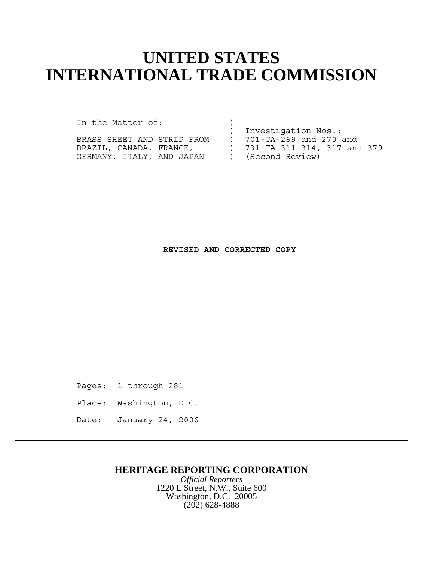# **UNITED STATES INTERNATIONAL TRADE COMMISSION**

In the Matter of:

| BRASS SHEET AND STRIP FROM |  |  |  |  |
|----------------------------|--|--|--|--|
| BRAZIL, CANADA, FRANCE,    |  |  |  |  |
| GERMANY, ITALY, AND JAPAN  |  |  |  |  |

) Investigation Nos.: ) 701-TA-269 and 270 and ) 731-TA-311-314, 317 and 379 ) (Second Review)

#### **REVISED AND CORRECTED COPY**

Pages: 1 through 281

- Place: Washington, D.C.
- Date: January 24, 2006

### **HERITAGE REPORTING CORPORATION**

*Official Reporters* 1220 L Street, N.W., Suite 600 Washington, D.C. 20005 (202) 628-4888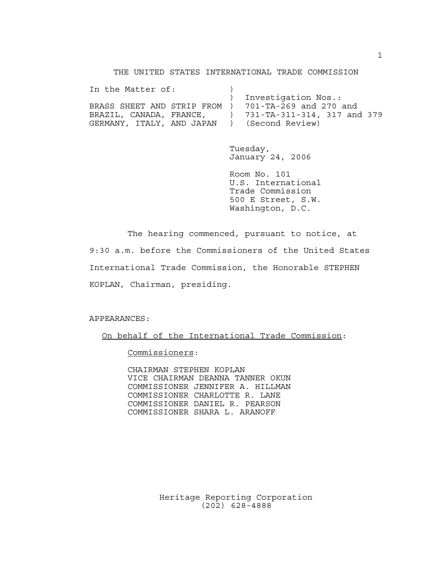THE UNITED STATES INTERNATIONAL TRADE COMMISSION

| In the Matter of:                                   |                             |
|-----------------------------------------------------|-----------------------------|
|                                                     | Investigation Nos.:         |
| BRASS SHEET AND STRIP FROM ) 701-TA-269 and 270 and |                             |
| BRAZIL, CANADA, FRANCE,                             | 731-TA-311-314, 317 and 379 |
| GERMANY, ITALY, AND JAPAN                           | ) (Second Review)           |

Tuesday, January 24, 2006

Room No. 101 U.S. International Trade Commission 500 E Street, S.W. Washington, D.C.

The hearing commenced, pursuant to notice, at 9:30 a.m. before the Commissioners of the United States International Trade Commission, the Honorable STEPHEN KOPLAN, Chairman, presiding.

#### APPEARANCES:

On behalf of the International Trade Commission:

Commissioners:

CHAIRMAN STEPHEN KOPLAN VICE CHAIRMAN DEANNA TANNER OKUN COMMISSIONER JENNIFER A. HILLMAN COMMISSIONER CHARLOTTE R. LANE COMMISSIONER DANIEL R. PEARSON COMMISSIONER SHARA L. ARANOFF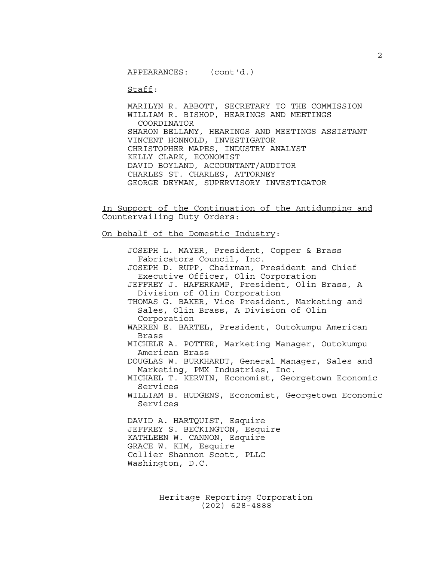APPEARANCES: (cont'd.)

Staff:

MARILYN R. ABBOTT, SECRETARY TO THE COMMISSION WILLIAM R. BISHOP, HEARINGS AND MEETINGS COORDINATOR SHARON BELLAMY, HEARINGS AND MEETINGS ASSISTANT VINCENT HONNOLD, INVESTIGATOR CHRISTOPHER MAPES, INDUSTRY ANALYST KELLY CLARK, ECONOMIST DAVID BOYLAND, ACCOUNTANT/AUDITOR CHARLES ST. CHARLES, ATTORNEY GEORGE DEYMAN, SUPERVISORY INVESTIGATOR

In Support of the Continuation of the Antidumping and Countervailing Duty Orders:

On behalf of the Domestic Industry:

JOSEPH L. MAYER, President, Copper & Brass Fabricators Council, Inc. JOSEPH D. RUPP, Chairman, President and Chief Executive Officer, Olin Corporation JEFFREY J. HAFERKAMP, President, Olin Brass, A Division of Olin Corporation THOMAS G. BAKER, Vice President, Marketing and Sales, Olin Brass, A Division of Olin Corporation WARREN E. BARTEL, President, Outokumpu American Brass MICHELE A. POTTER, Marketing Manager, Outokumpu American Brass DOUGLAS W. BURKHARDT, General Manager, Sales and Marketing, PMX Industries, Inc. MICHAEL T. KERWIN, Economist, Georgetown Economic Services WILLIAM B. HUDGENS, Economist, Georgetown Economic Services DAVID A. HARTQUIST, Esquire JEFFREY S. BECKINGTON, Esquire KATHLEEN W. CANNON, Esquire GRACE W. KIM, Esquire Collier Shannon Scott, PLLC Washington, D.C.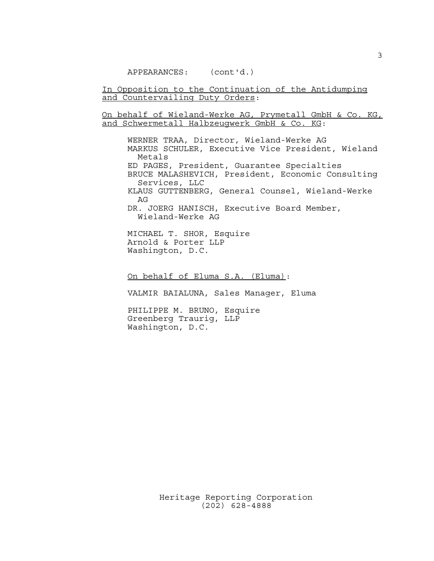APPEARANCES: (cont'd.)

In Opposition to the Continuation of the Antidumping and Countervailing Duty Orders:

On behalf of Wieland-Werke AG, Prymetall GmbH & Co. KG, and Schwermetall Halbzeugwerk GmbH & Co. KG:

WERNER TRAA, Director, Wieland-Werke AG MARKUS SCHULER, Executive Vice President, Wieland Metals ED PAGES, President, Guarantee Specialties BRUCE MALASHEVICH, President, Economic Consulting Services, LLC KLAUS GUTTENBERG, General Counsel, Wieland-Werke AG DR. JOERG HANISCH, Executive Board Member, Wieland-Werke AG

MICHAEL T. SHOR, Esquire Arnold & Porter LLP Washington, D.C.

On behalf of Eluma S.A. (Eluma):

VALMIR BAIALUNA, Sales Manager, Eluma

PHILIPPE M. BRUNO, Esquire Greenberg Traurig, LLP Washington, D.C.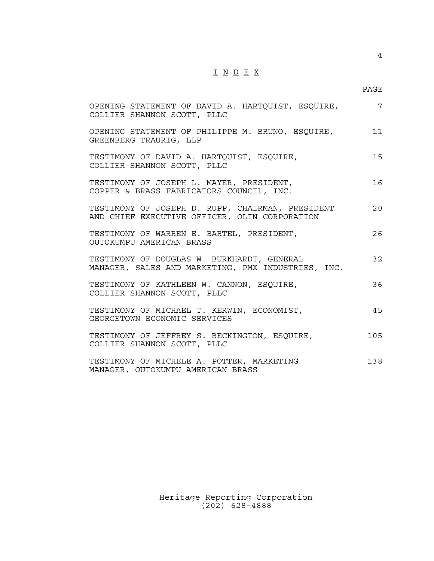## $\underline{\texttt{I}} \underline{\texttt{N}} \underline{\texttt{D}} \underline{\texttt{E}} \underline{\texttt{X}}$

4

| OPENING STATEMENT OF DAVID A. HARTQUIST, ESQUIRE,<br>COLLIER SHANNON SCOTT, PLLC                  | $7\overline{ }$ |
|---------------------------------------------------------------------------------------------------|-----------------|
| OPENING STATEMENT OF PHILIPPE M. BRUNO, ESQUIRE,<br>GREENBERG TRAURIG, LLP                        | 11              |
| TESTIMONY OF DAVID A. HARTQUIST, ESQUIRE,<br>COLLIER SHANNON SCOTT, PLLC                          | 15              |
| TESTIMONY OF JOSEPH L. MAYER, PRESIDENT,<br>COPPER & BRASS FABRICATORS COUNCIL, INC.              | 16              |
| TESTIMONY OF JOSEPH D. RUPP, CHAIRMAN, PRESIDENT<br>AND CHIEF EXECUTIVE OFFICER, OLIN CORPORATION | 20              |
| TESTIMONY OF WARREN E. BARTEL, PRESIDENT,<br>OUTOKUMPU AMERICAN BRASS                             | 26              |
| TESTIMONY OF DOUGLAS W. BURKHARDT, GENERAL<br>MANAGER, SALES AND MARKETING, PMX INDUSTRIES, INC.  | 32              |
| TESTIMONY OF KATHLEEN W. CANNON, ESQUIRE,<br>COLLIER SHANNON SCOTT, PLLC                          | 36              |
| TESTIMONY OF MICHAEL T. KERWIN, ECONOMIST,<br>GEORGETOWN ECONOMIC SERVICES                        | 45              |
| TESTIMONY OF JEFFREY S. BECKINGTON, ESQUIRE,<br>COLLIER SHANNON SCOTT, PLLC                       | 105             |
| TESTIMONY OF MICHELE A. POTTER, MARKETING<br>MANAGER, OUTOKUMPU AMERICAN BRASS                    | 138             |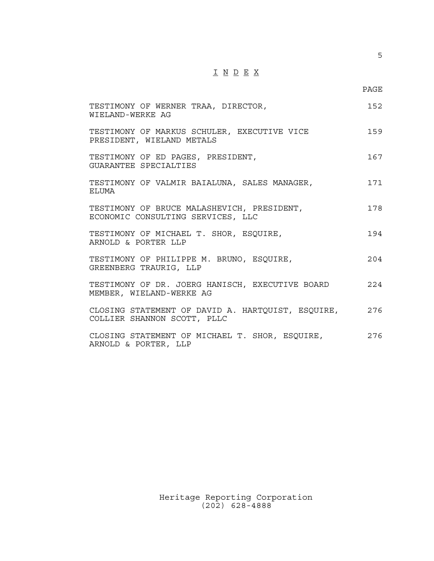## $\underline{\texttt{I}} \underline{\texttt{N}} \underline{\texttt{D}} \underline{\texttt{E}} \underline{\texttt{X}}$

5

| TESTIMONY OF WERNER TRAA, DIRECTOR,<br>WIELAND-WERKE AG                              | 152   |
|--------------------------------------------------------------------------------------|-------|
| TESTIMONY OF MARKUS SCHULER, EXECUTIVE VICE<br>PRESIDENT, WIELAND METALS             | 159   |
| TESTIMONY OF ED PAGES, PRESIDENT,<br>GUARANTEE SPECIALTIES                           | 167   |
| TESTIMONY OF VALMIR BAIALUNA, SALES MANAGER,<br>ELUMA                                | 171   |
| TESTIMONY OF BRUCE MALASHEVICH, PRESIDENT,<br>ECONOMIC CONSULTING SERVICES, LLC      | 178   |
| TESTIMONY OF MICHAEL T. SHOR, ESQUIRE,<br>ARNOLD & PORTER LLP                        | 194   |
| TESTIMONY OF PHILIPPE M. BRUNO, ESQUIRE,<br>GREENBERG TRAURIG, LLP                   | 204   |
| TESTIMONY OF DR. JOERG HANISCH, EXECUTIVE BOARD<br>MEMBER, WIELAND-WERKE AG          | 2.2.4 |
| CLOSING STATEMENT OF DAVID A. HARTQUIST, ESQUIRE, 276<br>COLLIER SHANNON SCOTT, PLLC |       |
| CLOSING STATEMENT OF MICHAEL T. SHOR, ESQUIRE,<br>2.76<br>ARNOLD & PORTER, LLP       |       |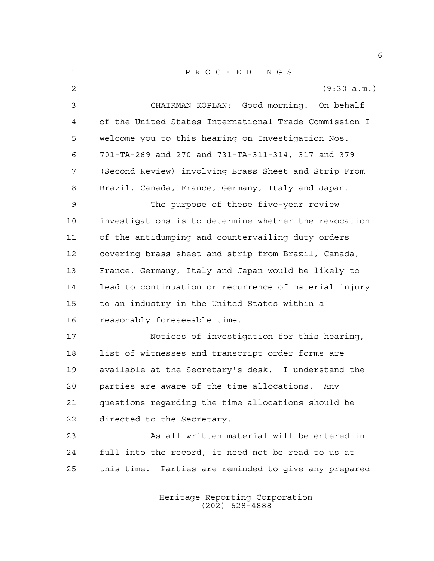| 1              | $\underline{P} \underline{R} \underline{O} \underline{C} \underline{E} \underline{E} \underline{D} \underline{I} \underline{N} \underline{G} \underline{S}$ |
|----------------|-------------------------------------------------------------------------------------------------------------------------------------------------------------|
| $\overline{2}$ | (9:30 a.m.)                                                                                                                                                 |
| 3              | CHAIRMAN KOPLAN: Good morning. On behalf                                                                                                                    |
| 4              | of the United States International Trade Commission I                                                                                                       |
| 5              | welcome you to this hearing on Investigation Nos.                                                                                                           |
| 6              | 701-TA-269 and 270 and 731-TA-311-314, 317 and 379                                                                                                          |
| 7              | (Second Review) involving Brass Sheet and Strip From                                                                                                        |
| 8              | Brazil, Canada, France, Germany, Italy and Japan.                                                                                                           |
| 9              | The purpose of these five-year review                                                                                                                       |
| 10             | investigations is to determine whether the revocation                                                                                                       |
| 11             | of the antidumping and countervailing duty orders                                                                                                           |
| 12             | covering brass sheet and strip from Brazil, Canada,                                                                                                         |
| 13             | France, Germany, Italy and Japan would be likely to                                                                                                         |
| 14             | lead to continuation or recurrence of material injury                                                                                                       |
| 15             | to an industry in the United States within a                                                                                                                |
| 16             | reasonably foreseeable time.                                                                                                                                |
| 17             | Notices of investigation for this hearing,                                                                                                                  |
| 18             | list of witnesses and transcript order forms are                                                                                                            |
| 19             | available at the Secretary's desk. I understand the                                                                                                         |
| 20             | parties are aware of the time allocations. Any                                                                                                              |
| 21             | questions regarding the time allocations should be                                                                                                          |
| 22             | directed to the Secretary.                                                                                                                                  |
| 23             | As all written material will be entered in                                                                                                                  |
| 24             | full into the record, it need not be read to us at                                                                                                          |
| 25             | this time. Parties are reminded to give any prepared                                                                                                        |
|                |                                                                                                                                                             |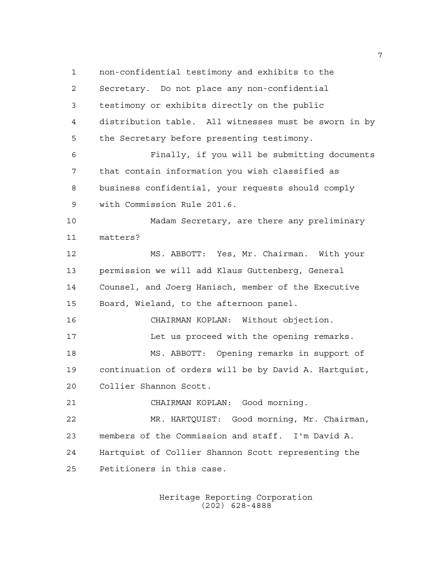non-confidential testimony and exhibits to the Secretary. Do not place any non-confidential testimony or exhibits directly on the public distribution table. All witnesses must be sworn in by the Secretary before presenting testimony. Finally, if you will be submitting documents that contain information you wish classified as business confidential, your requests should comply with Commission Rule 201.6. Madam Secretary, are there any preliminary matters? MS. ABBOTT: Yes, Mr. Chairman. With your permission we will add Klaus Guttenberg, General Counsel, and Joerg Hanisch, member of the Executive Board, Wieland, to the afternoon panel. CHAIRMAN KOPLAN: Without objection. Let us proceed with the opening remarks. MS. ABBOTT: Opening remarks in support of continuation of orders will be by David A. Hartquist, Collier Shannon Scott. CHAIRMAN KOPLAN: Good morning. MR. HARTQUIST: Good morning, Mr. Chairman, members of the Commission and staff. I'm David A. Hartquist of Collier Shannon Scott representing the Petitioners in this case.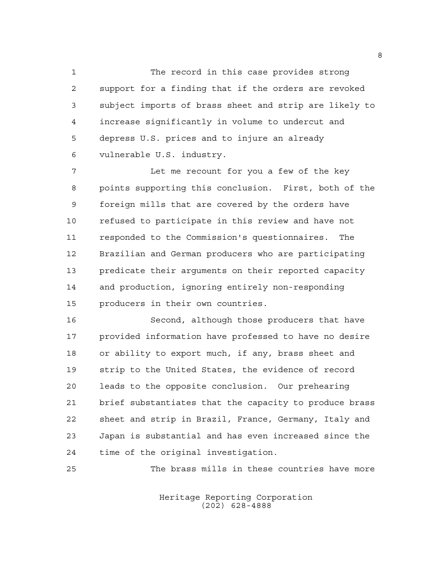The record in this case provides strong support for a finding that if the orders are revoked subject imports of brass sheet and strip are likely to increase significantly in volume to undercut and depress U.S. prices and to injure an already vulnerable U.S. industry.

 Let me recount for you a few of the key points supporting this conclusion. First, both of the foreign mills that are covered by the orders have refused to participate in this review and have not responded to the Commission's questionnaires. The Brazilian and German producers who are participating predicate their arguments on their reported capacity and production, ignoring entirely non-responding producers in their own countries.

 Second, although those producers that have provided information have professed to have no desire or ability to export much, if any, brass sheet and strip to the United States, the evidence of record leads to the opposite conclusion. Our prehearing brief substantiates that the capacity to produce brass sheet and strip in Brazil, France, Germany, Italy and Japan is substantial and has even increased since the time of the original investigation.

The brass mills in these countries have more

Heritage Reporting Corporation (202) 628-4888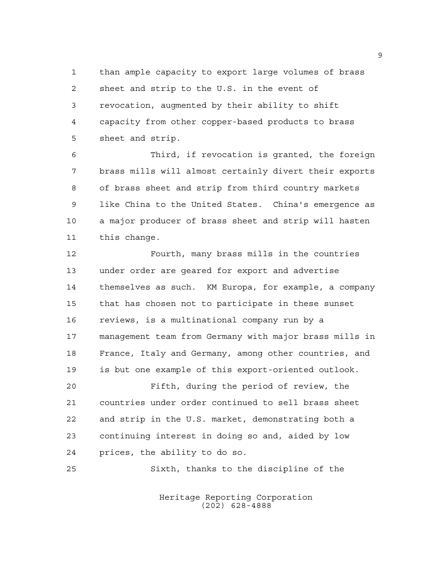than ample capacity to export large volumes of brass sheet and strip to the U.S. in the event of revocation, augmented by their ability to shift capacity from other copper-based products to brass sheet and strip.

 Third, if revocation is granted, the foreign brass mills will almost certainly divert their exports of brass sheet and strip from third country markets like China to the United States. China's emergence as a major producer of brass sheet and strip will hasten this change.

 Fourth, many brass mills in the countries under order are geared for export and advertise themselves as such. KM Europa, for example, a company that has chosen not to participate in these sunset reviews, is a multinational company run by a management team from Germany with major brass mills in France, Italy and Germany, among other countries, and is but one example of this export-oriented outlook.

 Fifth, during the period of review, the countries under order continued to sell brass sheet and strip in the U.S. market, demonstrating both a continuing interest in doing so and, aided by low prices, the ability to do so.

Sixth, thanks to the discipline of the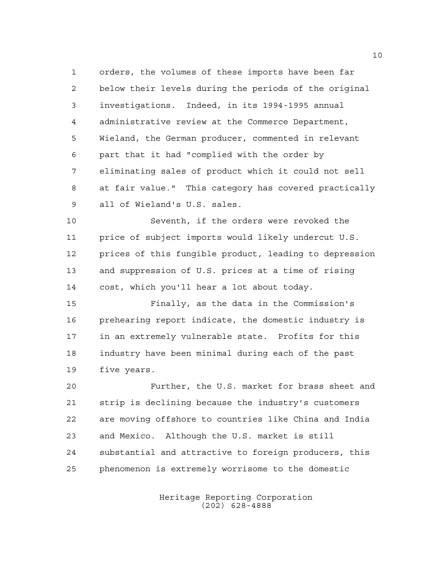orders, the volumes of these imports have been far below their levels during the periods of the original investigations. Indeed, in its 1994-1995 annual administrative review at the Commerce Department, Wieland, the German producer, commented in relevant part that it had "complied with the order by eliminating sales of product which it could not sell at fair value." This category has covered practically all of Wieland's U.S. sales.

 Seventh, if the orders were revoked the price of subject imports would likely undercut U.S. prices of this fungible product, leading to depression and suppression of U.S. prices at a time of rising cost, which you'll hear a lot about today.

 Finally, as the data in the Commission's prehearing report indicate, the domestic industry is in an extremely vulnerable state. Profits for this industry have been minimal during each of the past five years.

 Further, the U.S. market for brass sheet and strip is declining because the industry's customers are moving offshore to countries like China and India and Mexico. Although the U.S. market is still substantial and attractive to foreign producers, this phenomenon is extremely worrisome to the domestic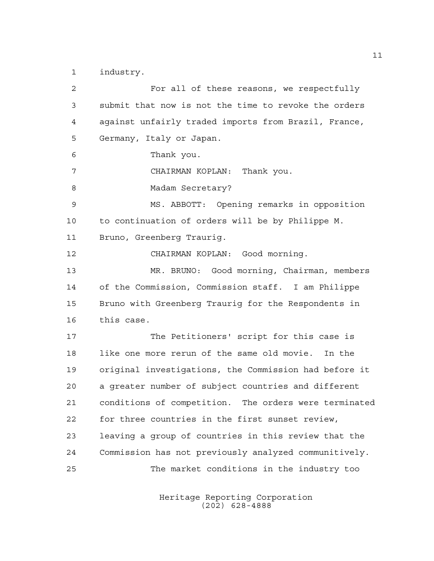industry.

 For all of these reasons, we respectfully submit that now is not the time to revoke the orders against unfairly traded imports from Brazil, France, Germany, Italy or Japan. Thank you. CHAIRMAN KOPLAN: Thank you. 8 Madam Secretary? MS. ABBOTT: Opening remarks in opposition to continuation of orders will be by Philippe M. Bruno, Greenberg Traurig. CHAIRMAN KOPLAN: Good morning. MR. BRUNO: Good morning, Chairman, members of the Commission, Commission staff. I am Philippe Bruno with Greenberg Traurig for the Respondents in this case. The Petitioners' script for this case is like one more rerun of the same old movie. In the original investigations, the Commission had before it a greater number of subject countries and different conditions of competition. The orders were terminated for three countries in the first sunset review, leaving a group of countries in this review that the Commission has not previously analyzed communitively. The market conditions in the industry too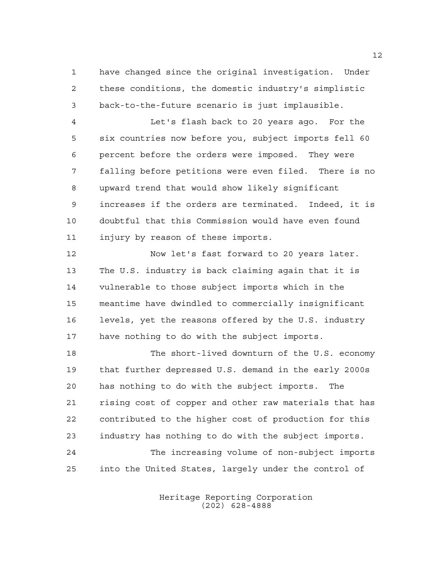have changed since the original investigation. Under these conditions, the domestic industry's simplistic back-to-the-future scenario is just implausible.

 Let's flash back to 20 years ago. For the six countries now before you, subject imports fell 60 percent before the orders were imposed. They were falling before petitions were even filed. There is no upward trend that would show likely significant increases if the orders are terminated. Indeed, it is doubtful that this Commission would have even found injury by reason of these imports.

 Now let's fast forward to 20 years later. The U.S. industry is back claiming again that it is vulnerable to those subject imports which in the meantime have dwindled to commercially insignificant levels, yet the reasons offered by the U.S. industry have nothing to do with the subject imports.

 The short-lived downturn of the U.S. economy that further depressed U.S. demand in the early 2000s has nothing to do with the subject imports. The rising cost of copper and other raw materials that has contributed to the higher cost of production for this industry has nothing to do with the subject imports. The increasing volume of non-subject imports into the United States, largely under the control of

> Heritage Reporting Corporation (202) 628-4888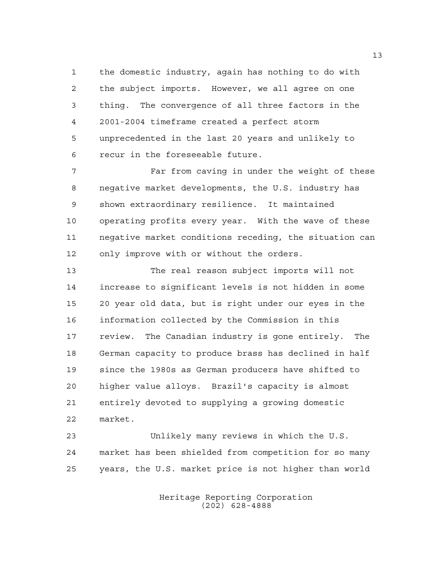the domestic industry, again has nothing to do with the subject imports. However, we all agree on one thing. The convergence of all three factors in the 2001-2004 timeframe created a perfect storm unprecedented in the last 20 years and unlikely to recur in the foreseeable future.

 Far from caving in under the weight of these negative market developments, the U.S. industry has shown extraordinary resilience. It maintained operating profits every year. With the wave of these negative market conditions receding, the situation can only improve with or without the orders.

 The real reason subject imports will not increase to significant levels is not hidden in some 20 year old data, but is right under our eyes in the information collected by the Commission in this review. The Canadian industry is gone entirely. The German capacity to produce brass has declined in half since the 1980s as German producers have shifted to higher value alloys. Brazil's capacity is almost entirely devoted to supplying a growing domestic market.

 Unlikely many reviews in which the U.S. market has been shielded from competition for so many years, the U.S. market price is not higher than world

> Heritage Reporting Corporation (202) 628-4888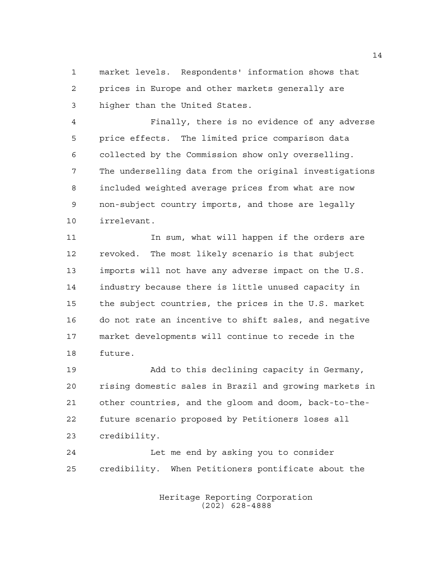market levels. Respondents' information shows that prices in Europe and other markets generally are higher than the United States.

 Finally, there is no evidence of any adverse price effects. The limited price comparison data collected by the Commission show only overselling. The underselling data from the original investigations included weighted average prices from what are now non-subject country imports, and those are legally irrelevant.

11 11 In sum, what will happen if the orders are revoked. The most likely scenario is that subject imports will not have any adverse impact on the U.S. industry because there is little unused capacity in the subject countries, the prices in the U.S. market do not rate an incentive to shift sales, and negative market developments will continue to recede in the future.

 Add to this declining capacity in Germany, rising domestic sales in Brazil and growing markets in other countries, and the gloom and doom, back-to-the- future scenario proposed by Petitioners loses all credibility.

 Let me end by asking you to consider credibility. When Petitioners pontificate about the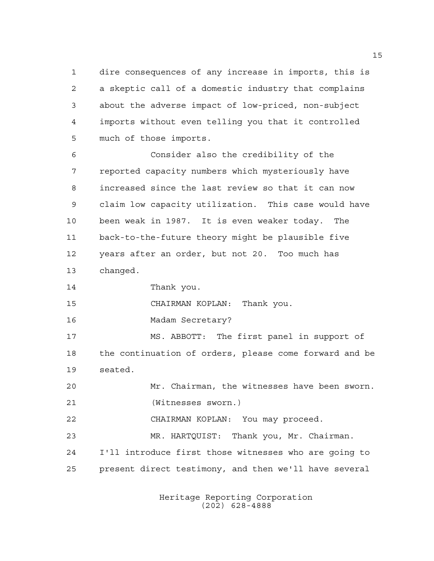dire consequences of any increase in imports, this is a skeptic call of a domestic industry that complains about the adverse impact of low-priced, non-subject imports without even telling you that it controlled much of those imports.

 Consider also the credibility of the reported capacity numbers which mysteriously have increased since the last review so that it can now claim low capacity utilization. This case would have been weak in 1987. It is even weaker today. The back-to-the-future theory might be plausible five years after an order, but not 20. Too much has changed.

Thank you.

CHAIRMAN KOPLAN: Thank you.

Madam Secretary?

 MS. ABBOTT: The first panel in support of the continuation of orders, please come forward and be seated.

 Mr. Chairman, the witnesses have been sworn. (Witnesses sworn.)

CHAIRMAN KOPLAN: You may proceed.

 MR. HARTQUIST: Thank you, Mr. Chairman. I'll introduce first those witnesses who are going to

present direct testimony, and then we'll have several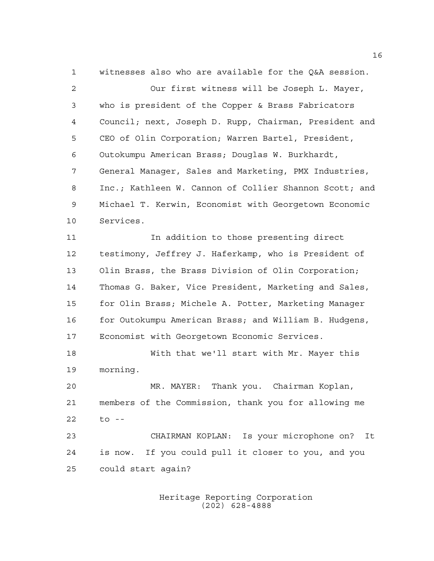witnesses also who are available for the Q&A session.

 Our first witness will be Joseph L. Mayer, who is president of the Copper & Brass Fabricators Council; next, Joseph D. Rupp, Chairman, President and CEO of Olin Corporation; Warren Bartel, President, Outokumpu American Brass; Douglas W. Burkhardt, General Manager, Sales and Marketing, PMX Industries, Inc.; Kathleen W. Cannon of Collier Shannon Scott; and Michael T. Kerwin, Economist with Georgetown Economic Services.

11 11 In addition to those presenting direct testimony, Jeffrey J. Haferkamp, who is President of Olin Brass, the Brass Division of Olin Corporation; Thomas G. Baker, Vice President, Marketing and Sales, for Olin Brass; Michele A. Potter, Marketing Manager for Outokumpu American Brass; and William B. Hudgens, Economist with Georgetown Economic Services.

 With that we'll start with Mr. Mayer this morning.

 MR. MAYER: Thank you. Chairman Koplan, members of the Commission, thank you for allowing me to --

 CHAIRMAN KOPLAN: Is your microphone on? It is now. If you could pull it closer to you, and you could start again?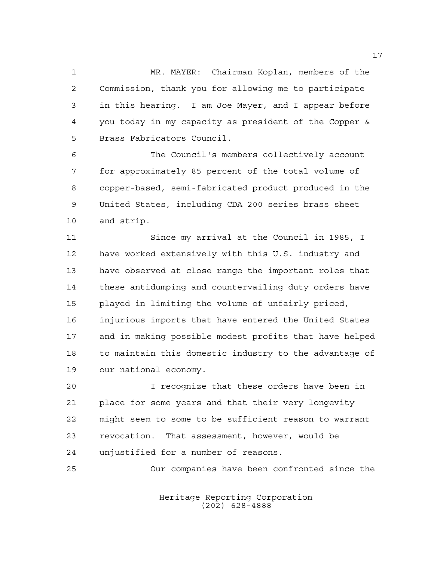MR. MAYER: Chairman Koplan, members of the Commission, thank you for allowing me to participate in this hearing. I am Joe Mayer, and I appear before you today in my capacity as president of the Copper & Brass Fabricators Council.

 The Council's members collectively account for approximately 85 percent of the total volume of copper-based, semi-fabricated product produced in the United States, including CDA 200 series brass sheet and strip.

 Since my arrival at the Council in 1985, I have worked extensively with this U.S. industry and have observed at close range the important roles that these antidumping and countervailing duty orders have played in limiting the volume of unfairly priced, injurious imports that have entered the United States and in making possible modest profits that have helped to maintain this domestic industry to the advantage of our national economy.

 I recognize that these orders have been in place for some years and that their very longevity might seem to some to be sufficient reason to warrant revocation. That assessment, however, would be unjustified for a number of reasons.

Our companies have been confronted since the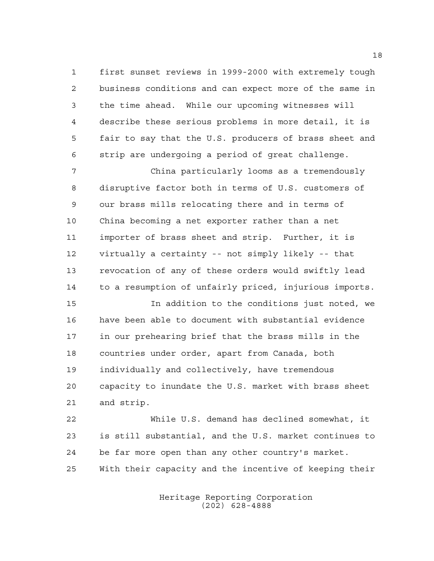first sunset reviews in 1999-2000 with extremely tough business conditions and can expect more of the same in the time ahead. While our upcoming witnesses will describe these serious problems in more detail, it is fair to say that the U.S. producers of brass sheet and strip are undergoing a period of great challenge.

 China particularly looms as a tremendously disruptive factor both in terms of U.S. customers of our brass mills relocating there and in terms of China becoming a net exporter rather than a net importer of brass sheet and strip. Further, it is virtually a certainty -- not simply likely -- that revocation of any of these orders would swiftly lead to a resumption of unfairly priced, injurious imports.

 In addition to the conditions just noted, we have been able to document with substantial evidence in our prehearing brief that the brass mills in the countries under order, apart from Canada, both individually and collectively, have tremendous capacity to inundate the U.S. market with brass sheet and strip.

 While U.S. demand has declined somewhat, it is still substantial, and the U.S. market continues to be far more open than any other country's market. With their capacity and the incentive of keeping their

> Heritage Reporting Corporation (202) 628-4888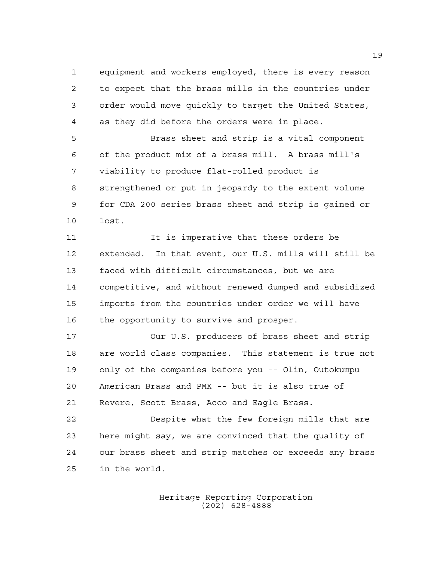equipment and workers employed, there is every reason to expect that the brass mills in the countries under order would move quickly to target the United States, as they did before the orders were in place.

 Brass sheet and strip is a vital component of the product mix of a brass mill. A brass mill's viability to produce flat-rolled product is strengthened or put in jeopardy to the extent volume for CDA 200 series brass sheet and strip is gained or lost.

11 11 It is imperative that these orders be extended. In that event, our U.S. mills will still be faced with difficult circumstances, but we are competitive, and without renewed dumped and subsidized imports from the countries under order we will have 16 the opportunity to survive and prosper.

 Our U.S. producers of brass sheet and strip are world class companies. This statement is true not only of the companies before you -- Olin, Outokumpu American Brass and PMX -- but it is also true of Revere, Scott Brass, Acco and Eagle Brass.

 Despite what the few foreign mills that are here might say, we are convinced that the quality of our brass sheet and strip matches or exceeds any brass in the world.

> Heritage Reporting Corporation (202) 628-4888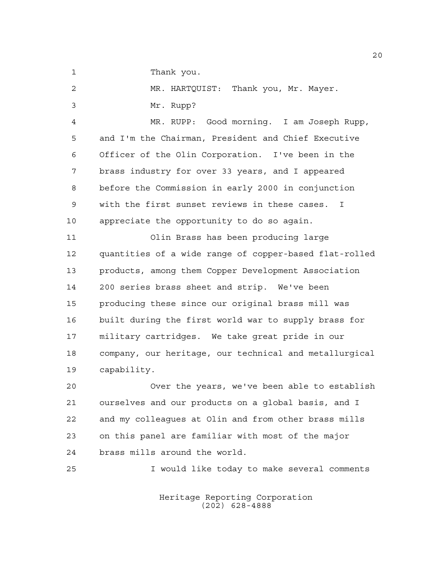1 Thank you.

MR. HARTQUIST: Thank you, Mr. Mayer.

Mr. Rupp?

 MR. RUPP: Good morning. I am Joseph Rupp, and I'm the Chairman, President and Chief Executive Officer of the Olin Corporation. I've been in the brass industry for over 33 years, and I appeared before the Commission in early 2000 in conjunction with the first sunset reviews in these cases. I appreciate the opportunity to do so again.

 Olin Brass has been producing large quantities of a wide range of copper-based flat-rolled products, among them Copper Development Association 200 series brass sheet and strip. We've been producing these since our original brass mill was built during the first world war to supply brass for military cartridges. We take great pride in our company, our heritage, our technical and metallurgical capability.

 Over the years, we've been able to establish ourselves and our products on a global basis, and I and my colleagues at Olin and from other brass mills on this panel are familiar with most of the major brass mills around the world.

I would like today to make several comments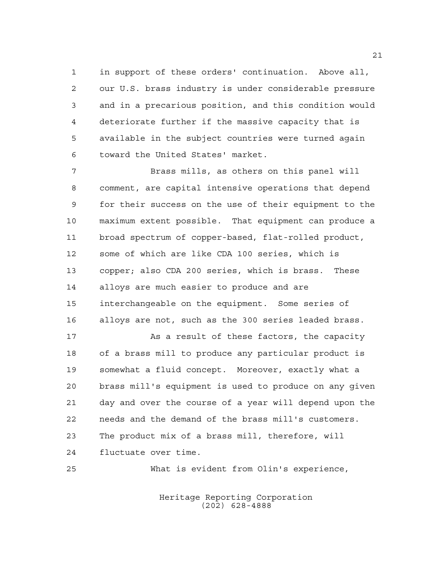in support of these orders' continuation. Above all, our U.S. brass industry is under considerable pressure and in a precarious position, and this condition would deteriorate further if the massive capacity that is available in the subject countries were turned again toward the United States' market.

 Brass mills, as others on this panel will comment, are capital intensive operations that depend for their success on the use of their equipment to the maximum extent possible. That equipment can produce a broad spectrum of copper-based, flat-rolled product, some of which are like CDA 100 series, which is copper; also CDA 200 series, which is brass. These alloys are much easier to produce and are interchangeable on the equipment. Some series of alloys are not, such as the 300 series leaded brass.

17 As a result of these factors, the capacity of a brass mill to produce any particular product is somewhat a fluid concept. Moreover, exactly what a brass mill's equipment is used to produce on any given day and over the course of a year will depend upon the needs and the demand of the brass mill's customers. The product mix of a brass mill, therefore, will fluctuate over time.

What is evident from Olin's experience,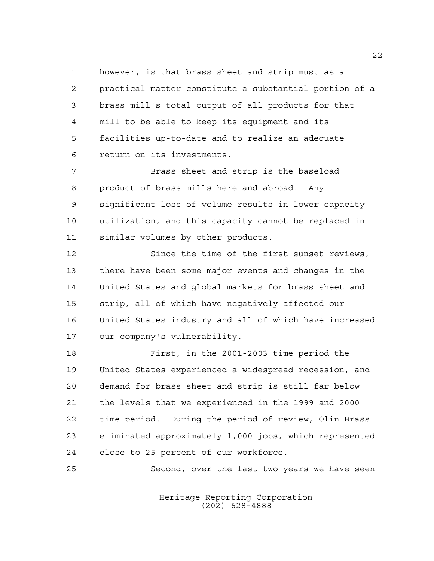however, is that brass sheet and strip must as a practical matter constitute a substantial portion of a brass mill's total output of all products for that mill to be able to keep its equipment and its facilities up-to-date and to realize an adequate return on its investments.

 Brass sheet and strip is the baseload product of brass mills here and abroad. Any significant loss of volume results in lower capacity utilization, and this capacity cannot be replaced in similar volumes by other products.

 Since the time of the first sunset reviews, there have been some major events and changes in the United States and global markets for brass sheet and strip, all of which have negatively affected our United States industry and all of which have increased our company's vulnerability.

 First, in the 2001-2003 time period the United States experienced a widespread recession, and demand for brass sheet and strip is still far below the levels that we experienced in the 1999 and 2000 time period. During the period of review, Olin Brass eliminated approximately 1,000 jobs, which represented close to 25 percent of our workforce.

Second, over the last two years we have seen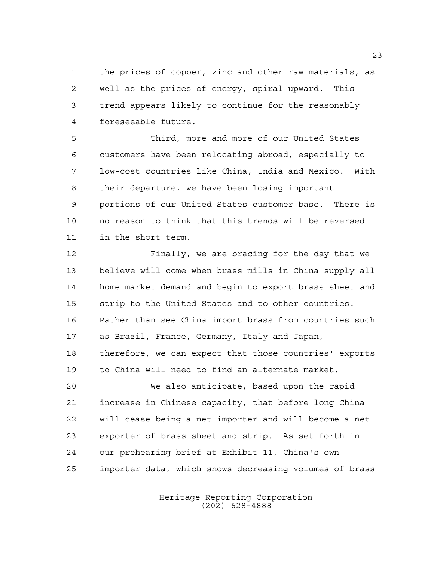the prices of copper, zinc and other raw materials, as well as the prices of energy, spiral upward. This trend appears likely to continue for the reasonably foreseeable future.

 Third, more and more of our United States customers have been relocating abroad, especially to low-cost countries like China, India and Mexico. With their departure, we have been losing important portions of our United States customer base. There is no reason to think that this trends will be reversed in the short term.

 Finally, we are bracing for the day that we believe will come when brass mills in China supply all home market demand and begin to export brass sheet and strip to the United States and to other countries. Rather than see China import brass from countries such as Brazil, France, Germany, Italy and Japan, therefore, we can expect that those countries' exports to China will need to find an alternate market. We also anticipate, based upon the rapid

 increase in Chinese capacity, that before long China will cease being a net importer and will become a net exporter of brass sheet and strip. As set forth in our prehearing brief at Exhibit 11, China's own importer data, which shows decreasing volumes of brass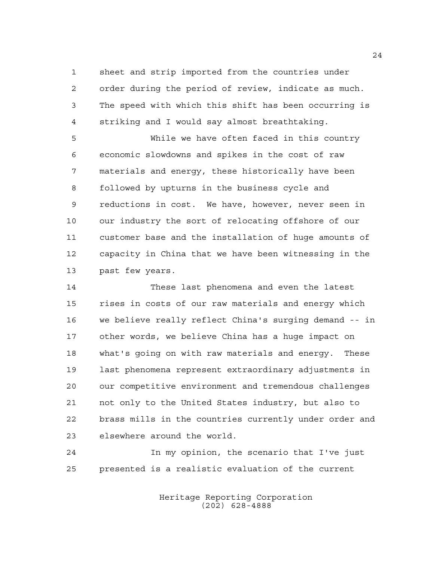sheet and strip imported from the countries under order during the period of review, indicate as much. The speed with which this shift has been occurring is striking and I would say almost breathtaking.

 While we have often faced in this country economic slowdowns and spikes in the cost of raw materials and energy, these historically have been followed by upturns in the business cycle and reductions in cost. We have, however, never seen in our industry the sort of relocating offshore of our customer base and the installation of huge amounts of capacity in China that we have been witnessing in the past few years.

 These last phenomena and even the latest rises in costs of our raw materials and energy which we believe really reflect China's surging demand -- in other words, we believe China has a huge impact on what's going on with raw materials and energy. These last phenomena represent extraordinary adjustments in our competitive environment and tremendous challenges not only to the United States industry, but also to brass mills in the countries currently under order and elsewhere around the world.

 In my opinion, the scenario that I've just presented is a realistic evaluation of the current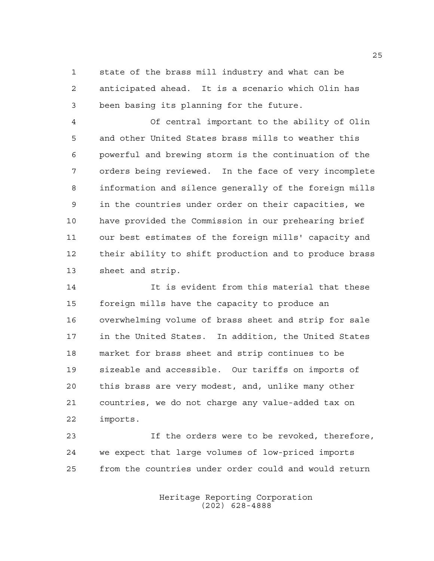state of the brass mill industry and what can be anticipated ahead. It is a scenario which Olin has been basing its planning for the future.

 Of central important to the ability of Olin and other United States brass mills to weather this powerful and brewing storm is the continuation of the orders being reviewed. In the face of very incomplete information and silence generally of the foreign mills in the countries under order on their capacities, we have provided the Commission in our prehearing brief our best estimates of the foreign mills' capacity and their ability to shift production and to produce brass sheet and strip.

 It is evident from this material that these foreign mills have the capacity to produce an overwhelming volume of brass sheet and strip for sale in the United States. In addition, the United States market for brass sheet and strip continues to be sizeable and accessible. Our tariffs on imports of this brass are very modest, and, unlike many other countries, we do not charge any value-added tax on imports.

 If the orders were to be revoked, therefore, we expect that large volumes of low-priced imports from the countries under order could and would return

> Heritage Reporting Corporation (202) 628-4888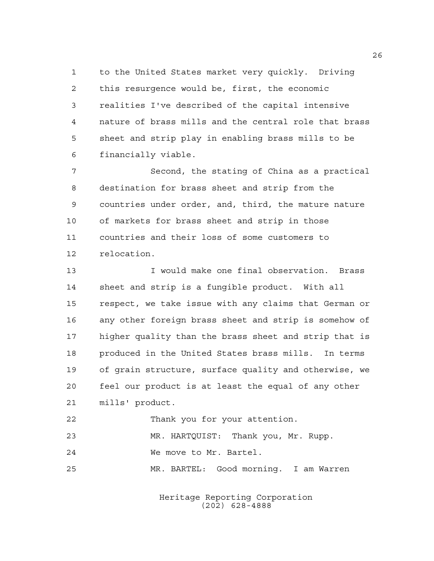to the United States market very quickly. Driving this resurgence would be, first, the economic realities I've described of the capital intensive nature of brass mills and the central role that brass sheet and strip play in enabling brass mills to be financially viable.

 Second, the stating of China as a practical destination for brass sheet and strip from the countries under order, and, third, the mature nature of markets for brass sheet and strip in those countries and their loss of some customers to relocation.

 I would make one final observation. Brass sheet and strip is a fungible product. With all respect, we take issue with any claims that German or any other foreign brass sheet and strip is somehow of higher quality than the brass sheet and strip that is produced in the United States brass mills. In terms of grain structure, surface quality and otherwise, we feel our product is at least the equal of any other mills' product.

| 23  | MR. HARTQUIST: Thank you, Mr. Rupp.   |
|-----|---------------------------------------|
| 2.4 | We move to Mr. Bartel.                |
| 25  | MR. BARTEL: Good morning. I am Warren |

Thank you for your attention.

Heritage Reporting Corporation (202) 628-4888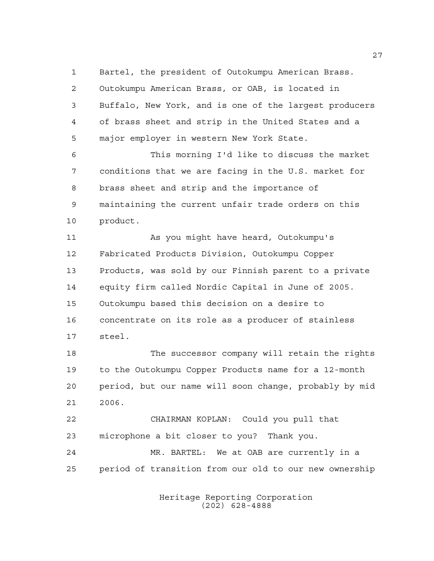Bartel, the president of Outokumpu American Brass. Outokumpu American Brass, or OAB, is located in Buffalo, New York, and is one of the largest producers of brass sheet and strip in the United States and a major employer in western New York State.

 This morning I'd like to discuss the market conditions that we are facing in the U.S. market for brass sheet and strip and the importance of maintaining the current unfair trade orders on this product.

11 As you might have heard, Outokumpu's Fabricated Products Division, Outokumpu Copper Products, was sold by our Finnish parent to a private equity firm called Nordic Capital in June of 2005. Outokumpu based this decision on a desire to concentrate on its role as a producer of stainless steel.

 The successor company will retain the rights to the Outokumpu Copper Products name for a 12-month period, but our name will soon change, probably by mid 2006.

 CHAIRMAN KOPLAN: Could you pull that microphone a bit closer to you? Thank you.

 MR. BARTEL: We at OAB are currently in a period of transition from our old to our new ownership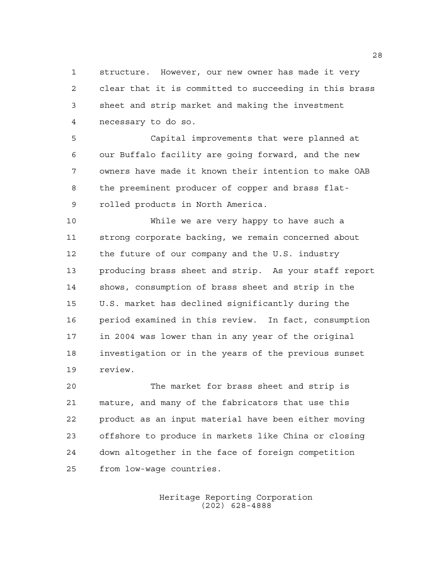structure. However, our new owner has made it very clear that it is committed to succeeding in this brass sheet and strip market and making the investment necessary to do so.

 Capital improvements that were planned at our Buffalo facility are going forward, and the new owners have made it known their intention to make OAB the preeminent producer of copper and brass flat-rolled products in North America.

 While we are very happy to have such a strong corporate backing, we remain concerned about the future of our company and the U.S. industry producing brass sheet and strip. As your staff report shows, consumption of brass sheet and strip in the U.S. market has declined significantly during the period examined in this review. In fact, consumption in 2004 was lower than in any year of the original investigation or in the years of the previous sunset review.

 The market for brass sheet and strip is mature, and many of the fabricators that use this product as an input material have been either moving offshore to produce in markets like China or closing down altogether in the face of foreign competition from low-wage countries.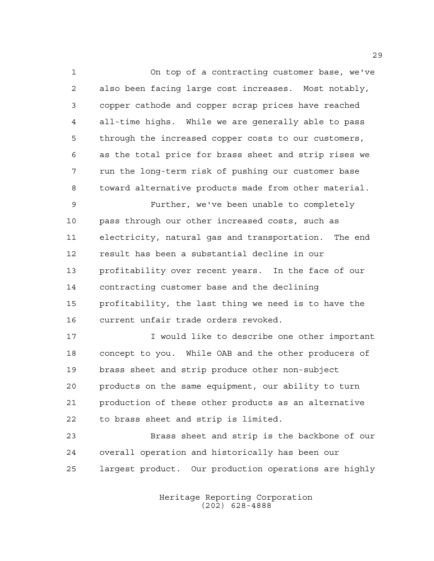On top of a contracting customer base, we've also been facing large cost increases. Most notably, copper cathode and copper scrap prices have reached all-time highs. While we are generally able to pass through the increased copper costs to our customers, as the total price for brass sheet and strip rises we run the long-term risk of pushing our customer base toward alternative products made from other material.

 Further, we've been unable to completely pass through our other increased costs, such as electricity, natural gas and transportation. The end result has been a substantial decline in our profitability over recent years. In the face of our contracting customer base and the declining profitability, the last thing we need is to have the current unfair trade orders revoked.

 I would like to describe one other important concept to you. While OAB and the other producers of brass sheet and strip produce other non-subject products on the same equipment, our ability to turn production of these other products as an alternative to brass sheet and strip is limited.

 Brass sheet and strip is the backbone of our overall operation and historically has been our largest product. Our production operations are highly

> Heritage Reporting Corporation (202) 628-4888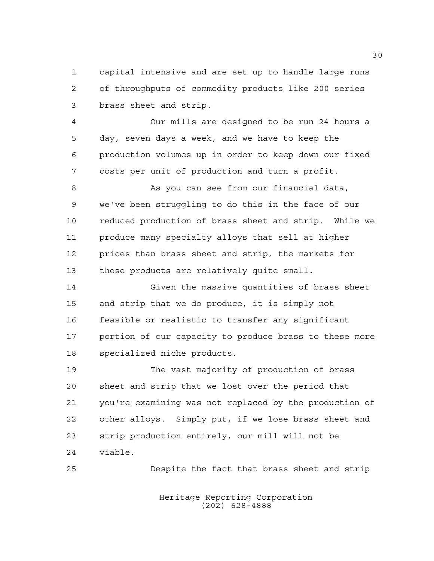capital intensive and are set up to handle large runs of throughputs of commodity products like 200 series brass sheet and strip.

 Our mills are designed to be run 24 hours a day, seven days a week, and we have to keep the production volumes up in order to keep down our fixed costs per unit of production and turn a profit.

 As you can see from our financial data, we've been struggling to do this in the face of our reduced production of brass sheet and strip. While we produce many specialty alloys that sell at higher prices than brass sheet and strip, the markets for these products are relatively quite small.

 Given the massive quantities of brass sheet and strip that we do produce, it is simply not feasible or realistic to transfer any significant portion of our capacity to produce brass to these more specialized niche products.

 The vast majority of production of brass sheet and strip that we lost over the period that you're examining was not replaced by the production of other alloys. Simply put, if we lose brass sheet and strip production entirely, our mill will not be viable.

Despite the fact that brass sheet and strip

Heritage Reporting Corporation (202) 628-4888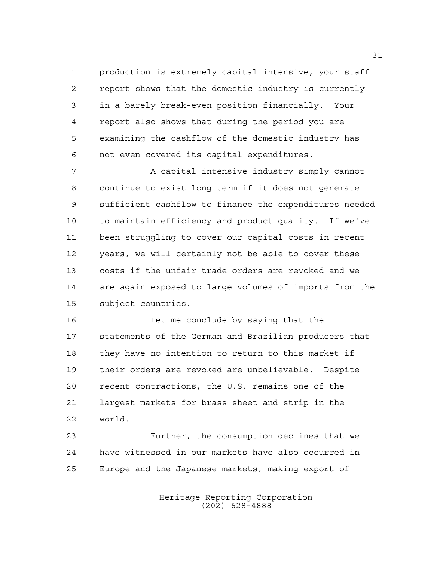production is extremely capital intensive, your staff report shows that the domestic industry is currently in a barely break-even position financially. Your report also shows that during the period you are examining the cashflow of the domestic industry has not even covered its capital expenditures.

7 A capital intensive industry simply cannot continue to exist long-term if it does not generate sufficient cashflow to finance the expenditures needed to maintain efficiency and product quality. If we've been struggling to cover our capital costs in recent years, we will certainly not be able to cover these costs if the unfair trade orders are revoked and we are again exposed to large volumes of imports from the subject countries.

 Let me conclude by saying that the statements of the German and Brazilian producers that they have no intention to return to this market if their orders are revoked are unbelievable. Despite recent contractions, the U.S. remains one of the largest markets for brass sheet and strip in the world.

 Further, the consumption declines that we have witnessed in our markets have also occurred in Europe and the Japanese markets, making export of

> Heritage Reporting Corporation (202) 628-4888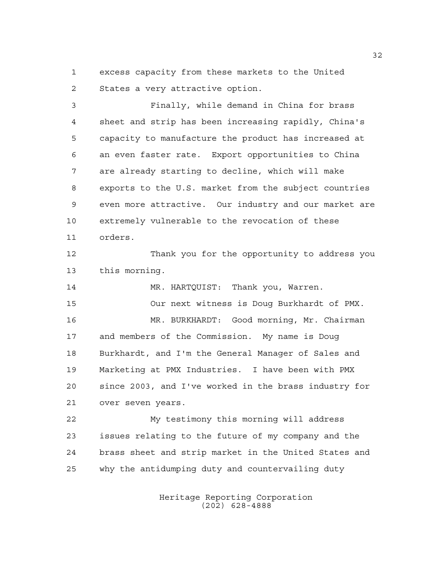excess capacity from these markets to the United States a very attractive option.

 Finally, while demand in China for brass sheet and strip has been increasing rapidly, China's capacity to manufacture the product has increased at an even faster rate. Export opportunities to China are already starting to decline, which will make exports to the U.S. market from the subject countries even more attractive. Our industry and our market are extremely vulnerable to the revocation of these orders.

 Thank you for the opportunity to address you this morning.

 MR. HARTQUIST: Thank you, Warren. Our next witness is Doug Burkhardt of PMX. MR. BURKHARDT: Good morning, Mr. Chairman and members of the Commission. My name is Doug Burkhardt, and I'm the General Manager of Sales and Marketing at PMX Industries. I have been with PMX since 2003, and I've worked in the brass industry for over seven years.

 My testimony this morning will address issues relating to the future of my company and the brass sheet and strip market in the United States and why the antidumping duty and countervailing duty

> Heritage Reporting Corporation (202) 628-4888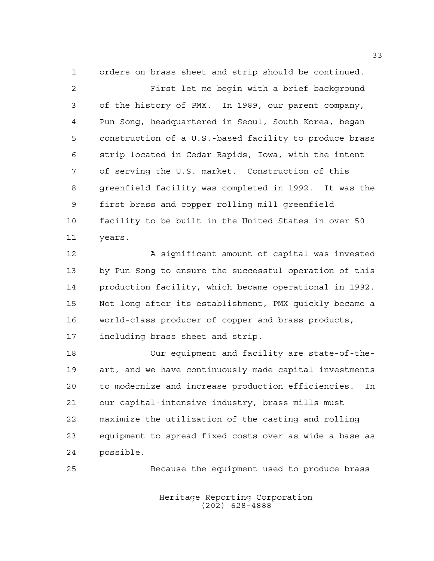orders on brass sheet and strip should be continued. First let me begin with a brief background of the history of PMX. In 1989, our parent company, Pun Song, headquartered in Seoul, South Korea, began construction of a U.S.-based facility to produce brass strip located in Cedar Rapids, Iowa, with the intent of serving the U.S. market. Construction of this greenfield facility was completed in 1992. It was the first brass and copper rolling mill greenfield facility to be built in the United States in over 50 years.

 A significant amount of capital was invested by Pun Song to ensure the successful operation of this production facility, which became operational in 1992. Not long after its establishment, PMX quickly became a world-class producer of copper and brass products, including brass sheet and strip.

 Our equipment and facility are state-of-the- art, and we have continuously made capital investments to modernize and increase production efficiencies. In our capital-intensive industry, brass mills must maximize the utilization of the casting and rolling equipment to spread fixed costs over as wide a base as possible.

Because the equipment used to produce brass

Heritage Reporting Corporation (202) 628-4888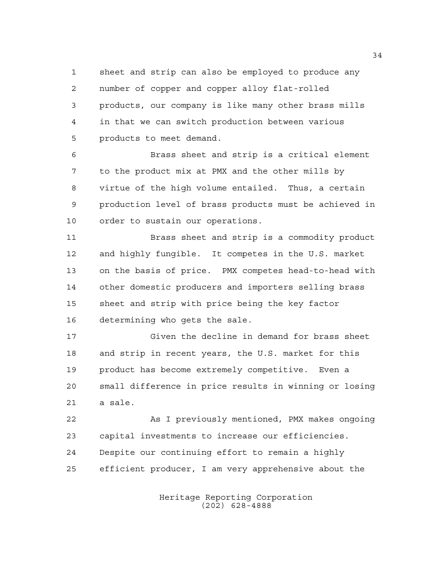sheet and strip can also be employed to produce any number of copper and copper alloy flat-rolled products, our company is like many other brass mills in that we can switch production between various products to meet demand.

 Brass sheet and strip is a critical element to the product mix at PMX and the other mills by virtue of the high volume entailed. Thus, a certain production level of brass products must be achieved in order to sustain our operations.

 Brass sheet and strip is a commodity product and highly fungible. It competes in the U.S. market on the basis of price. PMX competes head-to-head with other domestic producers and importers selling brass sheet and strip with price being the key factor determining who gets the sale.

 Given the decline in demand for brass sheet and strip in recent years, the U.S. market for this product has become extremely competitive. Even a small difference in price results in winning or losing a sale.

 As I previously mentioned, PMX makes ongoing capital investments to increase our efficiencies. Despite our continuing effort to remain a highly efficient producer, I am very apprehensive about the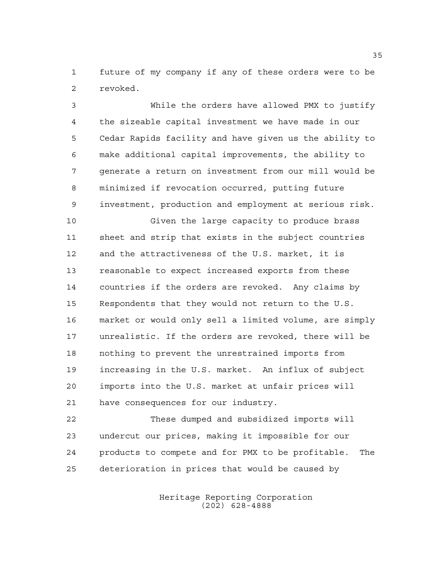future of my company if any of these orders were to be revoked.

 While the orders have allowed PMX to justify the sizeable capital investment we have made in our Cedar Rapids facility and have given us the ability to make additional capital improvements, the ability to generate a return on investment from our mill would be minimized if revocation occurred, putting future investment, production and employment at serious risk.

 Given the large capacity to produce brass sheet and strip that exists in the subject countries and the attractiveness of the U.S. market, it is reasonable to expect increased exports from these countries if the orders are revoked. Any claims by Respondents that they would not return to the U.S. market or would only sell a limited volume, are simply unrealistic. If the orders are revoked, there will be nothing to prevent the unrestrained imports from increasing in the U.S. market. An influx of subject imports into the U.S. market at unfair prices will have consequences for our industry.

 These dumped and subsidized imports will undercut our prices, making it impossible for our products to compete and for PMX to be profitable. The deterioration in prices that would be caused by

> Heritage Reporting Corporation (202) 628-4888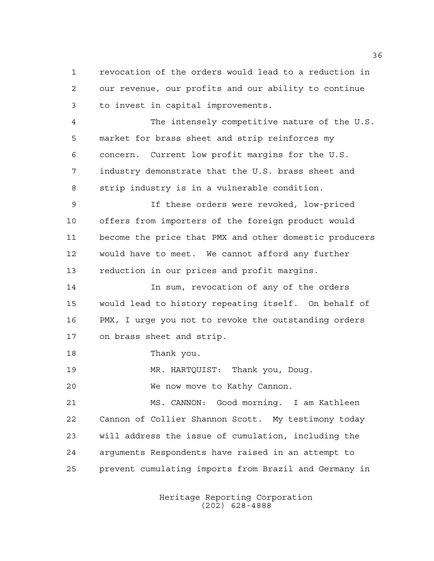revocation of the orders would lead to a reduction in our revenue, our profits and our ability to continue to invest in capital improvements.

 The intensely competitive nature of the U.S. market for brass sheet and strip reinforces my concern. Current low profit margins for the U.S. industry demonstrate that the U.S. brass sheet and strip industry is in a vulnerable condition.

 If these orders were revoked, low-priced offers from importers of the foreign product would become the price that PMX and other domestic producers would have to meet. We cannot afford any further reduction in our prices and profit margins.

 In sum, revocation of any of the orders would lead to history repeating itself. On behalf of PMX, I urge you not to revoke the outstanding orders on brass sheet and strip.

Thank you.

MR. HARTQUIST: Thank you, Doug.

We now move to Kathy Cannon.

 MS. CANNON: Good morning. I am Kathleen Cannon of Collier Shannon Scott. My testimony today will address the issue of cumulation, including the arguments Respondents have raised in an attempt to prevent cumulating imports from Brazil and Germany in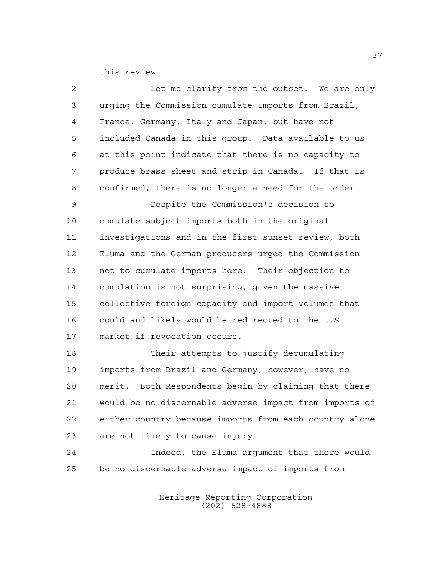this review.

| $\overline{2}$ | Let me clarify from the outset. We are only            |
|----------------|--------------------------------------------------------|
| 3              | urging the Commission cumulate imports from Brazil,    |
| $\overline{4}$ | France, Germany, Italy and Japan, but have not         |
| 5              | included Canada in this group. Data available to us    |
| 6              | at this point indicate that there is no capacity to    |
| 7              | produce brass sheet and strip in Canada. If that is    |
| 8              | confirmed, there is no longer a need for the order.    |
| 9              | Despite the Commission's decision to                   |
| 10             | cumulate subject imports both in the original          |
| 11             | investigations and in the first sunset review, both    |
| 12             | Eluma and the German producers urged the Commission    |
| 13             | not to cumulate imports here. Their objection to       |
| 14             | cumulation is not surprising, given the massive        |
| 15             | collective foreign capacity and import volumes that    |
| 16             | could and likely would be redirected to the U.S.       |
| 17             | market if revocation occurs.                           |
| 18             | Their attempts to justify decumulating                 |
| 19             | imports from Brazil and Germany, however, have no      |
| 20             | merit. Both Respondents begin by claiming that there   |
| 21             | would be no discernable adverse impact from imports of |
| 22             | either country because imports from each country alone |
| 23             | are not likely to cause injury.                        |
| 24             | Indeed, the Eluma argument that there would            |
| 25             | be no discernable adverse impact of imports from       |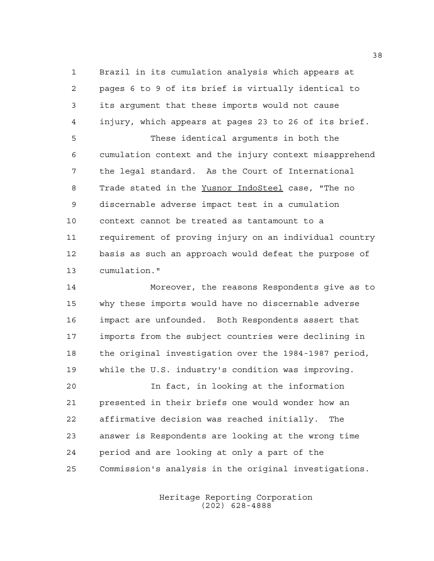Brazil in its cumulation analysis which appears at pages 6 to 9 of its brief is virtually identical to its argument that these imports would not cause injury, which appears at pages 23 to 26 of its brief.

 These identical arguments in both the cumulation context and the injury context misapprehend the legal standard. As the Court of International Trade stated in the Yusnor IndoSteel case, "The no discernable adverse impact test in a cumulation context cannot be treated as tantamount to a requirement of proving injury on an individual country basis as such an approach would defeat the purpose of cumulation."

 Moreover, the reasons Respondents give as to why these imports would have no discernable adverse impact are unfounded. Both Respondents assert that imports from the subject countries were declining in the original investigation over the 1984-1987 period, while the U.S. industry's condition was improving.

 In fact, in looking at the information presented in their briefs one would wonder how an affirmative decision was reached initially. The answer is Respondents are looking at the wrong time period and are looking at only a part of the Commission's analysis in the original investigations.

> Heritage Reporting Corporation (202) 628-4888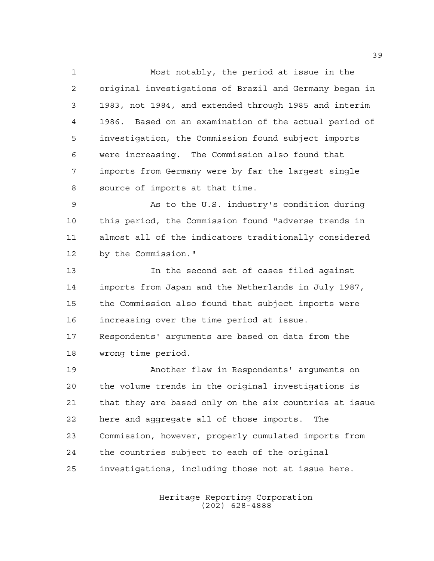Most notably, the period at issue in the original investigations of Brazil and Germany began in 1983, not 1984, and extended through 1985 and interim 1986. Based on an examination of the actual period of investigation, the Commission found subject imports were increasing. The Commission also found that imports from Germany were by far the largest single source of imports at that time.

 As to the U.S. industry's condition during this period, the Commission found "adverse trends in almost all of the indicators traditionally considered by the Commission."

 In the second set of cases filed against imports from Japan and the Netherlands in July 1987, the Commission also found that subject imports were increasing over the time period at issue. Respondents' arguments are based on data from the wrong time period.

 Another flaw in Respondents' arguments on the volume trends in the original investigations is that they are based only on the six countries at issue here and aggregate all of those imports. The Commission, however, properly cumulated imports from the countries subject to each of the original investigations, including those not at issue here.

> Heritage Reporting Corporation (202) 628-4888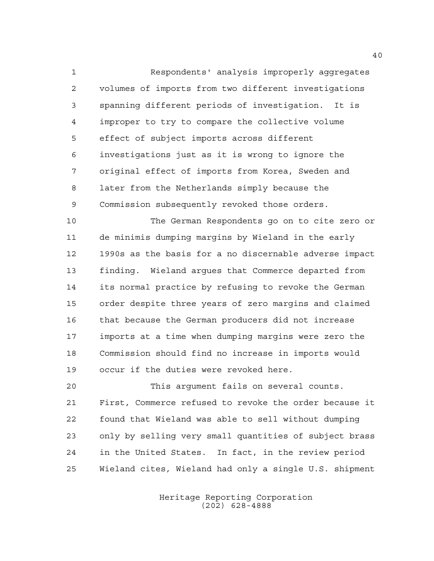Respondents' analysis improperly aggregates volumes of imports from two different investigations spanning different periods of investigation. It is improper to try to compare the collective volume effect of subject imports across different investigations just as it is wrong to ignore the original effect of imports from Korea, Sweden and later from the Netherlands simply because the Commission subsequently revoked those orders.

 The German Respondents go on to cite zero or de minimis dumping margins by Wieland in the early 1990s as the basis for a no discernable adverse impact finding. Wieland argues that Commerce departed from its normal practice by refusing to revoke the German order despite three years of zero margins and claimed that because the German producers did not increase imports at a time when dumping margins were zero the Commission should find no increase in imports would occur if the duties were revoked here.

 This argument fails on several counts. First, Commerce refused to revoke the order because it found that Wieland was able to sell without dumping only by selling very small quantities of subject brass in the United States. In fact, in the review period Wieland cites, Wieland had only a single U.S. shipment

> Heritage Reporting Corporation (202) 628-4888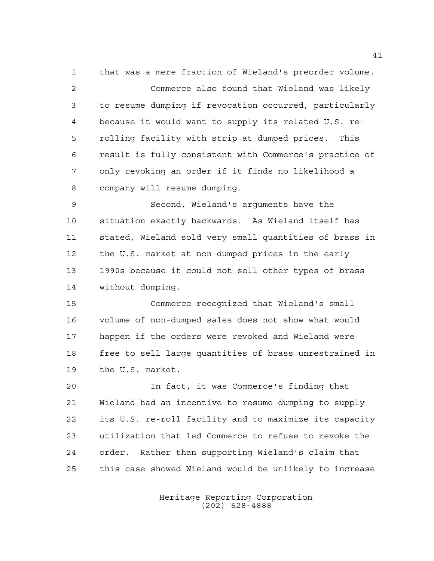that was a mere fraction of Wieland's preorder volume. Commerce also found that Wieland was likely to resume dumping if revocation occurred, particularly because it would want to supply its related U.S. re- rolling facility with strip at dumped prices. This result is fully consistent with Commerce's practice of only revoking an order if it finds no likelihood a company will resume dumping.

 Second, Wieland's arguments have the situation exactly backwards. As Wieland itself has stated, Wieland sold very small quantities of brass in the U.S. market at non-dumped prices in the early 1990s because it could not sell other types of brass without dumping.

 Commerce recognized that Wieland's small volume of non-dumped sales does not show what would happen if the orders were revoked and Wieland were free to sell large quantities of brass unrestrained in the U.S. market.

 In fact, it was Commerce's finding that Wieland had an incentive to resume dumping to supply its U.S. re-roll facility and to maximize its capacity utilization that led Commerce to refuse to revoke the order. Rather than supporting Wieland's claim that this case showed Wieland would be unlikely to increase

> Heritage Reporting Corporation (202) 628-4888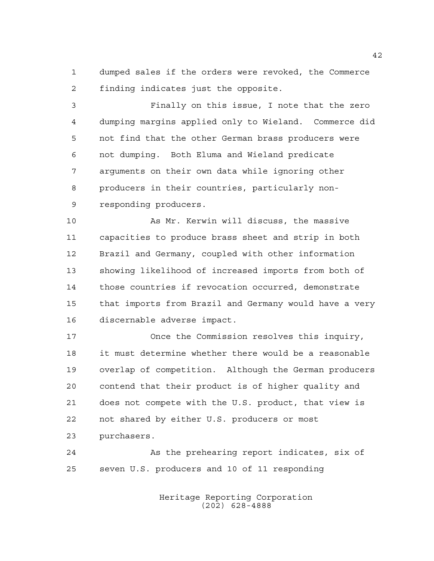dumped sales if the orders were revoked, the Commerce finding indicates just the opposite.

 Finally on this issue, I note that the zero dumping margins applied only to Wieland. Commerce did not find that the other German brass producers were not dumping. Both Eluma and Wieland predicate arguments on their own data while ignoring other producers in their countries, particularly non-responding producers.

 As Mr. Kerwin will discuss, the massive capacities to produce brass sheet and strip in both Brazil and Germany, coupled with other information showing likelihood of increased imports from both of those countries if revocation occurred, demonstrate that imports from Brazil and Germany would have a very discernable adverse impact.

 Once the Commission resolves this inquiry, it must determine whether there would be a reasonable overlap of competition. Although the German producers contend that their product is of higher quality and does not compete with the U.S. product, that view is not shared by either U.S. producers or most purchasers.

 As the prehearing report indicates, six of seven U.S. producers and 10 of 11 responding

> Heritage Reporting Corporation (202) 628-4888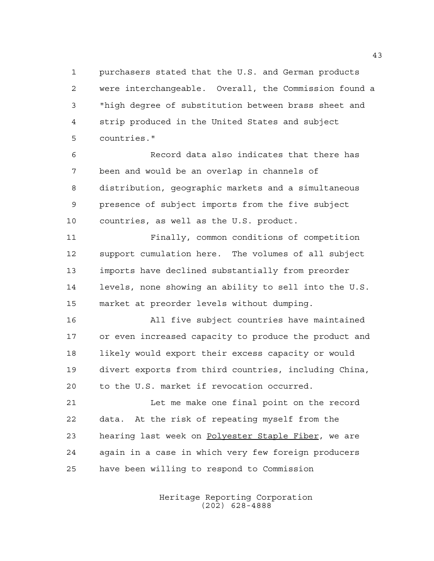purchasers stated that the U.S. and German products were interchangeable. Overall, the Commission found a "high degree of substitution between brass sheet and strip produced in the United States and subject countries."

 Record data also indicates that there has been and would be an overlap in channels of distribution, geographic markets and a simultaneous presence of subject imports from the five subject countries, as well as the U.S. product.

 Finally, common conditions of competition support cumulation here. The volumes of all subject imports have declined substantially from preorder levels, none showing an ability to sell into the U.S. market at preorder levels without dumping.

 All five subject countries have maintained or even increased capacity to produce the product and 18 likely would export their excess capacity or would divert exports from third countries, including China, to the U.S. market if revocation occurred.

 Let me make one final point on the record data. At the risk of repeating myself from the 23 hearing last week on Polyester Staple Fiber, we are again in a case in which very few foreign producers have been willing to respond to Commission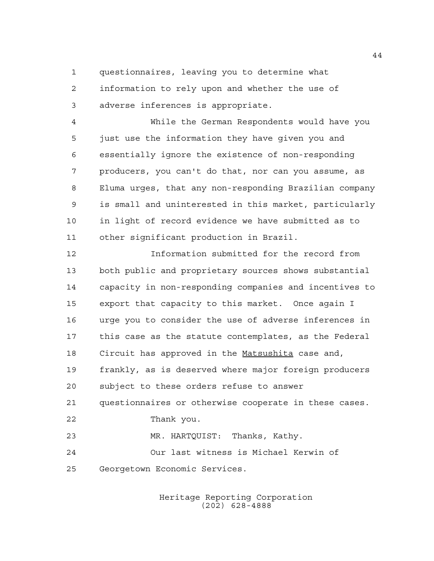questionnaires, leaving you to determine what

 information to rely upon and whether the use of adverse inferences is appropriate.

 While the German Respondents would have you just use the information they have given you and essentially ignore the existence of non-responding producers, you can't do that, nor can you assume, as Eluma urges, that any non-responding Brazilian company is small and uninterested in this market, particularly in light of record evidence we have submitted as to other significant production in Brazil.

 Information submitted for the record from both public and proprietary sources shows substantial capacity in non-responding companies and incentives to export that capacity to this market. Once again I urge you to consider the use of adverse inferences in this case as the statute contemplates, as the Federal 18 Circuit has approved in the Matsushita case and, frankly, as is deserved where major foreign producers subject to these orders refuse to answer questionnaires or otherwise cooperate in these cases. Thank you. MR. HARTQUIST: Thanks, Kathy. Our last witness is Michael Kerwin of Georgetown Economic Services.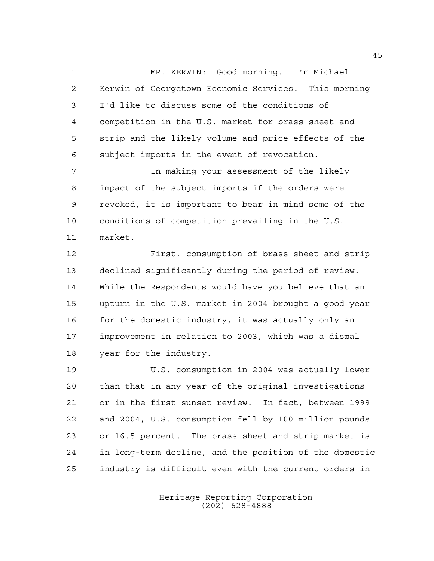MR. KERWIN: Good morning. I'm Michael Kerwin of Georgetown Economic Services. This morning I'd like to discuss some of the conditions of competition in the U.S. market for brass sheet and strip and the likely volume and price effects of the subject imports in the event of revocation.

 In making your assessment of the likely impact of the subject imports if the orders were revoked, it is important to bear in mind some of the conditions of competition prevailing in the U.S. market.

 First, consumption of brass sheet and strip declined significantly during the period of review. While the Respondents would have you believe that an upturn in the U.S. market in 2004 brought a good year for the domestic industry, it was actually only an improvement in relation to 2003, which was a dismal year for the industry.

 U.S. consumption in 2004 was actually lower than that in any year of the original investigations or in the first sunset review. In fact, between 1999 and 2004, U.S. consumption fell by 100 million pounds or 16.5 percent. The brass sheet and strip market is in long-term decline, and the position of the domestic industry is difficult even with the current orders in

> Heritage Reporting Corporation (202) 628-4888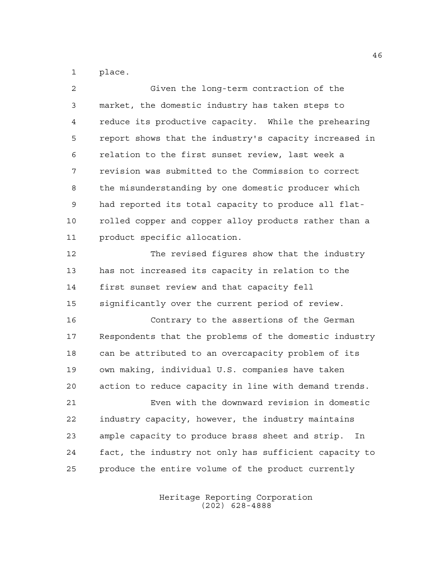place.

| Given the long-term contraction of the                 |
|--------------------------------------------------------|
| market, the domestic industry has taken steps to       |
| reduce its productive capacity. While the prehearing   |
| report shows that the industry's capacity increased in |
| relation to the first sunset review, last week a       |
| revision was submitted to the Commission to correct    |
| the misunderstanding by one domestic producer which    |
| had reported its total capacity to produce all flat-   |
| rolled copper and copper alloy products rather than a  |
| product specific allocation.                           |
| The revised figures show that the industry             |
| has not increased its capacity in relation to the      |
| first sunset review and that capacity fell             |
| significantly over the current period of review.       |
| Contrary to the assertions of the German               |
| Respondents that the problems of the domestic industry |
| can be attributed to an overcapacity problem of its    |
| own making, individual U.S. companies have taken       |
| action to reduce capacity in line with demand trends.  |
| Even with the downward revision in domestic            |
| industry capacity, however, the industry maintains     |
| ample capacity to produce brass sheet and strip.<br>In |
| fact, the industry not only has sufficient capacity to |
| produce the entire volume of the product currently     |
|                                                        |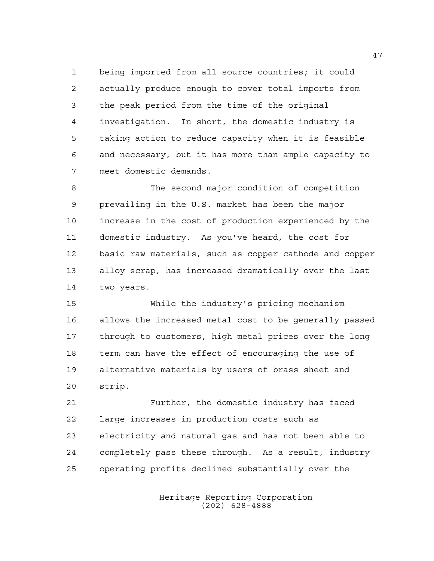being imported from all source countries; it could actually produce enough to cover total imports from the peak period from the time of the original investigation. In short, the domestic industry is taking action to reduce capacity when it is feasible and necessary, but it has more than ample capacity to meet domestic demands.

 The second major condition of competition prevailing in the U.S. market has been the major increase in the cost of production experienced by the domestic industry. As you've heard, the cost for basic raw materials, such as copper cathode and copper alloy scrap, has increased dramatically over the last two years.

 While the industry's pricing mechanism allows the increased metal cost to be generally passed through to customers, high metal prices over the long term can have the effect of encouraging the use of alternative materials by users of brass sheet and strip.

 Further, the domestic industry has faced large increases in production costs such as electricity and natural gas and has not been able to completely pass these through. As a result, industry operating profits declined substantially over the

> Heritage Reporting Corporation (202) 628-4888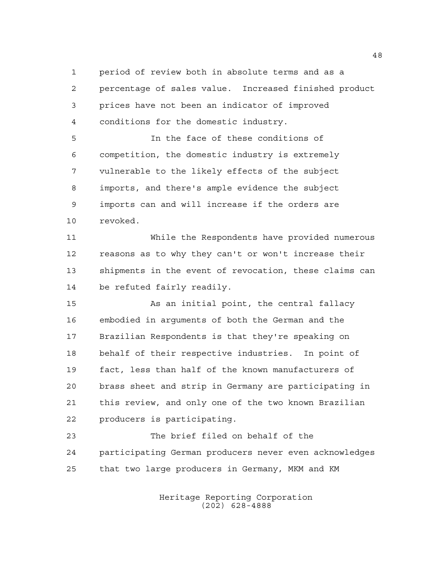period of review both in absolute terms and as a percentage of sales value. Increased finished product prices have not been an indicator of improved conditions for the domestic industry.

 In the face of these conditions of competition, the domestic industry is extremely vulnerable to the likely effects of the subject imports, and there's ample evidence the subject imports can and will increase if the orders are revoked.

 While the Respondents have provided numerous reasons as to why they can't or won't increase their shipments in the event of revocation, these claims can be refuted fairly readily.

 As an initial point, the central fallacy embodied in arguments of both the German and the Brazilian Respondents is that they're speaking on behalf of their respective industries. In point of fact, less than half of the known manufacturers of brass sheet and strip in Germany are participating in this review, and only one of the two known Brazilian producers is participating.

 The brief filed on behalf of the participating German producers never even acknowledges that two large producers in Germany, MKM and KM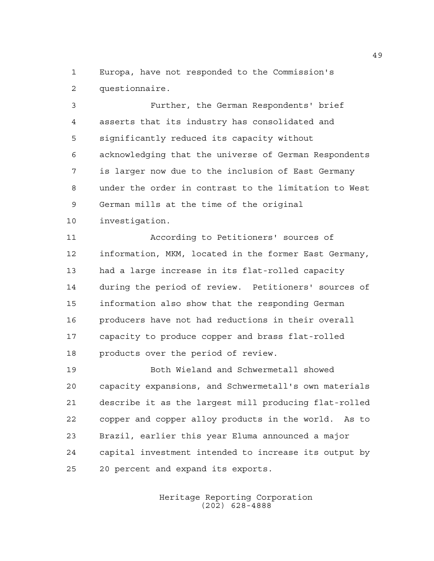Europa, have not responded to the Commission's questionnaire.

 Further, the German Respondents' brief asserts that its industry has consolidated and significantly reduced its capacity without acknowledging that the universe of German Respondents is larger now due to the inclusion of East Germany under the order in contrast to the limitation to West German mills at the time of the original investigation.

 According to Petitioners' sources of information, MKM, located in the former East Germany, had a large increase in its flat-rolled capacity during the period of review. Petitioners' sources of information also show that the responding German producers have not had reductions in their overall capacity to produce copper and brass flat-rolled products over the period of review.

 Both Wieland and Schwermetall showed capacity expansions, and Schwermetall's own materials describe it as the largest mill producing flat-rolled copper and copper alloy products in the world. As to Brazil, earlier this year Eluma announced a major capital investment intended to increase its output by 20 percent and expand its exports.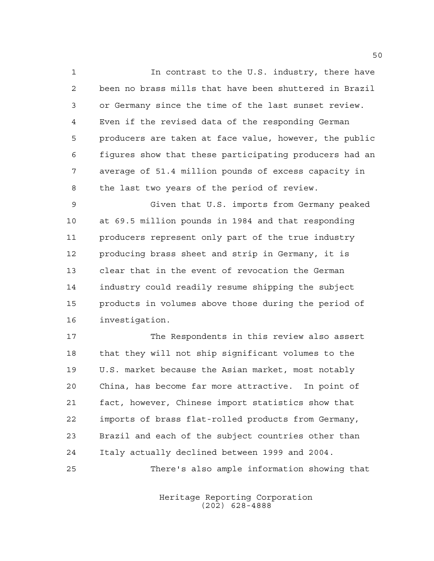In contrast to the U.S. industry, there have been no brass mills that have been shuttered in Brazil or Germany since the time of the last sunset review. Even if the revised data of the responding German producers are taken at face value, however, the public figures show that these participating producers had an average of 51.4 million pounds of excess capacity in the last two years of the period of review.

 Given that U.S. imports from Germany peaked at 69.5 million pounds in 1984 and that responding producers represent only part of the true industry producing brass sheet and strip in Germany, it is clear that in the event of revocation the German industry could readily resume shipping the subject products in volumes above those during the period of investigation.

 The Respondents in this review also assert that they will not ship significant volumes to the U.S. market because the Asian market, most notably China, has become far more attractive. In point of fact, however, Chinese import statistics show that imports of brass flat-rolled products from Germany, Brazil and each of the subject countries other than Italy actually declined between 1999 and 2004. There's also ample information showing that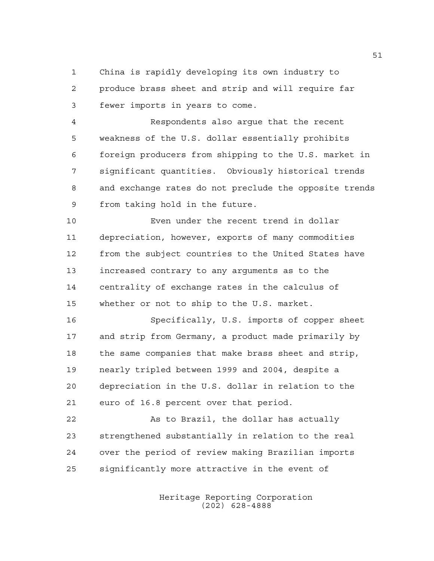China is rapidly developing its own industry to produce brass sheet and strip and will require far fewer imports in years to come.

 Respondents also argue that the recent weakness of the U.S. dollar essentially prohibits foreign producers from shipping to the U.S. market in significant quantities. Obviously historical trends and exchange rates do not preclude the opposite trends from taking hold in the future.

 Even under the recent trend in dollar depreciation, however, exports of many commodities from the subject countries to the United States have increased contrary to any arguments as to the centrality of exchange rates in the calculus of whether or not to ship to the U.S. market.

 Specifically, U.S. imports of copper sheet and strip from Germany, a product made primarily by the same companies that make brass sheet and strip, nearly tripled between 1999 and 2004, despite a depreciation in the U.S. dollar in relation to the euro of 16.8 percent over that period.

 As to Brazil, the dollar has actually strengthened substantially in relation to the real over the period of review making Brazilian imports significantly more attractive in the event of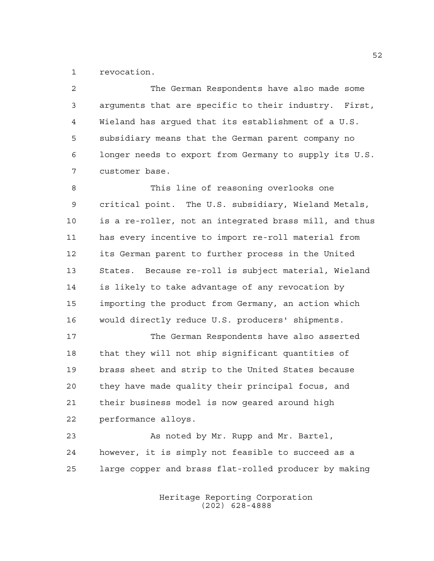revocation.

 The German Respondents have also made some arguments that are specific to their industry. First, Wieland has argued that its establishment of a U.S. subsidiary means that the German parent company no longer needs to export from Germany to supply its U.S. customer base.

 This line of reasoning overlooks one critical point. The U.S. subsidiary, Wieland Metals, is a re-roller, not an integrated brass mill, and thus has every incentive to import re-roll material from its German parent to further process in the United States. Because re-roll is subject material, Wieland is likely to take advantage of any revocation by importing the product from Germany, an action which would directly reduce U.S. producers' shipments.

 The German Respondents have also asserted that they will not ship significant quantities of brass sheet and strip to the United States because they have made quality their principal focus, and their business model is now geared around high performance alloys.

23 As noted by Mr. Rupp and Mr. Bartel, however, it is simply not feasible to succeed as a large copper and brass flat-rolled producer by making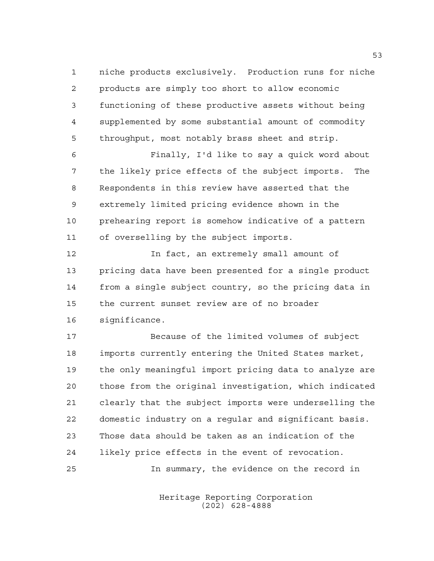niche products exclusively. Production runs for niche products are simply too short to allow economic functioning of these productive assets without being supplemented by some substantial amount of commodity throughput, most notably brass sheet and strip.

 Finally, I'd like to say a quick word about the likely price effects of the subject imports. The Respondents in this review have asserted that the extremely limited pricing evidence shown in the prehearing report is somehow indicative of a pattern of overselling by the subject imports.

 In fact, an extremely small amount of pricing data have been presented for a single product from a single subject country, so the pricing data in the current sunset review are of no broader significance.

 Because of the limited volumes of subject imports currently entering the United States market, the only meaningful import pricing data to analyze are those from the original investigation, which indicated clearly that the subject imports were underselling the domestic industry on a regular and significant basis. Those data should be taken as an indication of the likely price effects in the event of revocation. In summary, the evidence on the record in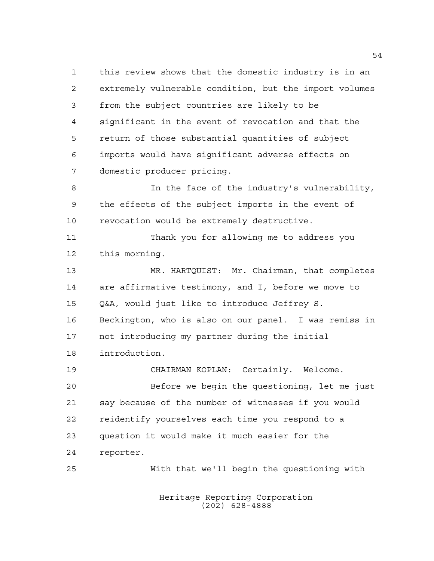this review shows that the domestic industry is in an extremely vulnerable condition, but the import volumes from the subject countries are likely to be significant in the event of revocation and that the return of those substantial quantities of subject imports would have significant adverse effects on domestic producer pricing. 8 10 In the face of the industry's vulnerability, the effects of the subject imports in the event of revocation would be extremely destructive. Thank you for allowing me to address you this morning. MR. HARTQUIST: Mr. Chairman, that completes are affirmative testimony, and I, before we move to Q&A, would just like to introduce Jeffrey S. Beckington, who is also on our panel. I was remiss in not introducing my partner during the initial introduction. CHAIRMAN KOPLAN: Certainly. Welcome. Before we begin the questioning, let me just

 say because of the number of witnesses if you would reidentify yourselves each time you respond to a question it would make it much easier for the reporter.

With that we'll begin the questioning with

Heritage Reporting Corporation (202) 628-4888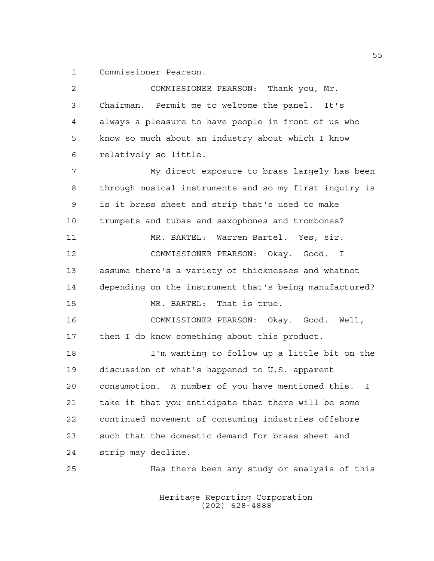Commissioner Pearson.

| $\overline{2}$ | COMMISSIONER PEARSON: Thank you, Mr.                              |
|----------------|-------------------------------------------------------------------|
| $\mathfrak{Z}$ | Chairman. Permit me to welcome the panel. It's                    |
| 4              | always a pleasure to have people in front of us who               |
| 5              | know so much about an industry about which I know                 |
| 6              | relatively so little.                                             |
| 7              | My direct exposure to brass largely has been                      |
| 8              | through musical instruments and so my first inquiry is            |
| 9              | is it brass sheet and strip that's used to make                   |
| 10             | trumpets and tubas and saxophones and trombones?                  |
| 11             | MR. BARTEL: Warren Bartel. Yes, sir.                              |
| 12             | COMMISSIONER PEARSON: Okay. Good. I                               |
| 13             | assume there's a variety of thicknesses and whatnot               |
| 14             | depending on the instrument that's being manufactured?            |
| 15             | That is true.<br>MR. BARTEL:                                      |
| 16             | COMMISSIONER PEARSON: Okay. Good. Well,                           |
| 17             | then I do know something about this product.                      |
| 18             | I'm wanting to follow up a little bit on the                      |
| 19             | discussion of what's happened to U.S. apparent                    |
| 20             | consumption. A number of you have mentioned this.<br>$\mathbf{I}$ |
| 21             | take it that you anticipate that there will be some               |
| 22             | continued movement of consuming industries offshore               |
| 23             | such that the domestic demand for brass sheet and                 |
| 24             | strip may decline.                                                |
| 25             | Has there been any study or analysis of this                      |
|                |                                                                   |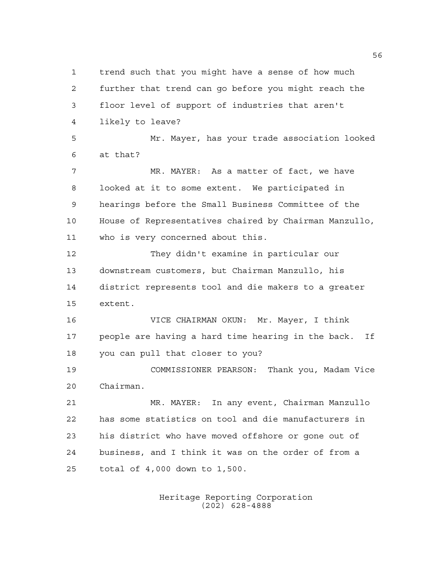trend such that you might have a sense of how much further that trend can go before you might reach the floor level of support of industries that aren't likely to leave? Mr. Mayer, has your trade association looked at that? MR. MAYER: As a matter of fact, we have looked at it to some extent. We participated in hearings before the Small Business Committee of the House of Representatives chaired by Chairman Manzullo, who is very concerned about this. They didn't examine in particular our downstream customers, but Chairman Manzullo, his district represents tool and die makers to a greater extent. VICE CHAIRMAN OKUN: Mr. Mayer, I think people are having a hard time hearing in the back. If you can pull that closer to you? COMMISSIONER PEARSON: Thank you, Madam Vice Chairman. MR. MAYER: In any event, Chairman Manzullo has some statistics on tool and die manufacturers in his district who have moved offshore or gone out of business, and I think it was on the order of from a total of 4,000 down to 1,500.

> Heritage Reporting Corporation (202) 628-4888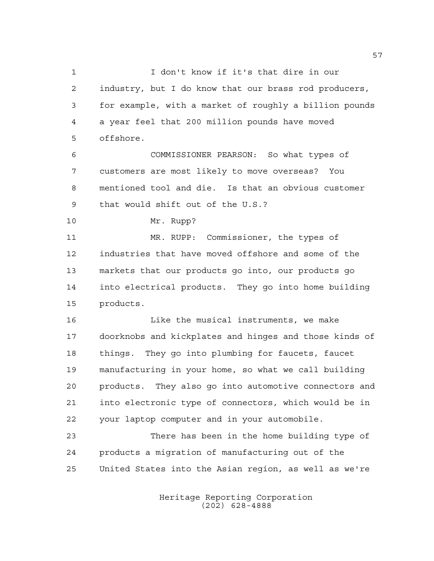I don't know if it's that dire in our industry, but I do know that our brass rod producers, for example, with a market of roughly a billion pounds a year feel that 200 million pounds have moved offshore.

 COMMISSIONER PEARSON: So what types of customers are most likely to move overseas? You mentioned tool and die. Is that an obvious customer that would shift out of the U.S.?

Mr. Rupp?

 MR. RUPP: Commissioner, the types of industries that have moved offshore and some of the markets that our products go into, our products go into electrical products. They go into home building products.

 Like the musical instruments, we make doorknobs and kickplates and hinges and those kinds of things. They go into plumbing for faucets, faucet manufacturing in your home, so what we call building products. They also go into automotive connectors and into electronic type of connectors, which would be in your laptop computer and in your automobile.

 There has been in the home building type of products a migration of manufacturing out of the United States into the Asian region, as well as we're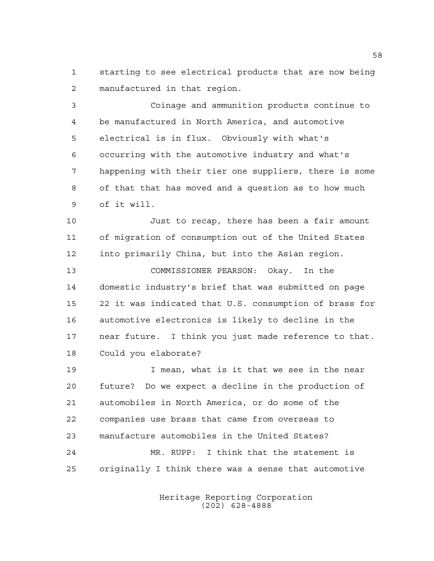starting to see electrical products that are now being manufactured in that region.

 Coinage and ammunition products continue to be manufactured in North America, and automotive electrical is in flux. Obviously with what's occurring with the automotive industry and what's happening with their tier one suppliers, there is some of that that has moved and a question as to how much of it will.

 Just to recap, there has been a fair amount of migration of consumption out of the United States into primarily China, but into the Asian region.

 COMMISSIONER PEARSON: Okay. In the domestic industry's brief that was submitted on page 22 it was indicated that U.S. consumption of brass for automotive electronics is likely to decline in the near future. I think you just made reference to that. Could you elaborate?

 I mean, what is it that we see in the near future? Do we expect a decline in the production of automobiles in North America, or do some of the companies use brass that came from overseas to manufacture automobiles in the United States? MR. RUPP: I think that the statement is originally I think there was a sense that automotive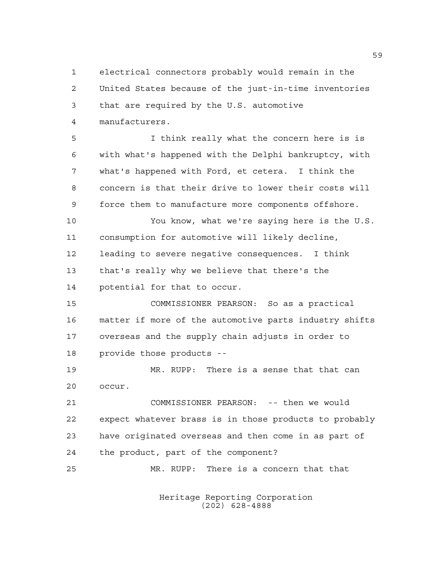electrical connectors probably would remain in the United States because of the just-in-time inventories that are required by the U.S. automotive manufacturers.

 I think really what the concern here is is with what's happened with the Delphi bankruptcy, with what's happened with Ford, et cetera. I think the concern is that their drive to lower their costs will force them to manufacture more components offshore.

 You know, what we're saying here is the U.S. consumption for automotive will likely decline, leading to severe negative consequences. I think that's really why we believe that there's the potential for that to occur.

 COMMISSIONER PEARSON: So as a practical matter if more of the automotive parts industry shifts overseas and the supply chain adjusts in order to provide those products --

 MR. RUPP: There is a sense that that can occur.

 COMMISSIONER PEARSON: -- then we would expect whatever brass is in those products to probably have originated overseas and then come in as part of the product, part of the component?

MR. RUPP: There is a concern that that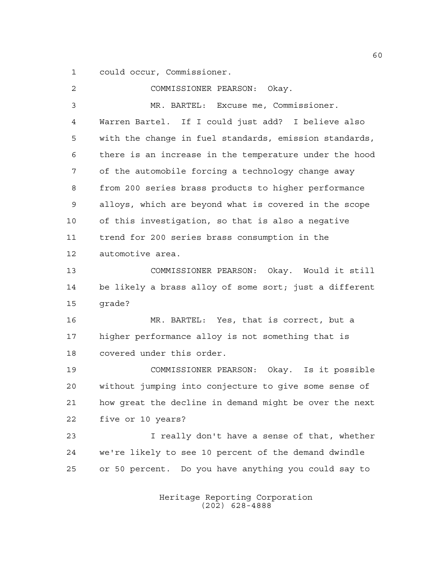could occur, Commissioner.

| 2              | COMMISSIONER PEARSON: Okay.                            |
|----------------|--------------------------------------------------------|
| $\mathfrak{Z}$ | MR. BARTEL: Excuse me, Commissioner.                   |
| 4              | Warren Bartel. If I could just add? I believe also     |
| 5              | with the change in fuel standards, emission standards, |
| 6              | there is an increase in the temperature under the hood |
| 7              | of the automobile forcing a technology change away     |
| 8              | from 200 series brass products to higher performance   |
| 9              | alloys, which are beyond what is covered in the scope  |
| 10             | of this investigation, so that is also a negative      |
| 11             | trend for 200 series brass consumption in the          |
| 12             | automotive area.                                       |
| 13             | COMMISSIONER PEARSON: Okay. Would it still             |
| 14             | be likely a brass alloy of some sort; just a different |
| 15             | grade?                                                 |
| 16             | MR. BARTEL: Yes, that is correct, but a                |
| 17             | higher performance alloy is not something that is      |
| 18             | covered under this order.                              |
| 19             | COMMISSIONER PEARSON: Okay. Is it possible             |
| 20             | without jumping into conjecture to give some sense of  |
| 21             | how great the decline in demand might be over the next |
| 22             | five or 10 years?                                      |
| 23             | I really don't have a sense of that, whether           |
| 24             | we're likely to see 10 percent of the demand dwindle   |
| 25             | or 50 percent. Do you have anything you could say to   |
|                |                                                        |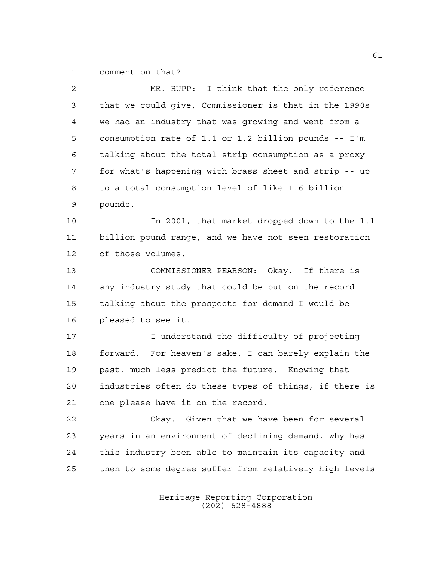comment on that?

| $\overline{2}$ | MR. RUPP: I think that the only reference              |
|----------------|--------------------------------------------------------|
| 3              | that we could give, Commissioner is that in the 1990s  |
| 4              | we had an industry that was growing and went from a    |
| 5              | consumption rate of 1.1 or 1.2 billion pounds -- I'm   |
| 6              | talking about the total strip consumption as a proxy   |
| 7              | for what's happening with brass sheet and strip -- up  |
| 8              | to a total consumption level of like 1.6 billion       |
| 9              | pounds.                                                |
| 10             | In 2001, that market dropped down to the 1.1           |
| 11             | billion pound range, and we have not seen restoration  |
| 12             | of those volumes.                                      |
| 13             | COMMISSIONER PEARSON: Okay. If there is                |
| 14             | any industry study that could be put on the record     |
| 15             | talking about the prospects for demand I would be      |
| 16             | pleased to see it.                                     |
| 17             | I understand the difficulty of projecting              |
| 18             | forward. For heaven's sake, I can barely explain the   |
| 19             | past, much less predict the future. Knowing that       |
| 20             | industries often do these types of things, if there is |
| 21             | one please have it on the record.                      |
| 22             | Okay. Given that we have been for several              |
| 23             | years in an environment of declining demand, why has   |
| 24             | this industry been able to maintain its capacity and   |
| 25             | then to some degree suffer from relatively high levels |
|                |                                                        |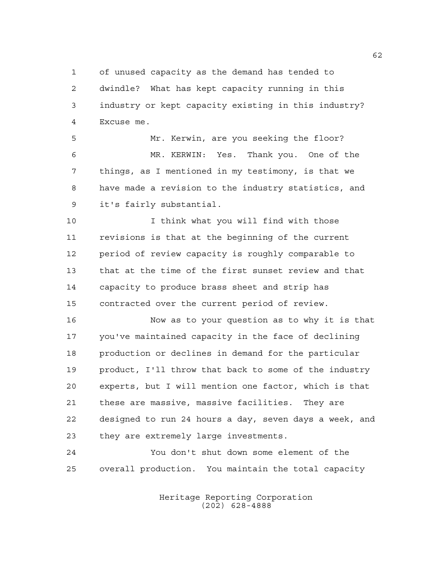of unused capacity as the demand has tended to dwindle? What has kept capacity running in this industry or kept capacity existing in this industry? Excuse me.

 Mr. Kerwin, are you seeking the floor? MR. KERWIN: Yes. Thank you. One of the things, as I mentioned in my testimony, is that we have made a revision to the industry statistics, and it's fairly substantial.

 I think what you will find with those revisions is that at the beginning of the current period of review capacity is roughly comparable to that at the time of the first sunset review and that capacity to produce brass sheet and strip has contracted over the current period of review.

 Now as to your question as to why it is that you've maintained capacity in the face of declining production or declines in demand for the particular product, I'll throw that back to some of the industry experts, but I will mention one factor, which is that these are massive, massive facilities. They are designed to run 24 hours a day, seven days a week, and they are extremely large investments.

 You don't shut down some element of the overall production. You maintain the total capacity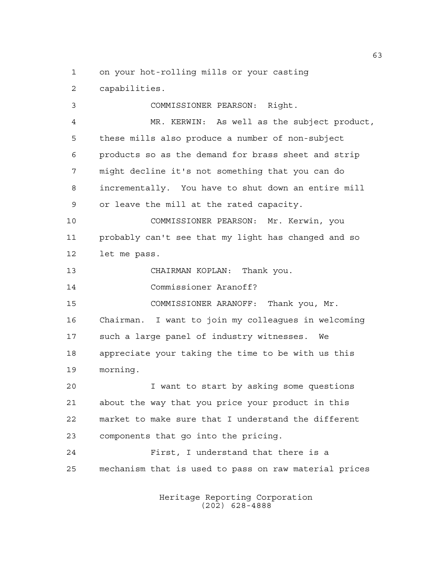on your hot-rolling mills or your casting

capabilities.

 COMMISSIONER PEARSON: Right. MR. KERWIN: As well as the subject product, these mills also produce a number of non-subject products so as the demand for brass sheet and strip might decline it's not something that you can do incrementally. You have to shut down an entire mill or leave the mill at the rated capacity. COMMISSIONER PEARSON: Mr. Kerwin, you probably can't see that my light has changed and so let me pass. CHAIRMAN KOPLAN: Thank you. Commissioner Aranoff? COMMISSIONER ARANOFF: Thank you, Mr. Chairman. I want to join my colleagues in welcoming such a large panel of industry witnesses. We appreciate your taking the time to be with us this morning. I want to start by asking some questions about the way that you price your product in this market to make sure that I understand the different components that go into the pricing.

 First, I understand that there is a mechanism that is used to pass on raw material prices

> Heritage Reporting Corporation (202) 628-4888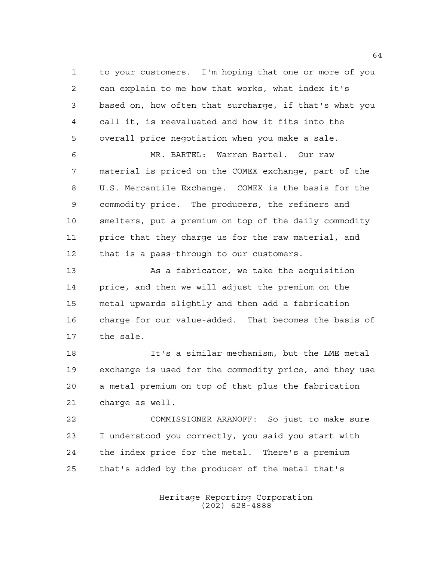to your customers. I'm hoping that one or more of you can explain to me how that works, what index it's based on, how often that surcharge, if that's what you call it, is reevaluated and how it fits into the overall price negotiation when you make a sale.

 MR. BARTEL: Warren Bartel. Our raw material is priced on the COMEX exchange, part of the U.S. Mercantile Exchange. COMEX is the basis for the commodity price. The producers, the refiners and smelters, put a premium on top of the daily commodity price that they charge us for the raw material, and that is a pass-through to our customers.

 As a fabricator, we take the acquisition price, and then we will adjust the premium on the metal upwards slightly and then add a fabrication charge for our value-added. That becomes the basis of the sale.

 It's a similar mechanism, but the LME metal exchange is used for the commodity price, and they use a metal premium on top of that plus the fabrication charge as well.

 COMMISSIONER ARANOFF: So just to make sure I understood you correctly, you said you start with the index price for the metal. There's a premium that's added by the producer of the metal that's

> Heritage Reporting Corporation (202) 628-4888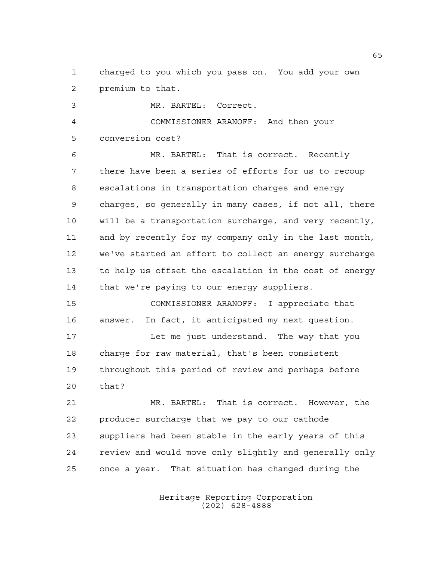charged to you which you pass on. You add your own premium to that.

 MR. BARTEL: Correct. COMMISSIONER ARANOFF: And then your conversion cost? MR. BARTEL: That is correct. Recently there have been a series of efforts for us to recoup escalations in transportation charges and energy charges, so generally in many cases, if not all, there

 will be a transportation surcharge, and very recently, and by recently for my company only in the last month, we've started an effort to collect an energy surcharge to help us offset the escalation in the cost of energy that we're paying to our energy suppliers.

 COMMISSIONER ARANOFF: I appreciate that answer. In fact, it anticipated my next question. Let me just understand. The way that you charge for raw material, that's been consistent throughout this period of review and perhaps before that?

 MR. BARTEL: That is correct. However, the producer surcharge that we pay to our cathode suppliers had been stable in the early years of this review and would move only slightly and generally only once a year. That situation has changed during the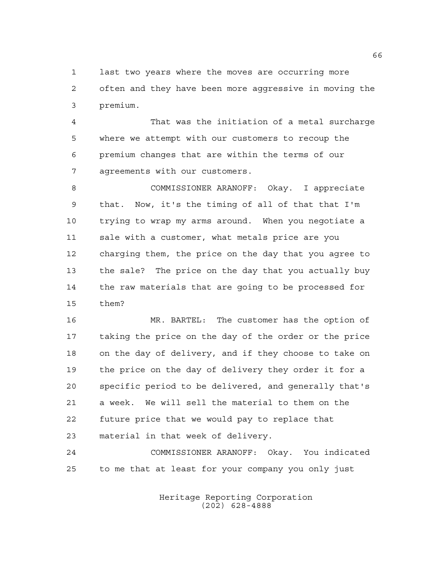last two years where the moves are occurring more often and they have been more aggressive in moving the premium.

 That was the initiation of a metal surcharge where we attempt with our customers to recoup the premium changes that are within the terms of our agreements with our customers.

 COMMISSIONER ARANOFF: Okay. I appreciate that. Now, it's the timing of all of that that I'm trying to wrap my arms around. When you negotiate a sale with a customer, what metals price are you charging them, the price on the day that you agree to the sale? The price on the day that you actually buy the raw materials that are going to be processed for them?

 MR. BARTEL: The customer has the option of taking the price on the day of the order or the price on the day of delivery, and if they choose to take on the price on the day of delivery they order it for a specific period to be delivered, and generally that's a week. We will sell the material to them on the future price that we would pay to replace that material in that week of delivery.

 COMMISSIONER ARANOFF: Okay. You indicated to me that at least for your company you only just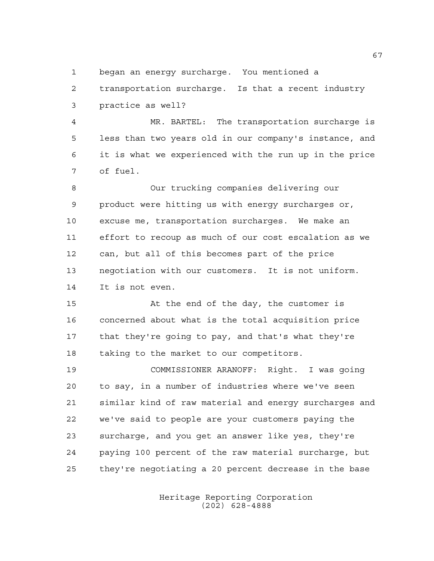began an energy surcharge. You mentioned a

 transportation surcharge. Is that a recent industry practice as well?

 MR. BARTEL: The transportation surcharge is less than two years old in our company's instance, and it is what we experienced with the run up in the price of fuel.

 Our trucking companies delivering our product were hitting us with energy surcharges or, excuse me, transportation surcharges. We make an effort to recoup as much of our cost escalation as we can, but all of this becomes part of the price negotiation with our customers. It is not uniform. It is not even.

 At the end of the day, the customer is concerned about what is the total acquisition price that they're going to pay, and that's what they're taking to the market to our competitors.

 COMMISSIONER ARANOFF: Right. I was going to say, in a number of industries where we've seen similar kind of raw material and energy surcharges and we've said to people are your customers paying the surcharge, and you get an answer like yes, they're paying 100 percent of the raw material surcharge, but they're negotiating a 20 percent decrease in the base

> Heritage Reporting Corporation (202) 628-4888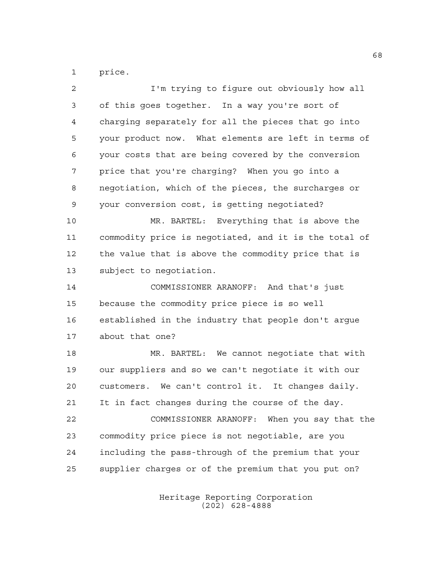price.

| $\overline{a}$ | I'm trying to figure out obviously how all            |
|----------------|-------------------------------------------------------|
| 3              | of this goes together. In a way you're sort of        |
| 4              | charging separately for all the pieces that go into   |
| 5              | your product now. What elements are left in terms of  |
| 6              | your costs that are being covered by the conversion   |
| 7              | price that you're charging? When you go into a        |
| 8              | negotiation, which of the pieces, the surcharges or   |
| 9              | your conversion cost, is getting negotiated?          |
| 10             | MR. BARTEL: Everything that is above the              |
| 11             | commodity price is negotiated, and it is the total of |
| 12             | the value that is above the commodity price that is   |
| 13             | subject to negotiation.                               |
| 14             | COMMISSIONER ARANOFF: And that's just                 |
| 15             | because the commodity price piece is so well          |
| 16             | established in the industry that people don't argue   |
| 17             | about that one?                                       |
| 18             | MR. BARTEL: We cannot negotiate that with             |
| 19             | our suppliers and so we can't negotiate it with our   |
| 20             | customers. We can't control it. It changes daily.     |
| 21             | It in fact changes during the course of the day.      |
| 22             | COMMISSIONER ARANOFF: When you say that the           |
| 23             | commodity price piece is not negotiable, are you      |
| 24             | including the pass-through of the premium that your   |
| 25             | supplier charges or of the premium that you put on?   |
|                |                                                       |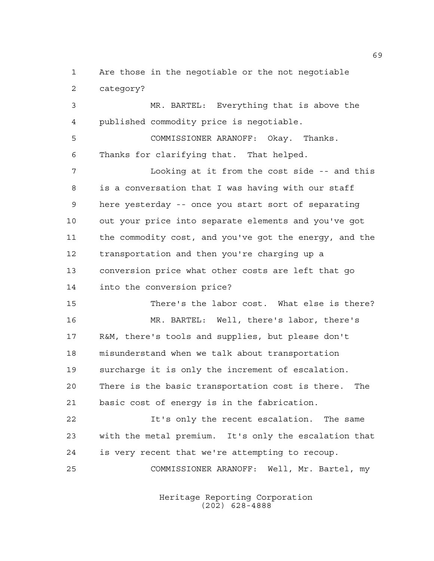Are those in the negotiable or the not negotiable category?

 MR. BARTEL: Everything that is above the published commodity price is negotiable. COMMISSIONER ARANOFF: Okay. Thanks. Thanks for clarifying that. That helped. Looking at it from the cost side -- and this is a conversation that I was having with our staff here yesterday -- once you start sort of separating out your price into separate elements and you've got the commodity cost, and you've got the energy, and the transportation and then you're charging up a conversion price what other costs are left that go into the conversion price?

 There's the labor cost. What else is there? MR. BARTEL: Well, there's labor, there's R&M, there's tools and supplies, but please don't misunderstand when we talk about transportation surcharge it is only the increment of escalation. There is the basic transportation cost is there. The basic cost of energy is in the fabrication.

 It's only the recent escalation. The same with the metal premium. It's only the escalation that is very recent that we're attempting to recoup. COMMISSIONER ARANOFF: Well, Mr. Bartel, my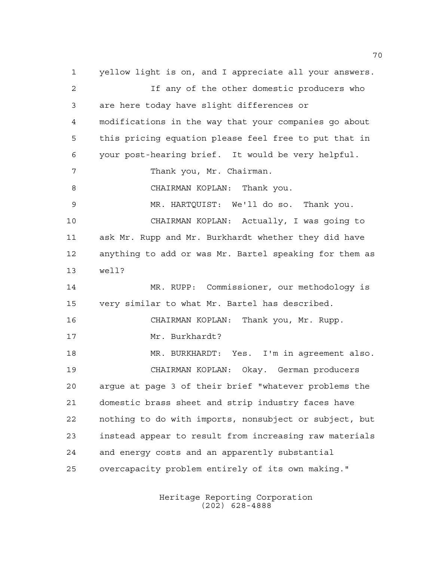yellow light is on, and I appreciate all your answers. If any of the other domestic producers who are here today have slight differences or modifications in the way that your companies go about this pricing equation please feel free to put that in your post-hearing brief. It would be very helpful. Thank you, Mr. Chairman. CHAIRMAN KOPLAN: Thank you. MR. HARTQUIST: We'll do so. Thank you. CHAIRMAN KOPLAN: Actually, I was going to ask Mr. Rupp and Mr. Burkhardt whether they did have anything to add or was Mr. Bartel speaking for them as well? MR. RUPP: Commissioner, our methodology is very similar to what Mr. Bartel has described. CHAIRMAN KOPLAN: Thank you, Mr. Rupp. Mr. Burkhardt? 18 MR. BURKHARDT: Yes. I'm in agreement also. CHAIRMAN KOPLAN: Okay. German producers argue at page 3 of their brief "whatever problems the domestic brass sheet and strip industry faces have nothing to do with imports, nonsubject or subject, but instead appear to result from increasing raw materials and energy costs and an apparently substantial overcapacity problem entirely of its own making."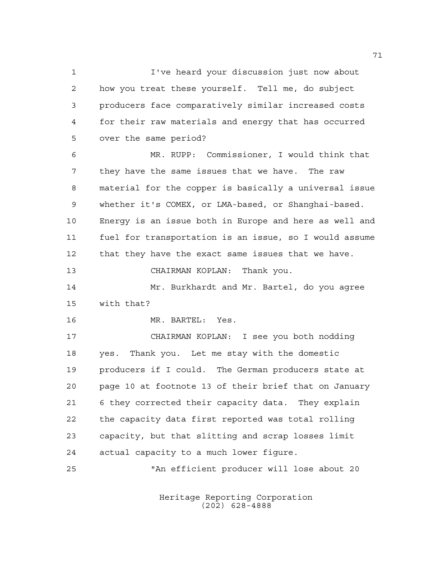I've heard your discussion just now about how you treat these yourself. Tell me, do subject producers face comparatively similar increased costs for their raw materials and energy that has occurred over the same period? MR. RUPP: Commissioner, I would think that they have the same issues that we have. The raw material for the copper is basically a universal issue whether it's COMEX, or LMA-based, or Shanghai-based. Energy is an issue both in Europe and here as well and fuel for transportation is an issue, so I would assume that they have the exact same issues that we have. CHAIRMAN KOPLAN: Thank you. Mr. Burkhardt and Mr. Bartel, do you agree with that? MR. BARTEL: Yes. CHAIRMAN KOPLAN: I see you both nodding yes. Thank you. Let me stay with the domestic producers if I could. The German producers state at page 10 at footnote 13 of their brief that on January 6 they corrected their capacity data. They explain

 the capacity data first reported was total rolling capacity, but that slitting and scrap losses limit actual capacity to a much lower figure.

"An efficient producer will lose about 20

Heritage Reporting Corporation (202) 628-4888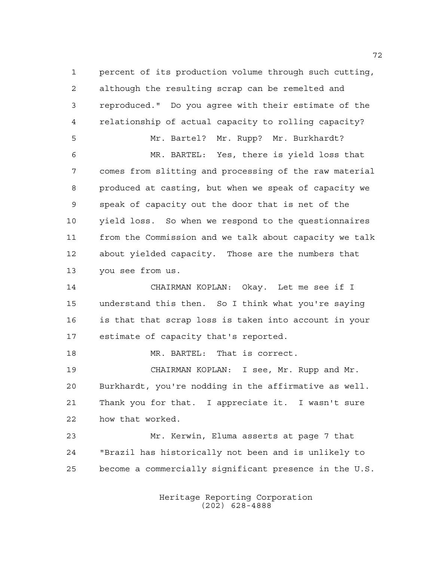percent of its production volume through such cutting, although the resulting scrap can be remelted and reproduced." Do you agree with their estimate of the relationship of actual capacity to rolling capacity? Mr. Bartel? Mr. Rupp? Mr. Burkhardt? MR. BARTEL: Yes, there is yield loss that comes from slitting and processing of the raw material produced at casting, but when we speak of capacity we speak of capacity out the door that is net of the yield loss. So when we respond to the questionnaires from the Commission and we talk about capacity we talk about yielded capacity. Those are the numbers that you see from us. CHAIRMAN KOPLAN: Okay. Let me see if I understand this then. So I think what you're saying is that that scrap loss is taken into account in your estimate of capacity that's reported. MR. BARTEL: That is correct. CHAIRMAN KOPLAN: I see, Mr. Rupp and Mr. Burkhardt, you're nodding in the affirmative as well. Thank you for that. I appreciate it. I wasn't sure how that worked. Mr. Kerwin, Eluma asserts at page 7 that "Brazil has historically not been and is unlikely to become a commercially significant presence in the U.S.

> Heritage Reporting Corporation (202) 628-4888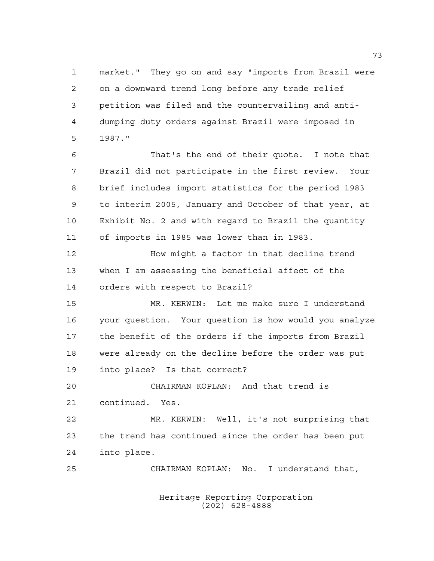market." They go on and say "imports from Brazil were on a downward trend long before any trade relief petition was filed and the countervailing and anti- dumping duty orders against Brazil were imposed in 1987."

 That's the end of their quote. I note that Brazil did not participate in the first review. Your brief includes import statistics for the period 1983 to interim 2005, January and October of that year, at Exhibit No. 2 and with regard to Brazil the quantity of imports in 1985 was lower than in 1983.

 How might a factor in that decline trend when I am assessing the beneficial affect of the orders with respect to Brazil?

 MR. KERWIN: Let me make sure I understand your question. Your question is how would you analyze the benefit of the orders if the imports from Brazil were already on the decline before the order was put into place? Is that correct?

 CHAIRMAN KOPLAN: And that trend is continued. Yes.

 MR. KERWIN: Well, it's not surprising that the trend has continued since the order has been put into place.

CHAIRMAN KOPLAN: No. I understand that,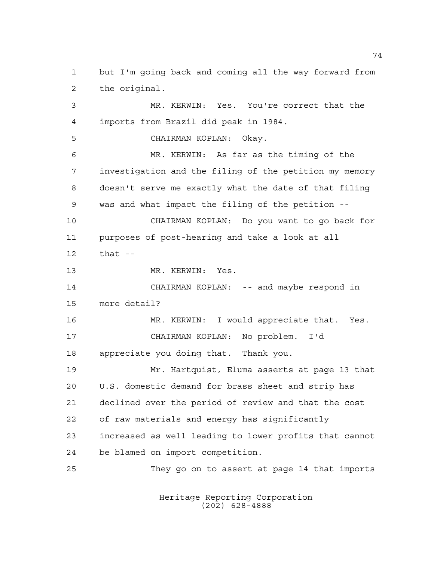but I'm going back and coming all the way forward from the original. MR. KERWIN: Yes. You're correct that the imports from Brazil did peak in 1984. CHAIRMAN KOPLAN: Okay. MR. KERWIN: As far as the timing of the investigation and the filing of the petition my memory doesn't serve me exactly what the date of that filing was and what impact the filing of the petition -- CHAIRMAN KOPLAN: Do you want to go back for purposes of post-hearing and take a look at all that -- MR. KERWIN: Yes. 14 CHAIRMAN KOPLAN: -- and maybe respond in more detail? MR. KERWIN: I would appreciate that. Yes. CHAIRMAN KOPLAN: No problem. I'd appreciate you doing that. Thank you. Mr. Hartquist, Eluma asserts at page 13 that U.S. domestic demand for brass sheet and strip has declined over the period of review and that the cost of raw materials and energy has significantly increased as well leading to lower profits that cannot be blamed on import competition. They go on to assert at page 14 that imports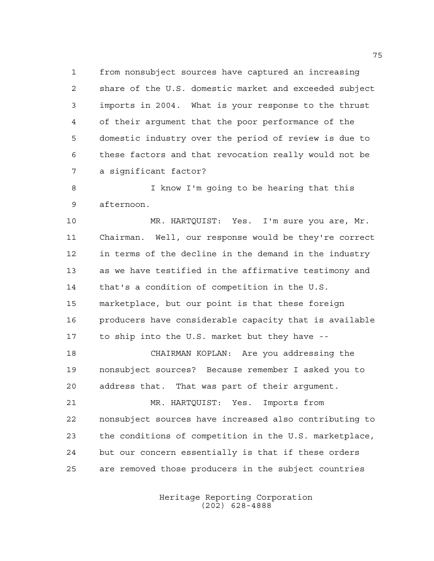from nonsubject sources have captured an increasing share of the U.S. domestic market and exceeded subject imports in 2004. What is your response to the thrust of their argument that the poor performance of the domestic industry over the period of review is due to these factors and that revocation really would not be a significant factor?

 I know I'm going to be hearing that this afternoon.

 MR. HARTQUIST: Yes. I'm sure you are, Mr. Chairman. Well, our response would be they're correct in terms of the decline in the demand in the industry as we have testified in the affirmative testimony and that's a condition of competition in the U.S. marketplace, but our point is that these foreign producers have considerable capacity that is available to ship into the U.S. market but they have --

 CHAIRMAN KOPLAN: Are you addressing the nonsubject sources? Because remember I asked you to address that. That was part of their argument.

 MR. HARTQUIST: Yes. Imports from nonsubject sources have increased also contributing to the conditions of competition in the U.S. marketplace, but our concern essentially is that if these orders are removed those producers in the subject countries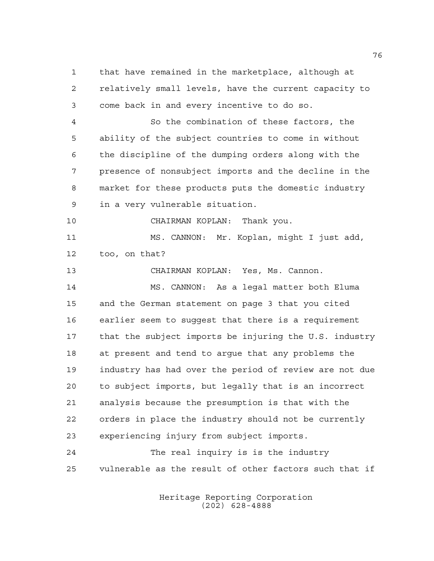that have remained in the marketplace, although at relatively small levels, have the current capacity to come back in and every incentive to do so. So the combination of these factors, the ability of the subject countries to come in without the discipline of the dumping orders along with the presence of nonsubject imports and the decline in the market for these products puts the domestic industry in a very vulnerable situation. CHAIRMAN KOPLAN: Thank you. MS. CANNON: Mr. Koplan, might I just add, too, on that? CHAIRMAN KOPLAN: Yes, Ms. Cannon. MS. CANNON: As a legal matter both Eluma and the German statement on page 3 that you cited earlier seem to suggest that there is a requirement that the subject imports be injuring the U.S. industry at present and tend to argue that any problems the industry has had over the period of review are not due to subject imports, but legally that is an incorrect analysis because the presumption is that with the orders in place the industry should not be currently experiencing injury from subject imports. The real inquiry is is the industry vulnerable as the result of other factors such that if

> Heritage Reporting Corporation (202) 628-4888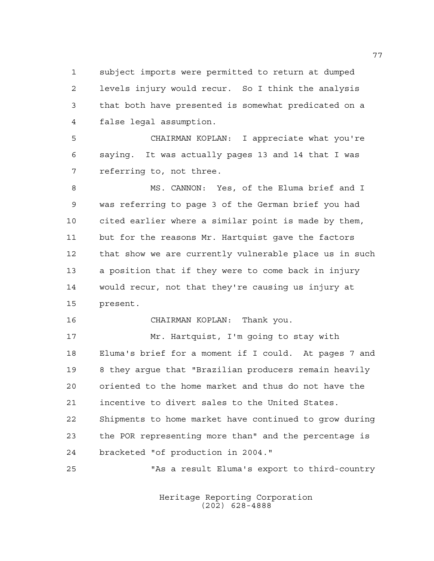subject imports were permitted to return at dumped levels injury would recur. So I think the analysis that both have presented is somewhat predicated on a false legal assumption.

 CHAIRMAN KOPLAN: I appreciate what you're saying. It was actually pages 13 and 14 that I was referring to, not three.

 MS. CANNON: Yes, of the Eluma brief and I was referring to page 3 of the German brief you had cited earlier where a similar point is made by them, but for the reasons Mr. Hartquist gave the factors that show we are currently vulnerable place us in such a position that if they were to come back in injury would recur, not that they're causing us injury at present.

CHAIRMAN KOPLAN: Thank you.

 Mr. Hartquist, I'm going to stay with Eluma's brief for a moment if I could. At pages 7 and 8 they argue that "Brazilian producers remain heavily oriented to the home market and thus do not have the incentive to divert sales to the United States. Shipments to home market have continued to grow during the POR representing more than" and the percentage is bracketed "of production in 2004."

"As a result Eluma's export to third-country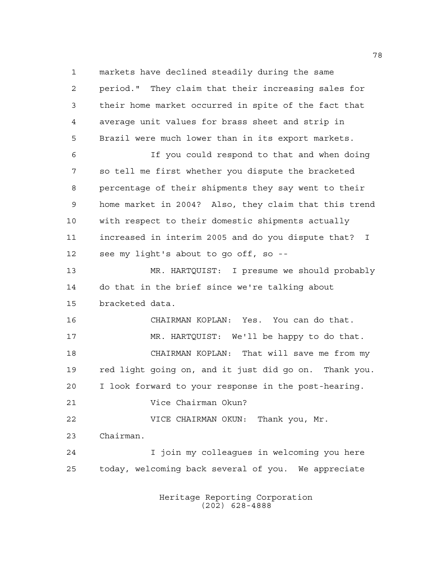markets have declined steadily during the same period." They claim that their increasing sales for their home market occurred in spite of the fact that average unit values for brass sheet and strip in Brazil were much lower than in its export markets. If you could respond to that and when doing so tell me first whether you dispute the bracketed percentage of their shipments they say went to their home market in 2004? Also, they claim that this trend with respect to their domestic shipments actually increased in interim 2005 and do you dispute that? I see my light's about to go off, so -- MR. HARTQUIST: I presume we should probably do that in the brief since we're talking about bracketed data. CHAIRMAN KOPLAN: Yes. You can do that. MR. HARTQUIST: We'll be happy to do that. CHAIRMAN KOPLAN: That will save me from my red light going on, and it just did go on. Thank you. I look forward to your response in the post-hearing. Vice Chairman Okun? VICE CHAIRMAN OKUN: Thank you, Mr. Chairman. I join my colleagues in welcoming you here today, welcoming back several of you. We appreciate

> Heritage Reporting Corporation (202) 628-4888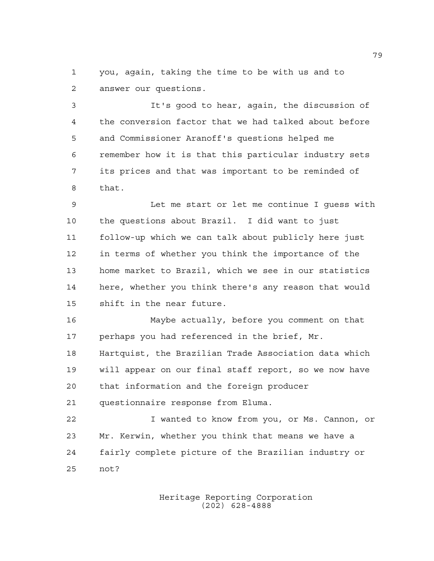you, again, taking the time to be with us and to answer our questions.

 It's good to hear, again, the discussion of the conversion factor that we had talked about before and Commissioner Aranoff's questions helped me remember how it is that this particular industry sets its prices and that was important to be reminded of that.

 Let me start or let me continue I guess with the questions about Brazil. I did want to just follow-up which we can talk about publicly here just in terms of whether you think the importance of the home market to Brazil, which we see in our statistics here, whether you think there's any reason that would shift in the near future.

 Maybe actually, before you comment on that perhaps you had referenced in the brief, Mr.

 Hartquist, the Brazilian Trade Association data which will appear on our final staff report, so we now have that information and the foreign producer questionnaire response from Eluma.

 I wanted to know from you, or Ms. Cannon, or Mr. Kerwin, whether you think that means we have a fairly complete picture of the Brazilian industry or not?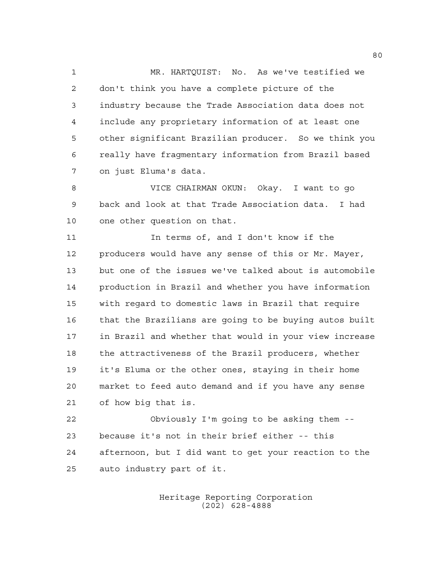MR. HARTQUIST: No. As we've testified we don't think you have a complete picture of the industry because the Trade Association data does not include any proprietary information of at least one other significant Brazilian producer. So we think you really have fragmentary information from Brazil based on just Eluma's data.

 VICE CHAIRMAN OKUN: Okay. I want to go back and look at that Trade Association data. I had one other question on that.

 In terms of, and I don't know if the producers would have any sense of this or Mr. Mayer, but one of the issues we've talked about is automobile production in Brazil and whether you have information with regard to domestic laws in Brazil that require that the Brazilians are going to be buying autos built in Brazil and whether that would in your view increase the attractiveness of the Brazil producers, whether it's Eluma or the other ones, staying in their home market to feed auto demand and if you have any sense of how big that is.

 Obviously I'm going to be asking them -- because it's not in their brief either -- this afternoon, but I did want to get your reaction to the auto industry part of it.

> Heritage Reporting Corporation (202) 628-4888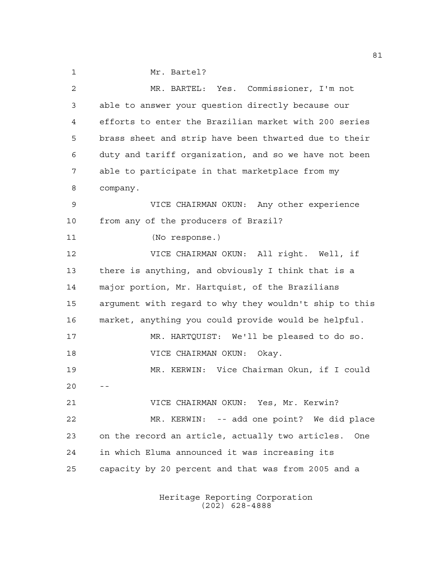Mr. Bartel? MR. BARTEL: Yes. Commissioner, I'm not able to answer your question directly because our efforts to enter the Brazilian market with 200 series brass sheet and strip have been thwarted due to their duty and tariff organization, and so we have not been able to participate in that marketplace from my company. VICE CHAIRMAN OKUN: Any other experience from any of the producers of Brazil? (No response.) VICE CHAIRMAN OKUN: All right. Well, if there is anything, and obviously I think that is a major portion, Mr. Hartquist, of the Brazilians argument with regard to why they wouldn't ship to this market, anything you could provide would be helpful. MR. HARTQUIST: We'll be pleased to do so. VICE CHAIRMAN OKUN: Okay.

 MR. KERWIN: Vice Chairman Okun, if I could  $20 - -$ 

 VICE CHAIRMAN OKUN: Yes, Mr. Kerwin? MR. KERWIN: -- add one point? We did place on the record an article, actually two articles. One in which Eluma announced it was increasing its capacity by 20 percent and that was from 2005 and a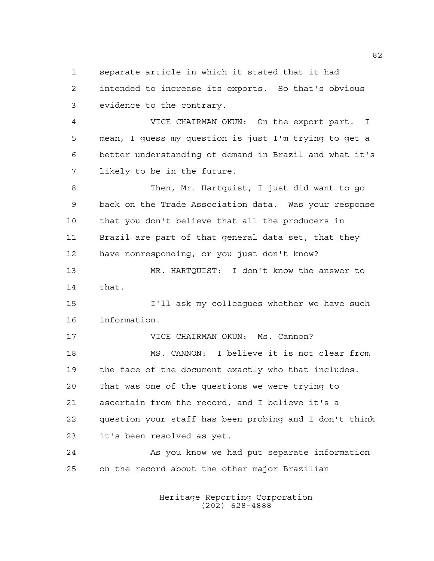separate article in which it stated that it had

 intended to increase its exports. So that's obvious evidence to the contrary.

 VICE CHAIRMAN OKUN: On the export part. I mean, I guess my question is just I'm trying to get a better understanding of demand in Brazil and what it's likely to be in the future.

 Then, Mr. Hartquist, I just did want to go back on the Trade Association data. Was your response that you don't believe that all the producers in Brazil are part of that general data set, that they have nonresponding, or you just don't know?

 MR. HARTQUIST: I don't know the answer to that.

 I'll ask my colleagues whether we have such information.

 VICE CHAIRMAN OKUN: Ms. Cannon? MS. CANNON: I believe it is not clear from the face of the document exactly who that includes. That was one of the questions we were trying to ascertain from the record, and I believe it's a question your staff has been probing and I don't think it's been resolved as yet.

 As you know we had put separate information on the record about the other major Brazilian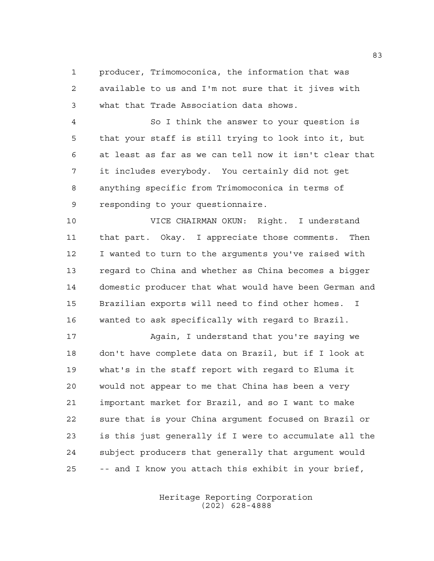producer, Trimomoconica, the information that was available to us and I'm not sure that it jives with what that Trade Association data shows.

 So I think the answer to your question is that your staff is still trying to look into it, but at least as far as we can tell now it isn't clear that it includes everybody. You certainly did not get anything specific from Trimomoconica in terms of responding to your questionnaire.

 VICE CHAIRMAN OKUN: Right. I understand that part. Okay. I appreciate those comments. Then I wanted to turn to the arguments you've raised with regard to China and whether as China becomes a bigger domestic producer that what would have been German and Brazilian exports will need to find other homes. I wanted to ask specifically with regard to Brazil.

 Again, I understand that you're saying we don't have complete data on Brazil, but if I look at what's in the staff report with regard to Eluma it would not appear to me that China has been a very important market for Brazil, and so I want to make sure that is your China argument focused on Brazil or is this just generally if I were to accumulate all the subject producers that generally that argument would -- and I know you attach this exhibit in your brief,

> Heritage Reporting Corporation (202) 628-4888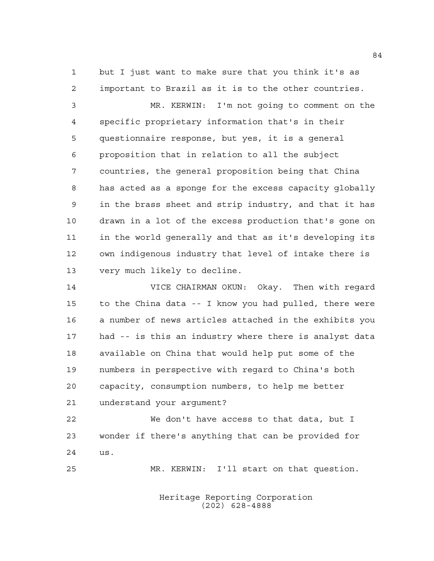but I just want to make sure that you think it's as important to Brazil as it is to the other countries.

 MR. KERWIN: I'm not going to comment on the specific proprietary information that's in their questionnaire response, but yes, it is a general proposition that in relation to all the subject countries, the general proposition being that China has acted as a sponge for the excess capacity globally in the brass sheet and strip industry, and that it has drawn in a lot of the excess production that's gone on in the world generally and that as it's developing its own indigenous industry that level of intake there is very much likely to decline.

 VICE CHAIRMAN OKUN: Okay. Then with regard to the China data -- I know you had pulled, there were a number of news articles attached in the exhibits you had -- is this an industry where there is analyst data available on China that would help put some of the numbers in perspective with regard to China's both capacity, consumption numbers, to help me better understand your argument?

 We don't have access to that data, but I wonder if there's anything that can be provided for us.

MR. KERWIN: I'll start on that question.

Heritage Reporting Corporation (202) 628-4888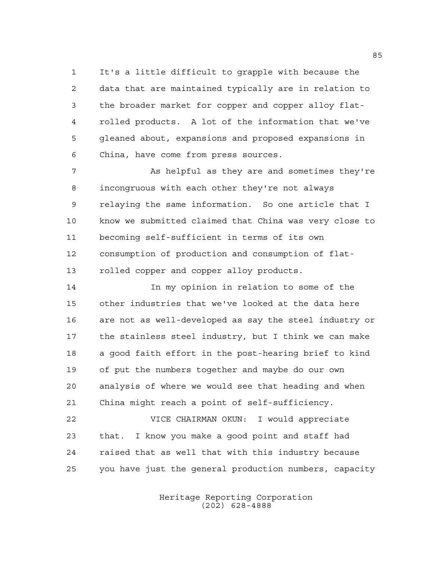It's a little difficult to grapple with because the data that are maintained typically are in relation to the broader market for copper and copper alloy flat- rolled products. A lot of the information that we've gleaned about, expansions and proposed expansions in China, have come from press sources.

 As helpful as they are and sometimes they're incongruous with each other they're not always relaying the same information. So one article that I know we submitted claimed that China was very close to becoming self-sufficient in terms of its own consumption of production and consumption of flat-rolled copper and copper alloy products.

 In my opinion in relation to some of the other industries that we've looked at the data here are not as well-developed as say the steel industry or the stainless steel industry, but I think we can make a good faith effort in the post-hearing brief to kind of put the numbers together and maybe do our own analysis of where we would see that heading and when China might reach a point of self-sufficiency.

 VICE CHAIRMAN OKUN: I would appreciate that. I know you make a good point and staff had raised that as well that with this industry because you have just the general production numbers, capacity

> Heritage Reporting Corporation (202) 628-4888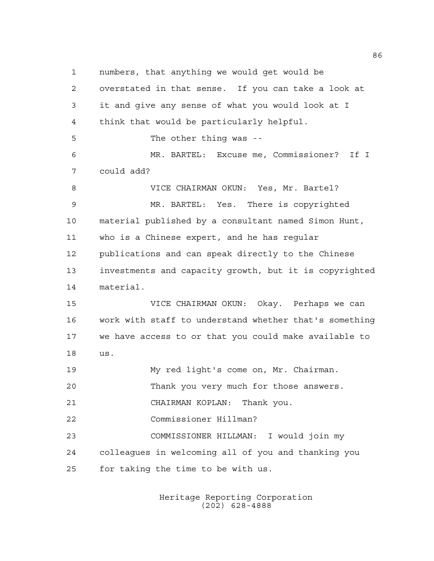numbers, that anything we would get would be overstated in that sense. If you can take a look at it and give any sense of what you would look at I think that would be particularly helpful. The other thing was -- MR. BARTEL: Excuse me, Commissioner? If I could add? VICE CHAIRMAN OKUN: Yes, Mr. Bartel? MR. BARTEL: Yes. There is copyrighted material published by a consultant named Simon Hunt, who is a Chinese expert, and he has regular publications and can speak directly to the Chinese investments and capacity growth, but it is copyrighted material. VICE CHAIRMAN OKUN: Okay. Perhaps we can work with staff to understand whether that's something we have access to or that you could make available to us. My red light's come on, Mr. Chairman. Thank you very much for those answers. CHAIRMAN KOPLAN: Thank you. Commissioner Hillman? COMMISSIONER HILLMAN: I would join my colleagues in welcoming all of you and thanking you for taking the time to be with us.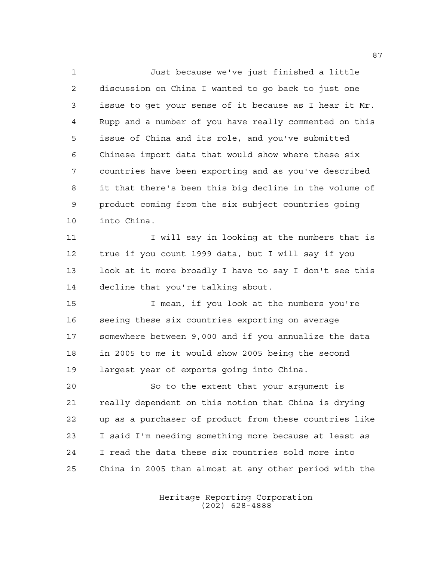Just because we've just finished a little discussion on China I wanted to go back to just one issue to get your sense of it because as I hear it Mr. Rupp and a number of you have really commented on this issue of China and its role, and you've submitted Chinese import data that would show where these six countries have been exporting and as you've described it that there's been this big decline in the volume of product coming from the six subject countries going into China.

11 I will say in looking at the numbers that is true if you count 1999 data, but I will say if you look at it more broadly I have to say I don't see this decline that you're talking about.

15 I mean, if you look at the numbers you're seeing these six countries exporting on average somewhere between 9,000 and if you annualize the data in 2005 to me it would show 2005 being the second largest year of exports going into China.

 So to the extent that your argument is really dependent on this notion that China is drying up as a purchaser of product from these countries like I said I'm needing something more because at least as I read the data these six countries sold more into China in 2005 than almost at any other period with the

> Heritage Reporting Corporation (202) 628-4888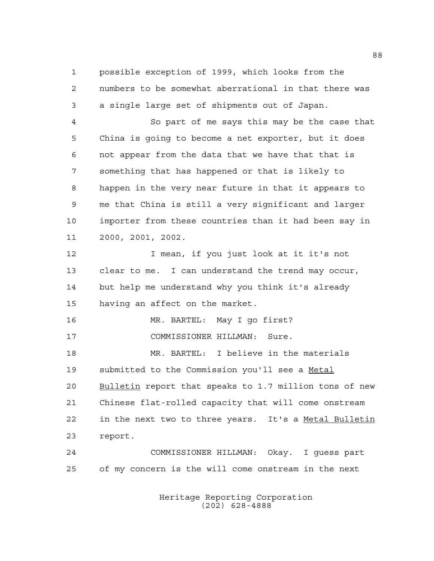possible exception of 1999, which looks from the numbers to be somewhat aberrational in that there was a single large set of shipments out of Japan.

 So part of me says this may be the case that China is going to become a net exporter, but it does not appear from the data that we have that that is something that has happened or that is likely to happen in the very near future in that it appears to me that China is still a very significant and larger importer from these countries than it had been say in 2000, 2001, 2002.

 I mean, if you just look at it it's not clear to me. I can understand the trend may occur, but help me understand why you think it's already having an affect on the market.

 MR. BARTEL: May I go first? COMMISSIONER HILLMAN: Sure.

 MR. BARTEL: I believe in the materials 19 submitted to the Commission you'll see a Metal Bulletin report that speaks to 1.7 million tons of new Chinese flat-rolled capacity that will come onstream in the next two to three years. It's a Metal Bulletin report.

 COMMISSIONER HILLMAN: Okay. I guess part of my concern is the will come onstream in the next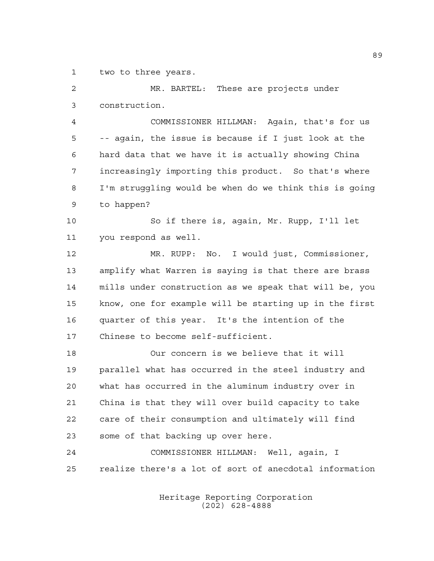two to three years.

 MR. BARTEL: These are projects under construction.

 COMMISSIONER HILLMAN: Again, that's for us -- again, the issue is because if I just look at the hard data that we have it is actually showing China increasingly importing this product. So that's where I'm struggling would be when do we think this is going to happen?

 So if there is, again, Mr. Rupp, I'll let you respond as well.

 MR. RUPP: No. I would just, Commissioner, amplify what Warren is saying is that there are brass mills under construction as we speak that will be, you know, one for example will be starting up in the first quarter of this year. It's the intention of the Chinese to become self-sufficient.

 Our concern is we believe that it will parallel what has occurred in the steel industry and what has occurred in the aluminum industry over in China is that they will over build capacity to take care of their consumption and ultimately will find some of that backing up over here.

 COMMISSIONER HILLMAN: Well, again, I realize there's a lot of sort of anecdotal information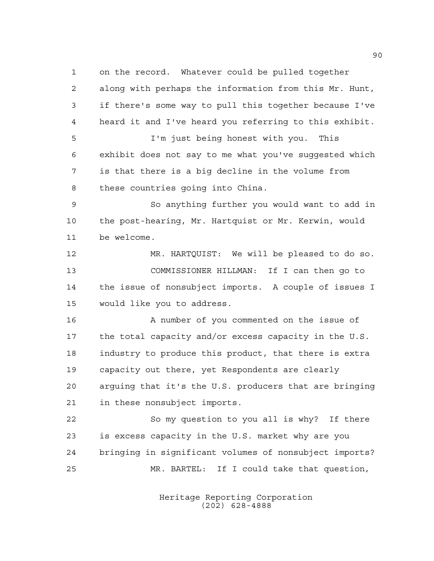on the record. Whatever could be pulled together along with perhaps the information from this Mr. Hunt, if there's some way to pull this together because I've heard it and I've heard you referring to this exhibit. I'm just being honest with you. This exhibit does not say to me what you've suggested which is that there is a big decline in the volume from these countries going into China. So anything further you would want to add in the post-hearing, Mr. Hartquist or Mr. Kerwin, would be welcome. MR. HARTQUIST: We will be pleased to do so. COMMISSIONER HILLMAN: If I can then go to the issue of nonsubject imports. A couple of issues I would like you to address. A number of you commented on the issue of the total capacity and/or excess capacity in the U.S. industry to produce this product, that there is extra capacity out there, yet Respondents are clearly arguing that it's the U.S. producers that are bringing in these nonsubject imports. So my question to you all is why? If there is excess capacity in the U.S. market why are you bringing in significant volumes of nonsubject imports? MR. BARTEL: If I could take that question,

> Heritage Reporting Corporation (202) 628-4888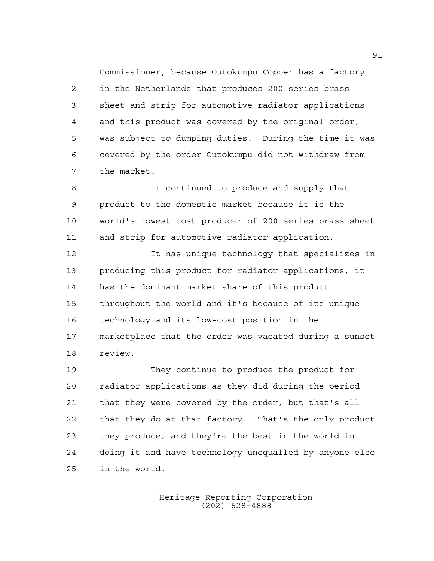Commissioner, because Outokumpu Copper has a factory in the Netherlands that produces 200 series brass sheet and strip for automotive radiator applications and this product was covered by the original order, was subject to dumping duties. During the time it was covered by the order Outokumpu did not withdraw from the market.

 It continued to produce and supply that product to the domestic market because it is the world's lowest cost producer of 200 series brass sheet and strip for automotive radiator application.

 It has unique technology that specializes in producing this product for radiator applications, it has the dominant market share of this product throughout the world and it's because of its unique technology and its low-cost position in the marketplace that the order was vacated during a sunset review.

 They continue to produce the product for radiator applications as they did during the period that they were covered by the order, but that's all that they do at that factory. That's the only product they produce, and they're the best in the world in doing it and have technology unequalled by anyone else in the world.

> Heritage Reporting Corporation (202) 628-4888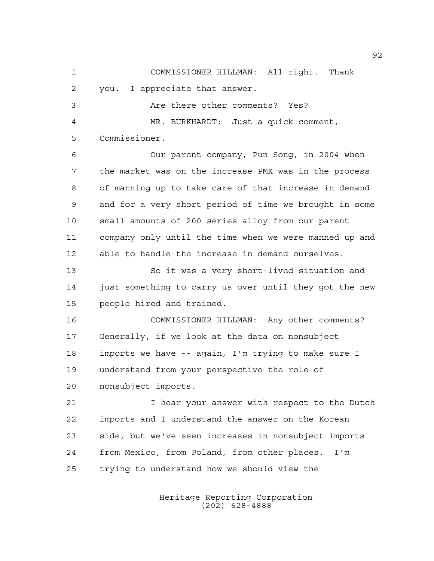COMMISSIONER HILLMAN: All right. Thank you. I appreciate that answer. Are there other comments? Yes?

 MR. BURKHARDT: Just a quick comment, Commissioner.

 Our parent company, Pun Song, in 2004 when the market was on the increase PMX was in the process of manning up to take care of that increase in demand and for a very short period of time we brought in some small amounts of 200 series alloy from our parent company only until the time when we were manned up and able to handle the increase in demand ourselves.

 So it was a very short-lived situation and 14 just something to carry us over until they got the new people hired and trained.

 COMMISSIONER HILLMAN: Any other comments? Generally, if we look at the data on nonsubject imports we have -- again, I'm trying to make sure I understand from your perspective the role of nonsubject imports.

21 I hear your answer with respect to the Dutch imports and I understand the answer on the Korean side, but we've seen increases in nonsubject imports from Mexico, from Poland, from other places. I'm trying to understand how we should view the

> Heritage Reporting Corporation (202) 628-4888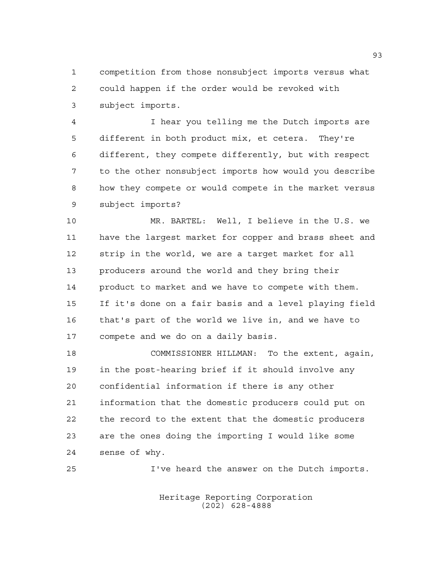competition from those nonsubject imports versus what could happen if the order would be revoked with subject imports.

 I hear you telling me the Dutch imports are different in both product mix, et cetera. They're different, they compete differently, but with respect to the other nonsubject imports how would you describe how they compete or would compete in the market versus subject imports?

 MR. BARTEL: Well, I believe in the U.S. we have the largest market for copper and brass sheet and strip in the world, we are a target market for all producers around the world and they bring their product to market and we have to compete with them. If it's done on a fair basis and a level playing field that's part of the world we live in, and we have to compete and we do on a daily basis.

 COMMISSIONER HILLMAN: To the extent, again, in the post-hearing brief if it should involve any confidential information if there is any other information that the domestic producers could put on the record to the extent that the domestic producers are the ones doing the importing I would like some sense of why.

I've heard the answer on the Dutch imports.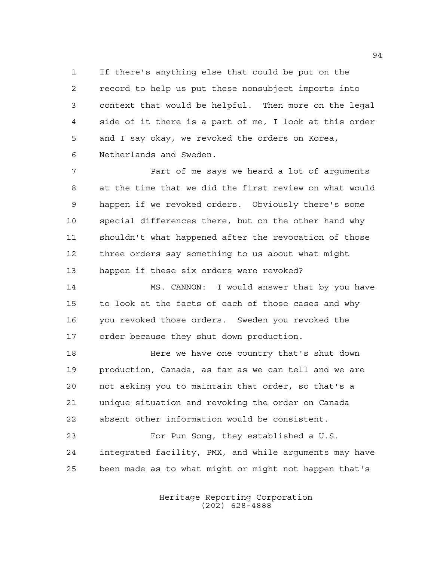If there's anything else that could be put on the record to help us put these nonsubject imports into context that would be helpful. Then more on the legal side of it there is a part of me, I look at this order and I say okay, we revoked the orders on Korea, Netherlands and Sweden.

 Part of me says we heard a lot of arguments at the time that we did the first review on what would happen if we revoked orders. Obviously there's some special differences there, but on the other hand why shouldn't what happened after the revocation of those three orders say something to us about what might happen if these six orders were revoked?

 MS. CANNON: I would answer that by you have to look at the facts of each of those cases and why you revoked those orders. Sweden you revoked the order because they shut down production.

**Here we have one country that's shut down**  production, Canada, as far as we can tell and we are not asking you to maintain that order, so that's a unique situation and revoking the order on Canada absent other information would be consistent.

 For Pun Song, they established a U.S. integrated facility, PMX, and while arguments may have been made as to what might or might not happen that's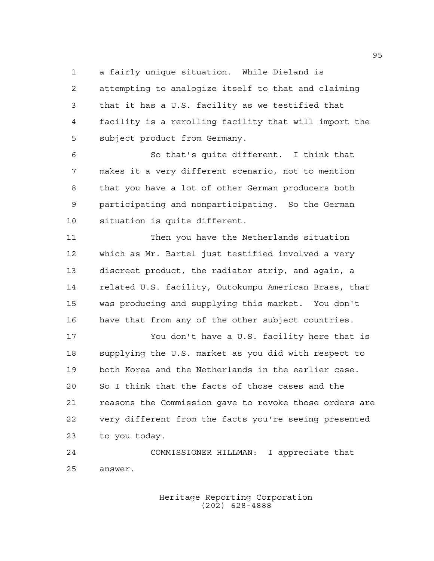a fairly unique situation. While Dieland is

 attempting to analogize itself to that and claiming that it has a U.S. facility as we testified that facility is a rerolling facility that will import the subject product from Germany.

 So that's quite different. I think that makes it a very different scenario, not to mention that you have a lot of other German producers both participating and nonparticipating. So the German situation is quite different.

 Then you have the Netherlands situation which as Mr. Bartel just testified involved a very discreet product, the radiator strip, and again, a related U.S. facility, Outokumpu American Brass, that was producing and supplying this market. You don't have that from any of the other subject countries.

 You don't have a U.S. facility here that is supplying the U.S. market as you did with respect to both Korea and the Netherlands in the earlier case. So I think that the facts of those cases and the reasons the Commission gave to revoke those orders are very different from the facts you're seeing presented to you today.

 COMMISSIONER HILLMAN: I appreciate that answer.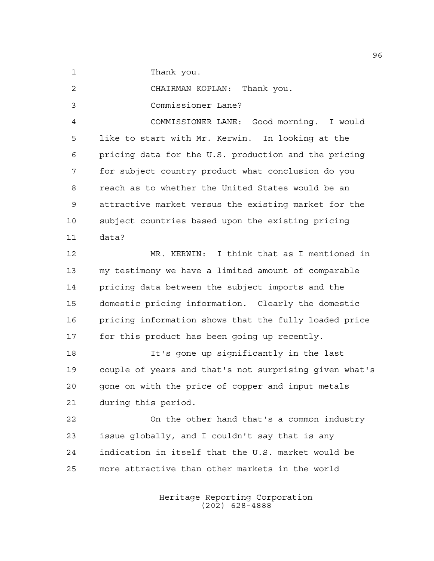1 Thank you.

CHAIRMAN KOPLAN: Thank you.

Commissioner Lane?

 COMMISSIONER LANE: Good morning. I would like to start with Mr. Kerwin. In looking at the pricing data for the U.S. production and the pricing for subject country product what conclusion do you reach as to whether the United States would be an attractive market versus the existing market for the subject countries based upon the existing pricing data?

 MR. KERWIN: I think that as I mentioned in my testimony we have a limited amount of comparable pricing data between the subject imports and the domestic pricing information. Clearly the domestic pricing information shows that the fully loaded price for this product has been going up recently.

 It's gone up significantly in the last couple of years and that's not surprising given what's gone on with the price of copper and input metals during this period.

 On the other hand that's a common industry issue globally, and I couldn't say that is any indication in itself that the U.S. market would be more attractive than other markets in the world

> Heritage Reporting Corporation (202) 628-4888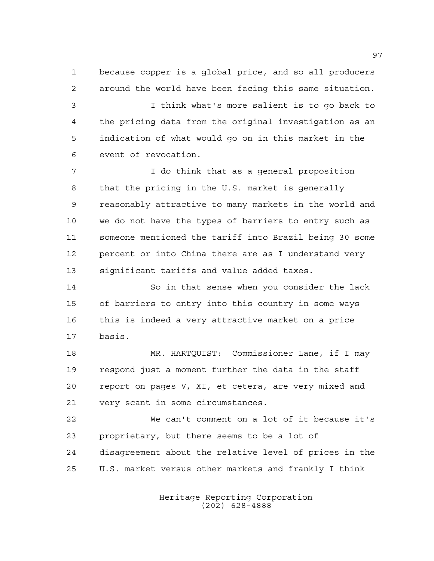because copper is a global price, and so all producers around the world have been facing this same situation.

 I think what's more salient is to go back to the pricing data from the original investigation as an indication of what would go on in this market in the event of revocation.

 I do think that as a general proposition that the pricing in the U.S. market is generally reasonably attractive to many markets in the world and we do not have the types of barriers to entry such as someone mentioned the tariff into Brazil being 30 some percent or into China there are as I understand very significant tariffs and value added taxes.

 So in that sense when you consider the lack of barriers to entry into this country in some ways this is indeed a very attractive market on a price basis.

 MR. HARTQUIST: Commissioner Lane, if I may respond just a moment further the data in the staff report on pages V, XI, et cetera, are very mixed and very scant in some circumstances.

 We can't comment on a lot of it because it's proprietary, but there seems to be a lot of disagreement about the relative level of prices in the U.S. market versus other markets and frankly I think

> Heritage Reporting Corporation (202) 628-4888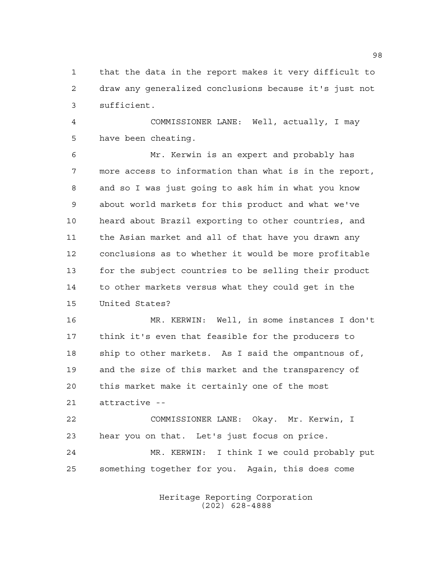that the data in the report makes it very difficult to draw any generalized conclusions because it's just not sufficient.

 COMMISSIONER LANE: Well, actually, I may have been cheating.

 Mr. Kerwin is an expert and probably has more access to information than what is in the report, and so I was just going to ask him in what you know about world markets for this product and what we've heard about Brazil exporting to other countries, and the Asian market and all of that have you drawn any conclusions as to whether it would be more profitable for the subject countries to be selling their product to other markets versus what they could get in the United States?

 MR. KERWIN: Well, in some instances I don't think it's even that feasible for the producers to ship to other markets. As I said the ompantnous of, and the size of this market and the transparency of this market make it certainly one of the most attractive --

 COMMISSIONER LANE: Okay. Mr. Kerwin, I hear you on that. Let's just focus on price. MR. KERWIN: I think I we could probably put something together for you. Again, this does come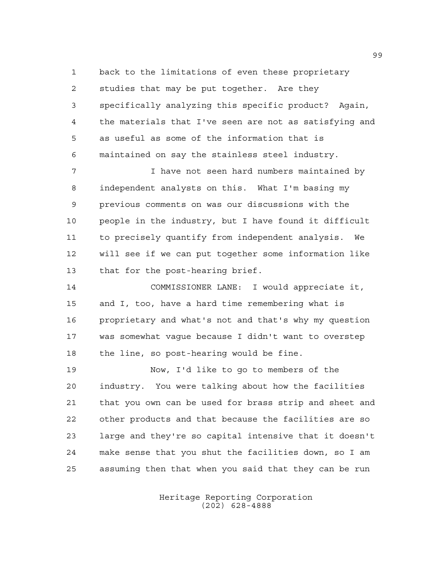back to the limitations of even these proprietary studies that may be put together. Are they specifically analyzing this specific product? Again, the materials that I've seen are not as satisfying and as useful as some of the information that is maintained on say the stainless steel industry.

7 I have not seen hard numbers maintained by independent analysts on this. What I'm basing my previous comments on was our discussions with the people in the industry, but I have found it difficult to precisely quantify from independent analysis. We will see if we can put together some information like that for the post-hearing brief.

 COMMISSIONER LANE: I would appreciate it, and I, too, have a hard time remembering what is proprietary and what's not and that's why my question was somewhat vague because I didn't want to overstep the line, so post-hearing would be fine.

 Now, I'd like to go to members of the industry. You were talking about how the facilities that you own can be used for brass strip and sheet and other products and that because the facilities are so large and they're so capital intensive that it doesn't make sense that you shut the facilities down, so I am assuming then that when you said that they can be run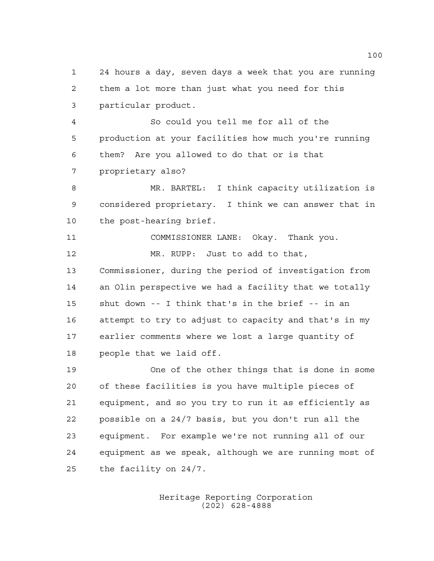24 hours a day, seven days a week that you are running them a lot more than just what you need for this particular product.

 So could you tell me for all of the production at your facilities how much you're running them? Are you allowed to do that or is that proprietary also?

 MR. BARTEL: I think capacity utilization is considered proprietary. I think we can answer that in the post-hearing brief.

 COMMISSIONER LANE: Okay. Thank you. MR. RUPP: Just to add to that, Commissioner, during the period of investigation from an Olin perspective we had a facility that we totally shut down -- I think that's in the brief -- in an attempt to try to adjust to capacity and that's in my earlier comments where we lost a large quantity of people that we laid off.

 One of the other things that is done in some of these facilities is you have multiple pieces of equipment, and so you try to run it as efficiently as possible on a 24/7 basis, but you don't run all the equipment. For example we're not running all of our equipment as we speak, although we are running most of the facility on 24/7.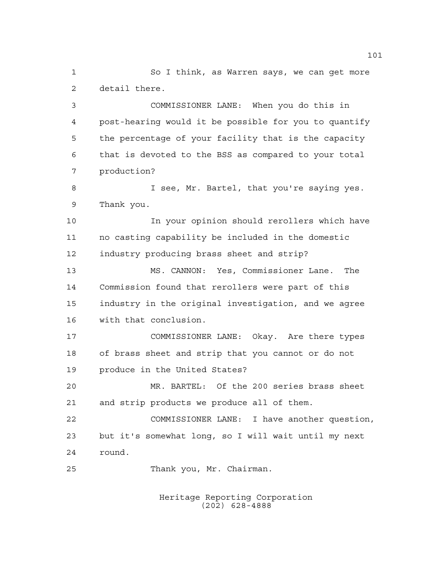So I think, as Warren says, we can get more detail there.

 COMMISSIONER LANE: When you do this in post-hearing would it be possible for you to quantify the percentage of your facility that is the capacity that is devoted to the BSS as compared to your total production?

 I see, Mr. Bartel, that you're saying yes. Thank you.

 In your opinion should rerollers which have no casting capability be included in the domestic industry producing brass sheet and strip?

 MS. CANNON: Yes, Commissioner Lane. The Commission found that rerollers were part of this industry in the original investigation, and we agree with that conclusion.

 COMMISSIONER LANE: Okay. Are there types of brass sheet and strip that you cannot or do not produce in the United States?

 MR. BARTEL: Of the 200 series brass sheet and strip products we produce all of them.

 COMMISSIONER LANE: I have another question, but it's somewhat long, so I will wait until my next round.

Thank you, Mr. Chairman.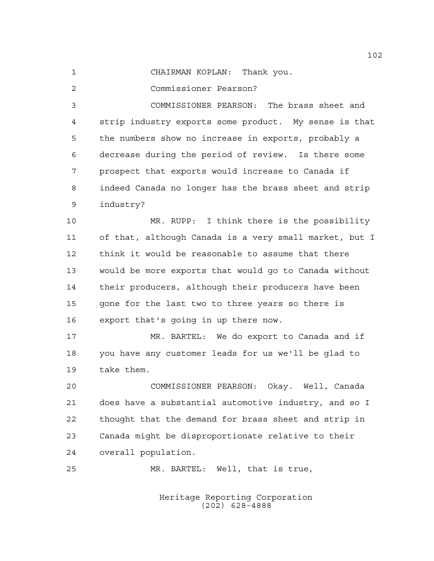CHAIRMAN KOPLAN: Thank you.

Commissioner Pearson?

 COMMISSIONER PEARSON: The brass sheet and strip industry exports some product. My sense is that the numbers show no increase in exports, probably a decrease during the period of review. Is there some prospect that exports would increase to Canada if indeed Canada no longer has the brass sheet and strip industry?

 MR. RUPP: I think there is the possibility of that, although Canada is a very small market, but I think it would be reasonable to assume that there would be more exports that would go to Canada without their producers, although their producers have been gone for the last two to three years so there is export that's going in up there now.

 MR. BARTEL: We do export to Canada and if you have any customer leads for us we'll be glad to take them.

 COMMISSIONER PEARSON: Okay. Well, Canada does have a substantial automotive industry, and so I thought that the demand for brass sheet and strip in Canada might be disproportionate relative to their overall population.

MR. BARTEL: Well, that is true,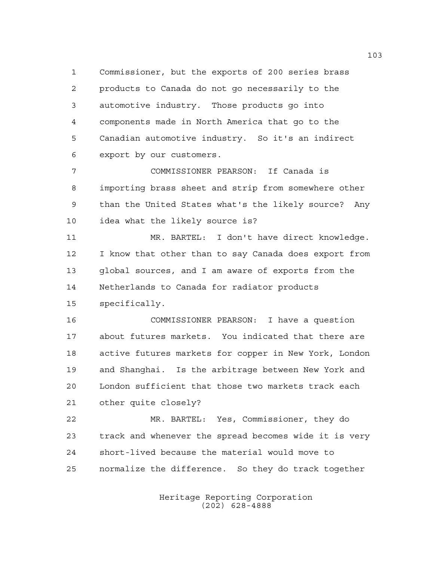Commissioner, but the exports of 200 series brass products to Canada do not go necessarily to the automotive industry. Those products go into components made in North America that go to the Canadian automotive industry. So it's an indirect export by our customers.

 COMMISSIONER PEARSON: If Canada is importing brass sheet and strip from somewhere other than the United States what's the likely source? Any idea what the likely source is?

 MR. BARTEL: I don't have direct knowledge. I know that other than to say Canada does export from global sources, and I am aware of exports from the Netherlands to Canada for radiator products specifically.

 COMMISSIONER PEARSON: I have a question about futures markets. You indicated that there are active futures markets for copper in New York, London and Shanghai. Is the arbitrage between New York and London sufficient that those two markets track each other quite closely?

 MR. BARTEL: Yes, Commissioner, they do track and whenever the spread becomes wide it is very short-lived because the material would move to normalize the difference. So they do track together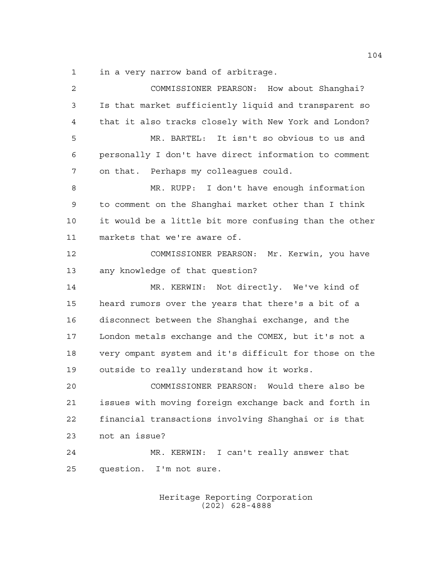in a very narrow band of arbitrage.

 COMMISSIONER PEARSON: How about Shanghai? Is that market sufficiently liquid and transparent so that it also tracks closely with New York and London? MR. BARTEL: It isn't so obvious to us and personally I don't have direct information to comment on that. Perhaps my colleagues could. MR. RUPP: I don't have enough information to comment on the Shanghai market other than I think it would be a little bit more confusing than the other markets that we're aware of. COMMISSIONER PEARSON: Mr. Kerwin, you have any knowledge of that question? MR. KERWIN: Not directly. We've kind of heard rumors over the years that there's a bit of a disconnect between the Shanghai exchange, and the London metals exchange and the COMEX, but it's not a very ompant system and it's difficult for those on the outside to really understand how it works. COMMISSIONER PEARSON: Would there also be issues with moving foreign exchange back and forth in financial transactions involving Shanghai or is that not an issue? MR. KERWIN: I can't really answer that question. I'm not sure.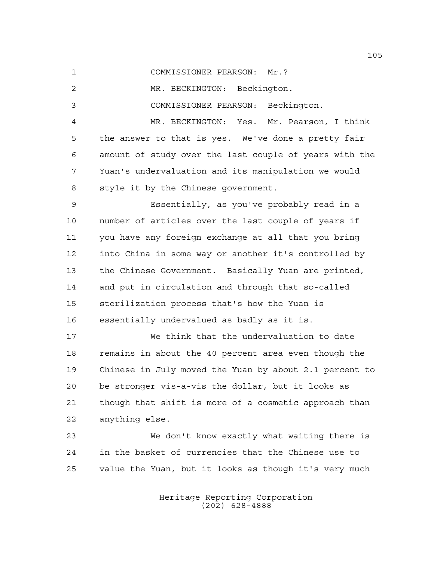COMMISSIONER PEARSON: Mr.?

MR. BECKINGTON: Beckington.

COMMISSIONER PEARSON: Beckington.

 MR. BECKINGTON: Yes. Mr. Pearson, I think the answer to that is yes. We've done a pretty fair amount of study over the last couple of years with the Yuan's undervaluation and its manipulation we would style it by the Chinese government.

 Essentially, as you've probably read in a number of articles over the last couple of years if you have any foreign exchange at all that you bring into China in some way or another it's controlled by the Chinese Government. Basically Yuan are printed, and put in circulation and through that so-called sterilization process that's how the Yuan is essentially undervalued as badly as it is.

 We think that the undervaluation to date remains in about the 40 percent area even though the Chinese in July moved the Yuan by about 2.1 percent to be stronger vis-a-vis the dollar, but it looks as though that shift is more of a cosmetic approach than anything else.

 We don't know exactly what waiting there is in the basket of currencies that the Chinese use to value the Yuan, but it looks as though it's very much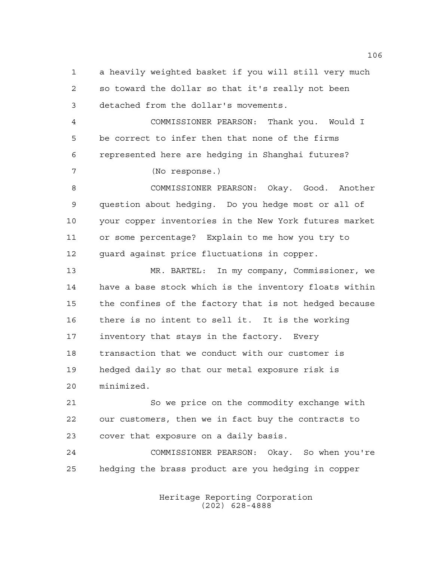a heavily weighted basket if you will still very much so toward the dollar so that it's really not been detached from the dollar's movements.

 COMMISSIONER PEARSON: Thank you. Would I be correct to infer then that none of the firms represented here are hedging in Shanghai futures?

(No response.)

 COMMISSIONER PEARSON: Okay. Good. Another question about hedging. Do you hedge most or all of your copper inventories in the New York futures market or some percentage? Explain to me how you try to guard against price fluctuations in copper.

 MR. BARTEL: In my company, Commissioner, we have a base stock which is the inventory floats within the confines of the factory that is not hedged because there is no intent to sell it. It is the working inventory that stays in the factory. Every transaction that we conduct with our customer is hedged daily so that our metal exposure risk is minimized.

 So we price on the commodity exchange with our customers, then we in fact buy the contracts to cover that exposure on a daily basis.

 COMMISSIONER PEARSON: Okay. So when you're hedging the brass product are you hedging in copper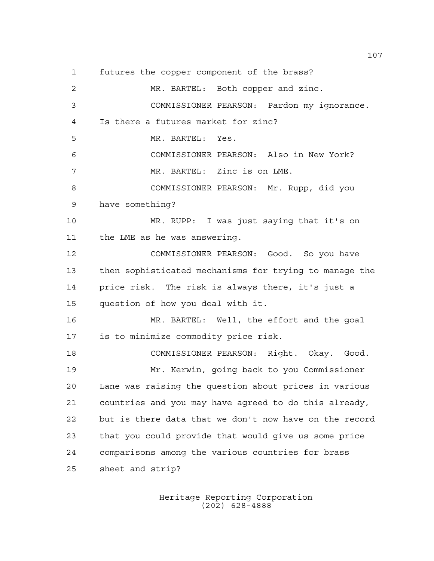futures the copper component of the brass?

 MR. BARTEL: Both copper and zinc. COMMISSIONER PEARSON: Pardon my ignorance. Is there a futures market for zinc? MR. BARTEL: Yes. COMMISSIONER PEARSON: Also in New York? MR. BARTEL: Zinc is on LME. COMMISSIONER PEARSON: Mr. Rupp, did you have something? MR. RUPP: I was just saying that it's on the LME as he was answering. COMMISSIONER PEARSON: Good. So you have then sophisticated mechanisms for trying to manage the price risk. The risk is always there, it's just a question of how you deal with it. MR. BARTEL: Well, the effort and the goal is to minimize commodity price risk. COMMISSIONER PEARSON: Right. Okay. Good. Mr. Kerwin, going back to you Commissioner Lane was raising the question about prices in various countries and you may have agreed to do this already, but is there data that we don't now have on the record that you could provide that would give us some price comparisons among the various countries for brass sheet and strip?

> Heritage Reporting Corporation (202) 628-4888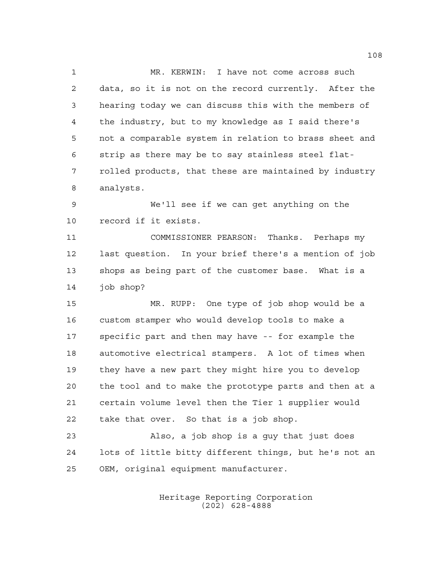MR. KERWIN: I have not come across such data, so it is not on the record currently. After the hearing today we can discuss this with the members of the industry, but to my knowledge as I said there's not a comparable system in relation to brass sheet and strip as there may be to say stainless steel flat- rolled products, that these are maintained by industry analysts.

 We'll see if we can get anything on the record if it exists.

 COMMISSIONER PEARSON: Thanks. Perhaps my last question. In your brief there's a mention of job shops as being part of the customer base. What is a job shop?

 MR. RUPP: One type of job shop would be a custom stamper who would develop tools to make a specific part and then may have -- for example the automotive electrical stampers. A lot of times when they have a new part they might hire you to develop the tool and to make the prototype parts and then at a certain volume level then the Tier 1 supplier would take that over. So that is a job shop.

 Also, a job shop is a guy that just does lots of little bitty different things, but he's not an OEM, original equipment manufacturer.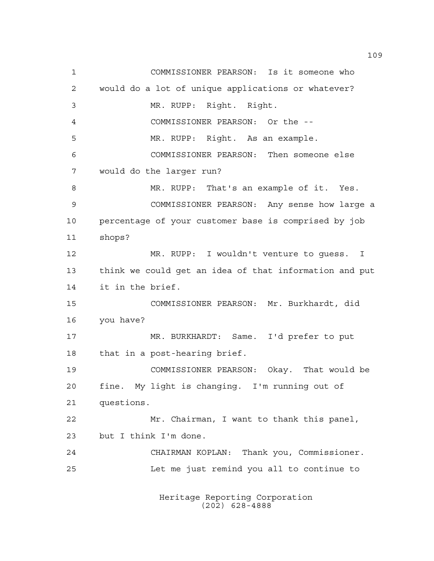COMMISSIONER PEARSON: Is it someone who would do a lot of unique applications or whatever? MR. RUPP: Right. Right. COMMISSIONER PEARSON: Or the -- MR. RUPP: Right. As an example. COMMISSIONER PEARSON: Then someone else would do the larger run? MR. RUPP: That's an example of it. Yes. COMMISSIONER PEARSON: Any sense how large a percentage of your customer base is comprised by job shops? MR. RUPP: I wouldn't venture to guess. I think we could get an idea of that information and put it in the brief. COMMISSIONER PEARSON: Mr. Burkhardt, did you have? MR. BURKHARDT: Same. I'd prefer to put that in a post-hearing brief. COMMISSIONER PEARSON: Okay. That would be fine. My light is changing. I'm running out of questions. Mr. Chairman, I want to thank this panel, but I think I'm done. CHAIRMAN KOPLAN: Thank you, Commissioner. Let me just remind you all to continue to

> Heritage Reporting Corporation (202) 628-4888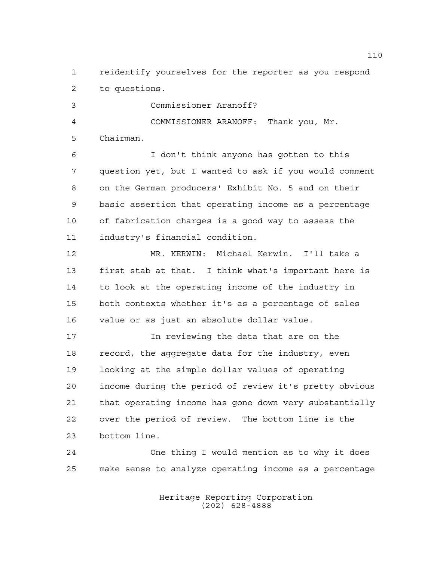reidentify yourselves for the reporter as you respond to questions.

 Commissioner Aranoff? COMMISSIONER ARANOFF: Thank you, Mr. Chairman.

 I don't think anyone has gotten to this question yet, but I wanted to ask if you would comment on the German producers' Exhibit No. 5 and on their basic assertion that operating income as a percentage of fabrication charges is a good way to assess the industry's financial condition.

 MR. KERWIN: Michael Kerwin. I'll take a first stab at that. I think what's important here is to look at the operating income of the industry in both contexts whether it's as a percentage of sales value or as just an absolute dollar value.

 In reviewing the data that are on the record, the aggregate data for the industry, even looking at the simple dollar values of operating income during the period of review it's pretty obvious that operating income has gone down very substantially over the period of review. The bottom line is the bottom line.

 One thing I would mention as to why it does make sense to analyze operating income as a percentage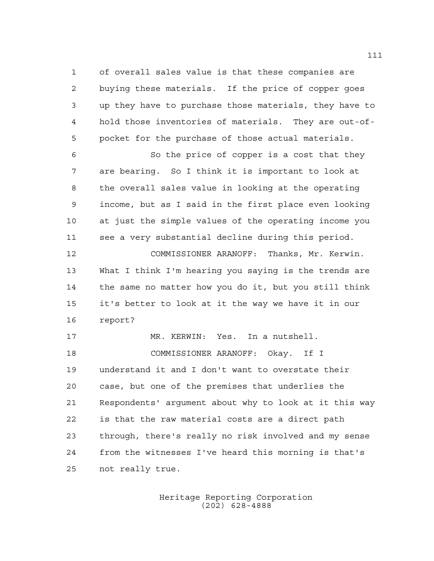of overall sales value is that these companies are buying these materials. If the price of copper goes up they have to purchase those materials, they have to hold those inventories of materials. They are out-of-pocket for the purchase of those actual materials.

 So the price of copper is a cost that they are bearing. So I think it is important to look at the overall sales value in looking at the operating income, but as I said in the first place even looking at just the simple values of the operating income you see a very substantial decline during this period.

 COMMISSIONER ARANOFF: Thanks, Mr. Kerwin. What I think I'm hearing you saying is the trends are the same no matter how you do it, but you still think it's better to look at it the way we have it in our report?

 MR. KERWIN: Yes. In a nutshell. COMMISSIONER ARANOFF: Okay. If I understand it and I don't want to overstate their case, but one of the premises that underlies the Respondents' argument about why to look at it this way is that the raw material costs are a direct path through, there's really no risk involved and my sense from the witnesses I've heard this morning is that's not really true.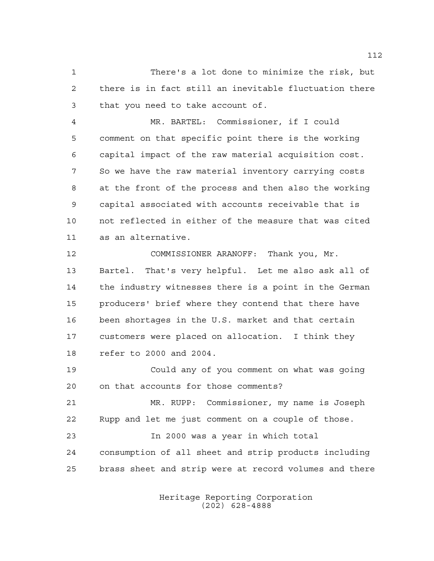There's a lot done to minimize the risk, but there is in fact still an inevitable fluctuation there that you need to take account of.

 MR. BARTEL: Commissioner, if I could comment on that specific point there is the working capital impact of the raw material acquisition cost. So we have the raw material inventory carrying costs at the front of the process and then also the working capital associated with accounts receivable that is not reflected in either of the measure that was cited as an alternative.

 COMMISSIONER ARANOFF: Thank you, Mr. Bartel. That's very helpful. Let me also ask all of the industry witnesses there is a point in the German producers' brief where they contend that there have been shortages in the U.S. market and that certain customers were placed on allocation. I think they refer to 2000 and 2004.

 Could any of you comment on what was going on that accounts for those comments?

 MR. RUPP: Commissioner, my name is Joseph Rupp and let me just comment on a couple of those. In 2000 was a year in which total consumption of all sheet and strip products including brass sheet and strip were at record volumes and there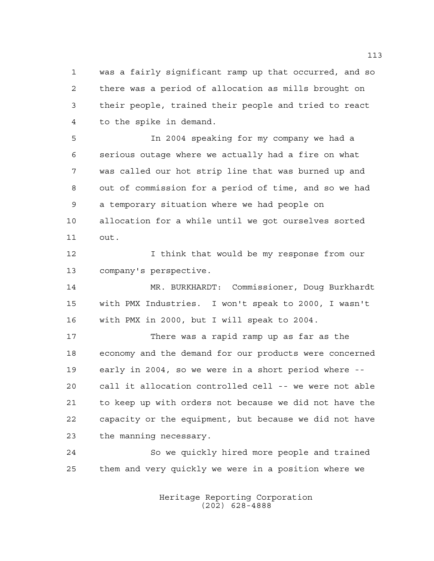was a fairly significant ramp up that occurred, and so there was a period of allocation as mills brought on their people, trained their people and tried to react to the spike in demand.

 In 2004 speaking for my company we had a serious outage where we actually had a fire on what was called our hot strip line that was burned up and out of commission for a period of time, and so we had a temporary situation where we had people on allocation for a while until we got ourselves sorted out.

12 12 I think that would be my response from our company's perspective.

 MR. BURKHARDT: Commissioner, Doug Burkhardt with PMX Industries. I won't speak to 2000, I wasn't with PMX in 2000, but I will speak to 2004.

 There was a rapid ramp up as far as the economy and the demand for our products were concerned early in 2004, so we were in a short period where -- call it allocation controlled cell -- we were not able to keep up with orders not because we did not have the capacity or the equipment, but because we did not have the manning necessary.

 So we quickly hired more people and trained them and very quickly we were in a position where we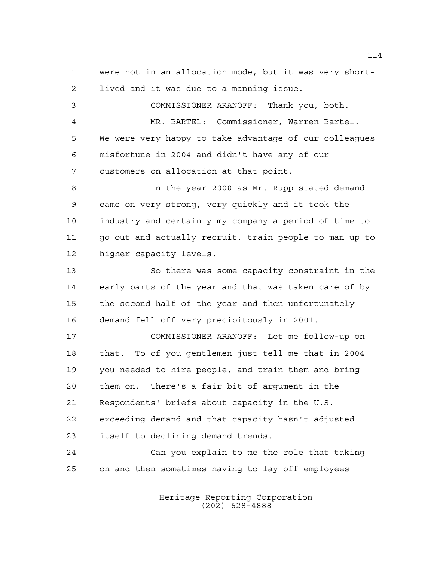were not in an allocation mode, but it was very short-lived and it was due to a manning issue.

 COMMISSIONER ARANOFF: Thank you, both. MR. BARTEL: Commissioner, Warren Bartel. We were very happy to take advantage of our colleagues misfortune in 2004 and didn't have any of our customers on allocation at that point. In the year 2000 as Mr. Rupp stated demand

 came on very strong, very quickly and it took the industry and certainly my company a period of time to go out and actually recruit, train people to man up to higher capacity levels.

 So there was some capacity constraint in the early parts of the year and that was taken care of by the second half of the year and then unfortunately demand fell off very precipitously in 2001.

 COMMISSIONER ARANOFF: Let me follow-up on that. To of you gentlemen just tell me that in 2004 you needed to hire people, and train them and bring them on. There's a fair bit of argument in the Respondents' briefs about capacity in the U.S. exceeding demand and that capacity hasn't adjusted itself to declining demand trends.

 Can you explain to me the role that taking on and then sometimes having to lay off employees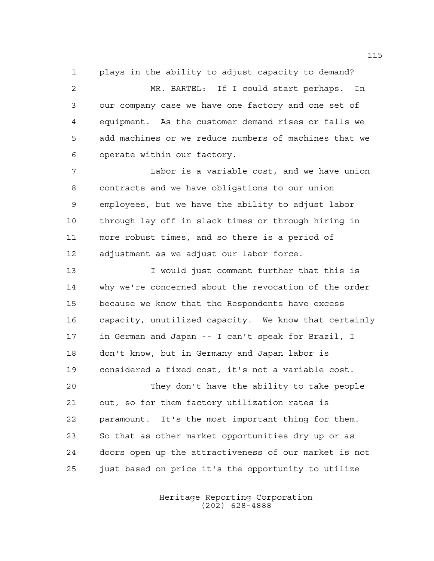plays in the ability to adjust capacity to demand? MR. BARTEL: If I could start perhaps. In our company case we have one factory and one set of equipment. As the customer demand rises or falls we add machines or we reduce numbers of machines that we operate within our factory.

 Labor is a variable cost, and we have union contracts and we have obligations to our union employees, but we have the ability to adjust labor through lay off in slack times or through hiring in more robust times, and so there is a period of adjustment as we adjust our labor force.

 I would just comment further that this is why we're concerned about the revocation of the order because we know that the Respondents have excess capacity, unutilized capacity. We know that certainly in German and Japan -- I can't speak for Brazil, I don't know, but in Germany and Japan labor is considered a fixed cost, it's not a variable cost.

 They don't have the ability to take people out, so for them factory utilization rates is paramount. It's the most important thing for them. So that as other market opportunities dry up or as doors open up the attractiveness of our market is not just based on price it's the opportunity to utilize

> Heritage Reporting Corporation (202) 628-4888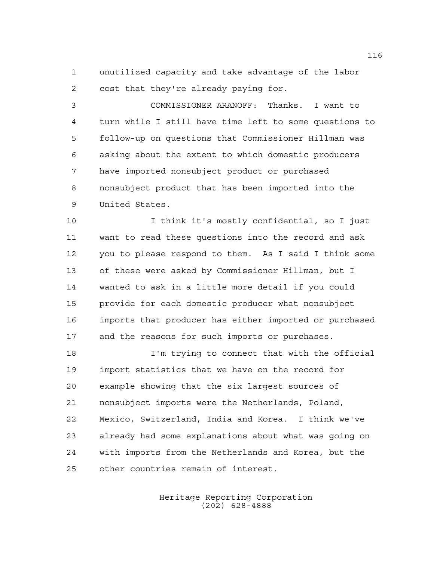unutilized capacity and take advantage of the labor cost that they're already paying for.

 COMMISSIONER ARANOFF: Thanks. I want to turn while I still have time left to some questions to follow-up on questions that Commissioner Hillman was asking about the extent to which domestic producers have imported nonsubject product or purchased nonsubject product that has been imported into the United States.

 I think it's mostly confidential, so I just want to read these questions into the record and ask you to please respond to them. As I said I think some of these were asked by Commissioner Hillman, but I wanted to ask in a little more detail if you could provide for each domestic producer what nonsubject imports that producer has either imported or purchased and the reasons for such imports or purchases.

 I'm trying to connect that with the official import statistics that we have on the record for example showing that the six largest sources of nonsubject imports were the Netherlands, Poland, Mexico, Switzerland, India and Korea. I think we've already had some explanations about what was going on with imports from the Netherlands and Korea, but the other countries remain of interest.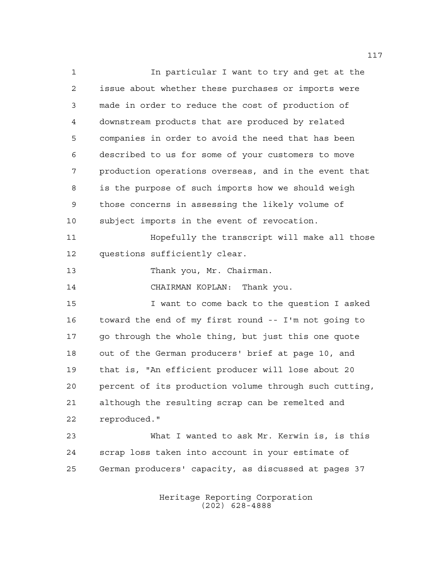In particular I want to try and get at the issue about whether these purchases or imports were made in order to reduce the cost of production of downstream products that are produced by related companies in order to avoid the need that has been described to us for some of your customers to move production operations overseas, and in the event that is the purpose of such imports how we should weigh those concerns in assessing the likely volume of subject imports in the event of revocation. Hopefully the transcript will make all those questions sufficiently clear. 13 Thank you, Mr. Chairman. CHAIRMAN KOPLAN: Thank you. I want to come back to the question I asked toward the end of my first round -- I'm not going to go through the whole thing, but just this one quote out of the German producers' brief at page 10, and that is, "An efficient producer will lose about 20 percent of its production volume through such cutting, although the resulting scrap can be remelted and reproduced." What I wanted to ask Mr. Kerwin is, is this

 scrap loss taken into account in your estimate of German producers' capacity, as discussed at pages 37

> Heritage Reporting Corporation (202) 628-4888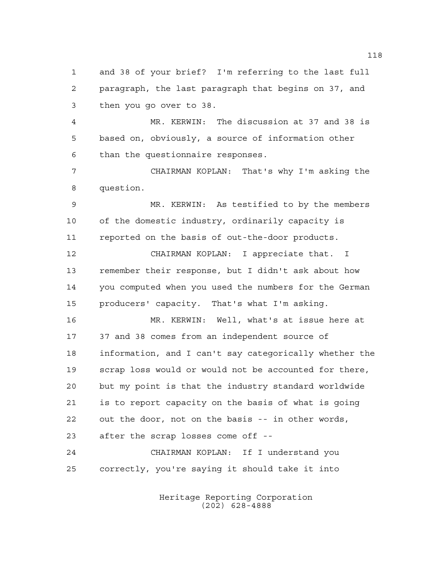and 38 of your brief? I'm referring to the last full paragraph, the last paragraph that begins on 37, and then you go over to 38.

 MR. KERWIN: The discussion at 37 and 38 is based on, obviously, a source of information other than the questionnaire responses.

 CHAIRMAN KOPLAN: That's why I'm asking the question.

 MR. KERWIN: As testified to by the members of the domestic industry, ordinarily capacity is reported on the basis of out-the-door products.

 CHAIRMAN KOPLAN: I appreciate that. I remember their response, but I didn't ask about how you computed when you used the numbers for the German producers' capacity. That's what I'm asking.

 MR. KERWIN: Well, what's at issue here at 37 and 38 comes from an independent source of information, and I can't say categorically whether the scrap loss would or would not be accounted for there, but my point is that the industry standard worldwide is to report capacity on the basis of what is going out the door, not on the basis -- in other words, after the scrap losses come off --

 CHAIRMAN KOPLAN: If I understand you correctly, you're saying it should take it into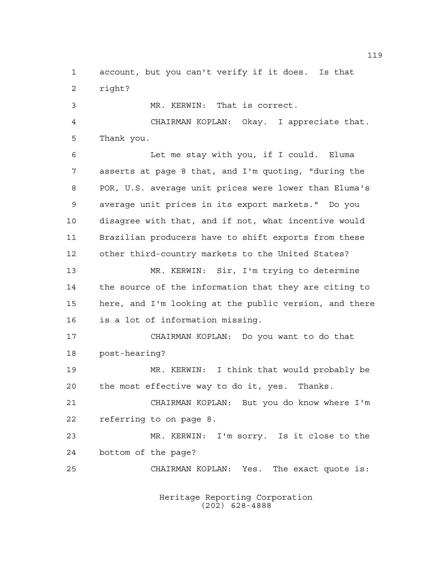account, but you can't verify if it does. Is that right?

 MR. KERWIN: That is correct. CHAIRMAN KOPLAN: Okay. I appreciate that. Thank you.

 Let me stay with you, if I could. Eluma asserts at page 8 that, and I'm quoting, "during the POR, U.S. average unit prices were lower than Eluma's average unit prices in its export markets." Do you disagree with that, and if not, what incentive would Brazilian producers have to shift exports from these other third-country markets to the United States?

 MR. KERWIN: Sir, I'm trying to determine the source of the information that they are citing to here, and I'm looking at the public version, and there is a lot of information missing.

 CHAIRMAN KOPLAN: Do you want to do that post-hearing?

 MR. KERWIN: I think that would probably be the most effective way to do it, yes. Thanks.

 CHAIRMAN KOPLAN: But you do know where I'm referring to on page 8.

 MR. KERWIN: I'm sorry. Is it close to the bottom of the page?

CHAIRMAN KOPLAN: Yes. The exact quote is: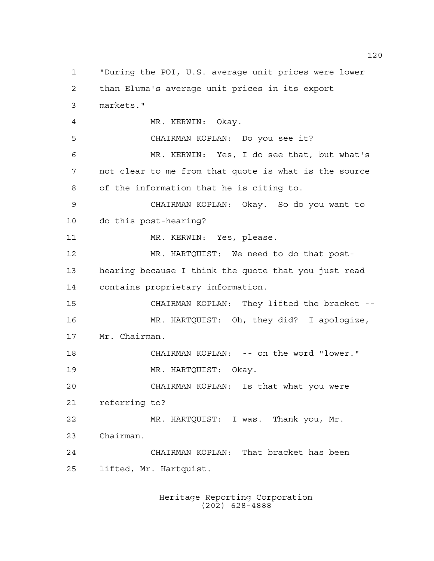"During the POI, U.S. average unit prices were lower than Eluma's average unit prices in its export markets." 4 MR. KERWIN: Okay. CHAIRMAN KOPLAN: Do you see it? MR. KERWIN: Yes, I do see that, but what's not clear to me from that quote is what is the source of the information that he is citing to. CHAIRMAN KOPLAN: Okay. So do you want to do this post-hearing? 11 MR. KERWIN: Yes, please. MR. HARTQUIST: We need to do that post- hearing because I think the quote that you just read contains proprietary information. CHAIRMAN KOPLAN: They lifted the bracket -- MR. HARTQUIST: Oh, they did? I apologize, Mr. Chairman. CHAIRMAN KOPLAN: -- on the word "lower." MR. HARTQUIST: Okay. CHAIRMAN KOPLAN: Is that what you were referring to? MR. HARTQUIST: I was. Thank you, Mr. Chairman. CHAIRMAN KOPLAN: That bracket has been lifted, Mr. Hartquist.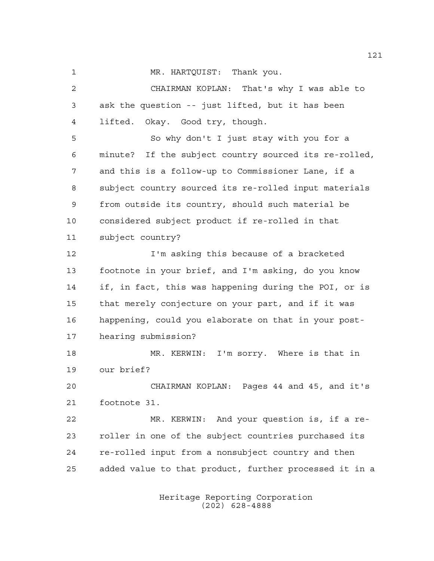MR. HARTQUIST: Thank you.

 CHAIRMAN KOPLAN: That's why I was able to ask the question -- just lifted, but it has been lifted. Okay. Good try, though.

 So why don't I just stay with you for a minute? If the subject country sourced its re-rolled, and this is a follow-up to Commissioner Lane, if a subject country sourced its re-rolled input materials from outside its country, should such material be considered subject product if re-rolled in that subject country?

 I'm asking this because of a bracketed footnote in your brief, and I'm asking, do you know if, in fact, this was happening during the POI, or is that merely conjecture on your part, and if it was happening, could you elaborate on that in your post-hearing submission?

 MR. KERWIN: I'm sorry. Where is that in our brief?

 CHAIRMAN KOPLAN: Pages 44 and 45, and it's footnote 31.

 MR. KERWIN: And your question is, if a re- roller in one of the subject countries purchased its re-rolled input from a nonsubject country and then added value to that product, further processed it in a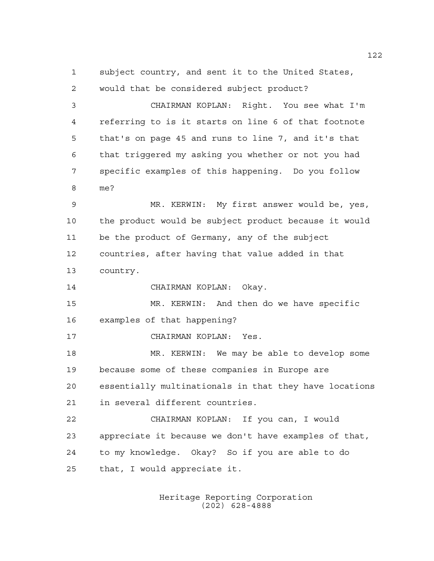subject country, and sent it to the United States,

 would that be considered subject product? CHAIRMAN KOPLAN: Right. You see what I'm referring to is it starts on line 6 of that footnote that's on page 45 and runs to line 7, and it's that that triggered my asking you whether or not you had specific examples of this happening. Do you follow me? MR. KERWIN: My first answer would be, yes, the product would be subject product because it would be the product of Germany, any of the subject countries, after having that value added in that country. CHAIRMAN KOPLAN: Okay. MR. KERWIN: And then do we have specific examples of that happening? CHAIRMAN KOPLAN: Yes. MR. KERWIN: We may be able to develop some because some of these companies in Europe are essentially multinationals in that they have locations in several different countries. CHAIRMAN KOPLAN: If you can, I would appreciate it because we don't have examples of that, to my knowledge. Okay? So if you are able to do

> Heritage Reporting Corporation (202) 628-4888

that, I would appreciate it.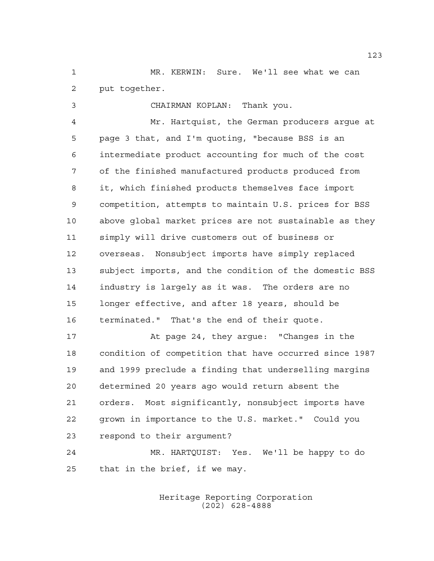MR. KERWIN: Sure. We'll see what we can put together.

 CHAIRMAN KOPLAN: Thank you. Mr. Hartquist, the German producers argue at page 3 that, and I'm quoting, "because BSS is an intermediate product accounting for much of the cost of the finished manufactured products produced from it, which finished products themselves face import competition, attempts to maintain U.S. prices for BSS above global market prices are not sustainable as they simply will drive customers out of business or overseas. Nonsubject imports have simply replaced subject imports, and the condition of the domestic BSS industry is largely as it was. The orders are no longer effective, and after 18 years, should be terminated." That's the end of their quote.

 At page 24, they argue: "Changes in the condition of competition that have occurred since 1987 and 1999 preclude a finding that underselling margins determined 20 years ago would return absent the orders. Most significantly, nonsubject imports have grown in importance to the U.S. market." Could you respond to their argument?

 MR. HARTQUIST: Yes. We'll be happy to do that in the brief, if we may.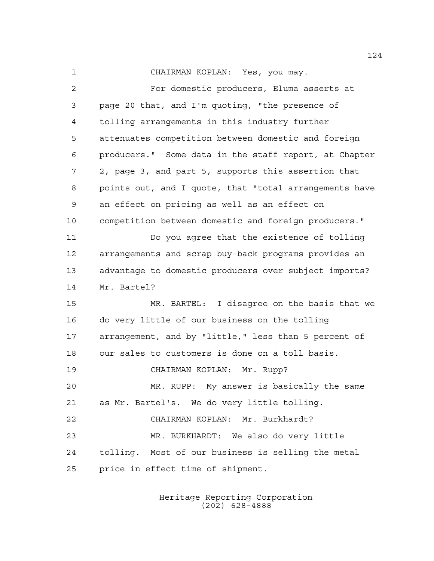CHAIRMAN KOPLAN: Yes, you may.

 For domestic producers, Eluma asserts at page 20 that, and I'm quoting, "the presence of tolling arrangements in this industry further attenuates competition between domestic and foreign producers." Some data in the staff report, at Chapter 2, page 3, and part 5, supports this assertion that points out, and I quote, that "total arrangements have an effect on pricing as well as an effect on competition between domestic and foreign producers." Do you agree that the existence of tolling arrangements and scrap buy-back programs provides an advantage to domestic producers over subject imports? Mr. Bartel? MR. BARTEL: I disagree on the basis that we do very little of our business on the tolling arrangement, and by "little," less than 5 percent of our sales to customers is done on a toll basis. CHAIRMAN KOPLAN: Mr. Rupp? MR. RUPP: My answer is basically the same as Mr. Bartel's. We do very little tolling. CHAIRMAN KOPLAN: Mr. Burkhardt? MR. BURKHARDT: We also do very little tolling. Most of our business is selling the metal price in effect time of shipment.

> Heritage Reporting Corporation (202) 628-4888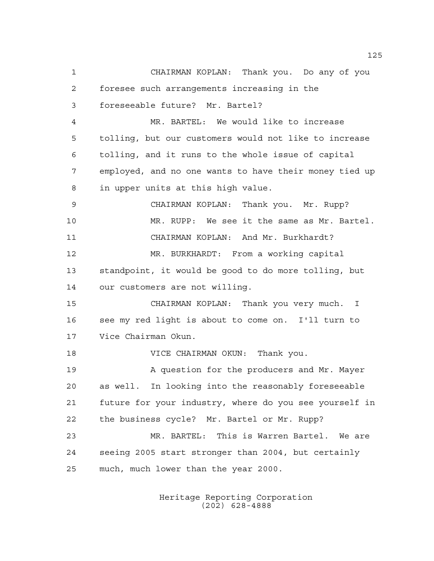CHAIRMAN KOPLAN: Thank you. Do any of you foresee such arrangements increasing in the foreseeable future? Mr. Bartel? MR. BARTEL: We would like to increase tolling, but our customers would not like to increase tolling, and it runs to the whole issue of capital employed, and no one wants to have their money tied up in upper units at this high value. CHAIRMAN KOPLAN: Thank you. Mr. Rupp? MR. RUPP: We see it the same as Mr. Bartel. CHAIRMAN KOPLAN: And Mr. Burkhardt? MR. BURKHARDT: From a working capital standpoint, it would be good to do more tolling, but our customers are not willing. CHAIRMAN KOPLAN: Thank you very much. I see my red light is about to come on. I'll turn to Vice Chairman Okun. VICE CHAIRMAN OKUN: Thank you. 19 A question for the producers and Mr. Mayer as well. In looking into the reasonably foreseeable future for your industry, where do you see yourself in the business cycle? Mr. Bartel or Mr. Rupp? MR. BARTEL: This is Warren Bartel. We are seeing 2005 start stronger than 2004, but certainly much, much lower than the year 2000.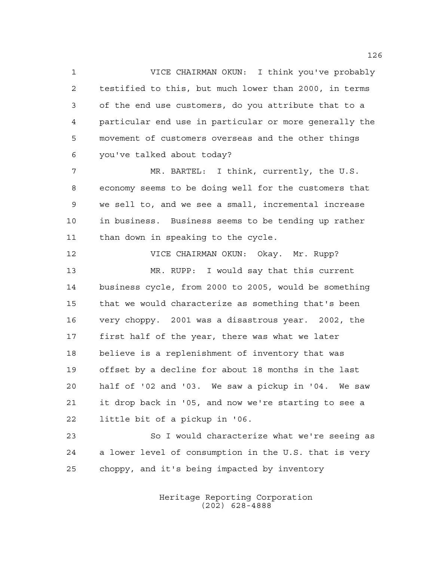VICE CHAIRMAN OKUN: I think you've probably testified to this, but much lower than 2000, in terms of the end use customers, do you attribute that to a particular end use in particular or more generally the movement of customers overseas and the other things you've talked about today?

 MR. BARTEL: I think, currently, the U.S. economy seems to be doing well for the customers that we sell to, and we see a small, incremental increase in business. Business seems to be tending up rather than down in speaking to the cycle.

 VICE CHAIRMAN OKUN: Okay. Mr. Rupp? MR. RUPP: I would say that this current business cycle, from 2000 to 2005, would be something that we would characterize as something that's been very choppy. 2001 was a disastrous year. 2002, the first half of the year, there was what we later believe is a replenishment of inventory that was offset by a decline for about 18 months in the last half of '02 and '03. We saw a pickup in '04. We saw it drop back in '05, and now we're starting to see a little bit of a pickup in '06.

 So I would characterize what we're seeing as a lower level of consumption in the U.S. that is very choppy, and it's being impacted by inventory

> Heritage Reporting Corporation (202) 628-4888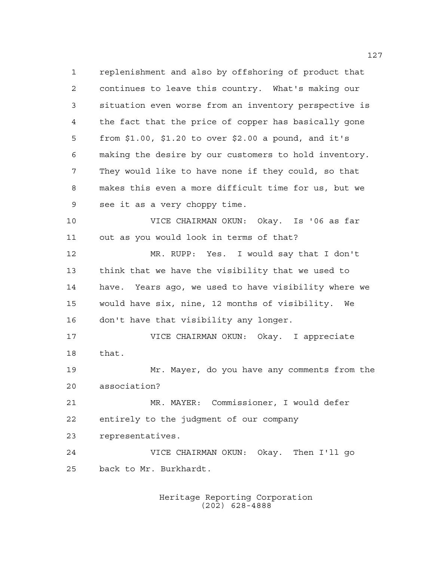replenishment and also by offshoring of product that continues to leave this country. What's making our situation even worse from an inventory perspective is the fact that the price of copper has basically gone from \$1.00, \$1.20 to over \$2.00 a pound, and it's making the desire by our customers to hold inventory. They would like to have none if they could, so that makes this even a more difficult time for us, but we see it as a very choppy time. VICE CHAIRMAN OKUN: Okay. Is '06 as far out as you would look in terms of that? MR. RUPP: Yes. I would say that I don't think that we have the visibility that we used to have. Years ago, we used to have visibility where we would have six, nine, 12 months of visibility. We don't have that visibility any longer. VICE CHAIRMAN OKUN: Okay. I appreciate that. Mr. Mayer, do you have any comments from the association? MR. MAYER: Commissioner, I would defer entirely to the judgment of our company representatives. VICE CHAIRMAN OKUN: Okay. Then I'll go back to Mr. Burkhardt.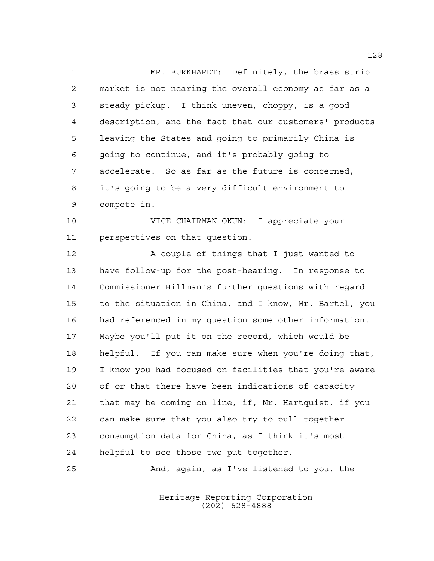MR. BURKHARDT: Definitely, the brass strip market is not nearing the overall economy as far as a steady pickup. I think uneven, choppy, is a good description, and the fact that our customers' products leaving the States and going to primarily China is going to continue, and it's probably going to accelerate. So as far as the future is concerned, it's going to be a very difficult environment to compete in.

 VICE CHAIRMAN OKUN: I appreciate your perspectives on that question.

12 A couple of things that I just wanted to have follow-up for the post-hearing. In response to Commissioner Hillman's further questions with regard to the situation in China, and I know, Mr. Bartel, you had referenced in my question some other information. Maybe you'll put it on the record, which would be helpful. If you can make sure when you're doing that, I know you had focused on facilities that you're aware of or that there have been indications of capacity that may be coming on line, if, Mr. Hartquist, if you can make sure that you also try to pull together consumption data for China, as I think it's most helpful to see those two put together.

And, again, as I've listened to you, the

Heritage Reporting Corporation (202) 628-4888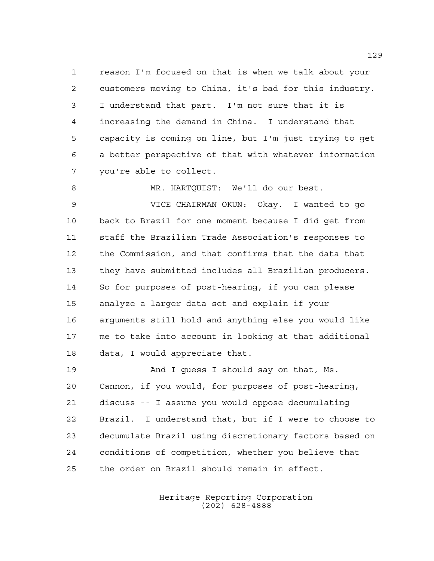reason I'm focused on that is when we talk about your customers moving to China, it's bad for this industry. I understand that part. I'm not sure that it is increasing the demand in China. I understand that capacity is coming on line, but I'm just trying to get a better perspective of that with whatever information you're able to collect.

MR. HARTQUIST: We'll do our best.

 VICE CHAIRMAN OKUN: Okay. I wanted to go back to Brazil for one moment because I did get from staff the Brazilian Trade Association's responses to the Commission, and that confirms that the data that they have submitted includes all Brazilian producers. So for purposes of post-hearing, if you can please analyze a larger data set and explain if your arguments still hold and anything else you would like me to take into account in looking at that additional data, I would appreciate that.

 And I guess I should say on that, Ms. Cannon, if you would, for purposes of post-hearing, discuss -- I assume you would oppose decumulating Brazil. I understand that, but if I were to choose to decumulate Brazil using discretionary factors based on conditions of competition, whether you believe that the order on Brazil should remain in effect.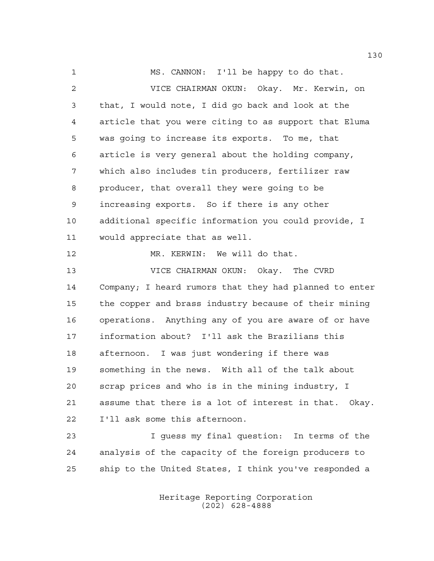MS. CANNON: I'll be happy to do that. VICE CHAIRMAN OKUN: Okay. Mr. Kerwin, on that, I would note, I did go back and look at the article that you were citing to as support that Eluma was going to increase its exports. To me, that article is very general about the holding company, which also includes tin producers, fertilizer raw producer, that overall they were going to be increasing exports. So if there is any other additional specific information you could provide, I would appreciate that as well. MR. KERWIN: We will do that. VICE CHAIRMAN OKUN: Okay. The CVRD Company; I heard rumors that they had planned to enter the copper and brass industry because of their mining operations. Anything any of you are aware of or have information about? I'll ask the Brazilians this afternoon. I was just wondering if there was something in the news. With all of the talk about scrap prices and who is in the mining industry, I assume that there is a lot of interest in that. Okay. I'll ask some this afternoon. I guess my final question: In terms of the analysis of the capacity of the foreign producers to

> Heritage Reporting Corporation (202) 628-4888

ship to the United States, I think you've responded a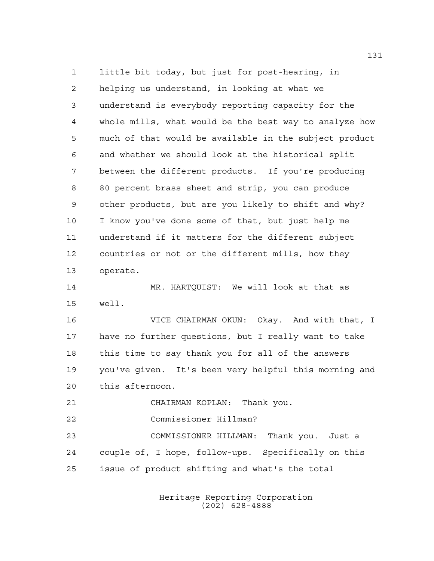little bit today, but just for post-hearing, in helping us understand, in looking at what we understand is everybody reporting capacity for the whole mills, what would be the best way to analyze how much of that would be available in the subject product and whether we should look at the historical split between the different products. If you're producing 80 percent brass sheet and strip, you can produce other products, but are you likely to shift and why? I know you've done some of that, but just help me understand if it matters for the different subject countries or not or the different mills, how they operate. MR. HARTQUIST: We will look at that as well.

 VICE CHAIRMAN OKUN: Okay. And with that, I have no further questions, but I really want to take this time to say thank you for all of the answers you've given. It's been very helpful this morning and this afternoon.

CHAIRMAN KOPLAN: Thank you.

Commissioner Hillman?

 COMMISSIONER HILLMAN: Thank you. Just a couple of, I hope, follow-ups. Specifically on this issue of product shifting and what's the total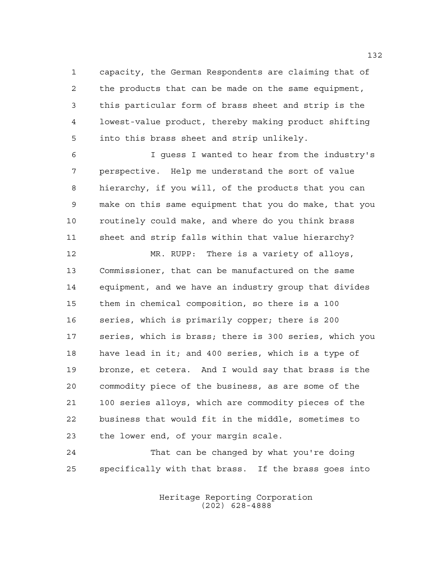capacity, the German Respondents are claiming that of the products that can be made on the same equipment, this particular form of brass sheet and strip is the lowest-value product, thereby making product shifting into this brass sheet and strip unlikely.

 I guess I wanted to hear from the industry's perspective. Help me understand the sort of value hierarchy, if you will, of the products that you can make on this same equipment that you do make, that you routinely could make, and where do you think brass sheet and strip falls within that value hierarchy?

 MR. RUPP: There is a variety of alloys, Commissioner, that can be manufactured on the same equipment, and we have an industry group that divides them in chemical composition, so there is a 100 series, which is primarily copper; there is 200 series, which is brass; there is 300 series, which you have lead in it; and 400 series, which is a type of bronze, et cetera. And I would say that brass is the commodity piece of the business, as are some of the 100 series alloys, which are commodity pieces of the business that would fit in the middle, sometimes to the lower end, of your margin scale.

 That can be changed by what you're doing specifically with that brass. If the brass goes into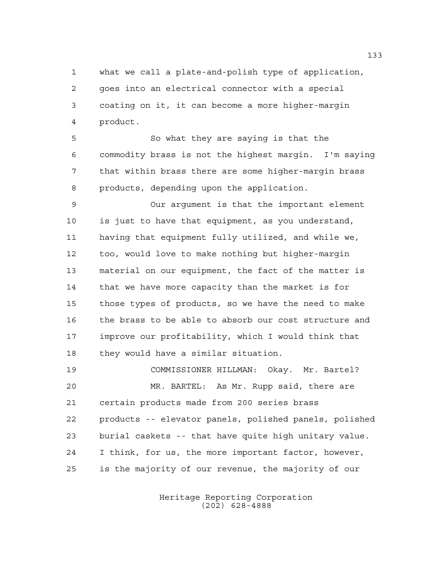what we call a plate-and-polish type of application, goes into an electrical connector with a special coating on it, it can become a more higher-margin product.

 So what they are saying is that the commodity brass is not the highest margin. I'm saying that within brass there are some higher-margin brass products, depending upon the application.

 Our argument is that the important element is just to have that equipment, as you understand, having that equipment fully utilized, and while we, too, would love to make nothing but higher-margin material on our equipment, the fact of the matter is that we have more capacity than the market is for those types of products, so we have the need to make the brass to be able to absorb our cost structure and improve our profitability, which I would think that they would have a similar situation.

 COMMISSIONER HILLMAN: Okay. Mr. Bartel? MR. BARTEL: As Mr. Rupp said, there are certain products made from 200 series brass products -- elevator panels, polished panels, polished burial caskets -- that have quite high unitary value. I think, for us, the more important factor, however, is the majority of our revenue, the majority of our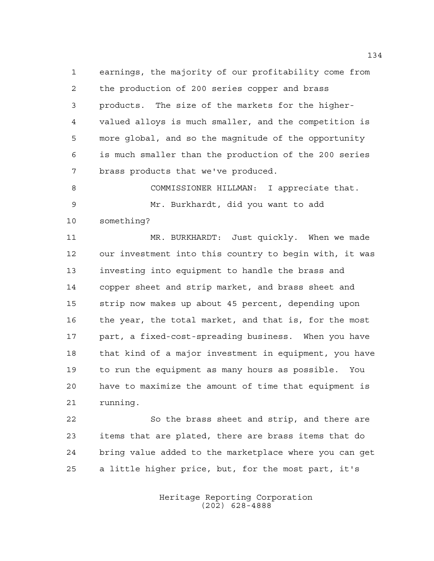earnings, the majority of our profitability come from the production of 200 series copper and brass products. The size of the markets for the higher- valued alloys is much smaller, and the competition is more global, and so the magnitude of the opportunity is much smaller than the production of the 200 series brass products that we've produced.

8 COMMISSIONER HILLMAN: I appreciate that. Mr. Burkhardt, did you want to add something?

 MR. BURKHARDT: Just quickly. When we made our investment into this country to begin with, it was investing into equipment to handle the brass and copper sheet and strip market, and brass sheet and strip now makes up about 45 percent, depending upon the year, the total market, and that is, for the most part, a fixed-cost-spreading business. When you have that kind of a major investment in equipment, you have to run the equipment as many hours as possible. You have to maximize the amount of time that equipment is running.

 So the brass sheet and strip, and there are items that are plated, there are brass items that do bring value added to the marketplace where you can get a little higher price, but, for the most part, it's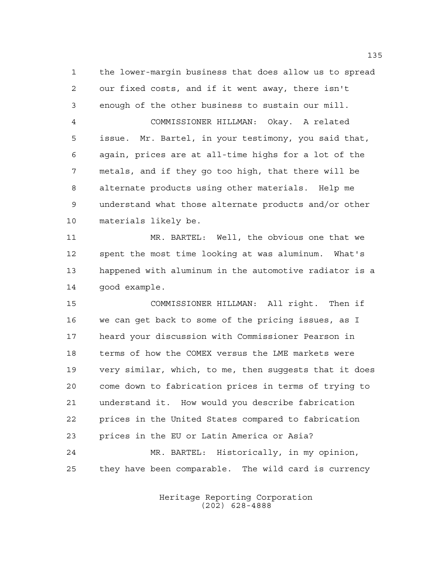the lower-margin business that does allow us to spread our fixed costs, and if it went away, there isn't enough of the other business to sustain our mill. COMMISSIONER HILLMAN: Okay. A related issue. Mr. Bartel, in your testimony, you said that, again, prices are at all-time highs for a lot of the metals, and if they go too high, that there will be alternate products using other materials. Help me understand what those alternate products and/or other materials likely be.

 MR. BARTEL: Well, the obvious one that we spent the most time looking at was aluminum. What's happened with aluminum in the automotive radiator is a good example.

 COMMISSIONER HILLMAN: All right. Then if we can get back to some of the pricing issues, as I heard your discussion with Commissioner Pearson in terms of how the COMEX versus the LME markets were very similar, which, to me, then suggests that it does come down to fabrication prices in terms of trying to understand it. How would you describe fabrication prices in the United States compared to fabrication prices in the EU or Latin America or Asia? MR. BARTEL: Historically, in my opinion, they have been comparable. The wild card is currency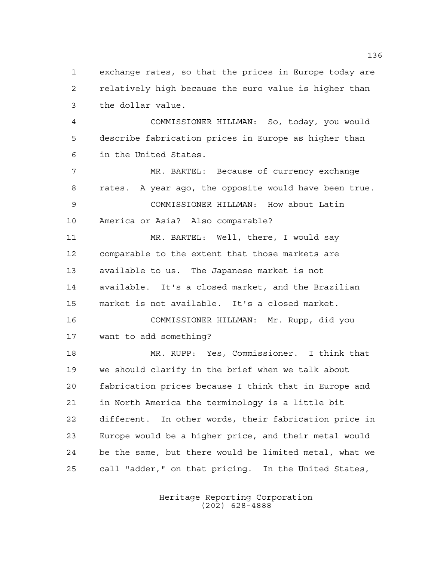exchange rates, so that the prices in Europe today are relatively high because the euro value is higher than the dollar value.

 COMMISSIONER HILLMAN: So, today, you would describe fabrication prices in Europe as higher than in the United States.

 MR. BARTEL: Because of currency exchange rates. A year ago, the opposite would have been true. COMMISSIONER HILLMAN: How about Latin America or Asia? Also comparable?

 MR. BARTEL: Well, there, I would say comparable to the extent that those markets are available to us. The Japanese market is not available. It's a closed market, and the Brazilian market is not available. It's a closed market.

 COMMISSIONER HILLMAN: Mr. Rupp, did you want to add something?

 MR. RUPP: Yes, Commissioner. I think that we should clarify in the brief when we talk about fabrication prices because I think that in Europe and in North America the terminology is a little bit different. In other words, their fabrication price in Europe would be a higher price, and their metal would be the same, but there would be limited metal, what we call "adder," on that pricing. In the United States,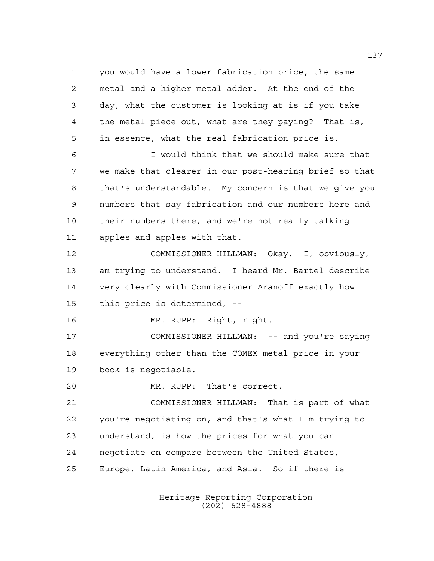you would have a lower fabrication price, the same metal and a higher metal adder. At the end of the day, what the customer is looking at is if you take the metal piece out, what are they paying? That is, in essence, what the real fabrication price is.

 I would think that we should make sure that we make that clearer in our post-hearing brief so that that's understandable. My concern is that we give you numbers that say fabrication and our numbers here and their numbers there, and we're not really talking apples and apples with that.

 COMMISSIONER HILLMAN: Okay. I, obviously, am trying to understand. I heard Mr. Bartel describe very clearly with Commissioner Aranoff exactly how this price is determined, --

MR. RUPP: Right, right.

 COMMISSIONER HILLMAN: -- and you're saying everything other than the COMEX metal price in your book is negotiable.

MR. RUPP: That's correct.

 COMMISSIONER HILLMAN: That is part of what you're negotiating on, and that's what I'm trying to understand, is how the prices for what you can negotiate on compare between the United States, Europe, Latin America, and Asia. So if there is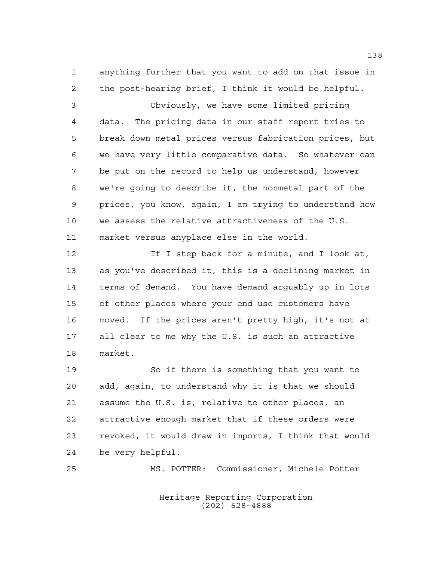anything further that you want to add on that issue in the post-hearing brief, I think it would be helpful.

 Obviously, we have some limited pricing data. The pricing data in our staff report tries to break down metal prices versus fabrication prices, but we have very little comparative data. So whatever can be put on the record to help us understand, however we're going to describe it, the nonmetal part of the prices, you know, again, I am trying to understand how we assess the relative attractiveness of the U.S. market versus anyplace else in the world.

**If I** step back for a minute, and I look at, as you've described it, this is a declining market in terms of demand. You have demand arguably up in lots of other places where your end use customers have moved. If the prices aren't pretty high, it's not at all clear to me why the U.S. is such an attractive market.

 So if there is something that you want to add, again, to understand why it is that we should assume the U.S. is, relative to other places, an attractive enough market that if these orders were revoked, it would draw in imports, I think that would be very helpful.

MS. POTTER: Commissioner, Michele Potter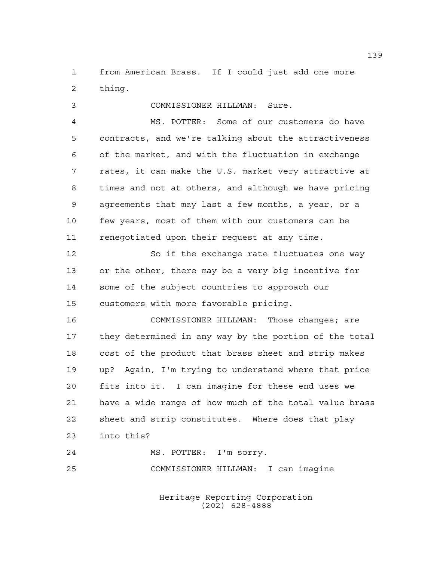from American Brass. If I could just add one more thing.

COMMISSIONER HILLMAN: Sure.

 MS. POTTER: Some of our customers do have contracts, and we're talking about the attractiveness of the market, and with the fluctuation in exchange rates, it can make the U.S. market very attractive at times and not at others, and although we have pricing agreements that may last a few months, a year, or a few years, most of them with our customers can be renegotiated upon their request at any time.

12 So if the exchange rate fluctuates one way or the other, there may be a very big incentive for some of the subject countries to approach our customers with more favorable pricing.

 COMMISSIONER HILLMAN: Those changes; are they determined in any way by the portion of the total cost of the product that brass sheet and strip makes up? Again, I'm trying to understand where that price fits into it. I can imagine for these end uses we have a wide range of how much of the total value brass sheet and strip constitutes. Where does that play into this?

 MS. POTTER: I'm sorry. COMMISSIONER HILLMAN: I can imagine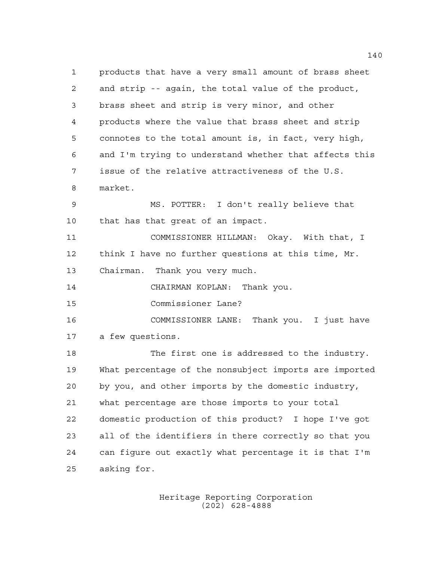products that have a very small amount of brass sheet and strip -- again, the total value of the product, brass sheet and strip is very minor, and other products where the value that brass sheet and strip connotes to the total amount is, in fact, very high, and I'm trying to understand whether that affects this issue of the relative attractiveness of the U.S. market. MS. POTTER: I don't really believe that that has that great of an impact. COMMISSIONER HILLMAN: Okay. With that, I think I have no further questions at this time, Mr. Chairman. Thank you very much. CHAIRMAN KOPLAN: Thank you. Commissioner Lane? COMMISSIONER LANE: Thank you. I just have a few questions. The first one is addressed to the industry. What percentage of the nonsubject imports are imported by you, and other imports by the domestic industry, what percentage are those imports to your total domestic production of this product? I hope I've got all of the identifiers in there correctly so that you can figure out exactly what percentage it is that I'm asking for.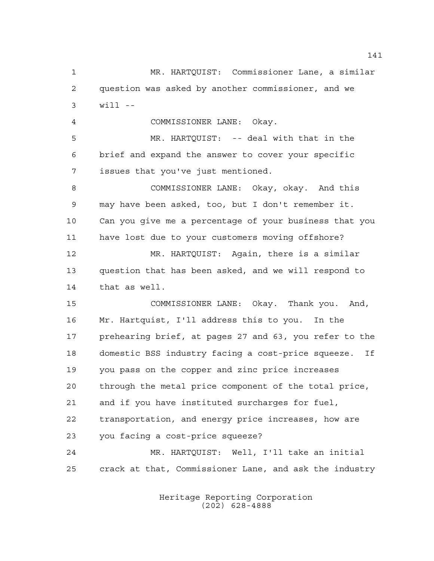question was asked by another commissioner, and we will -- COMMISSIONER LANE: Okay. MR. HARTQUIST: -- deal with that in the brief and expand the answer to cover your specific issues that you've just mentioned. COMMISSIONER LANE: Okay, okay. And this may have been asked, too, but I don't remember it. Can you give me a percentage of your business that you have lost due to your customers moving offshore? MR. HARTQUIST: Again, there is a similar question that has been asked, and we will respond to that as well. COMMISSIONER LANE: Okay. Thank you. And, Mr. Hartquist, I'll address this to you. In the prehearing brief, at pages 27 and 63, you refer to the domestic BSS industry facing a cost-price squeeze. If you pass on the copper and zinc price increases through the metal price component of the total price, and if you have instituted surcharges for fuel, transportation, and energy price increases, how are you facing a cost-price squeeze? MR. HARTQUIST: Well, I'll take an initial crack at that, Commissioner Lane, and ask the industry

MR. HARTQUIST: Commissioner Lane, a similar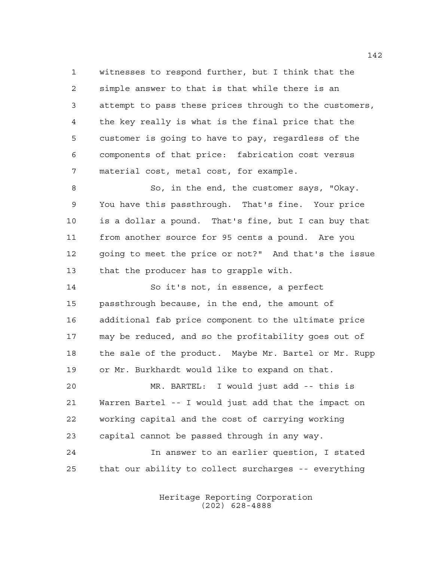witnesses to respond further, but I think that the simple answer to that is that while there is an attempt to pass these prices through to the customers, the key really is what is the final price that the customer is going to have to pay, regardless of the components of that price: fabrication cost versus material cost, metal cost, for example.

8 So, in the end, the customer says, "Okay. You have this passthrough. That's fine. Your price is a dollar a pound. That's fine, but I can buy that from another source for 95 cents a pound. Are you going to meet the price or not?" And that's the issue that the producer has to grapple with.

 So it's not, in essence, a perfect passthrough because, in the end, the amount of additional fab price component to the ultimate price may be reduced, and so the profitability goes out of the sale of the product. Maybe Mr. Bartel or Mr. Rupp or Mr. Burkhardt would like to expand on that.

 MR. BARTEL: I would just add -- this is Warren Bartel -- I would just add that the impact on working capital and the cost of carrying working capital cannot be passed through in any way. In answer to an earlier question, I stated

that our ability to collect surcharges -- everything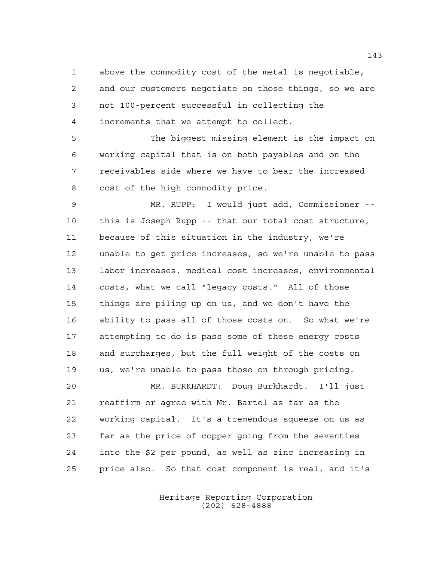above the commodity cost of the metal is negotiable, and our customers negotiate on those things, so we are not 100-percent successful in collecting the increments that we attempt to collect.

 The biggest missing element is the impact on working capital that is on both payables and on the receivables side where we have to bear the increased cost of the high commodity price.

 MR. RUPP: I would just add, Commissioner -- this is Joseph Rupp -- that our total cost structure, because of this situation in the industry, we're unable to get price increases, so we're unable to pass labor increases, medical cost increases, environmental costs, what we call "legacy costs." All of those things are piling up on us, and we don't have the ability to pass all of those costs on. So what we're attempting to do is pass some of these energy costs and surcharges, but the full weight of the costs on us, we're unable to pass those on through pricing.

 MR. BURKHARDT: Doug Burkhardt. I'll just reaffirm or agree with Mr. Bartel as far as the working capital. It's a tremendous squeeze on us as far as the price of copper going from the seventies into the \$2 per pound, as well as zinc increasing in price also. So that cost component is real, and it's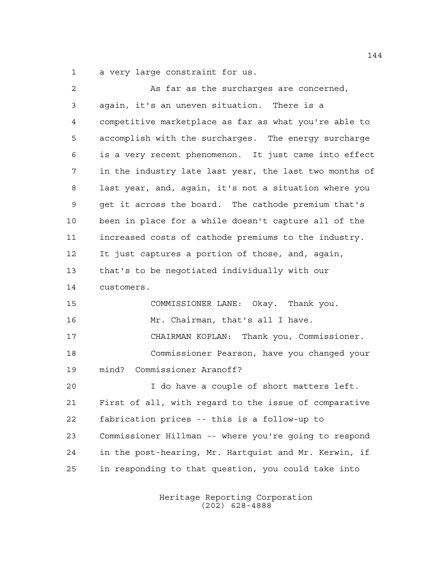a very large constraint for us.

| 2  | As far as the surcharges are concerned,                |
|----|--------------------------------------------------------|
| 3  | again, it's an uneven situation. There is a            |
| 4  | competitive marketplace as far as what you're able to  |
| 5  | accomplish with the surcharges. The energy surcharge   |
| 6  | is a very recent phenomenon. It just came into effect  |
| 7  | in the industry late last year, the last two months of |
| 8  | last year, and, again, it's not a situation where you  |
| 9  | get it across the board. The cathode premium that's    |
| 10 | been in place for a while doesn't capture all of the   |
| 11 | increased costs of cathode premiums to the industry.   |
| 12 | It just captures a portion of those, and, again,       |
| 13 | that's to be negotiated individually with our          |
| 14 | customers.                                             |
| 15 | COMMISSIONER LANE: Okay. Thank you.                    |
| 16 | Mr. Chairman, that's all I have.                       |
| 17 | CHAIRMAN KOPLAN: Thank you, Commissioner.              |
| 18 | Commissioner Pearson, have you changed your            |
| 19 | Commissioner Aranoff?<br>mind?                         |
| 20 | I do have a couple of short matters left.              |
| 21 | First of all, with regard to the issue of comparative  |
| 22 | fabrication prices -- this is a follow-up to           |
| 23 | Commissioner Hillman -- where you're going to respond  |
| 24 | in the post-hearing, Mr. Hartquist and Mr. Kerwin, if  |
| 25 | in responding to that question, you could take into    |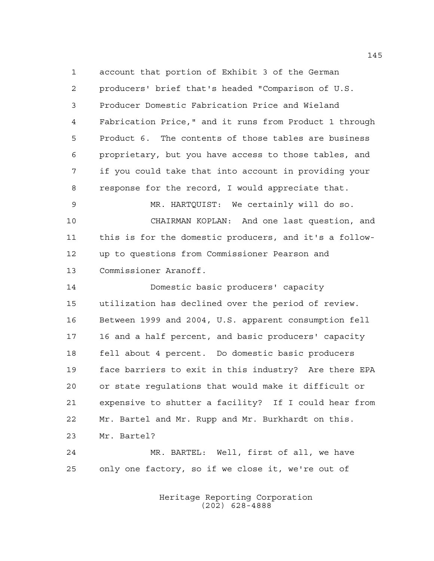account that portion of Exhibit 3 of the German producers' brief that's headed "Comparison of U.S. Producer Domestic Fabrication Price and Wieland Fabrication Price," and it runs from Product 1 through Product 6. The contents of those tables are business proprietary, but you have access to those tables, and if you could take that into account in providing your response for the record, I would appreciate that. MR. HARTQUIST: We certainly will do so. CHAIRMAN KOPLAN: And one last question, and this is for the domestic producers, and it's a follow- up to questions from Commissioner Pearson and Commissioner Aranoff. Domestic basic producers' capacity utilization has declined over the period of review. Between 1999 and 2004, U.S. apparent consumption fell 16 and a half percent, and basic producers' capacity fell about 4 percent. Do domestic basic producers face barriers to exit in this industry? Are there EPA or state regulations that would make it difficult or expensive to shutter a facility? If I could hear from Mr. Bartel and Mr. Rupp and Mr. Burkhardt on this. Mr. Bartel? MR. BARTEL: Well, first of all, we have only one factory, so if we close it, we're out of

> Heritage Reporting Corporation (202) 628-4888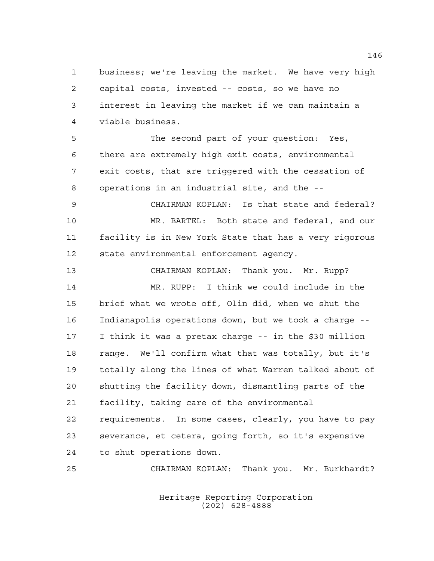business; we're leaving the market. We have very high capital costs, invested -- costs, so we have no interest in leaving the market if we can maintain a viable business.

 The second part of your question: Yes, there are extremely high exit costs, environmental exit costs, that are triggered with the cessation of operations in an industrial site, and the --

 CHAIRMAN KOPLAN: Is that state and federal? MR. BARTEL: Both state and federal, and our facility is in New York State that has a very rigorous state environmental enforcement agency.

 CHAIRMAN KOPLAN: Thank you. Mr. Rupp? MR. RUPP: I think we could include in the brief what we wrote off, Olin did, when we shut the Indianapolis operations down, but we took a charge -- I think it was a pretax charge -- in the \$30 million range. We'll confirm what that was totally, but it's totally along the lines of what Warren talked about of shutting the facility down, dismantling parts of the facility, taking care of the environmental requirements. In some cases, clearly, you have to pay severance, et cetera, going forth, so it's expensive to shut operations down.

CHAIRMAN KOPLAN: Thank you. Mr. Burkhardt?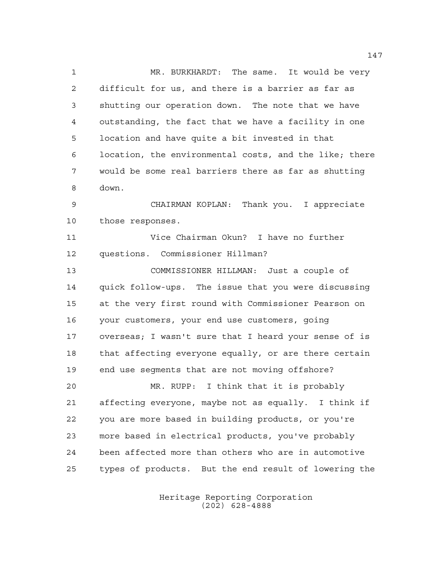MR. BURKHARDT: The same. It would be very difficult for us, and there is a barrier as far as shutting our operation down. The note that we have outstanding, the fact that we have a facility in one location and have quite a bit invested in that location, the environmental costs, and the like; there would be some real barriers there as far as shutting down.

 CHAIRMAN KOPLAN: Thank you. I appreciate those responses.

 Vice Chairman Okun? I have no further questions. Commissioner Hillman?

 COMMISSIONER HILLMAN: Just a couple of quick follow-ups. The issue that you were discussing at the very first round with Commissioner Pearson on your customers, your end use customers, going overseas; I wasn't sure that I heard your sense of is 18 that affecting everyone equally, or are there certain end use segments that are not moving offshore?

 MR. RUPP: I think that it is probably affecting everyone, maybe not as equally. I think if you are more based in building products, or you're more based in electrical products, you've probably been affected more than others who are in automotive types of products. But the end result of lowering the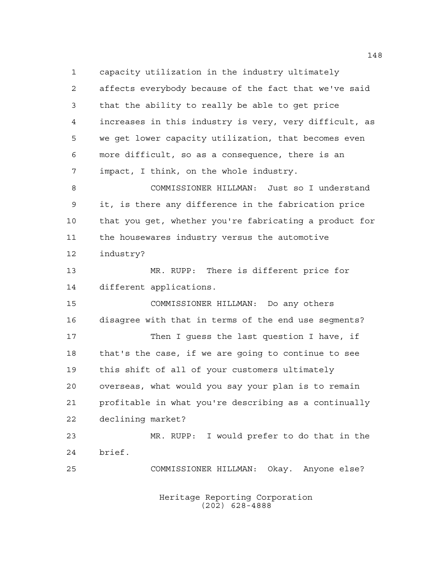capacity utilization in the industry ultimately affects everybody because of the fact that we've said that the ability to really be able to get price increases in this industry is very, very difficult, as we get lower capacity utilization, that becomes even more difficult, so as a consequence, there is an impact, I think, on the whole industry. COMMISSIONER HILLMAN: Just so I understand it, is there any difference in the fabrication price that you get, whether you're fabricating a product for the housewares industry versus the automotive industry? MR. RUPP: There is different price for different applications. COMMISSIONER HILLMAN: Do any others disagree with that in terms of the end use segments? 17 Then I quess the last question I have, if that's the case, if we are going to continue to see this shift of all of your customers ultimately overseas, what would you say your plan is to remain profitable in what you're describing as a continually declining market? MR. RUPP: I would prefer to do that in the brief. COMMISSIONER HILLMAN: Okay. Anyone else?

> Heritage Reporting Corporation (202) 628-4888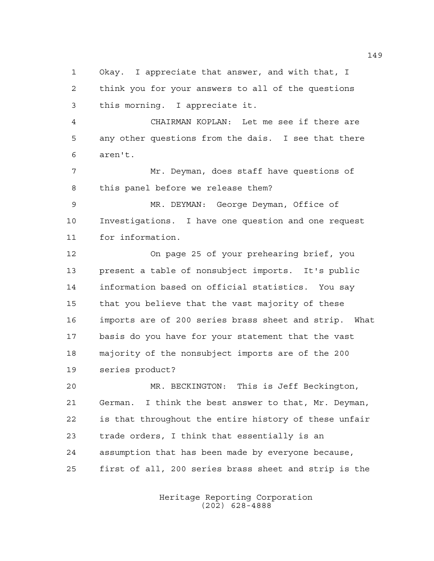Okay. I appreciate that answer, and with that, I think you for your answers to all of the questions this morning. I appreciate it.

 CHAIRMAN KOPLAN: Let me see if there are any other questions from the dais. I see that there aren't.

 Mr. Deyman, does staff have questions of this panel before we release them?

 MR. DEYMAN: George Deyman, Office of Investigations. I have one question and one request for information.

 On page 25 of your prehearing brief, you present a table of nonsubject imports. It's public information based on official statistics. You say that you believe that the vast majority of these imports are of 200 series brass sheet and strip. What basis do you have for your statement that the vast majority of the nonsubject imports are of the 200 series product?

 MR. BECKINGTON: This is Jeff Beckington, German. I think the best answer to that, Mr. Deyman, is that throughout the entire history of these unfair trade orders, I think that essentially is an assumption that has been made by everyone because, first of all, 200 series brass sheet and strip is the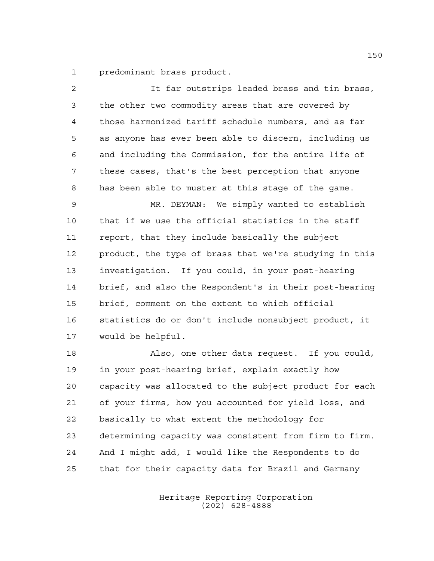predominant brass product.

| $\overline{2}$ | It far outstrips leaded brass and tin brass,           |
|----------------|--------------------------------------------------------|
| 3              | the other two commodity areas that are covered by      |
| 4              | those harmonized tariff schedule numbers, and as far   |
| 5              | as anyone has ever been able to discern, including us  |
| 6              | and including the Commission, for the entire life of   |
| 7              | these cases, that's the best perception that anyone    |
| 8              | has been able to muster at this stage of the game.     |
| 9              | MR. DEYMAN: We simply wanted to establish              |
| 10             | that if we use the official statistics in the staff    |
| 11             | report, that they include basically the subject        |
| 12             | product, the type of brass that we're studying in this |
| 13             | investigation. If you could, in your post-hearing      |
| 14             | brief, and also the Respondent's in their post-hearing |
| 15             | brief, comment on the extent to which official         |
| 16             | statistics do or don't include nonsubject product, it  |
| 17             | would be helpful.                                      |
| 18             | Also, one other data request. If you could,            |
| 19             | in your post-hearing brief, explain exactly how        |
| 20             | capacity was allocated to the subject product for each |
| 21             | of your firms, how you accounted for yield loss, and   |
| 22             | basically to what extent the methodology for           |
| 23             | determining capacity was consistent from firm to firm. |
| 24             | And I might add, I would like the Respondents to do    |
| 25             | that for their capacity data for Brazil and Germany    |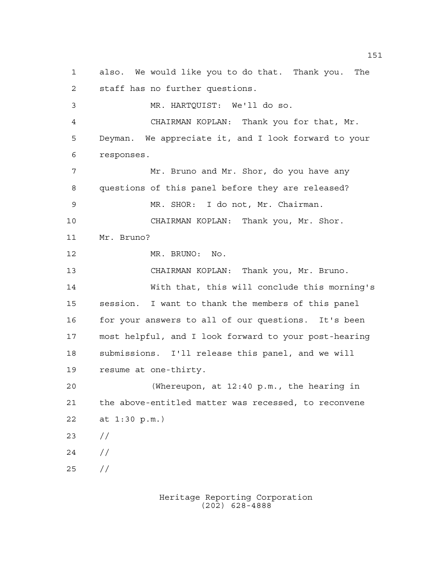also. We would like you to do that. Thank you. The staff has no further questions. MR. HARTQUIST: We'll do so. CHAIRMAN KOPLAN: Thank you for that, Mr. Deyman. We appreciate it, and I look forward to your responses. Mr. Bruno and Mr. Shor, do you have any questions of this panel before they are released? MR. SHOR: I do not, Mr. Chairman. CHAIRMAN KOPLAN: Thank you, Mr. Shor. Mr. Bruno? MR. BRUNO: No. CHAIRMAN KOPLAN: Thank you, Mr. Bruno. With that, this will conclude this morning's session. I want to thank the members of this panel for your answers to all of our questions. It's been most helpful, and I look forward to your post-hearing submissions. I'll release this panel, and we will resume at one-thirty. (Whereupon, at 12:40 p.m., the hearing in the above-entitled matter was recessed, to reconvene at 1:30 p.m.) // // //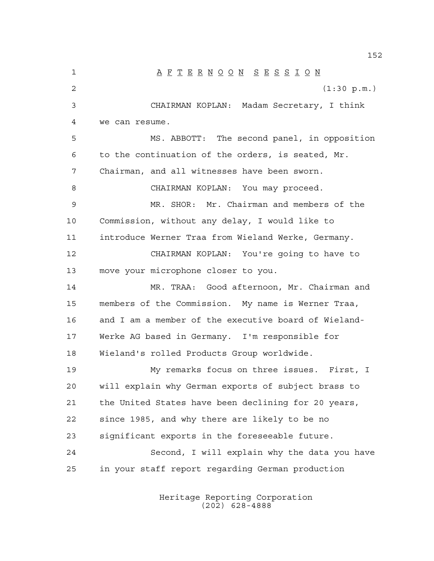A F T E R N O O N S E S S I O N (1:30 p.m.) CHAIRMAN KOPLAN: Madam Secretary, I think we can resume. MS. ABBOTT: The second panel, in opposition to the continuation of the orders, is seated, Mr. Chairman, and all witnesses have been sworn. 8 CHAIRMAN KOPLAN: You may proceed. MR. SHOR: Mr. Chairman and members of the Commission, without any delay, I would like to introduce Werner Traa from Wieland Werke, Germany. CHAIRMAN KOPLAN: You're going to have to move your microphone closer to you. MR. TRAA: Good afternoon, Mr. Chairman and members of the Commission. My name is Werner Traa, and I am a member of the executive board of Wieland- Werke AG based in Germany. I'm responsible for Wieland's rolled Products Group worldwide. My remarks focus on three issues. First, I will explain why German exports of subject brass to the United States have been declining for 20 years, since 1985, and why there are likely to be no significant exports in the foreseeable future. Second, I will explain why the data you have in your staff report regarding German production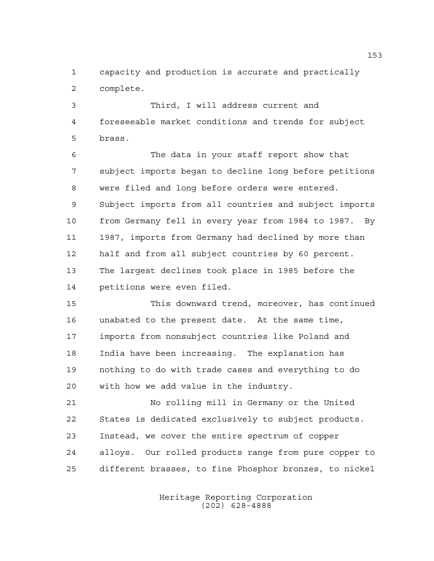capacity and production is accurate and practically complete.

 Third, I will address current and foreseeable market conditions and trends for subject brass.

 The data in your staff report show that subject imports began to decline long before petitions were filed and long before orders were entered. Subject imports from all countries and subject imports from Germany fell in every year from 1984 to 1987. By 1987, imports from Germany had declined by more than half and from all subject countries by 60 percent. The largest declines took place in 1985 before the petitions were even filed.

 This downward trend, moreover, has continued unabated to the present date. At the same time, imports from nonsubject countries like Poland and India have been increasing. The explanation has nothing to do with trade cases and everything to do with how we add value in the industry.

 No rolling mill in Germany or the United States is dedicated exclusively to subject products. Instead, we cover the entire spectrum of copper alloys. Our rolled products range from pure copper to different brasses, to fine Phosphor bronzes, to nickel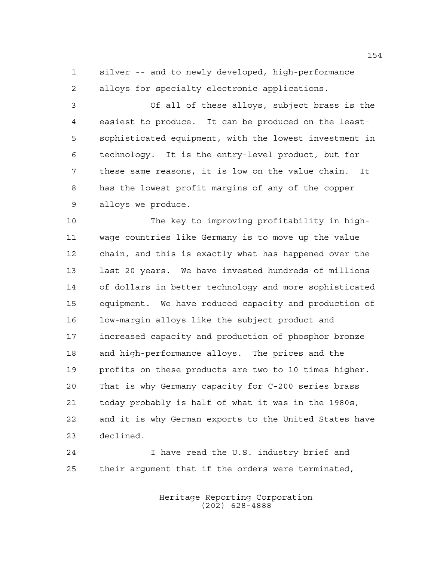silver -- and to newly developed, high-performance alloys for specialty electronic applications.

 Of all of these alloys, subject brass is the easiest to produce. It can be produced on the least- sophisticated equipment, with the lowest investment in technology. It is the entry-level product, but for these same reasons, it is low on the value chain. It has the lowest profit margins of any of the copper alloys we produce.

 The key to improving profitability in high- wage countries like Germany is to move up the value chain, and this is exactly what has happened over the last 20 years. We have invested hundreds of millions of dollars in better technology and more sophisticated equipment. We have reduced capacity and production of low-margin alloys like the subject product and increased capacity and production of phosphor bronze and high-performance alloys. The prices and the profits on these products are two to 10 times higher. That is why Germany capacity for C-200 series brass today probably is half of what it was in the 1980s, and it is why German exports to the United States have declined.

 I have read the U.S. industry brief and their argument that if the orders were terminated,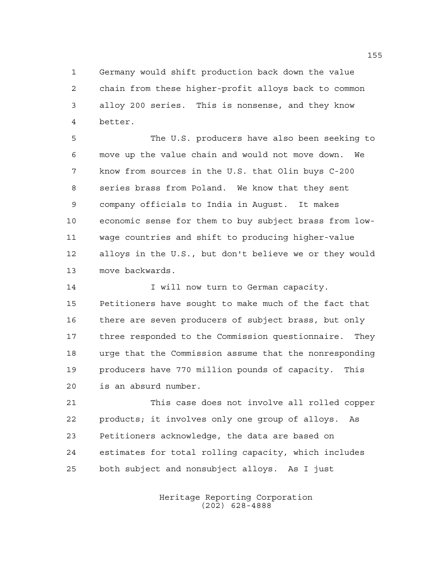Germany would shift production back down the value chain from these higher-profit alloys back to common alloy 200 series. This is nonsense, and they know better.

 The U.S. producers have also been seeking to move up the value chain and would not move down. We know from sources in the U.S. that Olin buys C-200 series brass from Poland. We know that they sent company officials to India in August. It makes economic sense for them to buy subject brass from low- wage countries and shift to producing higher-value alloys in the U.S., but don't believe we or they would move backwards.

**I** will now turn to German capacity. Petitioners have sought to make much of the fact that there are seven producers of subject brass, but only three responded to the Commission questionnaire. They urge that the Commission assume that the nonresponding producers have 770 million pounds of capacity. This is an absurd number.

 This case does not involve all rolled copper products; it involves only one group of alloys. As Petitioners acknowledge, the data are based on estimates for total rolling capacity, which includes both subject and nonsubject alloys. As I just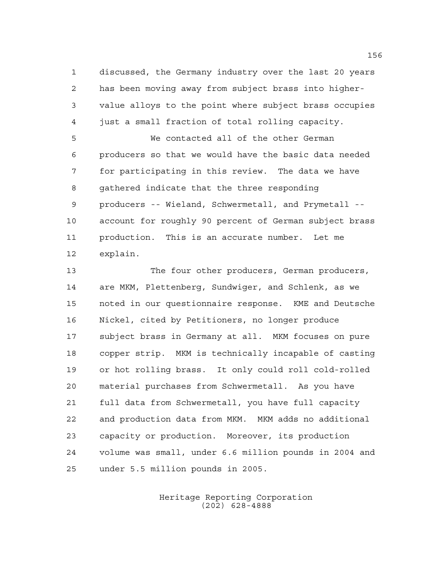discussed, the Germany industry over the last 20 years has been moving away from subject brass into higher- value alloys to the point where subject brass occupies just a small fraction of total rolling capacity.

 We contacted all of the other German producers so that we would have the basic data needed for participating in this review. The data we have gathered indicate that the three responding producers -- Wieland, Schwermetall, and Prymetall -- account for roughly 90 percent of German subject brass production. This is an accurate number. Let me explain.

 The four other producers, German producers, are MKM, Plettenberg, Sundwiger, and Schlenk, as we noted in our questionnaire response. KME and Deutsche Nickel, cited by Petitioners, no longer produce subject brass in Germany at all. MKM focuses on pure copper strip. MKM is technically incapable of casting or hot rolling brass. It only could roll cold-rolled material purchases from Schwermetall. As you have full data from Schwermetall, you have full capacity and production data from MKM. MKM adds no additional capacity or production. Moreover, its production volume was small, under 6.6 million pounds in 2004 and under 5.5 million pounds in 2005.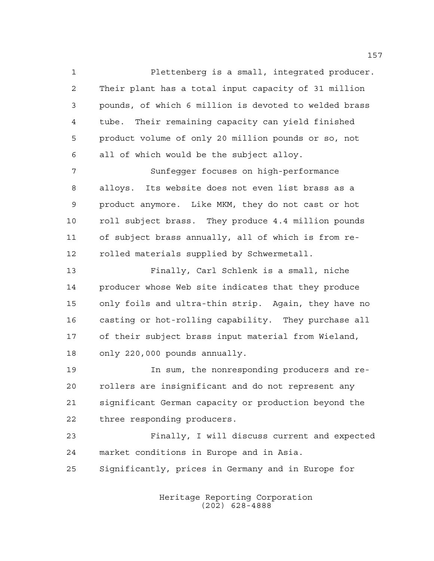Plettenberg is a small, integrated producer. Their plant has a total input capacity of 31 million pounds, of which 6 million is devoted to welded brass tube. Their remaining capacity can yield finished product volume of only 20 million pounds or so, not all of which would be the subject alloy. Sunfegger focuses on high-performance

 alloys. Its website does not even list brass as a product anymore. Like MKM, they do not cast or hot 10 roll subject brass. They produce 4.4 million pounds of subject brass annually, all of which is from re-rolled materials supplied by Schwermetall.

 Finally, Carl Schlenk is a small, niche producer whose Web site indicates that they produce only foils and ultra-thin strip. Again, they have no casting or hot-rolling capability. They purchase all of their subject brass input material from Wieland, only 220,000 pounds annually.

 In sum, the nonresponding producers and re- rollers are insignificant and do not represent any significant German capacity or production beyond the three responding producers.

 Finally, I will discuss current and expected market conditions in Europe and in Asia.

Significantly, prices in Germany and in Europe for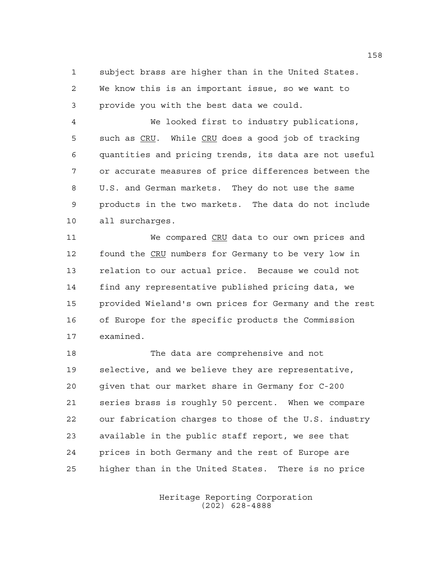subject brass are higher than in the United States. We know this is an important issue, so we want to provide you with the best data we could.

 We looked first to industry publications, such as CRU. While CRU does a good job of tracking quantities and pricing trends, its data are not useful or accurate measures of price differences between the U.S. and German markets. They do not use the same products in the two markets. The data do not include all surcharges.

11 We compared CRU data to our own prices and 12 found the CRU numbers for Germany to be very low in relation to our actual price. Because we could not find any representative published pricing data, we provided Wieland's own prices for Germany and the rest of Europe for the specific products the Commission examined.

 The data are comprehensive and not selective, and we believe they are representative, given that our market share in Germany for C-200 series brass is roughly 50 percent. When we compare our fabrication charges to those of the U.S. industry available in the public staff report, we see that prices in both Germany and the rest of Europe are higher than in the United States. There is no price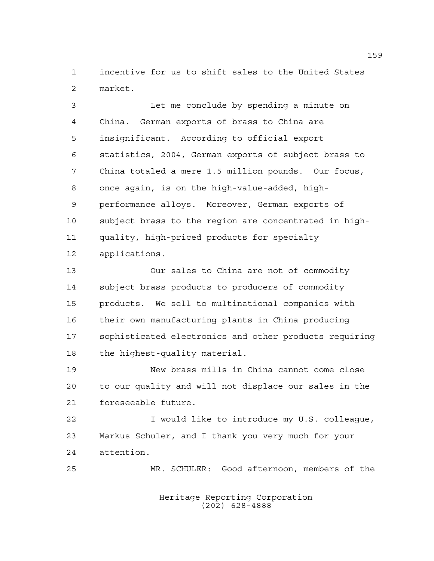incentive for us to shift sales to the United States market.

 Let me conclude by spending a minute on China. German exports of brass to China are insignificant. According to official export statistics, 2004, German exports of subject brass to China totaled a mere 1.5 million pounds. Our focus, once again, is on the high-value-added, high- performance alloys. Moreover, German exports of subject brass to the region are concentrated in high- quality, high-priced products for specialty applications.

 Our sales to China are not of commodity subject brass products to producers of commodity products. We sell to multinational companies with their own manufacturing plants in China producing sophisticated electronics and other products requiring the highest-quality material.

 New brass mills in China cannot come close to our quality and will not displace our sales in the foreseeable future.

 I would like to introduce my U.S. colleague, Markus Schuler, and I thank you very much for your attention.

MR. SCHULER: Good afternoon, members of the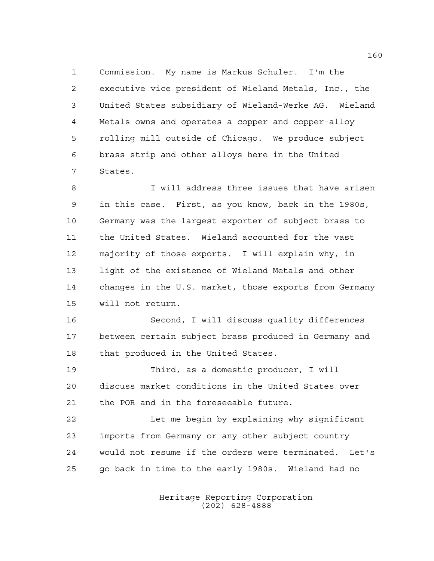Commission. My name is Markus Schuler. I'm the executive vice president of Wieland Metals, Inc., the United States subsidiary of Wieland-Werke AG. Wieland Metals owns and operates a copper and copper-alloy rolling mill outside of Chicago. We produce subject brass strip and other alloys here in the United States.

 I will address three issues that have arisen in this case. First, as you know, back in the 1980s, Germany was the largest exporter of subject brass to the United States. Wieland accounted for the vast majority of those exports. I will explain why, in light of the existence of Wieland Metals and other changes in the U.S. market, those exports from Germany will not return.

 Second, I will discuss quality differences between certain subject brass produced in Germany and that produced in the United States.

 Third, as a domestic producer, I will discuss market conditions in the United States over the POR and in the foreseeable future.

 Let me begin by explaining why significant imports from Germany or any other subject country would not resume if the orders were terminated. Let's go back in time to the early 1980s. Wieland had no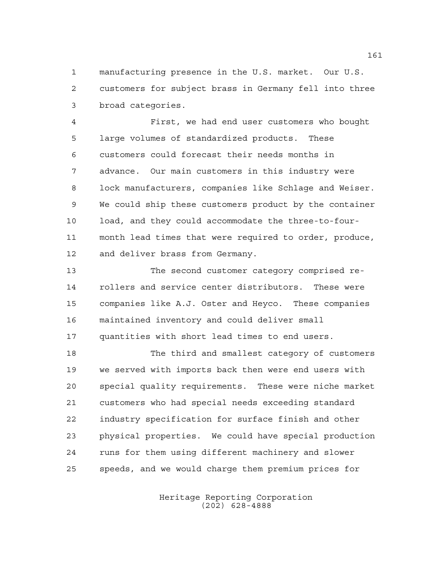manufacturing presence in the U.S. market. Our U.S. customers for subject brass in Germany fell into three broad categories.

 First, we had end user customers who bought large volumes of standardized products. These customers could forecast their needs months in advance. Our main customers in this industry were lock manufacturers, companies like Schlage and Weiser. We could ship these customers product by the container load, and they could accommodate the three-to-four- month lead times that were required to order, produce, and deliver brass from Germany.

 The second customer category comprised re- rollers and service center distributors. These were companies like A.J. Oster and Heyco. These companies maintained inventory and could deliver small quantities with short lead times to end users.

 The third and smallest category of customers we served with imports back then were end users with special quality requirements. These were niche market customers who had special needs exceeding standard industry specification for surface finish and other physical properties. We could have special production runs for them using different machinery and slower speeds, and we would charge them premium prices for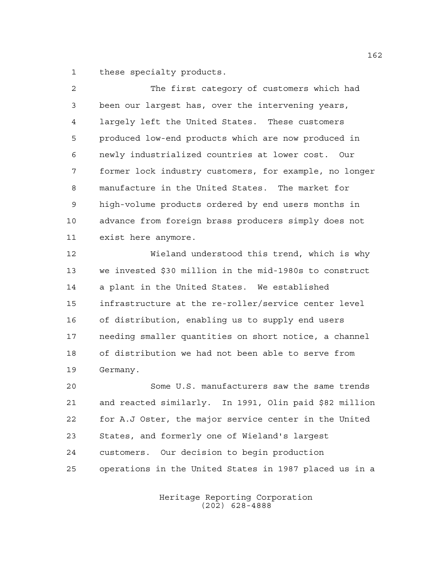these specialty products.

 The first category of customers which had been our largest has, over the intervening years, largely left the United States. These customers produced low-end products which are now produced in newly industrialized countries at lower cost. Our former lock industry customers, for example, no longer manufacture in the United States. The market for high-volume products ordered by end users months in advance from foreign brass producers simply does not exist here anymore.

 Wieland understood this trend, which is why we invested \$30 million in the mid-1980s to construct a plant in the United States. We established infrastructure at the re-roller/service center level of distribution, enabling us to supply end users needing smaller quantities on short notice, a channel of distribution we had not been able to serve from Germany.

 Some U.S. manufacturers saw the same trends and reacted similarly. In 1991, Olin paid \$82 million for A.J Oster, the major service center in the United States, and formerly one of Wieland's largest customers. Our decision to begin production operations in the United States in 1987 placed us in a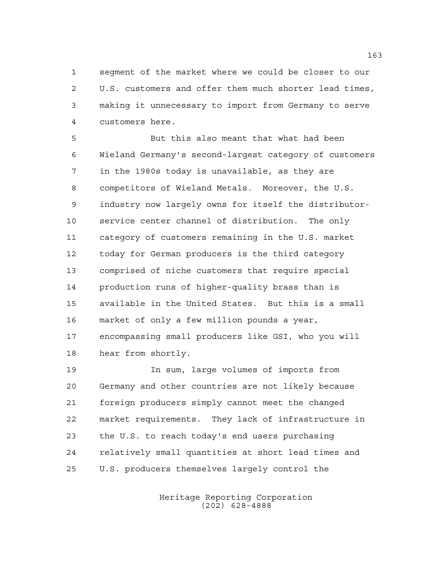segment of the market where we could be closer to our U.S. customers and offer them much shorter lead times, making it unnecessary to import from Germany to serve customers here.

 But this also meant that what had been Wieland Germany's second-largest category of customers in the 1980s today is unavailable, as they are competitors of Wieland Metals. Moreover, the U.S. industry now largely owns for itself the distributor- service center channel of distribution. The only category of customers remaining in the U.S. market today for German producers is the third category comprised of niche customers that require special production runs of higher-quality brass than is available in the United States. But this is a small market of only a few million pounds a year, encompassing small producers like GSI, who you will hear from shortly.

 In sum, large volumes of imports from Germany and other countries are not likely because foreign producers simply cannot meet the changed market requirements. They lack of infrastructure in the U.S. to reach today's end users purchasing relatively small quantities at short lead times and U.S. producers themselves largely control the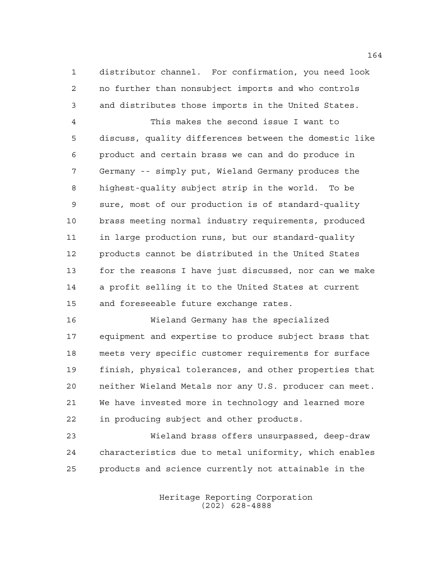distributor channel. For confirmation, you need look no further than nonsubject imports and who controls and distributes those imports in the United States.

 This makes the second issue I want to discuss, quality differences between the domestic like product and certain brass we can and do produce in Germany -- simply put, Wieland Germany produces the highest-quality subject strip in the world. To be sure, most of our production is of standard-quality brass meeting normal industry requirements, produced in large production runs, but our standard-quality products cannot be distributed in the United States for the reasons I have just discussed, nor can we make a profit selling it to the United States at current and foreseeable future exchange rates.

 Wieland Germany has the specialized equipment and expertise to produce subject brass that meets very specific customer requirements for surface finish, physical tolerances, and other properties that neither Wieland Metals nor any U.S. producer can meet. We have invested more in technology and learned more in producing subject and other products.

 Wieland brass offers unsurpassed, deep-draw characteristics due to metal uniformity, which enables products and science currently not attainable in the

> Heritage Reporting Corporation (202) 628-4888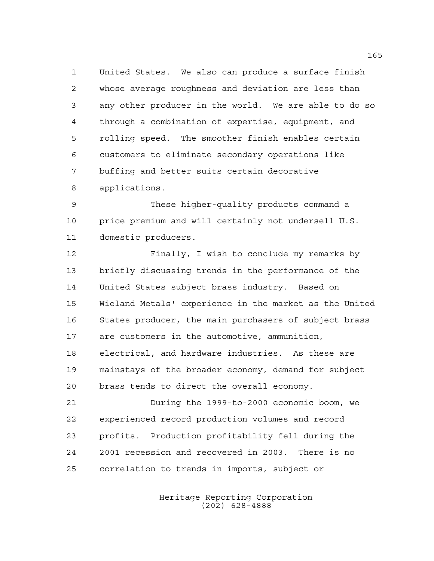United States. We also can produce a surface finish whose average roughness and deviation are less than any other producer in the world. We are able to do so through a combination of expertise, equipment, and rolling speed. The smoother finish enables certain customers to eliminate secondary operations like buffing and better suits certain decorative applications.

 These higher-quality products command a price premium and will certainly not undersell U.S. domestic producers.

 Finally, I wish to conclude my remarks by briefly discussing trends in the performance of the United States subject brass industry. Based on Wieland Metals' experience in the market as the United States producer, the main purchasers of subject brass are customers in the automotive, ammunition, electrical, and hardware industries. As these are mainstays of the broader economy, demand for subject brass tends to direct the overall economy.

 During the 1999-to-2000 economic boom, we experienced record production volumes and record profits. Production profitability fell during the 2001 recession and recovered in 2003. There is no correlation to trends in imports, subject or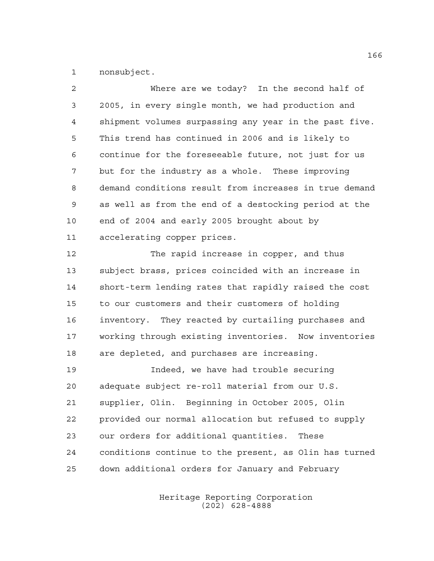nonsubject.

| 2              | Where are we today? In the second half of              |
|----------------|--------------------------------------------------------|
| 3              | 2005, in every single month, we had production and     |
| $\overline{4}$ | shipment volumes surpassing any year in the past five. |
| 5              | This trend has continued in 2006 and is likely to      |
| 6              | continue for the foreseeable future, not just for us   |
| 7              | but for the industry as a whole. These improving       |
| 8              | demand conditions result from increases in true demand |
| 9              | as well as from the end of a destocking period at the  |
| 10             | end of 2004 and early 2005 brought about by            |
| 11             | accelerating copper prices.                            |
| 12             | The rapid increase in copper, and thus                 |
| 13             | subject brass, prices coincided with an increase in    |
| 14             | short-term lending rates that rapidly raised the cost  |
| 15             | to our customers and their customers of holding        |
| 16             | inventory. They reacted by curtailing purchases and    |
| 17             | working through existing inventories. Now inventories  |
| 18             | are depleted, and purchases are increasing.            |
| 19             | Indeed, we have had trouble securing                   |
| 20             | adequate subject re-roll material from our U.S.        |
| 21             | supplier, Olin. Beginning in October 2005, Olin        |
| 22             | provided our normal allocation but refused to supply   |
| 23             | our orders for additional quantities.<br>These         |
| 24             | conditions continue to the present, as Olin has turned |
| 25             | down additional orders for January and February        |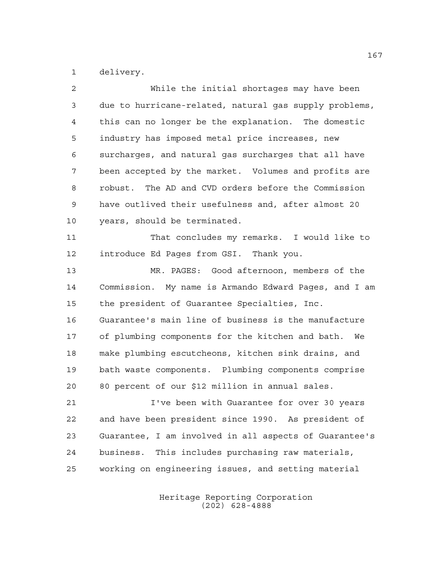delivery.

| $\overline{2}$ | While the initial shortages may have been              |
|----------------|--------------------------------------------------------|
| 3              | due to hurricane-related, natural gas supply problems, |
| 4              | this can no longer be the explanation. The domestic    |
| 5              | industry has imposed metal price increases, new        |
| 6              | surcharges, and natural gas surcharges that all have   |
| 7              | been accepted by the market. Volumes and profits are   |
| 8              | robust. The AD and CVD orders before the Commission    |
| 9              | have outlived their usefulness and, after almost 20    |
| 10             | years, should be terminated.                           |
| 11             | That concludes my remarks. I would like to             |
| 12             | introduce Ed Pages from GSI. Thank you.                |
| 13             | MR. PAGES: Good afternoon, members of the              |
| 14             | Commission. My name is Armando Edward Pages, and I am  |
| 15             | the president of Guarantee Specialties, Inc.           |
| 16             | Guarantee's main line of business is the manufacture   |
| 17             | of plumbing components for the kitchen and bath. We    |
| 18             | make plumbing escutcheons, kitchen sink drains, and    |
| 19             | bath waste components. Plumbing components comprise    |
| 20             | 80 percent of our \$12 million in annual sales.        |
| 21             | I've been with Guarantee for over 30 years             |
| 22             | and have been president since 1990. As president of    |
| 23             | Guarantee, I am involved in all aspects of Guarantee's |
| 24             | business. This includes purchasing raw materials,      |
| 25             | working on engineering issues, and setting material    |
|                |                                                        |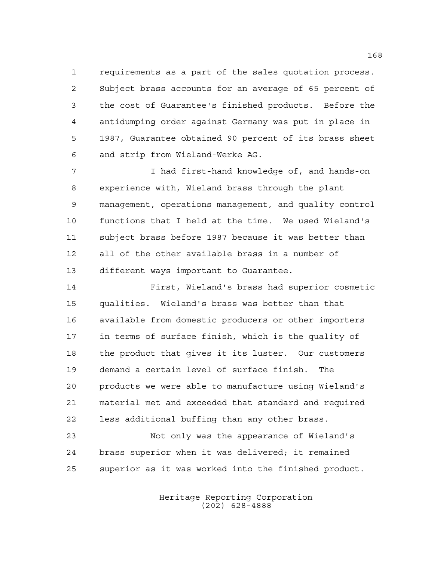requirements as a part of the sales quotation process. Subject brass accounts for an average of 65 percent of the cost of Guarantee's finished products. Before the antidumping order against Germany was put in place in 1987, Guarantee obtained 90 percent of its brass sheet and strip from Wieland-Werke AG.

7 I had first-hand knowledge of, and hands-on experience with, Wieland brass through the plant management, operations management, and quality control functions that I held at the time. We used Wieland's subject brass before 1987 because it was better than all of the other available brass in a number of different ways important to Guarantee.

 First, Wieland's brass had superior cosmetic qualities. Wieland's brass was better than that available from domestic producers or other importers in terms of surface finish, which is the quality of the product that gives it its luster. Our customers demand a certain level of surface finish. The products we were able to manufacture using Wieland's material met and exceeded that standard and required less additional buffing than any other brass.

 Not only was the appearance of Wieland's brass superior when it was delivered; it remained superior as it was worked into the finished product.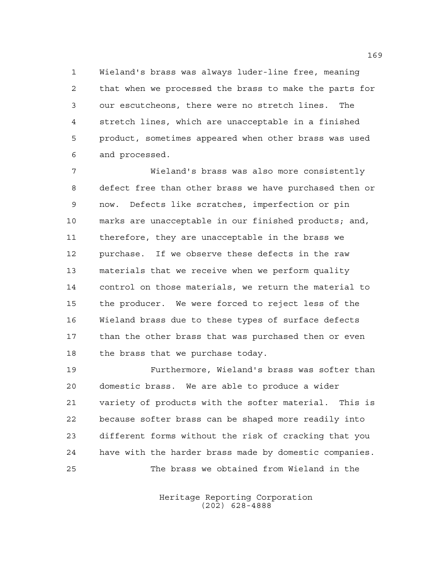Wieland's brass was always luder-line free, meaning that when we processed the brass to make the parts for our escutcheons, there were no stretch lines. The stretch lines, which are unacceptable in a finished product, sometimes appeared when other brass was used and processed.

 Wieland's brass was also more consistently defect free than other brass we have purchased then or now. Defects like scratches, imperfection or pin marks are unacceptable in our finished products; and, therefore, they are unacceptable in the brass we purchase. If we observe these defects in the raw materials that we receive when we perform quality control on those materials, we return the material to the producer. We were forced to reject less of the Wieland brass due to these types of surface defects than the other brass that was purchased then or even the brass that we purchase today.

 Furthermore, Wieland's brass was softer than domestic brass. We are able to produce a wider variety of products with the softer material. This is because softer brass can be shaped more readily into different forms without the risk of cracking that you have with the harder brass made by domestic companies. The brass we obtained from Wieland in the

> Heritage Reporting Corporation (202) 628-4888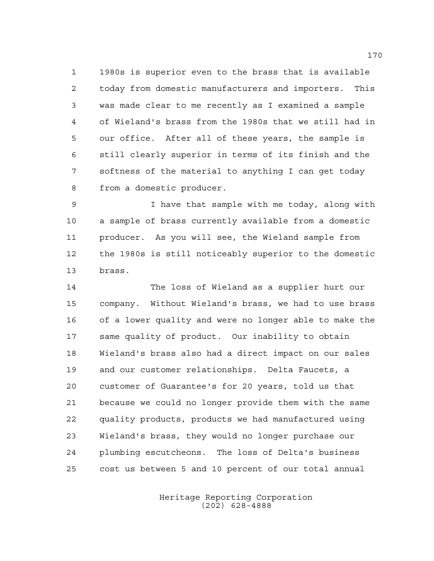1980s is superior even to the brass that is available today from domestic manufacturers and importers. This was made clear to me recently as I examined a sample of Wieland's brass from the 1980s that we still had in our office. After all of these years, the sample is still clearly superior in terms of its finish and the softness of the material to anything I can get today from a domestic producer.

 I have that sample with me today, along with a sample of brass currently available from a domestic producer. As you will see, the Wieland sample from the 1980s is still noticeably superior to the domestic brass.

 The loss of Wieland as a supplier hurt our company. Without Wieland's brass, we had to use brass of a lower quality and were no longer able to make the same quality of product. Our inability to obtain Wieland's brass also had a direct impact on our sales and our customer relationships. Delta Faucets, a customer of Guarantee's for 20 years, told us that because we could no longer provide them with the same quality products, products we had manufactured using Wieland's brass, they would no longer purchase our plumbing escutcheons. The loss of Delta's business cost us between 5 and 10 percent of our total annual

> Heritage Reporting Corporation (202) 628-4888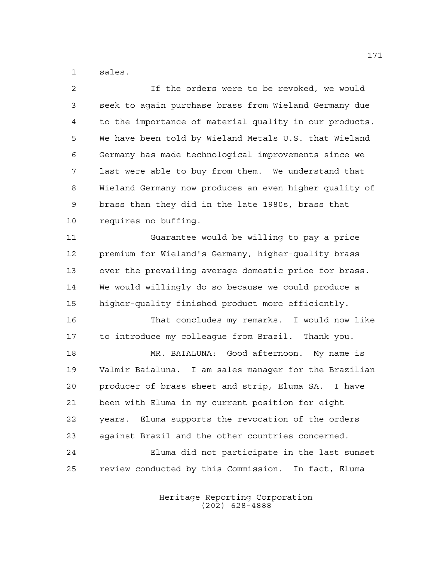sales.

| $\overline{2}$ | If the orders were to be revoked, we would             |
|----------------|--------------------------------------------------------|
| 3              | seek to again purchase brass from Wieland Germany due  |
| 4              | to the importance of material quality in our products. |
| 5              | We have been told by Wieland Metals U.S. that Wieland  |
| 6              | Germany has made technological improvements since we   |
| 7              | last were able to buy from them. We understand that    |
| 8              | Wieland Germany now produces an even higher quality of |
| 9              | brass than they did in the late 1980s, brass that      |
| 10             | requires no buffing.                                   |
| 11             | Guarantee would be willing to pay a price              |
| 12             | premium for Wieland's Germany, higher-quality brass    |
| 13             | over the prevailing average domestic price for brass.  |
| 14             | We would willingly do so because we could produce a    |
| 15             | higher-quality finished product more efficiently.      |
| 16             | That concludes my remarks. I would now like            |
| 17             | to introduce my colleague from Brazil. Thank you.      |
| 18             | MR. BAIALUNA: Good afternoon. My name is               |
| 19             | Valmir Baialuna. I am sales manager for the Brazilian  |
| 20             | producer of brass sheet and strip, Eluma SA. I have    |
| 21             | been with Eluma in my current position for eight       |
| 22             | Eluma supports the revocation of the orders<br>years.  |
| 23             | against Brazil and the other countries concerned.      |
| 24             | Eluma did not participate in the last sunset           |
| 25             | review conducted by this Commission. In fact, Eluma    |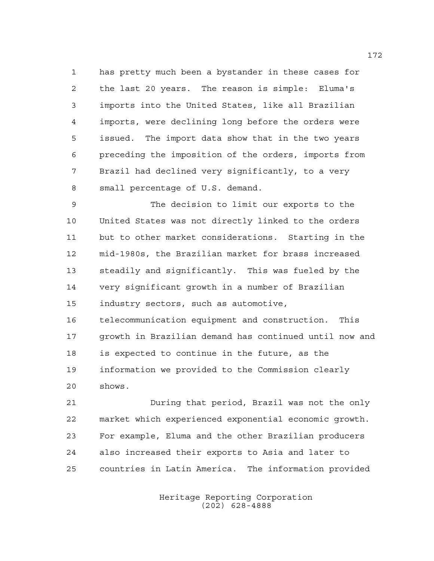has pretty much been a bystander in these cases for the last 20 years. The reason is simple: Eluma's imports into the United States, like all Brazilian imports, were declining long before the orders were issued. The import data show that in the two years preceding the imposition of the orders, imports from Brazil had declined very significantly, to a very small percentage of U.S. demand.

 The decision to limit our exports to the United States was not directly linked to the orders but to other market considerations. Starting in the mid-1980s, the Brazilian market for brass increased steadily and significantly. This was fueled by the very significant growth in a number of Brazilian industry sectors, such as automotive,

 telecommunication equipment and construction. This growth in Brazilian demand has continued until now and is expected to continue in the future, as the information we provided to the Commission clearly shows.

 During that period, Brazil was not the only market which experienced exponential economic growth. For example, Eluma and the other Brazilian producers also increased their exports to Asia and later to countries in Latin America. The information provided

> Heritage Reporting Corporation (202) 628-4888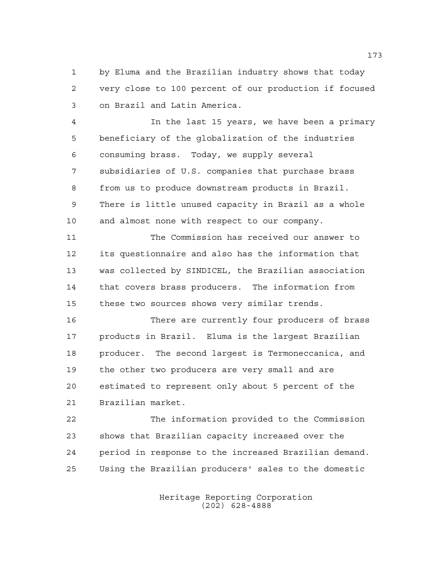by Eluma and the Brazilian industry shows that today very close to 100 percent of our production if focused on Brazil and Latin America.

 In the last 15 years, we have been a primary beneficiary of the globalization of the industries consuming brass. Today, we supply several subsidiaries of U.S. companies that purchase brass from us to produce downstream products in Brazil. There is little unused capacity in Brazil as a whole and almost none with respect to our company.

 The Commission has received our answer to its questionnaire and also has the information that was collected by SINDICEL, the Brazilian association that covers brass producers. The information from these two sources shows very similar trends.

 There are currently four producers of brass products in Brazil. Eluma is the largest Brazilian producer. The second largest is Termoneccanica, and the other two producers are very small and are estimated to represent only about 5 percent of the Brazilian market.

 The information provided to the Commission shows that Brazilian capacity increased over the period in response to the increased Brazilian demand. Using the Brazilian producers' sales to the domestic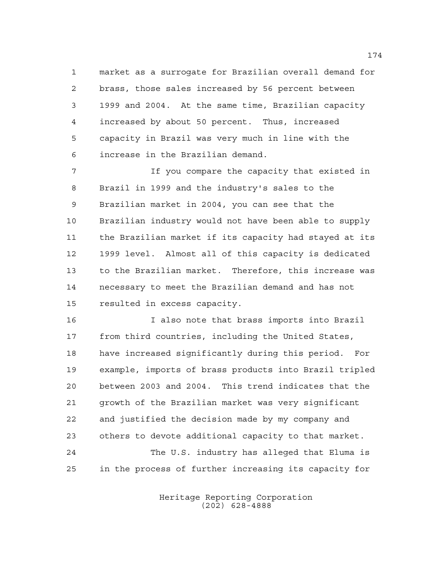market as a surrogate for Brazilian overall demand for brass, those sales increased by 56 percent between 1999 and 2004. At the same time, Brazilian capacity increased by about 50 percent. Thus, increased capacity in Brazil was very much in line with the increase in the Brazilian demand.

 If you compare the capacity that existed in Brazil in 1999 and the industry's sales to the Brazilian market in 2004, you can see that the Brazilian industry would not have been able to supply the Brazilian market if its capacity had stayed at its 1999 level. Almost all of this capacity is dedicated to the Brazilian market. Therefore, this increase was necessary to meet the Brazilian demand and has not resulted in excess capacity.

 I also note that brass imports into Brazil from third countries, including the United States, have increased significantly during this period. For example, imports of brass products into Brazil tripled between 2003 and 2004. This trend indicates that the growth of the Brazilian market was very significant and justified the decision made by my company and others to devote additional capacity to that market. The U.S. industry has alleged that Eluma is in the process of further increasing its capacity for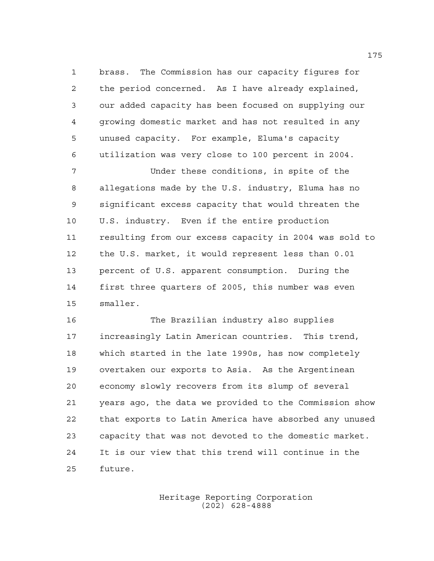brass. The Commission has our capacity figures for the period concerned. As I have already explained, our added capacity has been focused on supplying our growing domestic market and has not resulted in any unused capacity. For example, Eluma's capacity utilization was very close to 100 percent in 2004.

 Under these conditions, in spite of the allegations made by the U.S. industry, Eluma has no significant excess capacity that would threaten the U.S. industry. Even if the entire production resulting from our excess capacity in 2004 was sold to the U.S. market, it would represent less than 0.01 percent of U.S. apparent consumption. During the first three quarters of 2005, this number was even smaller.

 The Brazilian industry also supplies increasingly Latin American countries. This trend, which started in the late 1990s, has now completely overtaken our exports to Asia. As the Argentinean economy slowly recovers from its slump of several years ago, the data we provided to the Commission show that exports to Latin America have absorbed any unused capacity that was not devoted to the domestic market. It is our view that this trend will continue in the future.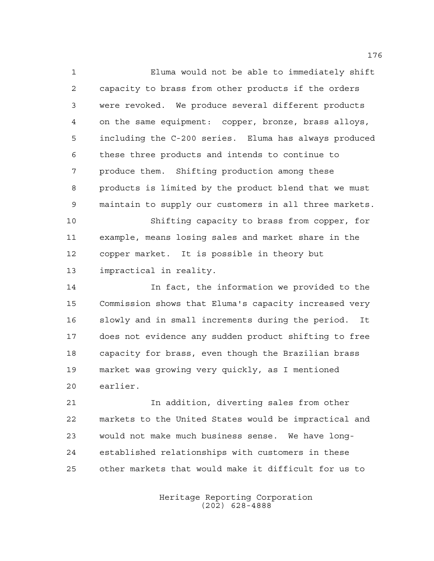Eluma would not be able to immediately shift capacity to brass from other products if the orders were revoked. We produce several different products on the same equipment: copper, bronze, brass alloys, including the C-200 series. Eluma has always produced these three products and intends to continue to produce them. Shifting production among these products is limited by the product blend that we must maintain to supply our customers in all three markets.

 Shifting capacity to brass from copper, for example, means losing sales and market share in the copper market. It is possible in theory but impractical in reality.

 In fact, the information we provided to the Commission shows that Eluma's capacity increased very slowly and in small increments during the period. It does not evidence any sudden product shifting to free capacity for brass, even though the Brazilian brass market was growing very quickly, as I mentioned earlier.

 In addition, diverting sales from other markets to the United States would be impractical and would not make much business sense. We have long- established relationships with customers in these other markets that would make it difficult for us to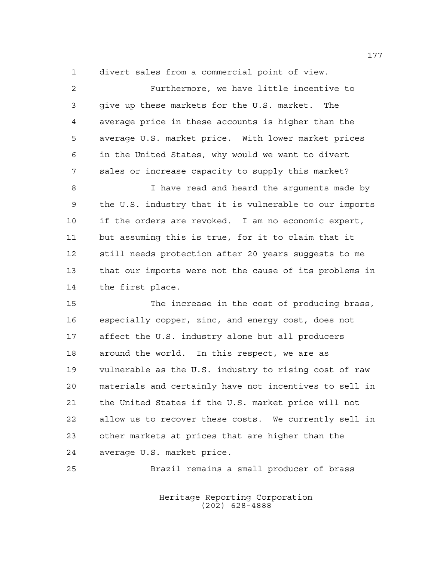divert sales from a commercial point of view.

| $\overline{2}$ | Furthermore, we have little incentive to               |
|----------------|--------------------------------------------------------|
| 3              | give up these markets for the U.S. market. The         |
| $\overline{4}$ | average price in these accounts is higher than the     |
| 5              | average U.S. market price. With lower market prices    |
| 6              | in the United States, why would we want to divert      |
| 7              | sales or increase capacity to supply this market?      |
| 8              | I have read and heard the arguments made by            |
| 9              | the U.S. industry that it is vulnerable to our imports |
| 10             | if the orders are revoked. I am no economic expert,    |
| 11             | but assuming this is true, for it to claim that it     |
| 12             | still needs protection after 20 years suggests to me   |
| 13             | that our imports were not the cause of its problems in |
| 14             | the first place.                                       |
| 15             | The increase in the cost of producing brass,           |
| 16             | especially copper, zinc, and energy cost, does not     |
| 17             | affect the U.S. industry alone but all producers       |
| 18             | around the world. In this respect, we are as           |
| 19             | vulnerable as the U.S. industry to rising cost of raw  |
| 20             | materials and certainly have not incentives to sell in |
| 21             | the United States if the U.S. market price will not    |
|                |                                                        |

 allow us to recover these costs. We currently sell in other markets at prices that are higher than the average U.S. market price.

Brazil remains a small producer of brass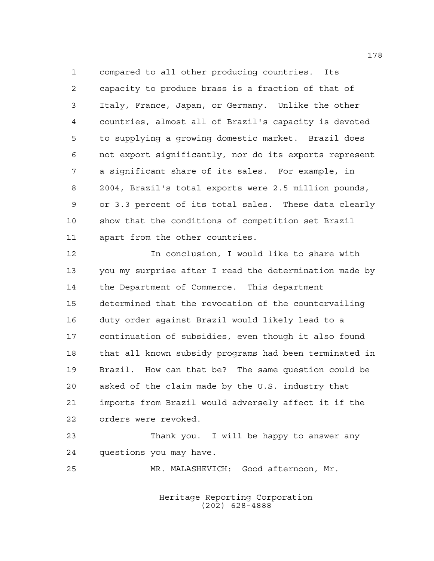compared to all other producing countries. Its capacity to produce brass is a fraction of that of Italy, France, Japan, or Germany. Unlike the other countries, almost all of Brazil's capacity is devoted to supplying a growing domestic market. Brazil does not export significantly, nor do its exports represent a significant share of its sales. For example, in 2004, Brazil's total exports were 2.5 million pounds, or 3.3 percent of its total sales. These data clearly show that the conditions of competition set Brazil apart from the other countries.

 In conclusion, I would like to share with you my surprise after I read the determination made by the Department of Commerce. This department determined that the revocation of the countervailing duty order against Brazil would likely lead to a continuation of subsidies, even though it also found that all known subsidy programs had been terminated in Brazil. How can that be? The same question could be asked of the claim made by the U.S. industry that imports from Brazil would adversely affect it if the orders were revoked.

 Thank you. I will be happy to answer any questions you may have.

MR. MALASHEVICH: Good afternoon, Mr.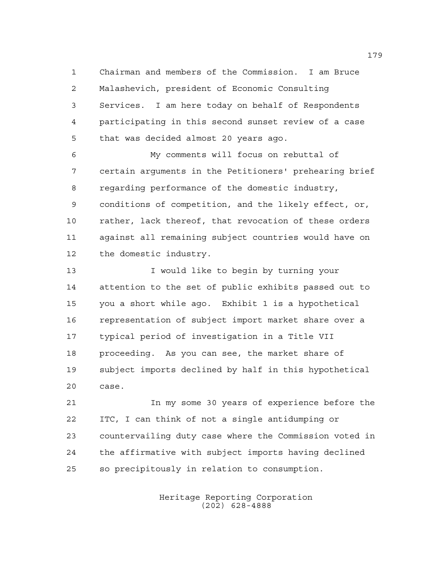Chairman and members of the Commission. I am Bruce Malashevich, president of Economic Consulting Services. I am here today on behalf of Respondents participating in this second sunset review of a case that was decided almost 20 years ago.

 My comments will focus on rebuttal of certain arguments in the Petitioners' prehearing brief regarding performance of the domestic industry, conditions of competition, and the likely effect, or, rather, lack thereof, that revocation of these orders against all remaining subject countries would have on the domestic industry.

 I would like to begin by turning your attention to the set of public exhibits passed out to you a short while ago. Exhibit 1 is a hypothetical representation of subject import market share over a typical period of investigation in a Title VII proceeding. As you can see, the market share of subject imports declined by half in this hypothetical case.

 In my some 30 years of experience before the ITC, I can think of not a single antidumping or countervailing duty case where the Commission voted in the affirmative with subject imports having declined so precipitously in relation to consumption.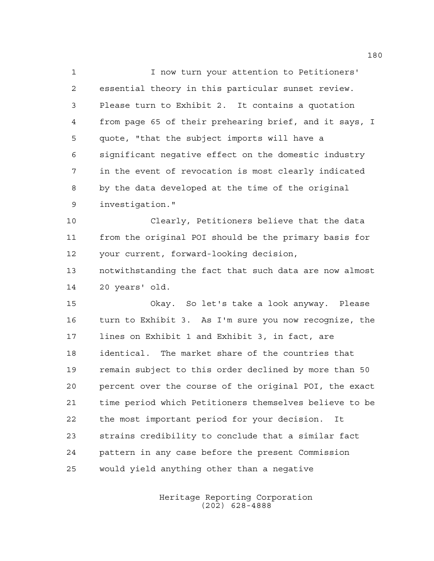I now turn your attention to Petitioners' essential theory in this particular sunset review. Please turn to Exhibit 2. It contains a quotation from page 65 of their prehearing brief, and it says, I quote, "that the subject imports will have a significant negative effect on the domestic industry in the event of revocation is most clearly indicated by the data developed at the time of the original investigation."

 Clearly, Petitioners believe that the data from the original POI should be the primary basis for your current, forward-looking decision,

 notwithstanding the fact that such data are now almost 20 years' old.

 Okay. So let's take a look anyway. Please turn to Exhibit 3. As I'm sure you now recognize, the lines on Exhibit 1 and Exhibit 3, in fact, are identical. The market share of the countries that remain subject to this order declined by more than 50 percent over the course of the original POI, the exact time period which Petitioners themselves believe to be the most important period for your decision. It strains credibility to conclude that a similar fact pattern in any case before the present Commission would yield anything other than a negative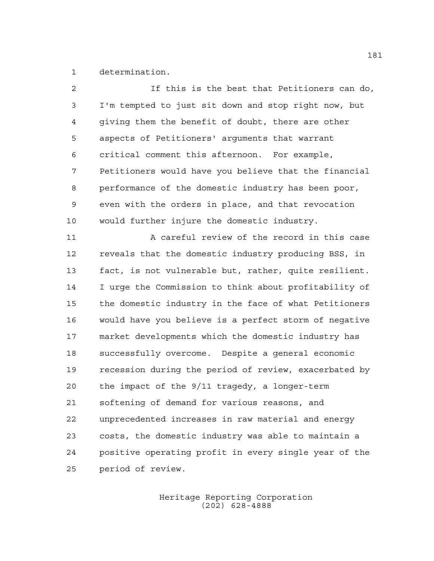determination.

| 2              | If this is the best that Petitioners can do,          |
|----------------|-------------------------------------------------------|
| 3              | I'm tempted to just sit down and stop right now, but  |
| $\overline{4}$ | giving them the benefit of doubt, there are other     |
| 5              | aspects of Petitioners' arguments that warrant        |
| 6              | critical comment this afternoon. For example,         |
| 7              | Petitioners would have you believe that the financial |
| 8              | performance of the domestic industry has been poor,   |
| $\mathsf 9$    | even with the orders in place, and that revocation    |
| 10             | would further injure the domestic industry.           |
| 11             | A careful review of the record in this case           |
| 12             | reveals that the domestic industry producing BSS, in  |
| 13             | fact, is not vulnerable but, rather, quite resilient. |
| 14             | I urge the Commission to think about profitability of |
| 15             | the domestic industry in the face of what Petitioners |
| 16             | would have you believe is a perfect storm of negative |
| 17             | market developments which the domestic industry has   |
| 18             | successfully overcome. Despite a general economic     |
| 19             | recession during the period of review, exacerbated by |
| 20             | the impact of the 9/11 tragedy, a longer-term         |
| 21             | softening of demand for various reasons, and          |
| 22             | unprecedented increases in raw material and energy    |
| 23             | costs, the domestic industry was able to maintain a   |
| 24             | positive operating profit in every single year of the |
| 25             | period of review.                                     |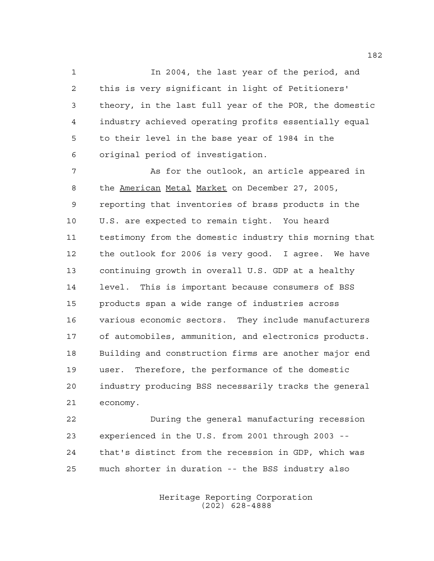In 2004, the last year of the period, and this is very significant in light of Petitioners' theory, in the last full year of the POR, the domestic industry achieved operating profits essentially equal to their level in the base year of 1984 in the original period of investigation.

 As for the outlook, an article appeared in 8 the American Metal Market on December 27, 2005, reporting that inventories of brass products in the U.S. are expected to remain tight. You heard testimony from the domestic industry this morning that the outlook for 2006 is very good. I agree. We have continuing growth in overall U.S. GDP at a healthy level. This is important because consumers of BSS products span a wide range of industries across various economic sectors. They include manufacturers of automobiles, ammunition, and electronics products. Building and construction firms are another major end user. Therefore, the performance of the domestic industry producing BSS necessarily tracks the general economy.

 During the general manufacturing recession experienced in the U.S. from 2001 through 2003 -- that's distinct from the recession in GDP, which was much shorter in duration -- the BSS industry also

> Heritage Reporting Corporation (202) 628-4888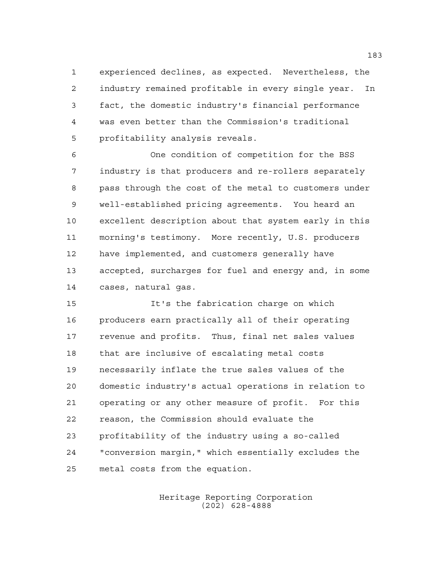experienced declines, as expected. Nevertheless, the industry remained profitable in every single year. In fact, the domestic industry's financial performance was even better than the Commission's traditional profitability analysis reveals.

 One condition of competition for the BSS industry is that producers and re-rollers separately pass through the cost of the metal to customers under well-established pricing agreements. You heard an excellent description about that system early in this morning's testimony. More recently, U.S. producers have implemented, and customers generally have accepted, surcharges for fuel and energy and, in some cases, natural gas.

 It's the fabrication charge on which producers earn practically all of their operating revenue and profits. Thus, final net sales values that are inclusive of escalating metal costs necessarily inflate the true sales values of the domestic industry's actual operations in relation to operating or any other measure of profit. For this reason, the Commission should evaluate the profitability of the industry using a so-called "conversion margin," which essentially excludes the metal costs from the equation.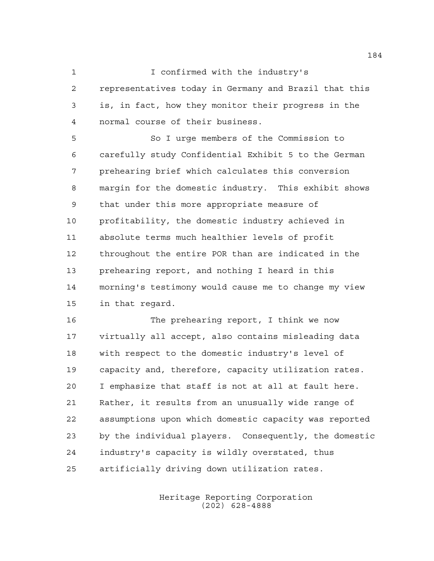## 1 I confirmed with the industry's

 representatives today in Germany and Brazil that this is, in fact, how they monitor their progress in the normal course of their business.

 So I urge members of the Commission to carefully study Confidential Exhibit 5 to the German prehearing brief which calculates this conversion margin for the domestic industry. This exhibit shows that under this more appropriate measure of profitability, the domestic industry achieved in absolute terms much healthier levels of profit throughout the entire POR than are indicated in the prehearing report, and nothing I heard in this morning's testimony would cause me to change my view in that regard.

 The prehearing report, I think we now virtually all accept, also contains misleading data with respect to the domestic industry's level of capacity and, therefore, capacity utilization rates. I emphasize that staff is not at all at fault here. Rather, it results from an unusually wide range of assumptions upon which domestic capacity was reported by the individual players. Consequently, the domestic industry's capacity is wildly overstated, thus artificially driving down utilization rates.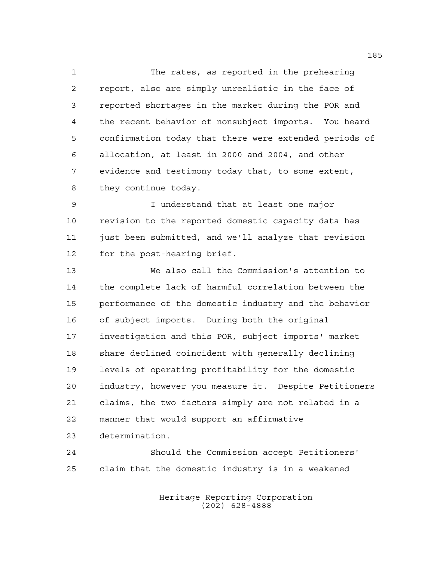The rates, as reported in the prehearing report, also are simply unrealistic in the face of reported shortages in the market during the POR and the recent behavior of nonsubject imports. You heard confirmation today that there were extended periods of allocation, at least in 2000 and 2004, and other evidence and testimony today that, to some extent, they continue today.

 I understand that at least one major revision to the reported domestic capacity data has 11 just been submitted, and we'll analyze that revision for the post-hearing brief.

 We also call the Commission's attention to the complete lack of harmful correlation between the performance of the domestic industry and the behavior of subject imports. During both the original investigation and this POR, subject imports' market share declined coincident with generally declining levels of operating profitability for the domestic industry, however you measure it. Despite Petitioners claims, the two factors simply are not related in a manner that would support an affirmative determination.

 Should the Commission accept Petitioners' claim that the domestic industry is in a weakened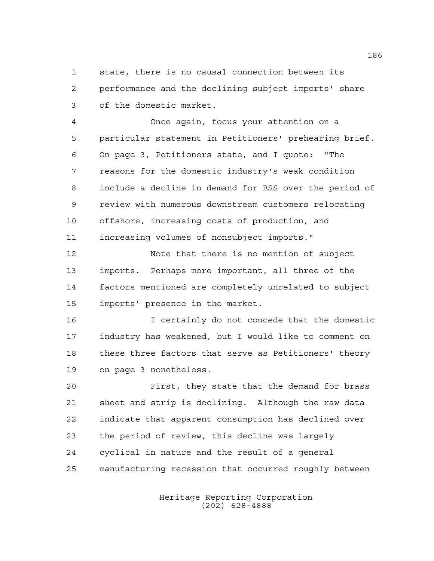state, there is no causal connection between its performance and the declining subject imports' share of the domestic market.

 Once again, focus your attention on a particular statement in Petitioners' prehearing brief. On page 3, Petitioners state, and I quote: "The reasons for the domestic industry's weak condition include a decline in demand for BSS over the period of review with numerous downstream customers relocating offshore, increasing costs of production, and increasing volumes of nonsubject imports."

 Note that there is no mention of subject imports. Perhaps more important, all three of the factors mentioned are completely unrelated to subject imports' presence in the market.

 I certainly do not concede that the domestic industry has weakened, but I would like to comment on these three factors that serve as Petitioners' theory on page 3 nonetheless.

 First, they state that the demand for brass sheet and strip is declining. Although the raw data indicate that apparent consumption has declined over the period of review, this decline was largely cyclical in nature and the result of a general manufacturing recession that occurred roughly between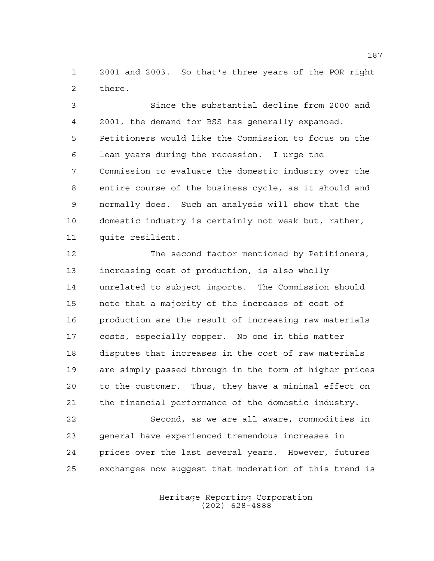2001 and 2003. So that's three years of the POR right there.

 Since the substantial decline from 2000 and 2001, the demand for BSS has generally expanded. Petitioners would like the Commission to focus on the lean years during the recession. I urge the Commission to evaluate the domestic industry over the entire course of the business cycle, as it should and normally does. Such an analysis will show that the domestic industry is certainly not weak but, rather, quite resilient.

 The second factor mentioned by Petitioners, increasing cost of production, is also wholly unrelated to subject imports. The Commission should note that a majority of the increases of cost of production are the result of increasing raw materials costs, especially copper. No one in this matter disputes that increases in the cost of raw materials are simply passed through in the form of higher prices to the customer. Thus, they have a minimal effect on the financial performance of the domestic industry.

 Second, as we are all aware, commodities in general have experienced tremendous increases in prices over the last several years. However, futures exchanges now suggest that moderation of this trend is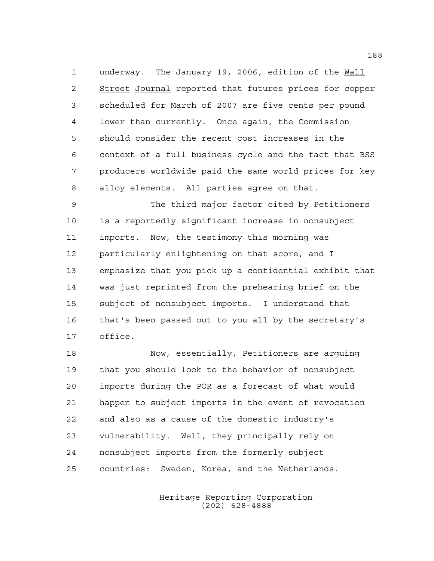underway. The January 19, 2006, edition of the Wall 2 Street Journal reported that futures prices for copper scheduled for March of 2007 are five cents per pound lower than currently. Once again, the Commission should consider the recent cost increases in the context of a full business cycle and the fact that BSS producers worldwide paid the same world prices for key alloy elements. All parties agree on that.

 The third major factor cited by Petitioners is a reportedly significant increase in nonsubject imports. Now, the testimony this morning was particularly enlightening on that score, and I emphasize that you pick up a confidential exhibit that was just reprinted from the prehearing brief on the subject of nonsubject imports. I understand that that's been passed out to you all by the secretary's office.

 Now, essentially, Petitioners are arguing that you should look to the behavior of nonsubject imports during the POR as a forecast of what would happen to subject imports in the event of revocation and also as a cause of the domestic industry's vulnerability. Well, they principally rely on nonsubject imports from the formerly subject countries: Sweden, Korea, and the Netherlands.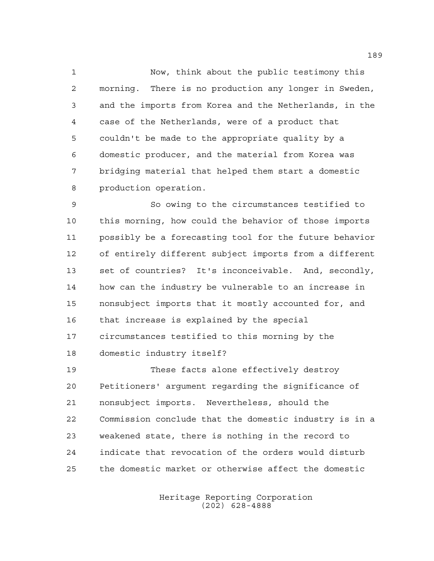Now, think about the public testimony this morning. There is no production any longer in Sweden, and the imports from Korea and the Netherlands, in the case of the Netherlands, were of a product that couldn't be made to the appropriate quality by a domestic producer, and the material from Korea was bridging material that helped them start a domestic production operation.

 So owing to the circumstances testified to this morning, how could the behavior of those imports possibly be a forecasting tool for the future behavior of entirely different subject imports from a different set of countries? It's inconceivable. And, secondly, how can the industry be vulnerable to an increase in nonsubject imports that it mostly accounted for, and that increase is explained by the special circumstances testified to this morning by the domestic industry itself?

 These facts alone effectively destroy Petitioners' argument regarding the significance of nonsubject imports. Nevertheless, should the Commission conclude that the domestic industry is in a weakened state, there is nothing in the record to indicate that revocation of the orders would disturb the domestic market or otherwise affect the domestic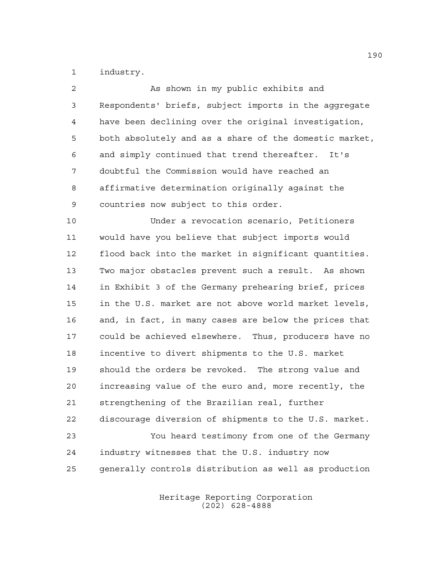industry.

| $\overline{a}$ | As shown in my public exhibits and                     |
|----------------|--------------------------------------------------------|
| $\mathfrak{Z}$ | Respondents' briefs, subject imports in the aggregate  |
| $\overline{4}$ | have been declining over the original investigation,   |
| 5              | both absolutely and as a share of the domestic market, |
| 6              | and simply continued that trend thereafter. It's       |
| 7              | doubtful the Commission would have reached an          |
| 8              | affirmative determination originally against the       |
| 9              | countries now subject to this order.                   |
| 10             | Under a revocation scenario, Petitioners               |
| 11             | would have you believe that subject imports would      |
| 12             | flood back into the market in significant quantities.  |
| 13             | Two major obstacles prevent such a result. As shown    |
| 14             | in Exhibit 3 of the Germany prehearing brief, prices   |
| 15             | in the U.S. market are not above world market levels,  |
| 16             | and, in fact, in many cases are below the prices that  |
| 17             | could be achieved elsewhere. Thus, producers have no   |
| 18             | incentive to divert shipments to the U.S. market       |
| 19             | should the orders be revoked. The strong value and     |
| 20             | increasing value of the euro and, more recently, the   |
| 21             | strengthening of the Brazilian real, further           |
| 22             | discourage diversion of shipments to the U.S. market.  |
| 23             | You heard testimony from one of the Germany            |
| 24             | industry witnesses that the U.S. industry now          |
| 25             | generally controls distribution as well as production  |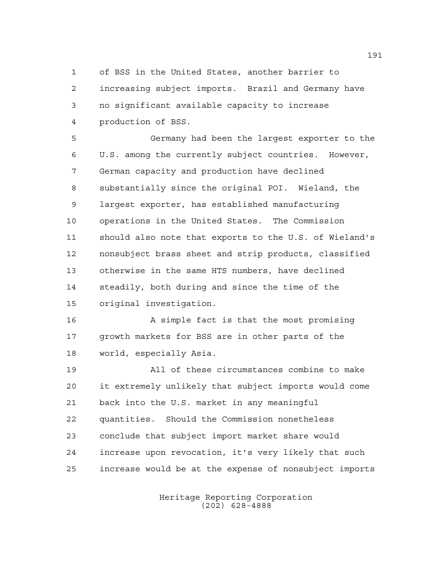of BSS in the United States, another barrier to increasing subject imports. Brazil and Germany have no significant available capacity to increase production of BSS.

 Germany had been the largest exporter to the U.S. among the currently subject countries. However, German capacity and production have declined substantially since the original POI. Wieland, the largest exporter, has established manufacturing operations in the United States. The Commission should also note that exports to the U.S. of Wieland's nonsubject brass sheet and strip products, classified otherwise in the same HTS numbers, have declined steadily, both during and since the time of the original investigation.

 A simple fact is that the most promising growth markets for BSS are in other parts of the world, especially Asia.

 All of these circumstances combine to make it extremely unlikely that subject imports would come back into the U.S. market in any meaningful quantities. Should the Commission nonetheless conclude that subject import market share would increase upon revocation, it's very likely that such increase would be at the expense of nonsubject imports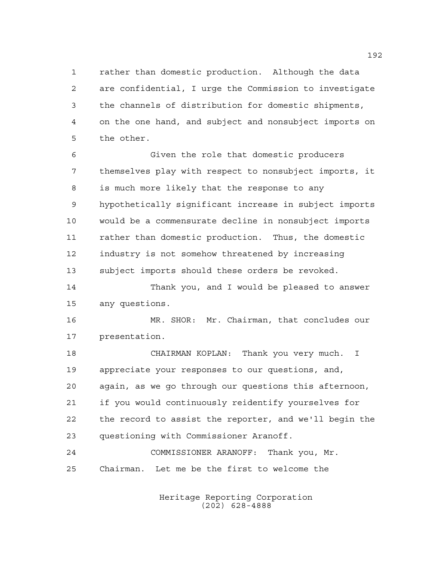rather than domestic production. Although the data are confidential, I urge the Commission to investigate the channels of distribution for domestic shipments, on the one hand, and subject and nonsubject imports on the other.

 Given the role that domestic producers themselves play with respect to nonsubject imports, it is much more likely that the response to any hypothetically significant increase in subject imports would be a commensurate decline in nonsubject imports rather than domestic production. Thus, the domestic industry is not somehow threatened by increasing subject imports should these orders be revoked.

 Thank you, and I would be pleased to answer any questions.

 MR. SHOR: Mr. Chairman, that concludes our presentation.

 CHAIRMAN KOPLAN: Thank you very much. I appreciate your responses to our questions, and, again, as we go through our questions this afternoon, if you would continuously reidentify yourselves for the record to assist the reporter, and we'll begin the questioning with Commissioner Aranoff.

 COMMISSIONER ARANOFF: Thank you, Mr. Chairman. Let me be the first to welcome the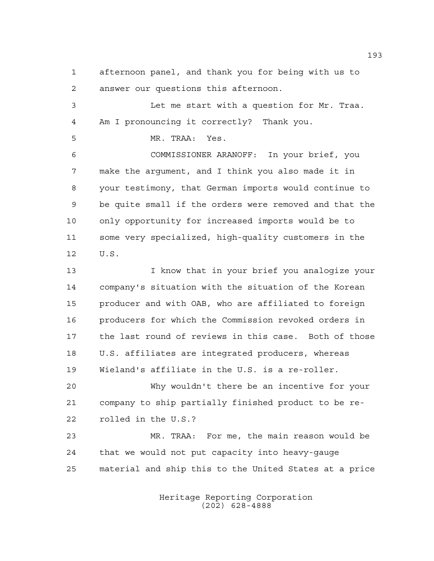afternoon panel, and thank you for being with us to answer our questions this afternoon.

 Let me start with a question for Mr. Traa. Am I pronouncing it correctly? Thank you.

MR. TRAA: Yes.

 COMMISSIONER ARANOFF: In your brief, you make the argument, and I think you also made it in your testimony, that German imports would continue to be quite small if the orders were removed and that the only opportunity for increased imports would be to some very specialized, high-quality customers in the U.S.

 I know that in your brief you analogize your company's situation with the situation of the Korean producer and with OAB, who are affiliated to foreign producers for which the Commission revoked orders in the last round of reviews in this case. Both of those U.S. affiliates are integrated producers, whereas Wieland's affiliate in the U.S. is a re-roller.

 Why wouldn't there be an incentive for your company to ship partially finished product to be re-rolled in the U.S.?

 MR. TRAA: For me, the main reason would be that we would not put capacity into heavy-gauge material and ship this to the United States at a price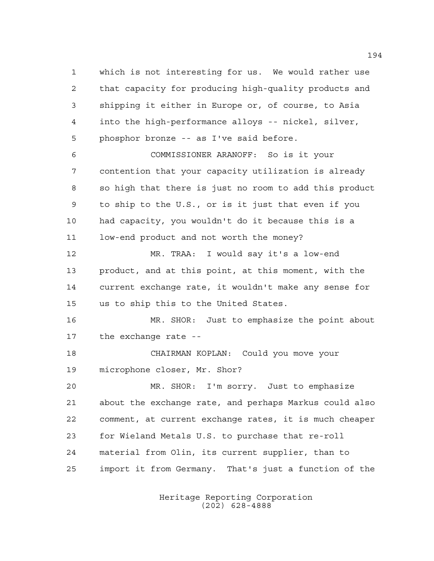which is not interesting for us. We would rather use that capacity for producing high-quality products and shipping it either in Europe or, of course, to Asia into the high-performance alloys -- nickel, silver, phosphor bronze -- as I've said before. COMMISSIONER ARANOFF: So is it your contention that your capacity utilization is already so high that there is just no room to add this product to ship to the U.S., or is it just that even if you had capacity, you wouldn't do it because this is a low-end product and not worth the money? MR. TRAA: I would say it's a low-end product, and at this point, at this moment, with the current exchange rate, it wouldn't make any sense for us to ship this to the United States. MR. SHOR: Just to emphasize the point about the exchange rate -- CHAIRMAN KOPLAN: Could you move your microphone closer, Mr. Shor? MR. SHOR: I'm sorry. Just to emphasize about the exchange rate, and perhaps Markus could also comment, at current exchange rates, it is much cheaper for Wieland Metals U.S. to purchase that re-roll material from Olin, its current supplier, than to import it from Germany. That's just a function of the

> Heritage Reporting Corporation (202) 628-4888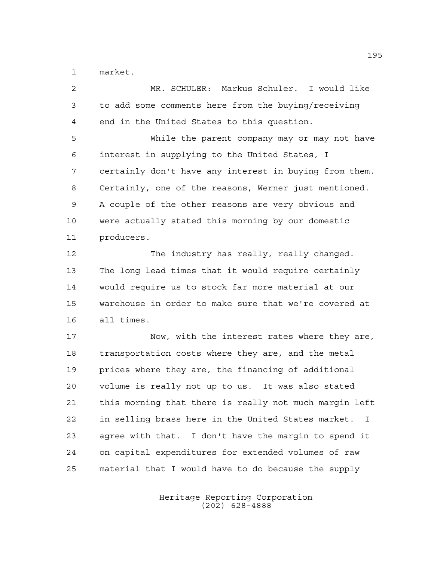market.

 MR. SCHULER: Markus Schuler. I would like to add some comments here from the buying/receiving end in the United States to this question. While the parent company may or may not have interest in supplying to the United States, I certainly don't have any interest in buying from them. Certainly, one of the reasons, Werner just mentioned. A couple of the other reasons are very obvious and were actually stated this morning by our domestic producers. The industry has really, really changed. The long lead times that it would require certainly would require us to stock far more material at our warehouse in order to make sure that we're covered at all times. Now, with the interest rates where they are, transportation costs where they are, and the metal prices where they are, the financing of additional volume is really not up to us. It was also stated this morning that there is really not much margin left in selling brass here in the United States market. I agree with that. I don't have the margin to spend it on capital expenditures for extended volumes of raw material that I would have to do because the supply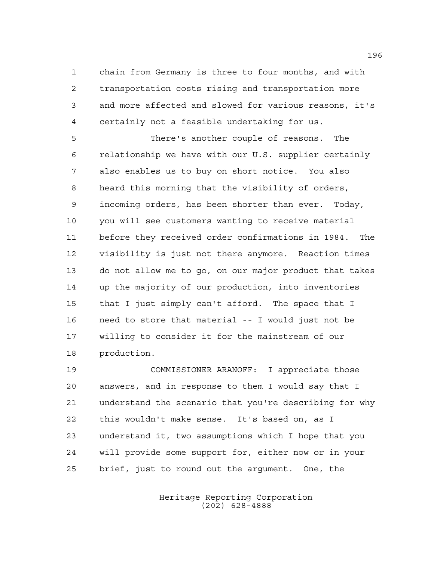chain from Germany is three to four months, and with transportation costs rising and transportation more and more affected and slowed for various reasons, it's certainly not a feasible undertaking for us.

 There's another couple of reasons. The relationship we have with our U.S. supplier certainly also enables us to buy on short notice. You also heard this morning that the visibility of orders, incoming orders, has been shorter than ever. Today, you will see customers wanting to receive material before they received order confirmations in 1984. The visibility is just not there anymore. Reaction times do not allow me to go, on our major product that takes up the majority of our production, into inventories that I just simply can't afford. The space that I need to store that material -- I would just not be willing to consider it for the mainstream of our production.

 COMMISSIONER ARANOFF: I appreciate those answers, and in response to them I would say that I understand the scenario that you're describing for why this wouldn't make sense. It's based on, as I understand it, two assumptions which I hope that you will provide some support for, either now or in your brief, just to round out the argument. One, the

> Heritage Reporting Corporation (202) 628-4888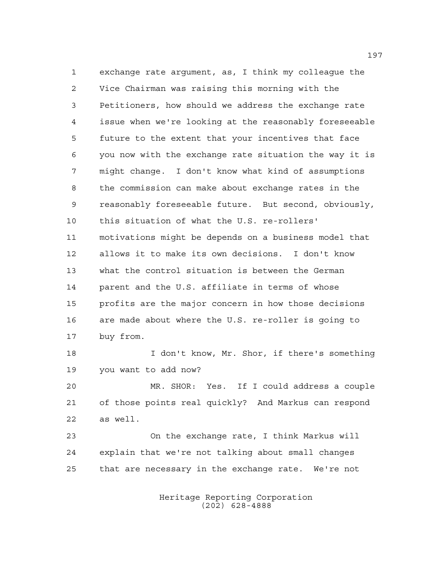exchange rate argument, as, I think my colleague the Vice Chairman was raising this morning with the Petitioners, how should we address the exchange rate issue when we're looking at the reasonably foreseeable future to the extent that your incentives that face you now with the exchange rate situation the way it is might change. I don't know what kind of assumptions the commission can make about exchange rates in the reasonably foreseeable future. But second, obviously, this situation of what the U.S. re-rollers' motivations might be depends on a business model that allows it to make its own decisions. I don't know what the control situation is between the German parent and the U.S. affiliate in terms of whose profits are the major concern in how those decisions are made about where the U.S. re-roller is going to buy from.

 I don't know, Mr. Shor, if there's something you want to add now?

 MR. SHOR: Yes. If I could address a couple of those points real quickly? And Markus can respond as well.

 On the exchange rate, I think Markus will explain that we're not talking about small changes that are necessary in the exchange rate. We're not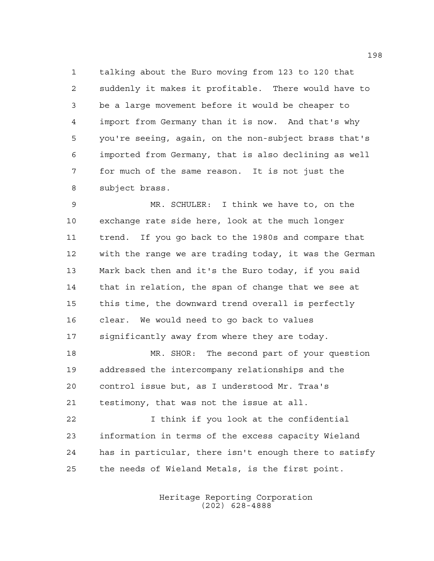talking about the Euro moving from 123 to 120 that suddenly it makes it profitable. There would have to be a large movement before it would be cheaper to import from Germany than it is now. And that's why you're seeing, again, on the non-subject brass that's imported from Germany, that is also declining as well for much of the same reason. It is not just the subject brass.

 MR. SCHULER: I think we have to, on the exchange rate side here, look at the much longer trend. If you go back to the 1980s and compare that with the range we are trading today, it was the German Mark back then and it's the Euro today, if you said that in relation, the span of change that we see at this time, the downward trend overall is perfectly clear. We would need to go back to values significantly away from where they are today.

 MR. SHOR: The second part of your question addressed the intercompany relationships and the control issue but, as I understood Mr. Traa's testimony, that was not the issue at all.

 I think if you look at the confidential information in terms of the excess capacity Wieland has in particular, there isn't enough there to satisfy the needs of Wieland Metals, is the first point.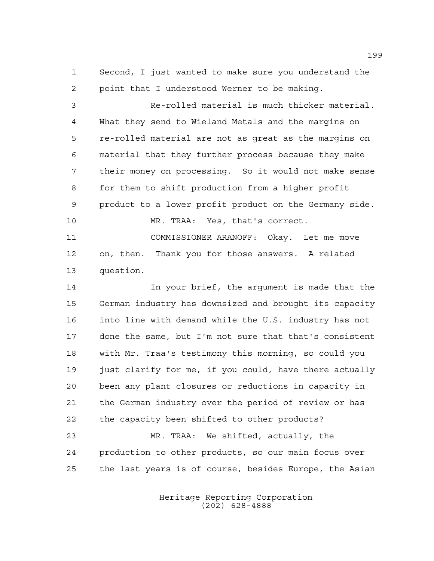Second, I just wanted to make sure you understand the point that I understood Werner to be making.

 Re-rolled material is much thicker material. What they send to Wieland Metals and the margins on re-rolled material are not as great as the margins on material that they further process because they make their money on processing. So it would not make sense for them to shift production from a higher profit product to a lower profit product on the Germany side. MR. TRAA: Yes, that's correct. COMMISSIONER ARANOFF: Okay. Let me move on, then. Thank you for those answers. A related question.

 In your brief, the argument is made that the German industry has downsized and brought its capacity into line with demand while the U.S. industry has not done the same, but I'm not sure that that's consistent with Mr. Traa's testimony this morning, so could you just clarify for me, if you could, have there actually been any plant closures or reductions in capacity in the German industry over the period of review or has the capacity been shifted to other products?

 MR. TRAA: We shifted, actually, the production to other products, so our main focus over the last years is of course, besides Europe, the Asian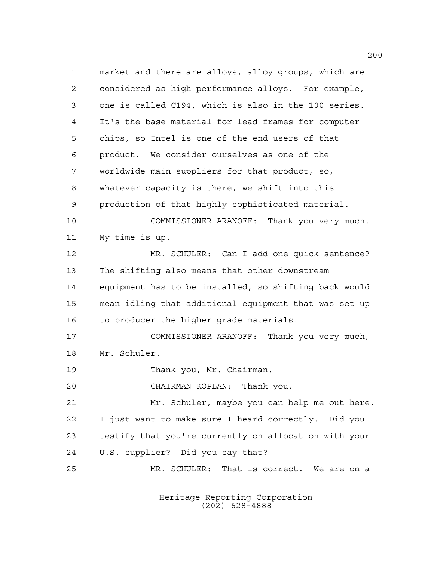market and there are alloys, alloy groups, which are considered as high performance alloys. For example, one is called C194, which is also in the 100 series. It's the base material for lead frames for computer chips, so Intel is one of the end users of that product. We consider ourselves as one of the worldwide main suppliers for that product, so, whatever capacity is there, we shift into this production of that highly sophisticated material. COMMISSIONER ARANOFF: Thank you very much. My time is up. MR. SCHULER: Can I add one quick sentence? The shifting also means that other downstream equipment has to be installed, so shifting back would mean idling that additional equipment that was set up 16 to producer the higher grade materials. COMMISSIONER ARANOFF: Thank you very much, Mr. Schuler. Thank you, Mr. Chairman. CHAIRMAN KOPLAN: Thank you. Mr. Schuler, maybe you can help me out here. I just want to make sure I heard correctly. Did you testify that you're currently on allocation with your U.S. supplier? Did you say that? MR. SCHULER: That is correct. We are on a

> Heritage Reporting Corporation (202) 628-4888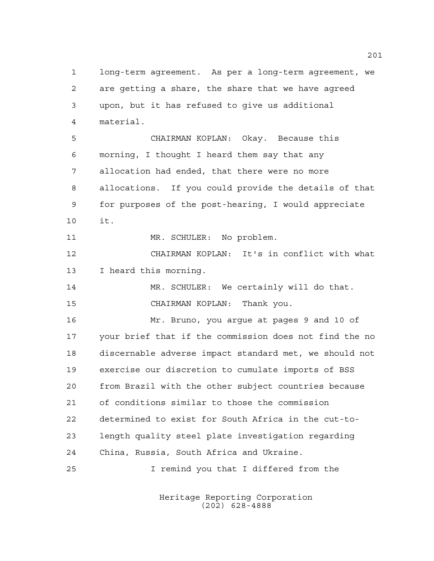long-term agreement. As per a long-term agreement, we are getting a share, the share that we have agreed upon, but it has refused to give us additional material. CHAIRMAN KOPLAN: Okay. Because this morning, I thought I heard them say that any allocation had ended, that there were no more allocations. If you could provide the details of that for purposes of the post-hearing, I would appreciate it. 11 MR. SCHULER: No problem. CHAIRMAN KOPLAN: It's in conflict with what I heard this morning. MR. SCHULER: We certainly will do that. CHAIRMAN KOPLAN: Thank you. Mr. Bruno, you argue at pages 9 and 10 of your brief that if the commission does not find the no discernable adverse impact standard met, we should not exercise our discretion to cumulate imports of BSS from Brazil with the other subject countries because of conditions similar to those the commission determined to exist for South Africa in the cut-to- length quality steel plate investigation regarding China, Russia, South Africa and Ukraine. I remind you that I differed from the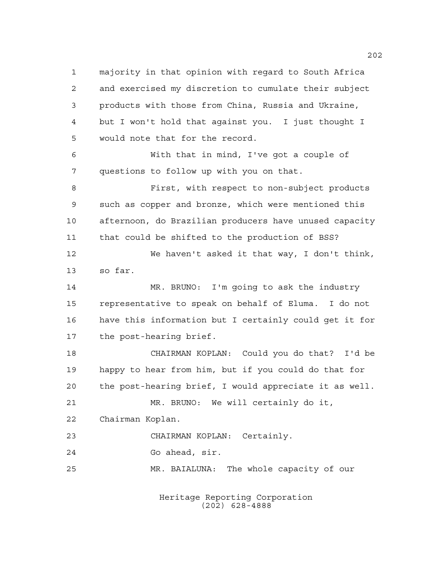majority in that opinion with regard to South Africa and exercised my discretion to cumulate their subject products with those from China, Russia and Ukraine, but I won't hold that against you. I just thought I would note that for the record. With that in mind, I've got a couple of questions to follow up with you on that. First, with respect to non-subject products such as copper and bronze, which were mentioned this afternoon, do Brazilian producers have unused capacity that could be shifted to the production of BSS? We haven't asked it that way, I don't think, so far. MR. BRUNO: I'm going to ask the industry representative to speak on behalf of Eluma. I do not have this information but I certainly could get it for the post-hearing brief. CHAIRMAN KOPLAN: Could you do that? I'd be happy to hear from him, but if you could do that for the post-hearing brief, I would appreciate it as well. MR. BRUNO: We will certainly do it, Chairman Koplan. CHAIRMAN KOPLAN: Certainly. Go ahead, sir. MR. BAIALUNA: The whole capacity of our

> Heritage Reporting Corporation (202) 628-4888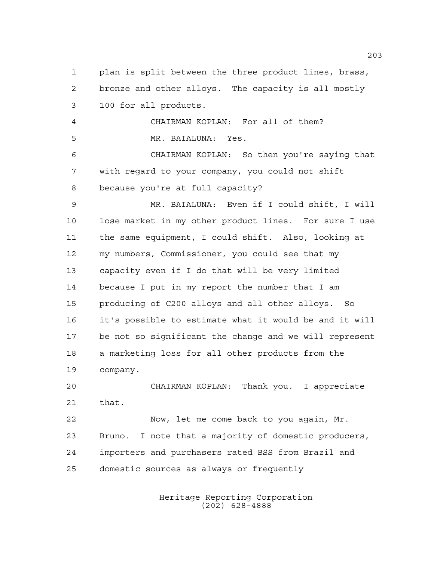plan is split between the three product lines, brass, bronze and other alloys. The capacity is all mostly 100 for all products. CHAIRMAN KOPLAN: For all of them? MR. BAIALUNA: Yes. CHAIRMAN KOPLAN: So then you're saying that with regard to your company, you could not shift because you're at full capacity? MR. BAIALUNA: Even if I could shift, I will lose market in my other product lines. For sure I use the same equipment, I could shift. Also, looking at my numbers, Commissioner, you could see that my capacity even if I do that will be very limited because I put in my report the number that I am producing of C200 alloys and all other alloys. So it's possible to estimate what it would be and it will be not so significant the change and we will represent a marketing loss for all other products from the company. CHAIRMAN KOPLAN: Thank you. I appreciate that. Now, let me come back to you again, Mr. Bruno. I note that a majority of domestic producers, importers and purchasers rated BSS from Brazil and domestic sources as always or frequently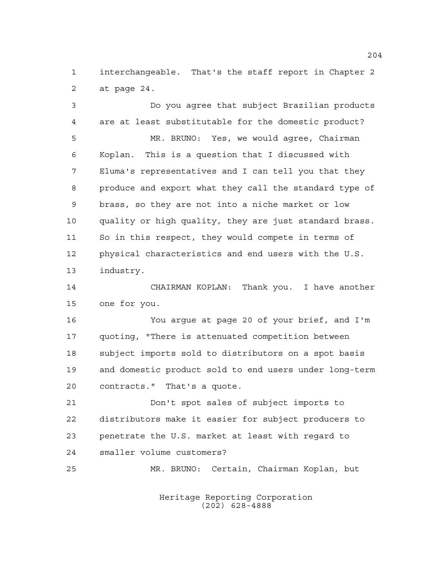interchangeable. That's the staff report in Chapter 2 at page 24.

 Do you agree that subject Brazilian products are at least substitutable for the domestic product? MR. BRUNO: Yes, we would agree, Chairman Koplan. This is a question that I discussed with Eluma's representatives and I can tell you that they produce and export what they call the standard type of brass, so they are not into a niche market or low quality or high quality, they are just standard brass. So in this respect, they would compete in terms of physical characteristics and end users with the U.S. industry.

 CHAIRMAN KOPLAN: Thank you. I have another one for you.

 You argue at page 20 of your brief, and I'm quoting, "There is attenuated competition between subject imports sold to distributors on a spot basis and domestic product sold to end users under long-term contracts." That's a quote.

 Don't spot sales of subject imports to distributors make it easier for subject producers to penetrate the U.S. market at least with regard to smaller volume customers?

MR. BRUNO: Certain, Chairman Koplan, but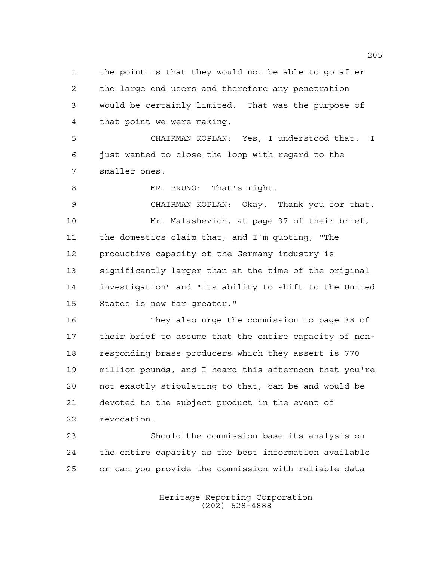the point is that they would not be able to go after the large end users and therefore any penetration would be certainly limited. That was the purpose of that point we were making.

 CHAIRMAN KOPLAN: Yes, I understood that. I just wanted to close the loop with regard to the smaller ones.

8 MR. BRUNO: That's right.

 CHAIRMAN KOPLAN: Okay. Thank you for that. Mr. Malashevich, at page 37 of their brief, the domestics claim that, and I'm quoting, "The productive capacity of the Germany industry is significantly larger than at the time of the original investigation" and "its ability to shift to the United States is now far greater."

 They also urge the commission to page 38 of their brief to assume that the entire capacity of non- responding brass producers which they assert is 770 million pounds, and I heard this afternoon that you're not exactly stipulating to that, can be and would be devoted to the subject product in the event of revocation.

 Should the commission base its analysis on the entire capacity as the best information available or can you provide the commission with reliable data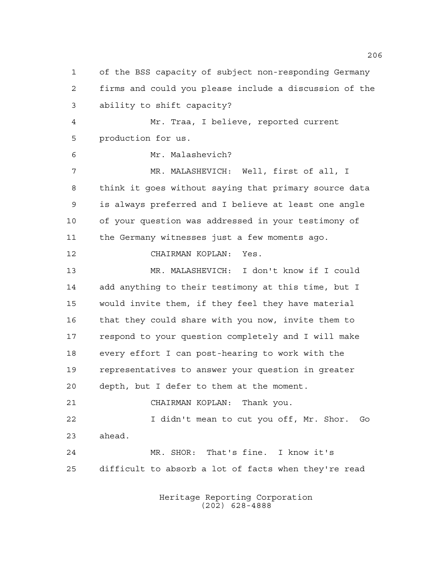of the BSS capacity of subject non-responding Germany firms and could you please include a discussion of the ability to shift capacity? Mr. Traa, I believe, reported current production for us. Mr. Malashevich? MR. MALASHEVICH: Well, first of all, I think it goes without saying that primary source data is always preferred and I believe at least one angle of your question was addressed in your testimony of the Germany witnesses just a few moments ago. CHAIRMAN KOPLAN: Yes. MR. MALASHEVICH: I don't know if I could add anything to their testimony at this time, but I would invite them, if they feel they have material that they could share with you now, invite them to respond to your question completely and I will make every effort I can post-hearing to work with the representatives to answer your question in greater depth, but I defer to them at the moment. CHAIRMAN KOPLAN: Thank you. I didn't mean to cut you off, Mr. Shor. Go ahead. MR. SHOR: That's fine. I know it's difficult to absorb a lot of facts when they're read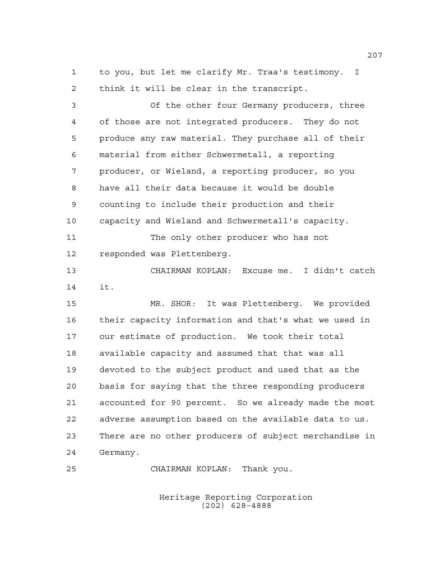to you, but let me clarify Mr. Traa's testimony. I think it will be clear in the transcript.

 Of the other four Germany producers, three of those are not integrated producers. They do not produce any raw material. They purchase all of their material from either Schwermetall, a reporting producer, or Wieland, a reporting producer, so you have all their data because it would be double counting to include their production and their capacity and Wieland and Schwermetall's capacity. 11 The only other producer who has not responded was Plettenberg. CHAIRMAN KOPLAN: Excuse me. I didn't catch it. MR. SHOR: It was Plettenberg. We provided their capacity information and that's what we used in our estimate of production. We took their total available capacity and assumed that that was all devoted to the subject product and used that as the basis for saying that the three responding producers accounted for 90 percent. So we already made the most adverse assumption based on the available data to us. There are no other producers of subject merchandise in Germany.

CHAIRMAN KOPLAN: Thank you.

Heritage Reporting Corporation (202) 628-4888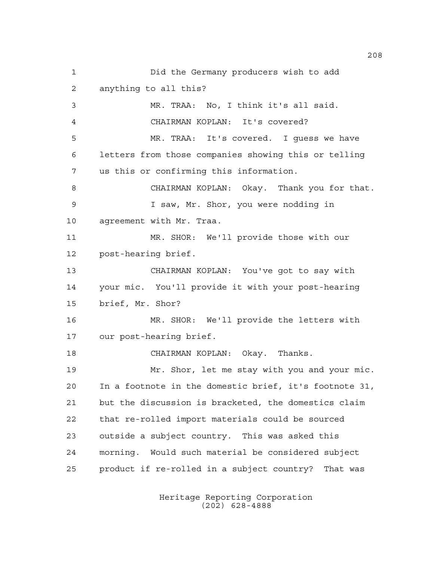Did the Germany producers wish to add anything to all this? MR. TRAA: No, I think it's all said. CHAIRMAN KOPLAN: It's covered? MR. TRAA: It's covered. I guess we have letters from those companies showing this or telling us this or confirming this information. CHAIRMAN KOPLAN: Okay. Thank you for that. I saw, Mr. Shor, you were nodding in agreement with Mr. Traa. MR. SHOR: We'll provide those with our post-hearing brief. CHAIRMAN KOPLAN: You've got to say with your mic. You'll provide it with your post-hearing brief, Mr. Shor? MR. SHOR: We'll provide the letters with our post-hearing brief. CHAIRMAN KOPLAN: Okay. Thanks. Mr. Shor, let me stay with you and your mic. In a footnote in the domestic brief, it's footnote 31, but the discussion is bracketed, the domestics claim that re-rolled import materials could be sourced outside a subject country. This was asked this morning. Would such material be considered subject product if re-rolled in a subject country? That was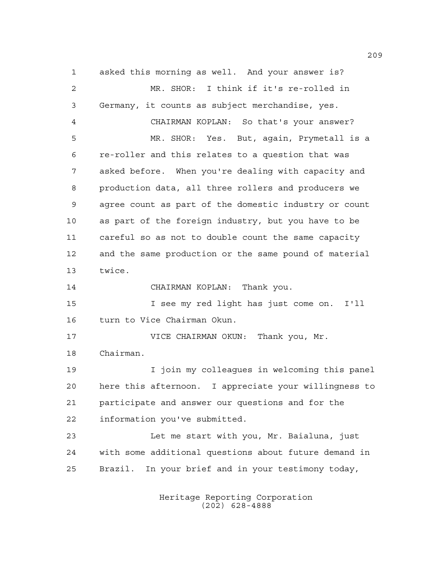asked this morning as well. And your answer is? MR. SHOR: I think if it's re-rolled in Germany, it counts as subject merchandise, yes. CHAIRMAN KOPLAN: So that's your answer? MR. SHOR: Yes. But, again, Prymetall is a re-roller and this relates to a question that was asked before. When you're dealing with capacity and production data, all three rollers and producers we agree count as part of the domestic industry or count as part of the foreign industry, but you have to be careful so as not to double count the same capacity and the same production or the same pound of material twice. CHAIRMAN KOPLAN: Thank you. I see my red light has just come on. I'll turn to Vice Chairman Okun. VICE CHAIRMAN OKUN: Thank you, Mr. Chairman. I join my colleagues in welcoming this panel here this afternoon. I appreciate your willingness to participate and answer our questions and for the information you've submitted. Let me start with you, Mr. Baialuna, just with some additional questions about future demand in Brazil. In your brief and in your testimony today,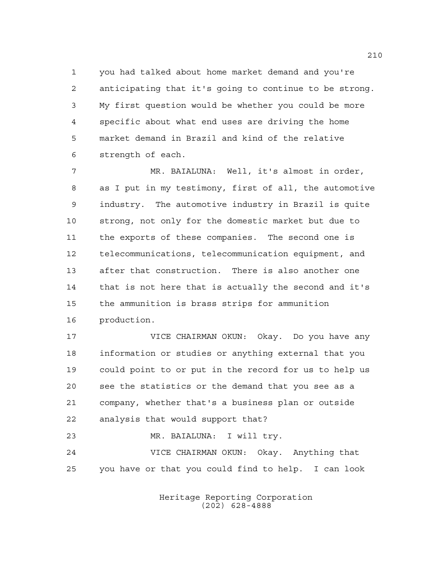you had talked about home market demand and you're anticipating that it's going to continue to be strong. My first question would be whether you could be more specific about what end uses are driving the home market demand in Brazil and kind of the relative strength of each.

 MR. BAIALUNA: Well, it's almost in order, as I put in my testimony, first of all, the automotive industry. The automotive industry in Brazil is quite strong, not only for the domestic market but due to the exports of these companies. The second one is telecommunications, telecommunication equipment, and after that construction. There is also another one that is not here that is actually the second and it's the ammunition is brass strips for ammunition production.

 VICE CHAIRMAN OKUN: Okay. Do you have any information or studies or anything external that you could point to or put in the record for us to help us see the statistics or the demand that you see as a company, whether that's a business plan or outside analysis that would support that?

 MR. BAIALUNA: I will try. VICE CHAIRMAN OKUN: Okay. Anything that you have or that you could find to help. I can look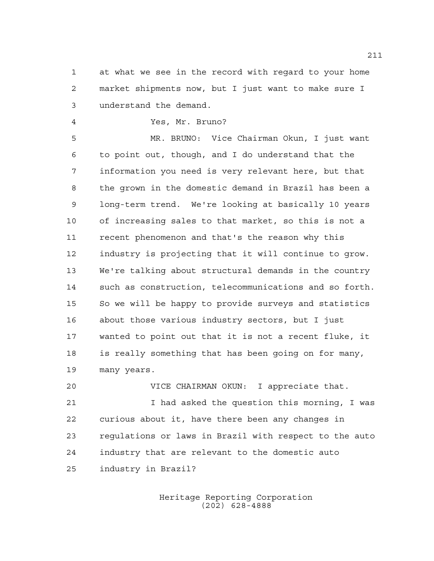at what we see in the record with regard to your home market shipments now, but I just want to make sure I understand the demand.

Yes, Mr. Bruno?

 MR. BRUNO: Vice Chairman Okun, I just want to point out, though, and I do understand that the information you need is very relevant here, but that the grown in the domestic demand in Brazil has been a long-term trend. We're looking at basically 10 years of increasing sales to that market, so this is not a recent phenomenon and that's the reason why this industry is projecting that it will continue to grow. We're talking about structural demands in the country such as construction, telecommunications and so forth. So we will be happy to provide surveys and statistics about those various industry sectors, but I just wanted to point out that it is not a recent fluke, it is really something that has been going on for many, many years.

 VICE CHAIRMAN OKUN: I appreciate that. I had asked the question this morning, I was curious about it, have there been any changes in regulations or laws in Brazil with respect to the auto industry that are relevant to the domestic auto industry in Brazil?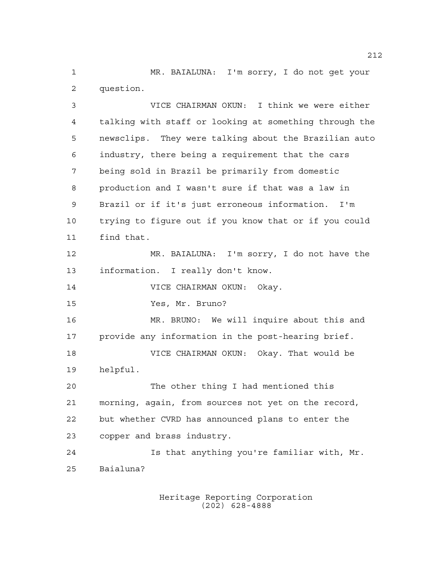MR. BAIALUNA: I'm sorry, I do not get your question.

 VICE CHAIRMAN OKUN: I think we were either talking with staff or looking at something through the newsclips. They were talking about the Brazilian auto industry, there being a requirement that the cars being sold in Brazil be primarily from domestic production and I wasn't sure if that was a law in Brazil or if it's just erroneous information. I'm trying to figure out if you know that or if you could find that. MR. BAIALUNA: I'm sorry, I do not have the information. I really don't know. VICE CHAIRMAN OKUN: Okay. Yes, Mr. Bruno? MR. BRUNO: We will inquire about this and provide any information in the post-hearing brief. VICE CHAIRMAN OKUN: Okay. That would be helpful. The other thing I had mentioned this morning, again, from sources not yet on the record, but whether CVRD has announced plans to enter the copper and brass industry. Is that anything you're familiar with, Mr. Baialuna?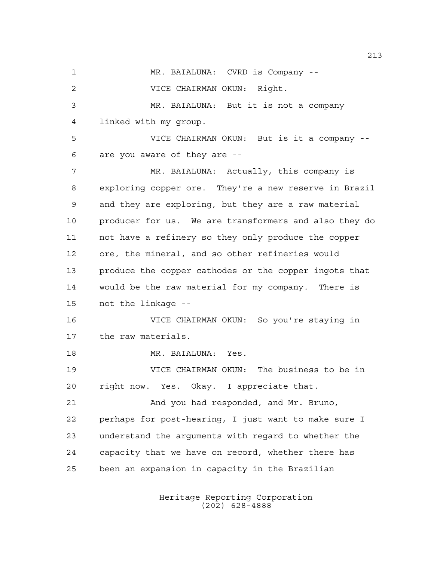1 MR. BAIALUNA: CVRD is Company -- VICE CHAIRMAN OKUN: Right. MR. BAIALUNA: But it is not a company linked with my group. VICE CHAIRMAN OKUN: But is it a company -- are you aware of they are -- MR. BAIALUNA: Actually, this company is exploring copper ore. They're a new reserve in Brazil and they are exploring, but they are a raw material producer for us. We are transformers and also they do not have a refinery so they only produce the copper ore, the mineral, and so other refineries would produce the copper cathodes or the copper ingots that would be the raw material for my company. There is not the linkage -- VICE CHAIRMAN OKUN: So you're staying in the raw materials. MR. BAIALUNA: Yes. VICE CHAIRMAN OKUN: The business to be in right now. Yes. Okay. I appreciate that. And you had responded, and Mr. Bruno, perhaps for post-hearing, I just want to make sure I understand the arguments with regard to whether the capacity that we have on record, whether there has been an expansion in capacity in the Brazilian

> Heritage Reporting Corporation (202) 628-4888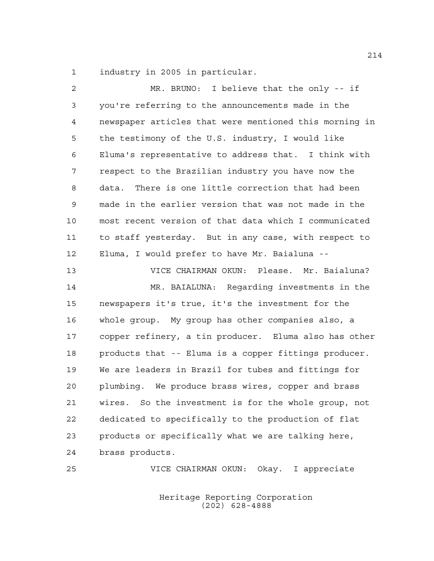industry in 2005 in particular.

 MR. BRUNO: I believe that the only -- if you're referring to the announcements made in the newspaper articles that were mentioned this morning in the testimony of the U.S. industry, I would like Eluma's representative to address that. I think with respect to the Brazilian industry you have now the data. There is one little correction that had been made in the earlier version that was not made in the most recent version of that data which I communicated to staff yesterday. But in any case, with respect to Eluma, I would prefer to have Mr. Baialuna -- VICE CHAIRMAN OKUN: Please. Mr. Baialuna? MR. BAIALUNA: Regarding investments in the newspapers it's true, it's the investment for the whole group. My group has other companies also, a copper refinery, a tin producer. Eluma also has other products that -- Eluma is a copper fittings producer. We are leaders in Brazil for tubes and fittings for plumbing. We produce brass wires, copper and brass wires. So the investment is for the whole group, not dedicated to specifically to the production of flat products or specifically what we are talking here, brass products.

> Heritage Reporting Corporation (202) 628-4888

VICE CHAIRMAN OKUN: Okay. I appreciate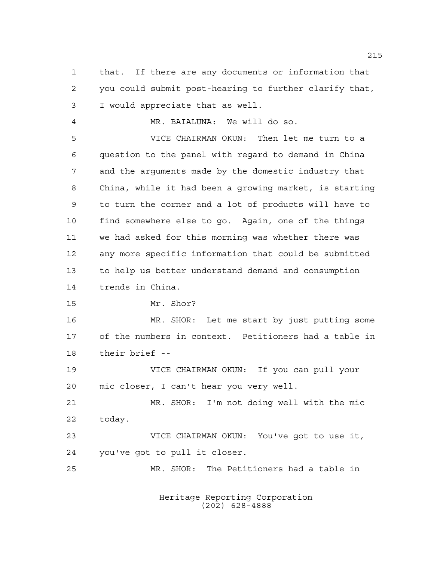that. If there are any documents or information that you could submit post-hearing to further clarify that, I would appreciate that as well.

MR. BAIALUNA: We will do so.

 VICE CHAIRMAN OKUN: Then let me turn to a question to the panel with regard to demand in China and the arguments made by the domestic industry that China, while it had been a growing market, is starting to turn the corner and a lot of products will have to find somewhere else to go. Again, one of the things we had asked for this morning was whether there was any more specific information that could be submitted to help us better understand demand and consumption trends in China.

Mr. Shor?

 MR. SHOR: Let me start by just putting some of the numbers in context. Petitioners had a table in their brief --

 VICE CHAIRMAN OKUN: If you can pull your mic closer, I can't hear you very well.

 MR. SHOR: I'm not doing well with the mic today.

 VICE CHAIRMAN OKUN: You've got to use it, you've got to pull it closer.

MR. SHOR: The Petitioners had a table in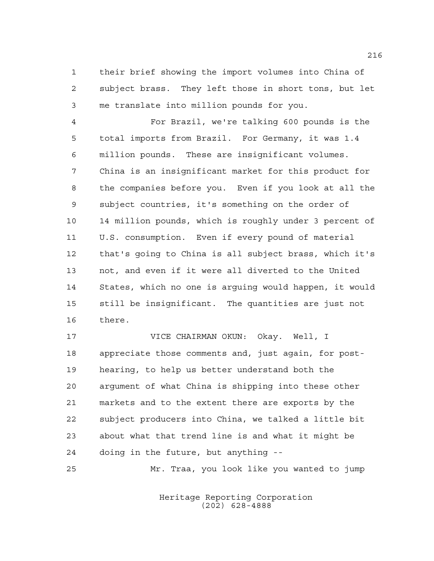their brief showing the import volumes into China of subject brass. They left those in short tons, but let me translate into million pounds for you.

 For Brazil, we're talking 600 pounds is the total imports from Brazil. For Germany, it was 1.4 million pounds. These are insignificant volumes. China is an insignificant market for this product for the companies before you. Even if you look at all the subject countries, it's something on the order of 14 million pounds, which is roughly under 3 percent of U.S. consumption. Even if every pound of material that's going to China is all subject brass, which it's not, and even if it were all diverted to the United States, which no one is arguing would happen, it would still be insignificant. The quantities are just not there.

 VICE CHAIRMAN OKUN: Okay. Well, I appreciate those comments and, just again, for post- hearing, to help us better understand both the argument of what China is shipping into these other markets and to the extent there are exports by the subject producers into China, we talked a little bit about what that trend line is and what it might be doing in the future, but anything --

Mr. Traa, you look like you wanted to jump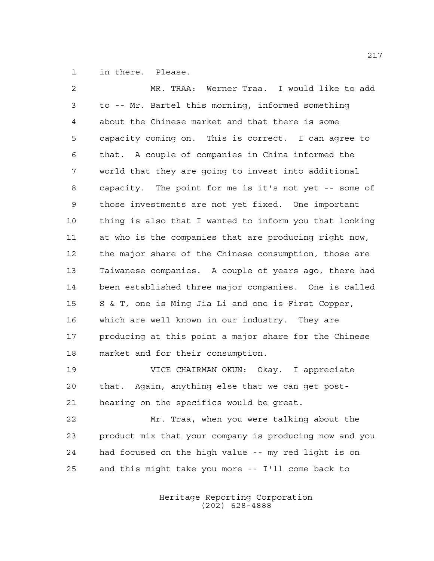in there. Please.

 MR. TRAA: Werner Traa. I would like to add to -- Mr. Bartel this morning, informed something about the Chinese market and that there is some capacity coming on. This is correct. I can agree to that. A couple of companies in China informed the world that they are going to invest into additional capacity. The point for me is it's not yet -- some of those investments are not yet fixed. One important thing is also that I wanted to inform you that looking at who is the companies that are producing right now, the major share of the Chinese consumption, those are Taiwanese companies. A couple of years ago, there had been established three major companies. One is called S & T, one is Ming Jia Li and one is First Copper, which are well known in our industry. They are producing at this point a major share for the Chinese market and for their consumption. VICE CHAIRMAN OKUN: Okay. I appreciate

 that. Again, anything else that we can get post-hearing on the specifics would be great.

 Mr. Traa, when you were talking about the product mix that your company is producing now and you had focused on the high value -- my red light is on and this might take you more -- I'll come back to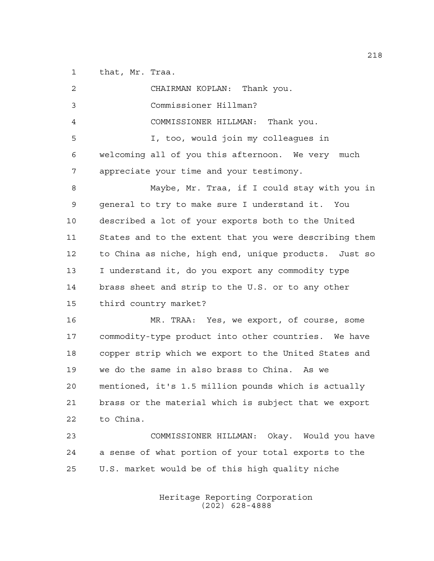that, Mr. Traa.

| 2              | CHAIRMAN KOPLAN: Thank you.                            |
|----------------|--------------------------------------------------------|
| 3              | Commissioner Hillman?                                  |
| $\overline{4}$ | COMMISSIONER HILLMAN: Thank you.                       |
| 5              | I, too, would join my colleagues in                    |
| 6              | welcoming all of you this afternoon. We very much      |
| 7              | appreciate your time and your testimony.               |
| 8              | Maybe, Mr. Traa, if I could stay with you in           |
| 9              | general to try to make sure I understand it. You       |
| 10             | described a lot of your exports both to the United     |
| 11             | States and to the extent that you were describing them |
| 12             | to China as niche, high end, unique products. Just so  |
| 13             | I understand it, do you export any commodity type      |
| 14             | brass sheet and strip to the U.S. or to any other      |
| 15             | third country market?                                  |
| 16             | MR. TRAA: Yes, we export, of course, some              |
| 17             | commodity-type product into other countries. We have   |
| 18             | copper strip which we export to the United States and  |
| 19             | we do the same in also brass to China. As we           |
| 20             | mentioned, it's 1.5 million pounds which is actually   |
| 21             | brass or the material which is subject that we export  |
| 22             | to China.                                              |
| 23             | COMMISSIONER HILLMAN: Okay. Would you have             |
| 24             | a sense of what portion of your total exports to the   |
| 25             | U.S. market would be of this high quality niche        |
|                |                                                        |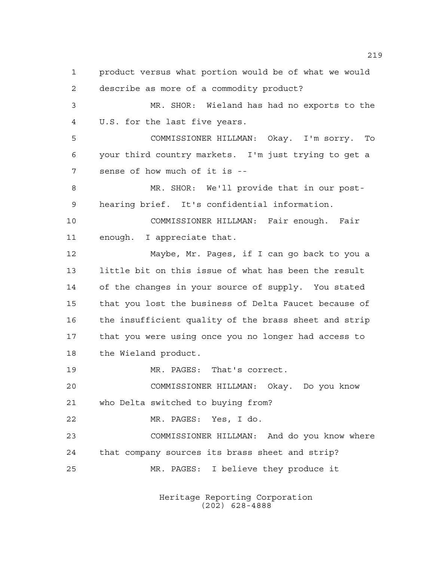product versus what portion would be of what we would describe as more of a commodity product? MR. SHOR: Wieland has had no exports to the U.S. for the last five years. COMMISSIONER HILLMAN: Okay. I'm sorry. To your third country markets. I'm just trying to get a sense of how much of it is -- MR. SHOR: We'll provide that in our post- hearing brief. It's confidential information. COMMISSIONER HILLMAN: Fair enough. Fair enough. I appreciate that. Maybe, Mr. Pages, if I can go back to you a little bit on this issue of what has been the result of the changes in your source of supply. You stated that you lost the business of Delta Faucet because of the insufficient quality of the brass sheet and strip that you were using once you no longer had access to the Wieland product. MR. PAGES: That's correct. COMMISSIONER HILLMAN: Okay. Do you know who Delta switched to buying from? MR. PAGES: Yes, I do. COMMISSIONER HILLMAN: And do you know where that company sources its brass sheet and strip? MR. PAGES: I believe they produce it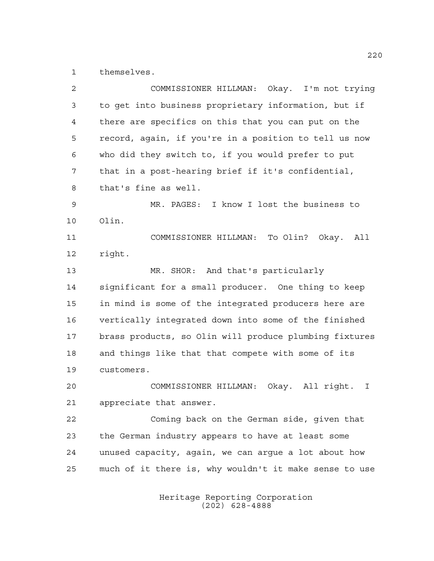themselves.

| 2      | COMMISSIONER HILLMAN: Okay. I'm not trying             |
|--------|--------------------------------------------------------|
| 3      | to get into business proprietary information, but if   |
| 4      | there are specifics on this that you can put on the    |
| 5      | record, again, if you're in a position to tell us now  |
| 6      | who did they switch to, if you would prefer to put     |
| 7      | that in a post-hearing brief if it's confidential,     |
| 8      | that's fine as well.                                   |
| 9      | MR. PAGES: I know I lost the business to               |
| 10     | Olin.                                                  |
| 11     | COMMISSIONER HILLMAN: To Olin? Okay. All               |
| 12     | right.                                                 |
| 13     | MR. SHOR: And that's particularly                      |
| 14     | significant for a small producer. One thing to keep    |
| 15     | in mind is some of the integrated producers here are   |
| 16     | vertically integrated down into some of the finished   |
| 17     | brass products, so Olin will produce plumbing fixtures |
| 18     | and things like that that compete with some of its     |
| 19     | customers.                                             |
| 20     | COMMISSIONER HILLMAN:<br>Okay. All right.<br>I         |
| $2\,1$ | appreciate that answer.                                |
| 22     | Coming back on the German side, given that             |
| 23     | the German industry appears to have at least some      |
| 24     | unused capacity, again, we can argue a lot about how   |
| 25     | much of it there is, why wouldn't it make sense to use |
|        |                                                        |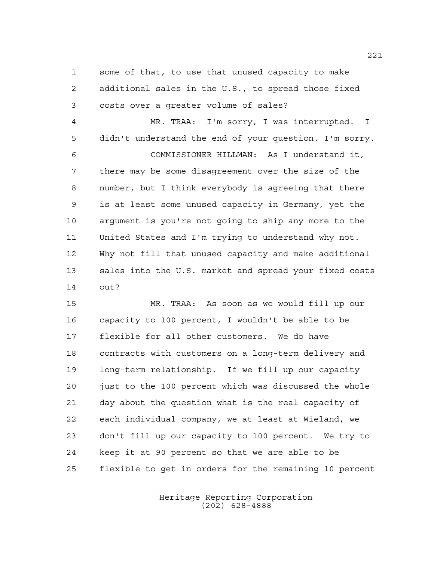some of that, to use that unused capacity to make additional sales in the U.S., to spread those fixed costs over a greater volume of sales?

 MR. TRAA: I'm sorry, I was interrupted. I didn't understand the end of your question. I'm sorry. COMMISSIONER HILLMAN: As I understand it, there may be some disagreement over the size of the number, but I think everybody is agreeing that there is at least some unused capacity in Germany, yet the argument is you're not going to ship any more to the United States and I'm trying to understand why not. Why not fill that unused capacity and make additional sales into the U.S. market and spread your fixed costs out?

 MR. TRAA: As soon as we would fill up our capacity to 100 percent, I wouldn't be able to be flexible for all other customers. We do have contracts with customers on a long-term delivery and long-term relationship. If we fill up our capacity just to the 100 percent which was discussed the whole day about the question what is the real capacity of each individual company, we at least at Wieland, we don't fill up our capacity to 100 percent. We try to keep it at 90 percent so that we are able to be flexible to get in orders for the remaining 10 percent

> Heritage Reporting Corporation (202) 628-4888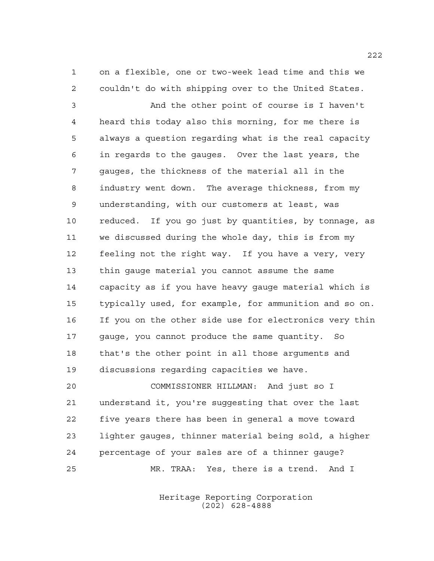on a flexible, one or two-week lead time and this we couldn't do with shipping over to the United States.

 And the other point of course is I haven't heard this today also this morning, for me there is always a question regarding what is the real capacity in regards to the gauges. Over the last years, the gauges, the thickness of the material all in the industry went down. The average thickness, from my understanding, with our customers at least, was reduced. If you go just by quantities, by tonnage, as we discussed during the whole day, this is from my feeling not the right way. If you have a very, very thin gauge material you cannot assume the same capacity as if you have heavy gauge material which is typically used, for example, for ammunition and so on. If you on the other side use for electronics very thin gauge, you cannot produce the same quantity. So that's the other point in all those arguments and discussions regarding capacities we have.

 COMMISSIONER HILLMAN: And just so I understand it, you're suggesting that over the last five years there has been in general a move toward lighter gauges, thinner material being sold, a higher percentage of your sales are of a thinner gauge? MR. TRAA: Yes, there is a trend. And I

> Heritage Reporting Corporation (202) 628-4888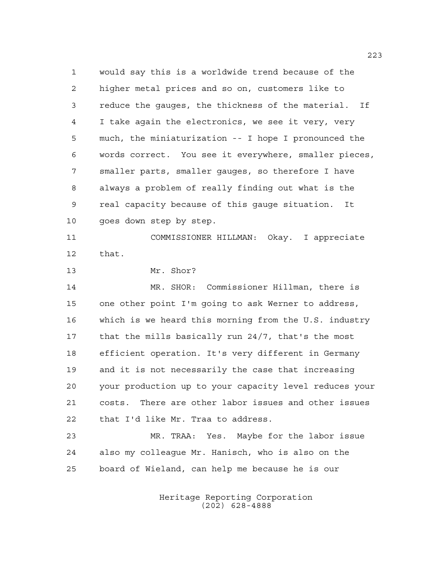would say this is a worldwide trend because of the higher metal prices and so on, customers like to reduce the gauges, the thickness of the material. If I take again the electronics, we see it very, very much, the miniaturization -- I hope I pronounced the words correct. You see it everywhere, smaller pieces, smaller parts, smaller gauges, so therefore I have always a problem of really finding out what is the real capacity because of this gauge situation. It goes down step by step. COMMISSIONER HILLMAN: Okay. I appreciate that. Mr. Shor? MR. SHOR: Commissioner Hillman, there is one other point I'm going to ask Werner to address, which is we heard this morning from the U.S. industry that the mills basically run 24/7, that's the most efficient operation. It's very different in Germany and it is not necessarily the case that increasing your production up to your capacity level reduces your costs. There are other labor issues and other issues that I'd like Mr. Traa to address. MR. TRAA: Yes. Maybe for the labor issue also my colleague Mr. Hanisch, who is also on the board of Wieland, can help me because he is our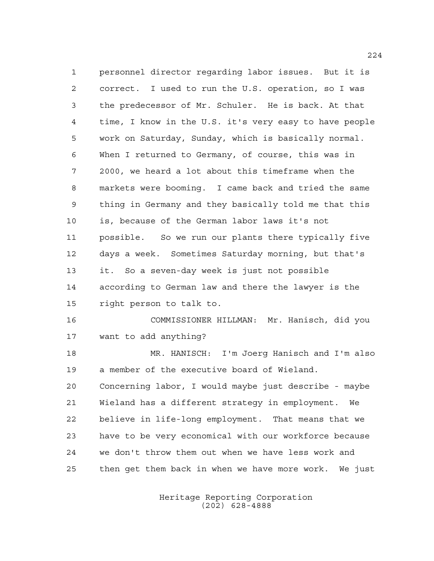personnel director regarding labor issues. But it is correct. I used to run the U.S. operation, so I was the predecessor of Mr. Schuler. He is back. At that time, I know in the U.S. it's very easy to have people work on Saturday, Sunday, which is basically normal. When I returned to Germany, of course, this was in 2000, we heard a lot about this timeframe when the markets were booming. I came back and tried the same thing in Germany and they basically told me that this is, because of the German labor laws it's not possible. So we run our plants there typically five days a week. Sometimes Saturday morning, but that's it. So a seven-day week is just not possible according to German law and there the lawyer is the right person to talk to. COMMISSIONER HILLMAN: Mr. Hanisch, did you want to add anything? MR. HANISCH: I'm Joerg Hanisch and I'm also a member of the executive board of Wieland. Concerning labor, I would maybe just describe - maybe Wieland has a different strategy in employment. We believe in life-long employment. That means that we have to be very economical with our workforce because

then get them back in when we have more work. We just

we don't throw them out when we have less work and

Heritage Reporting Corporation (202) 628-4888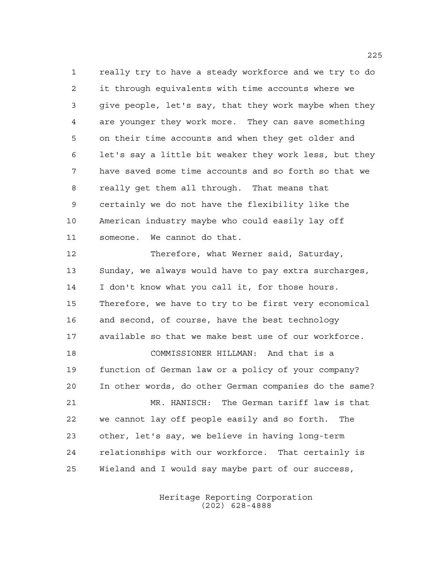really try to have a steady workforce and we try to do it through equivalents with time accounts where we give people, let's say, that they work maybe when they are younger they work more. They can save something on their time accounts and when they get older and let's say a little bit weaker they work less, but they have saved some time accounts and so forth so that we really get them all through. That means that certainly we do not have the flexibility like the American industry maybe who could easily lay off someone. We cannot do that.

 Therefore, what Werner said, Saturday, Sunday, we always would have to pay extra surcharges, I don't know what you call it, for those hours. Therefore, we have to try to be first very economical and second, of course, have the best technology available so that we make best use of our workforce. COMMISSIONER HILLMAN: And that is a function of German law or a policy of your company? In other words, do other German companies do the same? MR. HANISCH: The German tariff law is that we cannot lay off people easily and so forth. The other, let's say, we believe in having long-term relationships with our workforce. That certainly is Wieland and I would say maybe part of our success,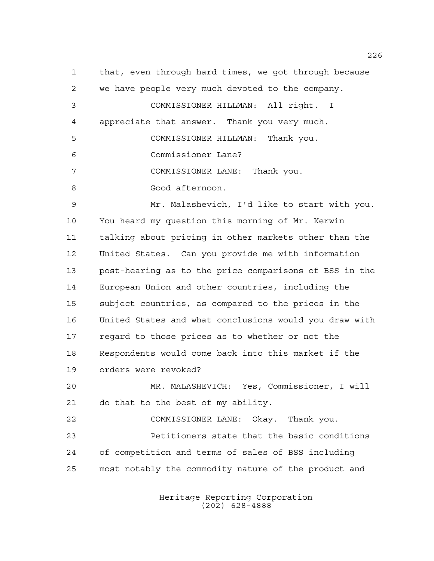that, even through hard times, we got through because we have people very much devoted to the company. COMMISSIONER HILLMAN: All right. I appreciate that answer. Thank you very much. COMMISSIONER HILLMAN: Thank you. Commissioner Lane? COMMISSIONER LANE: Thank you. Good afternoon. Mr. Malashevich, I'd like to start with you. You heard my question this morning of Mr. Kerwin talking about pricing in other markets other than the United States. Can you provide me with information post-hearing as to the price comparisons of BSS in the European Union and other countries, including the subject countries, as compared to the prices in the United States and what conclusions would you draw with regard to those prices as to whether or not the Respondents would come back into this market if the orders were revoked? MR. MALASHEVICH: Yes, Commissioner, I will do that to the best of my ability. COMMISSIONER LANE: Okay. Thank you. Petitioners state that the basic conditions of competition and terms of sales of BSS including most notably the commodity nature of the product and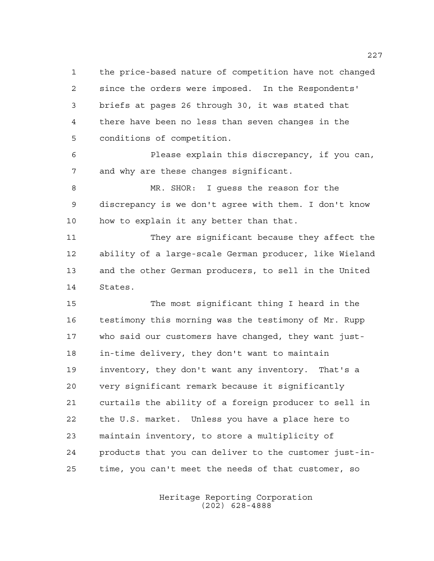the price-based nature of competition have not changed since the orders were imposed. In the Respondents' briefs at pages 26 through 30, it was stated that there have been no less than seven changes in the conditions of competition.

 Please explain this discrepancy, if you can, and why are these changes significant.

 MR. SHOR: I guess the reason for the discrepancy is we don't agree with them. I don't know how to explain it any better than that.

 They are significant because they affect the ability of a large-scale German producer, like Wieland and the other German producers, to sell in the United States.

 The most significant thing I heard in the testimony this morning was the testimony of Mr. Rupp who said our customers have changed, they want just- in-time delivery, they don't want to maintain inventory, they don't want any inventory. That's a very significant remark because it significantly curtails the ability of a foreign producer to sell in the U.S. market. Unless you have a place here to maintain inventory, to store a multiplicity of products that you can deliver to the customer just-in-time, you can't meet the needs of that customer, so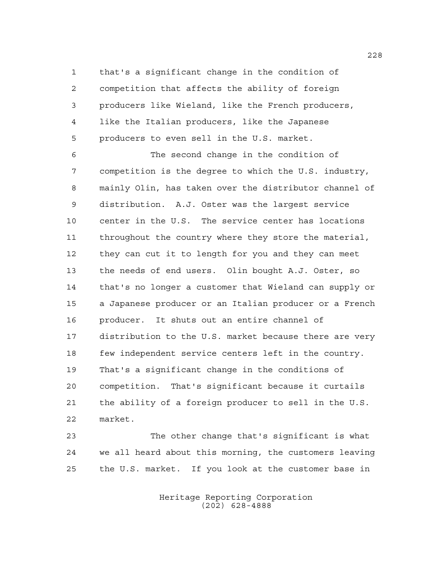that's a significant change in the condition of competition that affects the ability of foreign producers like Wieland, like the French producers, like the Italian producers, like the Japanese producers to even sell in the U.S. market.

 The second change in the condition of competition is the degree to which the U.S. industry, mainly Olin, has taken over the distributor channel of distribution. A.J. Oster was the largest service center in the U.S. The service center has locations throughout the country where they store the material, they can cut it to length for you and they can meet the needs of end users. Olin bought A.J. Oster, so that's no longer a customer that Wieland can supply or a Japanese producer or an Italian producer or a French producer. It shuts out an entire channel of distribution to the U.S. market because there are very few independent service centers left in the country. That's a significant change in the conditions of competition. That's significant because it curtails the ability of a foreign producer to sell in the U.S. market.

 The other change that's significant is what we all heard about this morning, the customers leaving the U.S. market. If you look at the customer base in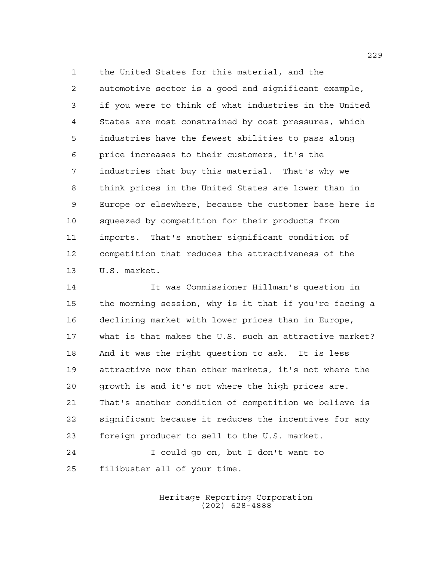the United States for this material, and the automotive sector is a good and significant example, if you were to think of what industries in the United States are most constrained by cost pressures, which industries have the fewest abilities to pass along price increases to their customers, it's the industries that buy this material. That's why we think prices in the United States are lower than in Europe or elsewhere, because the customer base here is squeezed by competition for their products from imports. That's another significant condition of competition that reduces the attractiveness of the U.S. market.

 It was Commissioner Hillman's question in the morning session, why is it that if you're facing a declining market with lower prices than in Europe, what is that makes the U.S. such an attractive market? And it was the right question to ask. It is less attractive now than other markets, it's not where the growth is and it's not where the high prices are. That's another condition of competition we believe is significant because it reduces the incentives for any foreign producer to sell to the U.S. market.

 I could go on, but I don't want to filibuster all of your time.

> Heritage Reporting Corporation (202) 628-4888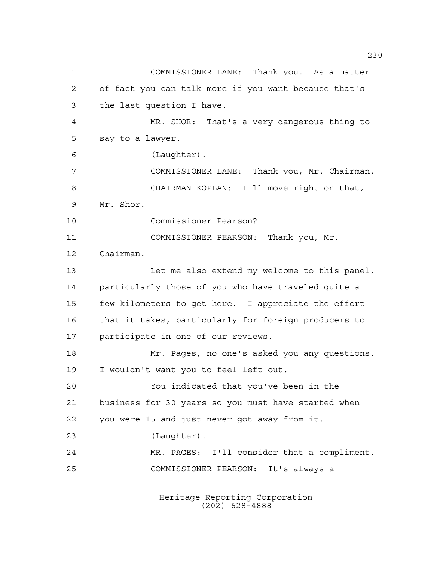COMMISSIONER LANE: Thank you. As a matter of fact you can talk more if you want because that's the last question I have. MR. SHOR: That's a very dangerous thing to say to a lawyer. (Laughter). COMMISSIONER LANE: Thank you, Mr. Chairman. CHAIRMAN KOPLAN: I'll move right on that, Mr. Shor. Commissioner Pearson? COMMISSIONER PEARSON: Thank you, Mr. Chairman. 13 Let me also extend my welcome to this panel, particularly those of you who have traveled quite a few kilometers to get here. I appreciate the effort that it takes, particularly for foreign producers to participate in one of our reviews. Mr. Pages, no one's asked you any questions. I wouldn't want you to feel left out. You indicated that you've been in the business for 30 years so you must have started when you were 15 and just never got away from it. (Laughter). MR. PAGES: I'll consider that a compliment. COMMISSIONER PEARSON: It's always a

> Heritage Reporting Corporation (202) 628-4888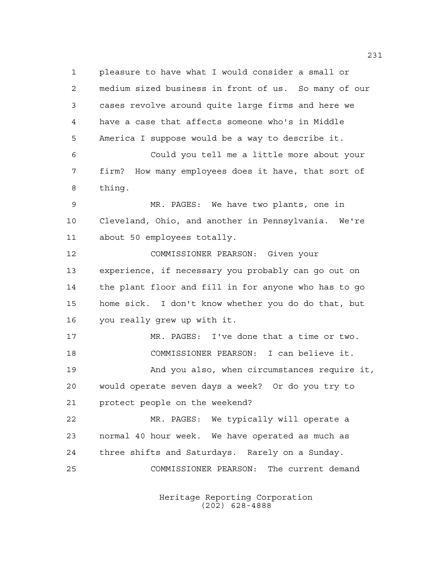pleasure to have what I would consider a small or medium sized business in front of us. So many of our cases revolve around quite large firms and here we have a case that affects someone who's in Middle America I suppose would be a way to describe it. Could you tell me a little more about your firm? How many employees does it have, that sort of thing. MR. PAGES: We have two plants, one in Cleveland, Ohio, and another in Pennsylvania. We're about 50 employees totally. COMMISSIONER PEARSON: Given your experience, if necessary you probably can go out on the plant floor and fill in for anyone who has to go home sick. I don't know whether you do do that, but you really grew up with it. MR. PAGES: I've done that a time or two. COMMISSIONER PEARSON: I can believe it. And you also, when circumstances require it, would operate seven days a week? Or do you try to protect people on the weekend? MR. PAGES: We typically will operate a normal 40 hour week. We have operated as much as three shifts and Saturdays. Rarely on a Sunday. COMMISSIONER PEARSON: The current demand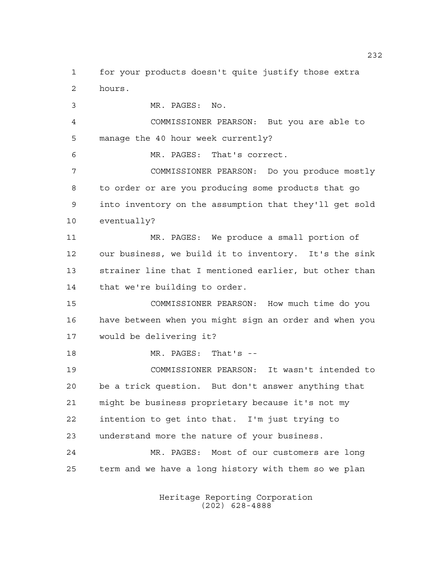for your products doesn't quite justify those extra hours.

 MR. PAGES: No. COMMISSIONER PEARSON: But you are able to manage the 40 hour week currently? MR. PAGES: That's correct. COMMISSIONER PEARSON: Do you produce mostly to order or are you producing some products that go into inventory on the assumption that they'll get sold eventually? MR. PAGES: We produce a small portion of our business, we build it to inventory. It's the sink strainer line that I mentioned earlier, but other than that we're building to order. COMMISSIONER PEARSON: How much time do you have between when you might sign an order and when you would be delivering it? MR. PAGES: That's -- COMMISSIONER PEARSON: It wasn't intended to be a trick question. But don't answer anything that might be business proprietary because it's not my intention to get into that. I'm just trying to understand more the nature of your business. MR. PAGES: Most of our customers are long

> Heritage Reporting Corporation (202) 628-4888

term and we have a long history with them so we plan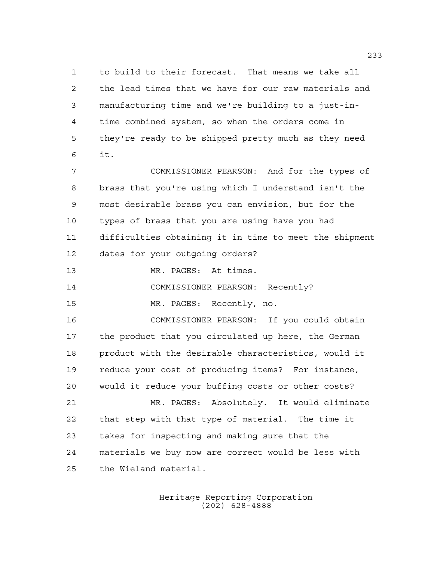to build to their forecast. That means we take all the lead times that we have for our raw materials and manufacturing time and we're building to a just-in- time combined system, so when the orders come in they're ready to be shipped pretty much as they need it.

 COMMISSIONER PEARSON: And for the types of brass that you're using which I understand isn't the most desirable brass you can envision, but for the types of brass that you are using have you had difficulties obtaining it in time to meet the shipment dates for your outgoing orders?

MR. PAGES: At times.

COMMISSIONER PEARSON: Recently?

MR. PAGES: Recently, no.

 COMMISSIONER PEARSON: If you could obtain the product that you circulated up here, the German product with the desirable characteristics, would it reduce your cost of producing items? For instance, would it reduce your buffing costs or other costs? MR. PAGES: Absolutely. It would eliminate that step with that type of material. The time it takes for inspecting and making sure that the materials we buy now are correct would be less with the Wieland material.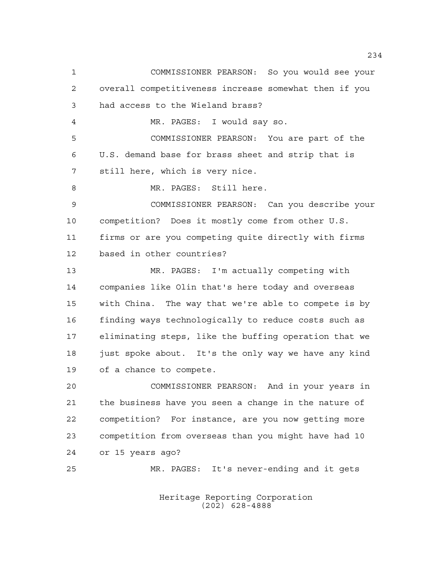COMMISSIONER PEARSON: So you would see your overall competitiveness increase somewhat then if you had access to the Wieland brass? MR. PAGES: I would say so. COMMISSIONER PEARSON: You are part of the U.S. demand base for brass sheet and strip that is still here, which is very nice. MR. PAGES: Still here. COMMISSIONER PEARSON: Can you describe your competition? Does it mostly come from other U.S. firms or are you competing quite directly with firms based in other countries? MR. PAGES: I'm actually competing with companies like Olin that's here today and overseas with China. The way that we're able to compete is by finding ways technologically to reduce costs such as eliminating steps, like the buffing operation that we 18 just spoke about. It's the only way we have any kind of a chance to compete. COMMISSIONER PEARSON: And in your years in the business have you seen a change in the nature of competition? For instance, are you now getting more competition from overseas than you might have had 10 or 15 years ago? MR. PAGES: It's never-ending and it gets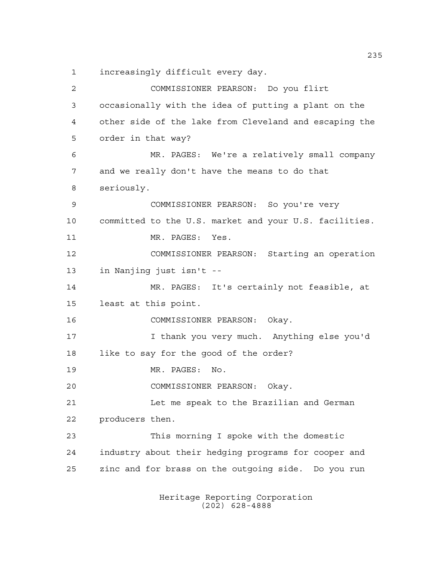increasingly difficult every day.

 COMMISSIONER PEARSON: Do you flirt occasionally with the idea of putting a plant on the other side of the lake from Cleveland and escaping the order in that way? MR. PAGES: We're a relatively small company and we really don't have the means to do that seriously. COMMISSIONER PEARSON: So you're very committed to the U.S. market and your U.S. facilities. 11 MR. PAGES: Yes. COMMISSIONER PEARSON: Starting an operation in Nanjing just isn't -- MR. PAGES: It's certainly not feasible, at least at this point. COMMISSIONER PEARSON: Okay. I thank you very much. Anything else you'd like to say for the good of the order? MR. PAGES: No. COMMISSIONER PEARSON: Okay. Let me speak to the Brazilian and German producers then. This morning I spoke with the domestic industry about their hedging programs for cooper and zinc and for brass on the outgoing side. Do you run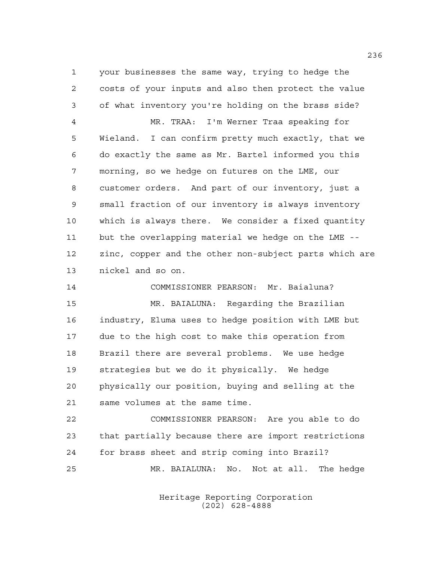your businesses the same way, trying to hedge the costs of your inputs and also then protect the value of what inventory you're holding on the brass side? MR. TRAA: I'm Werner Traa speaking for Wieland. I can confirm pretty much exactly, that we do exactly the same as Mr. Bartel informed you this morning, so we hedge on futures on the LME, our customer orders. And part of our inventory, just a small fraction of our inventory is always inventory which is always there. We consider a fixed quantity but the overlapping material we hedge on the LME -- zinc, copper and the other non-subject parts which are nickel and so on.

 COMMISSIONER PEARSON: Mr. Baialuna? MR. BAIALUNA: Regarding the Brazilian industry, Eluma uses to hedge position with LME but due to the high cost to make this operation from Brazil there are several problems. We use hedge strategies but we do it physically. We hedge physically our position, buying and selling at the same volumes at the same time.

 COMMISSIONER PEARSON: Are you able to do that partially because there are import restrictions for brass sheet and strip coming into Brazil? MR. BAIALUNA: No. Not at all. The hedge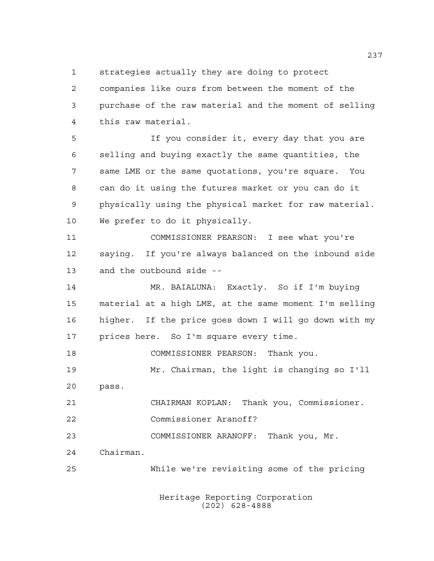strategies actually they are doing to protect

 companies like ours from between the moment of the purchase of the raw material and the moment of selling this raw material.

 If you consider it, every day that you are selling and buying exactly the same quantities, the same LME or the same quotations, you're square. You can do it using the futures market or you can do it physically using the physical market for raw material. We prefer to do it physically.

 COMMISSIONER PEARSON: I see what you're saying. If you're always balanced on the inbound side and the outbound side --

 MR. BAIALUNA: Exactly. So if I'm buying material at a high LME, at the same moment I'm selling higher. If the price goes down I will go down with my prices here. So I'm square every time.

COMMISSIONER PEARSON: Thank you.

 Mr. Chairman, the light is changing so I'll pass.

CHAIRMAN KOPLAN: Thank you, Commissioner.

Commissioner Aranoff?

COMMISSIONER ARANOFF: Thank you, Mr.

Chairman.

While we're revisiting some of the pricing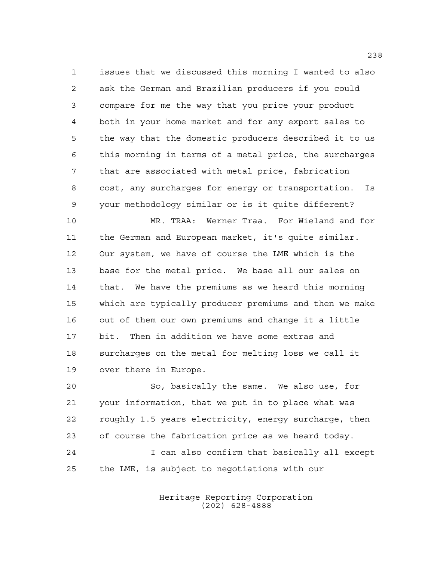issues that we discussed this morning I wanted to also ask the German and Brazilian producers if you could compare for me the way that you price your product both in your home market and for any export sales to the way that the domestic producers described it to us this morning in terms of a metal price, the surcharges that are associated with metal price, fabrication cost, any surcharges for energy or transportation. Is your methodology similar or is it quite different?

 MR. TRAA: Werner Traa. For Wieland and for the German and European market, it's quite similar. Our system, we have of course the LME which is the base for the metal price. We base all our sales on that. We have the premiums as we heard this morning which are typically producer premiums and then we make out of them our own premiums and change it a little bit. Then in addition we have some extras and surcharges on the metal for melting loss we call it over there in Europe.

 So, basically the same. We also use, for your information, that we put in to place what was roughly 1.5 years electricity, energy surcharge, then of course the fabrication price as we heard today. I can also confirm that basically all except the LME, is subject to negotiations with our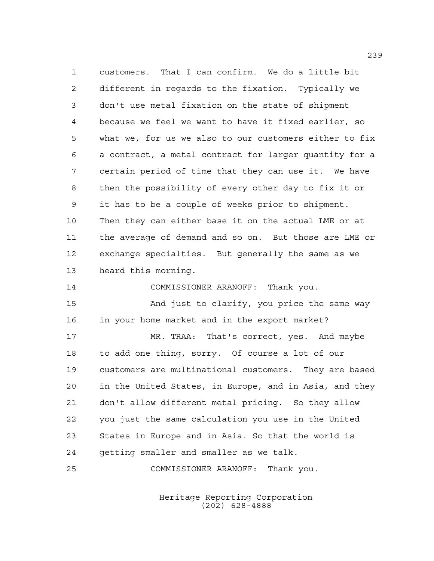customers. That I can confirm. We do a little bit different in regards to the fixation. Typically we don't use metal fixation on the state of shipment because we feel we want to have it fixed earlier, so what we, for us we also to our customers either to fix a contract, a metal contract for larger quantity for a certain period of time that they can use it. We have then the possibility of every other day to fix it or it has to be a couple of weeks prior to shipment. Then they can either base it on the actual LME or at the average of demand and so on. But those are LME or exchange specialties. But generally the same as we heard this morning.

COMMISSIONER ARANOFF: Thank you.

 And just to clarify, you price the same way in your home market and in the export market?

 MR. TRAA: That's correct, yes. And maybe to add one thing, sorry. Of course a lot of our customers are multinational customers. They are based in the United States, in Europe, and in Asia, and they don't allow different metal pricing. So they allow you just the same calculation you use in the United States in Europe and in Asia. So that the world is getting smaller and smaller as we talk.

COMMISSIONER ARANOFF: Thank you.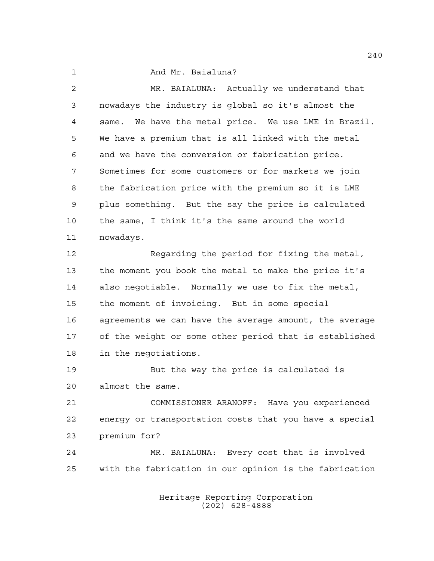1 And Mr. Baialuna?

| 2  | MR. BAIALUNA: Actually we understand that              |
|----|--------------------------------------------------------|
| 3  | nowadays the industry is global so it's almost the     |
| 4  | same. We have the metal price. We use LME in Brazil.   |
| 5  | We have a premium that is all linked with the metal    |
| 6  | and we have the conversion or fabrication price.       |
| 7  | Sometimes for some customers or for markets we join    |
| 8  | the fabrication price with the premium so it is LME    |
| 9  | plus something. But the say the price is calculated    |
| 10 | the same, I think it's the same around the world       |
| 11 | nowadays.                                              |
| 12 | Regarding the period for fixing the metal,             |
| 13 | the moment you book the metal to make the price it's   |
| 14 | also negotiable. Normally we use to fix the metal,     |
| 15 | the moment of invoicing. But in some special           |
| 16 | agreements we can have the average amount, the average |
| 17 | of the weight or some other period that is established |
| 18 | in the negotiations.                                   |
| 19 | But the way the price is calculated is                 |
| 20 | almost the same.                                       |
| 21 | COMMISSIONER ARANOFF: Have you experienced             |
| 22 | energy or transportation costs that you have a special |
| 23 | premium for?                                           |
| 24 | MR. BAIALUNA: Every cost that is involved              |
| 25 | with the fabrication in our opinion is the fabrication |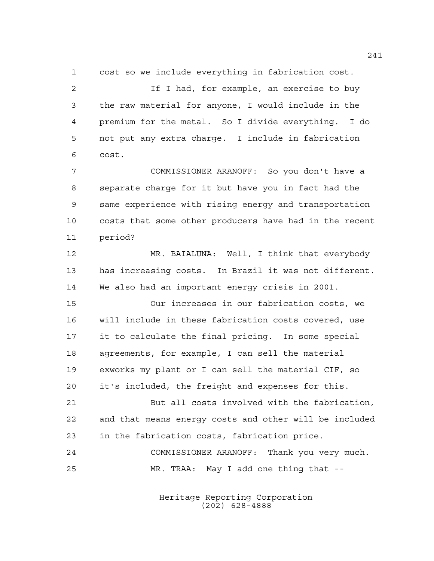cost so we include everything in fabrication cost.

 If I had, for example, an exercise to buy the raw material for anyone, I would include in the premium for the metal. So I divide everything. I do not put any extra charge. I include in fabrication cost.

 COMMISSIONER ARANOFF: So you don't have a separate charge for it but have you in fact had the same experience with rising energy and transportation costs that some other producers have had in the recent period?

 MR. BAIALUNA: Well, I think that everybody has increasing costs. In Brazil it was not different. We also had an important energy crisis in 2001.

 Our increases in our fabrication costs, we will include in these fabrication costs covered, use it to calculate the final pricing. In some special agreements, for example, I can sell the material exworks my plant or I can sell the material CIF, so it's included, the freight and expenses for this.

 But all costs involved with the fabrication, and that means energy costs and other will be included in the fabrication costs, fabrication price.

 COMMISSIONER ARANOFF: Thank you very much. MR. TRAA: May I add one thing that --

> Heritage Reporting Corporation (202) 628-4888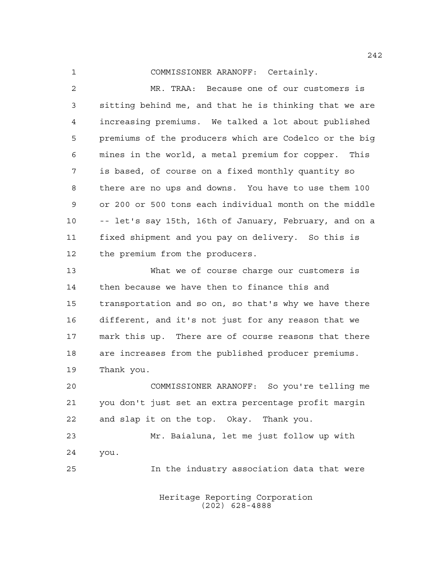COMMISSIONER ARANOFF: Certainly.

 MR. TRAA: Because one of our customers is sitting behind me, and that he is thinking that we are increasing premiums. We talked a lot about published premiums of the producers which are Codelco or the big mines in the world, a metal premium for copper. This is based, of course on a fixed monthly quantity so there are no ups and downs. You have to use them 100 or 200 or 500 tons each individual month on the middle -- let's say 15th, 16th of January, February, and on a fixed shipment and you pay on delivery. So this is 12 the premium from the producers.

 What we of course charge our customers is then because we have then to finance this and transportation and so on, so that's why we have there different, and it's not just for any reason that we mark this up. There are of course reasons that there are increases from the published producer premiums. Thank you.

 COMMISSIONER ARANOFF: So you're telling me you don't just set an extra percentage profit margin and slap it on the top. Okay. Thank you.

 Mr. Baialuna, let me just follow up with you. In the industry association data that were

> Heritage Reporting Corporation (202) 628-4888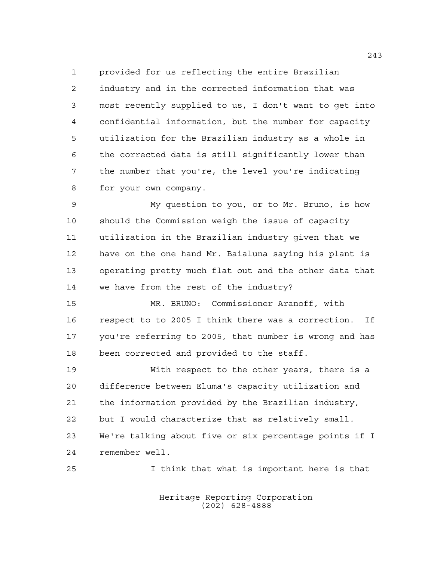provided for us reflecting the entire Brazilian industry and in the corrected information that was most recently supplied to us, I don't want to get into confidential information, but the number for capacity utilization for the Brazilian industry as a whole in the corrected data is still significantly lower than the number that you're, the level you're indicating for your own company.

 My question to you, or to Mr. Bruno, is how should the Commission weigh the issue of capacity utilization in the Brazilian industry given that we have on the one hand Mr. Baialuna saying his plant is operating pretty much flat out and the other data that we have from the rest of the industry?

 MR. BRUNO: Commissioner Aranoff, with respect to to 2005 I think there was a correction. If you're referring to 2005, that number is wrong and has been corrected and provided to the staff.

 With respect to the other years, there is a difference between Eluma's capacity utilization and the information provided by the Brazilian industry, but I would characterize that as relatively small. We're talking about five or six percentage points if I remember well.

I think that what is important here is that

Heritage Reporting Corporation (202) 628-4888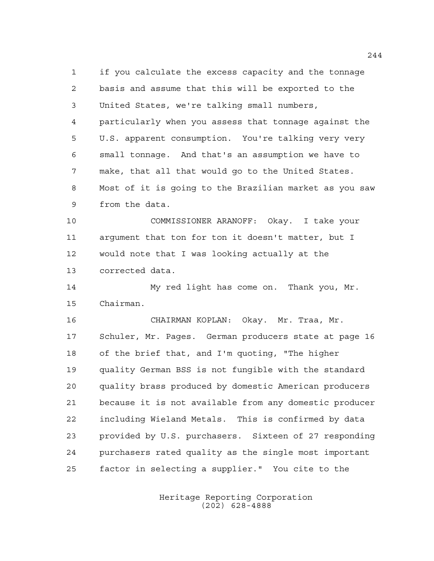if you calculate the excess capacity and the tonnage basis and assume that this will be exported to the United States, we're talking small numbers, particularly when you assess that tonnage against the U.S. apparent consumption. You're talking very very small tonnage. And that's an assumption we have to make, that all that would go to the United States. Most of it is going to the Brazilian market as you saw from the data.

 COMMISSIONER ARANOFF: Okay. I take your argument that ton for ton it doesn't matter, but I would note that I was looking actually at the corrected data.

 My red light has come on. Thank you, Mr. Chairman.

 CHAIRMAN KOPLAN: Okay. Mr. Traa, Mr. Schuler, Mr. Pages. German producers state at page 16 of the brief that, and I'm quoting, "The higher quality German BSS is not fungible with the standard quality brass produced by domestic American producers because it is not available from any domestic producer including Wieland Metals. This is confirmed by data provided by U.S. purchasers. Sixteen of 27 responding purchasers rated quality as the single most important factor in selecting a supplier." You cite to the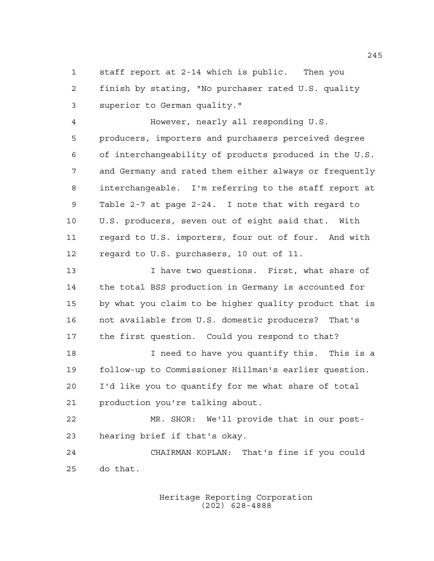staff report at 2-14 which is public. Then you finish by stating, "No purchaser rated U.S. quality superior to German quality."

 However, nearly all responding U.S. producers, importers and purchasers perceived degree of interchangeability of products produced in the U.S. and Germany and rated them either always or frequently interchangeable. I'm referring to the staff report at Table 2-7 at page 2-24. I note that with regard to U.S. producers, seven out of eight said that. With regard to U.S. importers, four out of four. And with regard to U.S. purchasers, 10 out of 11.

 I have two questions. First, what share of the total BSS production in Germany is accounted for by what you claim to be higher quality product that is not available from U.S. domestic producers? That's the first question. Could you respond to that?

 I need to have you quantify this. This is a follow-up to Commissioner Hillman's earlier question. I'd like you to quantify for me what share of total production you're talking about.

 MR. SHOR: We'll provide that in our post-hearing brief if that's okay.

 CHAIRMAN KOPLAN: That's fine if you could do that.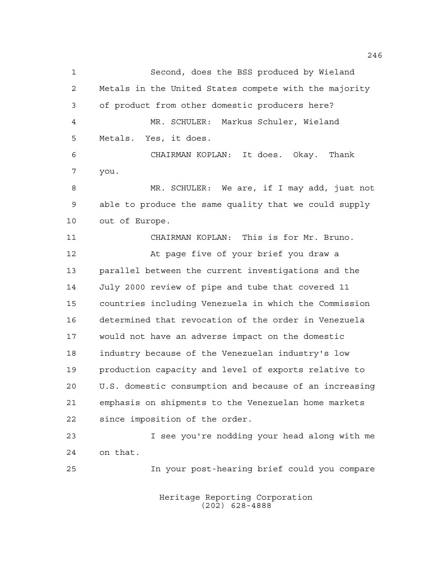Second, does the BSS produced by Wieland Metals in the United States compete with the majority of product from other domestic producers here? MR. SCHULER: Markus Schuler, Wieland Metals. Yes, it does. CHAIRMAN KOPLAN: It does. Okay. Thank you. MR. SCHULER: We are, if I may add, just not able to produce the same quality that we could supply out of Europe. CHAIRMAN KOPLAN: This is for Mr. Bruno. At page five of your brief you draw a parallel between the current investigations and the July 2000 review of pipe and tube that covered 11 countries including Venezuela in which the Commission determined that revocation of the order in Venezuela would not have an adverse impact on the domestic industry because of the Venezuelan industry's low production capacity and level of exports relative to U.S. domestic consumption and because of an increasing emphasis on shipments to the Venezuelan home markets since imposition of the order. I see you're nodding your head along with me on that. In your post-hearing brief could you compare

> Heritage Reporting Corporation (202) 628-4888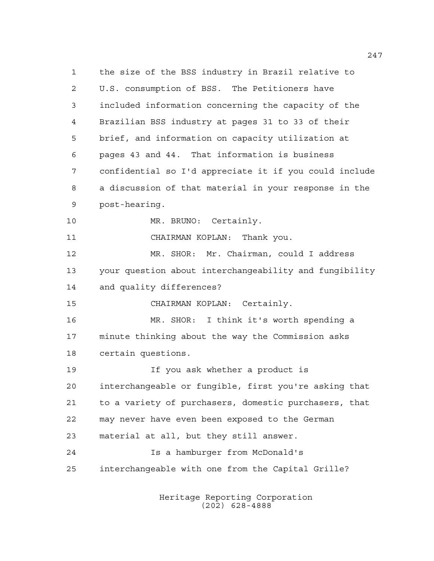the size of the BSS industry in Brazil relative to U.S. consumption of BSS. The Petitioners have included information concerning the capacity of the Brazilian BSS industry at pages 31 to 33 of their brief, and information on capacity utilization at pages 43 and 44. That information is business confidential so I'd appreciate it if you could include a discussion of that material in your response in the post-hearing. 10 MR. BRUNO: Certainly. CHAIRMAN KOPLAN: Thank you. MR. SHOR: Mr. Chairman, could I address your question about interchangeability and fungibility and quality differences? CHAIRMAN KOPLAN: Certainly. MR. SHOR: I think it's worth spending a minute thinking about the way the Commission asks certain questions. If you ask whether a product is interchangeable or fungible, first you're asking that to a variety of purchasers, domestic purchasers, that may never have even been exposed to the German material at all, but they still answer. Is a hamburger from McDonald's interchangeable with one from the Capital Grille?

> Heritage Reporting Corporation (202) 628-4888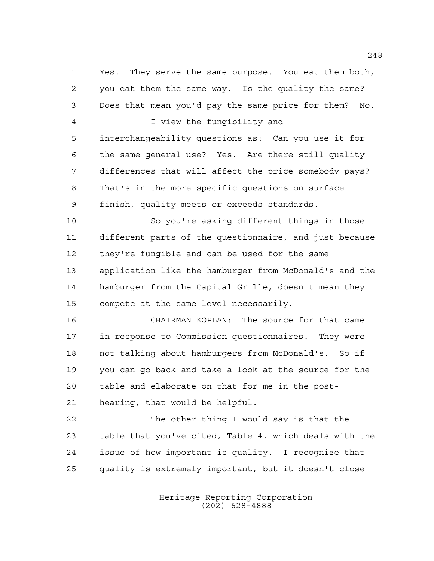Yes. They serve the same purpose. You eat them both, you eat them the same way. Is the quality the same? Does that mean you'd pay the same price for them? No. I view the fungibility and interchangeability questions as: Can you use it for the same general use? Yes. Are there still quality differences that will affect the price somebody pays? That's in the more specific questions on surface finish, quality meets or exceeds standards. So you're asking different things in those different parts of the questionnaire, and just because they're fungible and can be used for the same application like the hamburger from McDonald's and the hamburger from the Capital Grille, doesn't mean they compete at the same level necessarily. CHAIRMAN KOPLAN: The source for that came in response to Commission questionnaires. They were not talking about hamburgers from McDonald's. So if you can go back and take a look at the source for the table and elaborate on that for me in the post-

hearing, that would be helpful.

 The other thing I would say is that the table that you've cited, Table 4, which deals with the issue of how important is quality. I recognize that quality is extremely important, but it doesn't close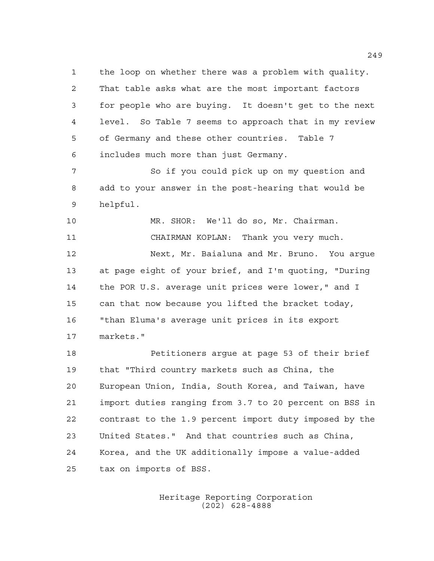the loop on whether there was a problem with quality. That table asks what are the most important factors for people who are buying. It doesn't get to the next level. So Table 7 seems to approach that in my review of Germany and these other countries. Table 7 includes much more than just Germany.

 So if you could pick up on my question and add to your answer in the post-hearing that would be helpful.

 MR. SHOR: We'll do so, Mr. Chairman. CHAIRMAN KOPLAN: Thank you very much. Next, Mr. Baialuna and Mr. Bruno. You argue at page eight of your brief, and I'm quoting, "During the POR U.S. average unit prices were lower," and I can that now because you lifted the bracket today, "than Eluma's average unit prices in its export markets."

 Petitioners argue at page 53 of their brief that "Third country markets such as China, the European Union, India, South Korea, and Taiwan, have import duties ranging from 3.7 to 20 percent on BSS in contrast to the 1.9 percent import duty imposed by the United States." And that countries such as China, Korea, and the UK additionally impose a value-added tax on imports of BSS.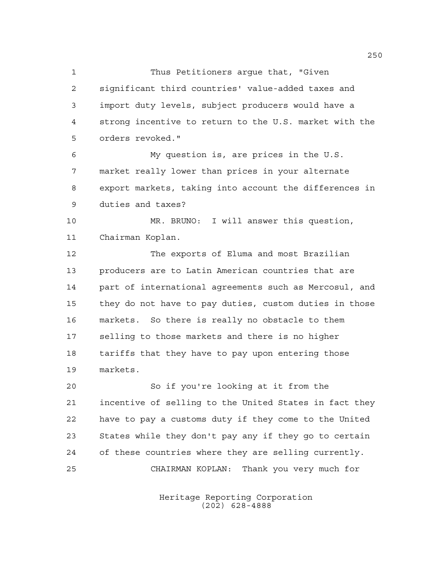Thus Petitioners argue that, "Given significant third countries' value-added taxes and import duty levels, subject producers would have a strong incentive to return to the U.S. market with the orders revoked."

 My question is, are prices in the U.S. market really lower than prices in your alternate export markets, taking into account the differences in duties and taxes?

 MR. BRUNO: I will answer this question, Chairman Koplan.

 The exports of Eluma and most Brazilian producers are to Latin American countries that are part of international agreements such as Mercosul, and they do not have to pay duties, custom duties in those markets. So there is really no obstacle to them selling to those markets and there is no higher tariffs that they have to pay upon entering those markets.

 So if you're looking at it from the incentive of selling to the United States in fact they have to pay a customs duty if they come to the United States while they don't pay any if they go to certain of these countries where they are selling currently. CHAIRMAN KOPLAN: Thank you very much for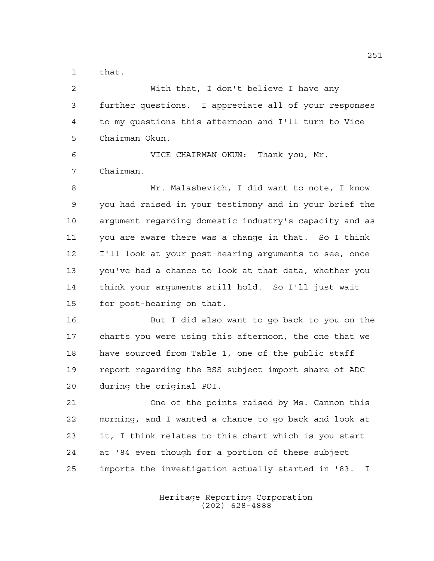that.

 With that, I don't believe I have any further questions. I appreciate all of your responses to my questions this afternoon and I'll turn to Vice Chairman Okun. VICE CHAIRMAN OKUN: Thank you, Mr. Chairman. Mr. Malashevich, I did want to note, I know you had raised in your testimony and in your brief the argument regarding domestic industry's capacity and as you are aware there was a change in that. So I think I'll look at your post-hearing arguments to see, once you've had a chance to look at that data, whether you think your arguments still hold. So I'll just wait for post-hearing on that. But I did also want to go back to you on the charts you were using this afternoon, the one that we have sourced from Table 1, one of the public staff report regarding the BSS subject import share of ADC during the original POI. One of the points raised by Ms. Cannon this morning, and I wanted a chance to go back and look at it, I think relates to this chart which is you start at '84 even though for a portion of these subject imports the investigation actually started in '83. I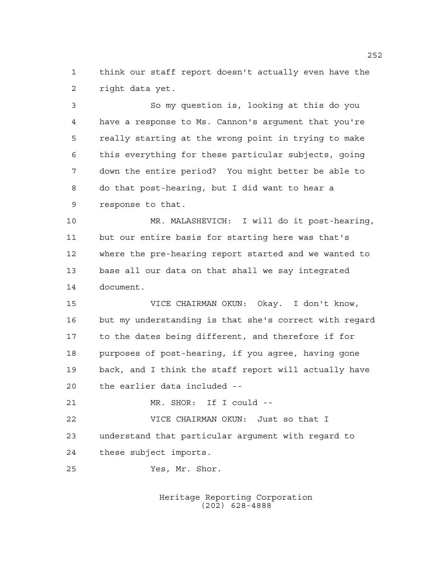think our staff report doesn't actually even have the right data yet.

 So my question is, looking at this do you have a response to Ms. Cannon's argument that you're really starting at the wrong point in trying to make this everything for these particular subjects, going down the entire period? You might better be able to do that post-hearing, but I did want to hear a response to that.

 MR. MALASHEVICH: I will do it post-hearing, but our entire basis for starting here was that's where the pre-hearing report started and we wanted to base all our data on that shall we say integrated document.

 VICE CHAIRMAN OKUN: Okay. I don't know, but my understanding is that she's correct with regard to the dates being different, and therefore if for purposes of post-hearing, if you agree, having gone back, and I think the staff report will actually have the earlier data included --

MR. SHOR: If I could --

 VICE CHAIRMAN OKUN: Just so that I understand that particular argument with regard to these subject imports.

Yes, Mr. Shor.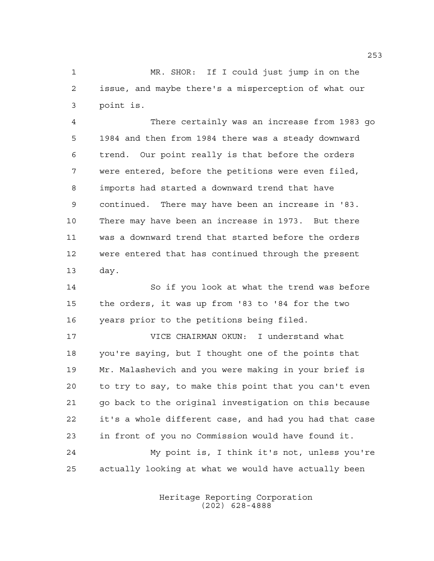MR. SHOR: If I could just jump in on the issue, and maybe there's a misperception of what our point is.

 There certainly was an increase from 1983 go 1984 and then from 1984 there was a steady downward trend. Our point really is that before the orders were entered, before the petitions were even filed, imports had started a downward trend that have continued. There may have been an increase in '83. There may have been an increase in 1973. But there was a downward trend that started before the orders were entered that has continued through the present day.

 So if you look at what the trend was before the orders, it was up from '83 to '84 for the two years prior to the petitions being filed.

 VICE CHAIRMAN OKUN: I understand what you're saying, but I thought one of the points that Mr. Malashevich and you were making in your brief is to try to say, to make this point that you can't even go back to the original investigation on this because it's a whole different case, and had you had that case in front of you no Commission would have found it. My point is, I think it's not, unless you're actually looking at what we would have actually been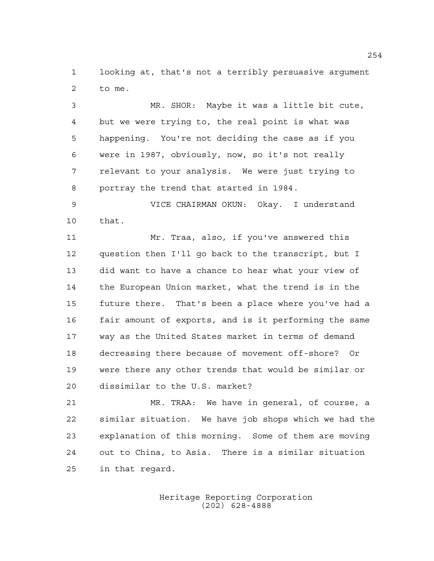looking at, that's not a terribly persuasive argument to me.

 MR. SHOR: Maybe it was a little bit cute, but we were trying to, the real point is what was happening. You're not deciding the case as if you were in 1987, obviously, now, so it's not really relevant to your analysis. We were just trying to portray the trend that started in 1984.

 VICE CHAIRMAN OKUN: Okay. I understand that.

 Mr. Traa, also, if you've answered this question then I'll go back to the transcript, but I did want to have a chance to hear what your view of the European Union market, what the trend is in the future there. That's been a place where you've had a fair amount of exports, and is it performing the same way as the United States market in terms of demand decreasing there because of movement off-shore? Or were there any other trends that would be similar or dissimilar to the U.S. market?

 MR. TRAA: We have in general, of course, a similar situation. We have job shops which we had the explanation of this morning. Some of them are moving out to China, to Asia. There is a similar situation in that regard.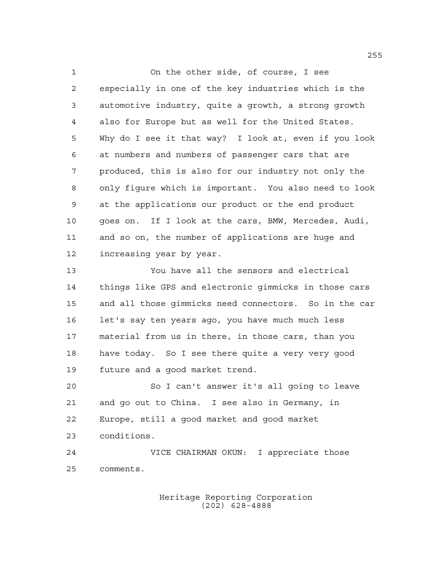On the other side, of course, I see especially in one of the key industries which is the automotive industry, quite a growth, a strong growth also for Europe but as well for the United States. Why do I see it that way? I look at, even if you look at numbers and numbers of passenger cars that are produced, this is also for our industry not only the only figure which is important. You also need to look at the applications our product or the end product goes on. If I look at the cars, BMW, Mercedes, Audi, and so on, the number of applications are huge and increasing year by year. You have all the sensors and electrical things like GPS and electronic gimmicks in those cars and all those gimmicks need connectors. So in the car

 let's say ten years ago, you have much much less material from us in there, in those cars, than you have today. So I see there quite a very very good future and a good market trend.

 So I can't answer it's all going to leave and go out to China. I see also in Germany, in Europe, still a good market and good market conditions.

 VICE CHAIRMAN OKUN: I appreciate those comments.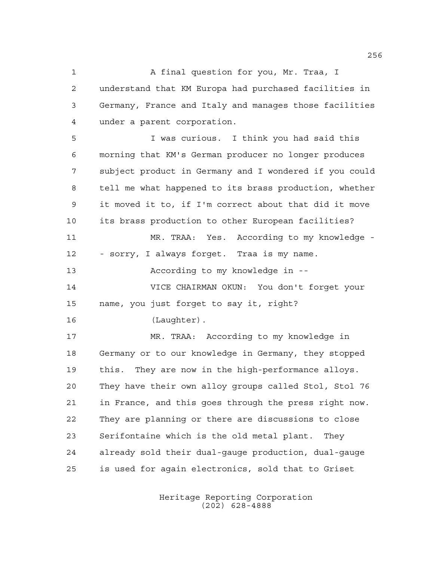A final question for you, Mr. Traa, I understand that KM Europa had purchased facilities in Germany, France and Italy and manages those facilities under a parent corporation.

 I was curious. I think you had said this morning that KM's German producer no longer produces subject product in Germany and I wondered if you could tell me what happened to its brass production, whether it moved it to, if I'm correct about that did it move its brass production to other European facilities? MR. TRAA: Yes. According to my knowledge -

- sorry, I always forget. Traa is my name.

According to my knowledge in --

 VICE CHAIRMAN OKUN: You don't forget your name, you just forget to say it, right?

(Laughter).

 MR. TRAA: According to my knowledge in Germany or to our knowledge in Germany, they stopped this. They are now in the high-performance alloys. They have their own alloy groups called Stol, Stol 76 in France, and this goes through the press right now. They are planning or there are discussions to close Serifontaine which is the old metal plant. They already sold their dual-gauge production, dual-gauge is used for again electronics, sold that to Griset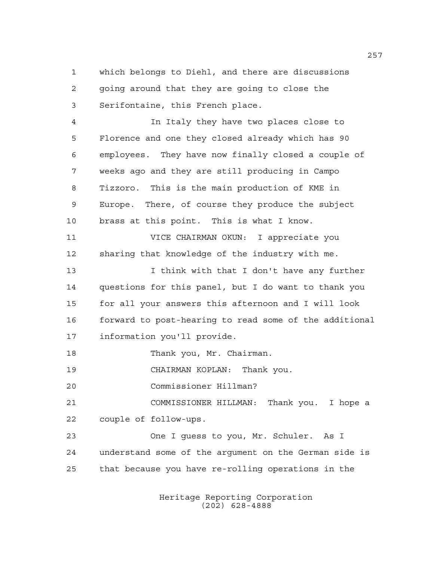which belongs to Diehl, and there are discussions going around that they are going to close the Serifontaine, this French place.

 In Italy they have two places close to Florence and one they closed already which has 90 employees. They have now finally closed a couple of weeks ago and they are still producing in Campo Tizzoro. This is the main production of KME in Europe. There, of course they produce the subject brass at this point. This is what I know.

 VICE CHAIRMAN OKUN: I appreciate you sharing that knowledge of the industry with me.

 I think with that I don't have any further questions for this panel, but I do want to thank you for all your answers this afternoon and I will look forward to post-hearing to read some of the additional information you'll provide.

Thank you, Mr. Chairman.

CHAIRMAN KOPLAN: Thank you.

Commissioner Hillman?

 COMMISSIONER HILLMAN: Thank you. I hope a couple of follow-ups.

 One I guess to you, Mr. Schuler. As I understand some of the argument on the German side is that because you have re-rolling operations in the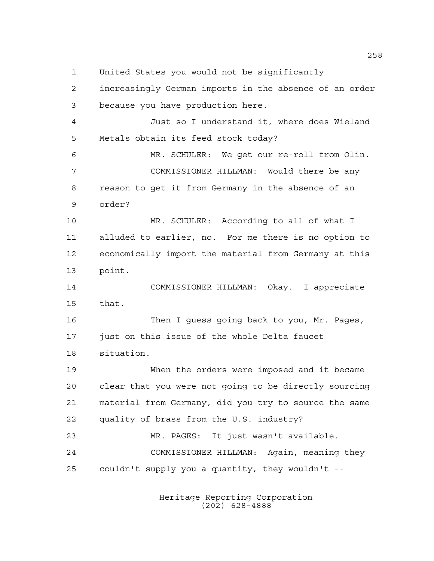United States you would not be significantly

 increasingly German imports in the absence of an order because you have production here. Just so I understand it, where does Wieland Metals obtain its feed stock today? MR. SCHULER: We get our re-roll from Olin. COMMISSIONER HILLMAN: Would there be any reason to get it from Germany in the absence of an order? MR. SCHULER: According to all of what I alluded to earlier, no. For me there is no option to economically import the material from Germany at this point. COMMISSIONER HILLMAN: Okay. I appreciate that. Then I guess going back to you, Mr. Pages, 17 just on this issue of the whole Delta faucet situation. When the orders were imposed and it became clear that you were not going to be directly sourcing material from Germany, did you try to source the same quality of brass from the U.S. industry? MR. PAGES: It just wasn't available. COMMISSIONER HILLMAN: Again, meaning they couldn't supply you a quantity, they wouldn't --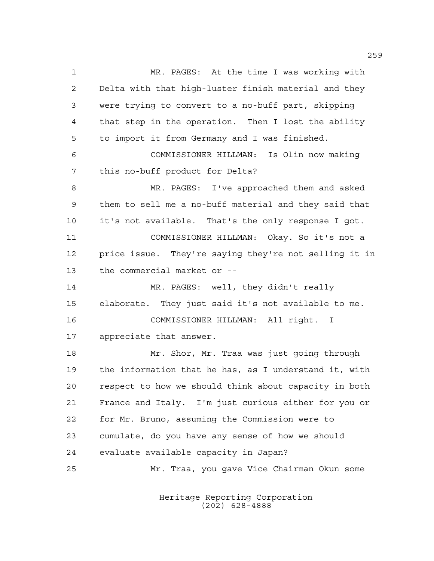MR. PAGES: At the time I was working with Delta with that high-luster finish material and they were trying to convert to a no-buff part, skipping that step in the operation. Then I lost the ability to import it from Germany and I was finished. COMMISSIONER HILLMAN: Is Olin now making this no-buff product for Delta? MR. PAGES: I've approached them and asked them to sell me a no-buff material and they said that it's not available. That's the only response I got. COMMISSIONER HILLMAN: Okay. So it's not a price issue. They're saying they're not selling it in the commercial market or -- MR. PAGES: well, they didn't really elaborate. They just said it's not available to me. COMMISSIONER HILLMAN: All right. I appreciate that answer. Mr. Shor, Mr. Traa was just going through the information that he has, as I understand it, with respect to how we should think about capacity in both France and Italy. I'm just curious either for you or for Mr. Bruno, assuming the Commission were to cumulate, do you have any sense of how we should evaluate available capacity in Japan? Mr. Traa, you gave Vice Chairman Okun some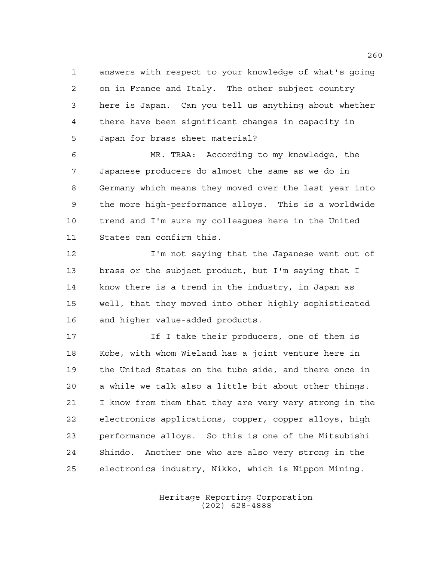answers with respect to your knowledge of what's going on in France and Italy. The other subject country here is Japan. Can you tell us anything about whether there have been significant changes in capacity in Japan for brass sheet material?

 MR. TRAA: According to my knowledge, the Japanese producers do almost the same as we do in Germany which means they moved over the last year into the more high-performance alloys. This is a worldwide trend and I'm sure my colleagues here in the United States can confirm this.

 I'm not saying that the Japanese went out of brass or the subject product, but I'm saying that I know there is a trend in the industry, in Japan as well, that they moved into other highly sophisticated and higher value-added products.

17 17 If I take their producers, one of them is Kobe, with whom Wieland has a joint venture here in the United States on the tube side, and there once in a while we talk also a little bit about other things. I know from them that they are very very strong in the electronics applications, copper, copper alloys, high performance alloys. So this is one of the Mitsubishi Shindo. Another one who are also very strong in the electronics industry, Nikko, which is Nippon Mining.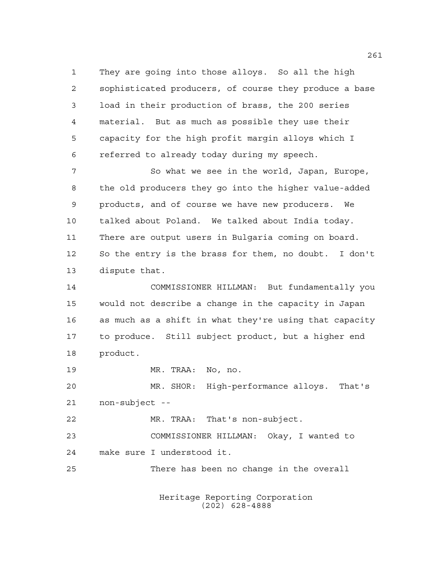They are going into those alloys. So all the high sophisticated producers, of course they produce a base load in their production of brass, the 200 series material. But as much as possible they use their capacity for the high profit margin alloys which I referred to already today during my speech.

7 So what we see in the world, Japan, Europe, the old producers they go into the higher value-added products, and of course we have new producers. We talked about Poland. We talked about India today. There are output users in Bulgaria coming on board. So the entry is the brass for them, no doubt. I don't dispute that.

 COMMISSIONER HILLMAN: But fundamentally you would not describe a change in the capacity in Japan as much as a shift in what they're using that capacity to produce. Still subject product, but a higher end product.

MR. TRAA: No, no.

 MR. SHOR: High-performance alloys. That's non-subject --

MR. TRAA: That's non-subject.

 COMMISSIONER HILLMAN: Okay, I wanted to make sure I understood it.

There has been no change in the overall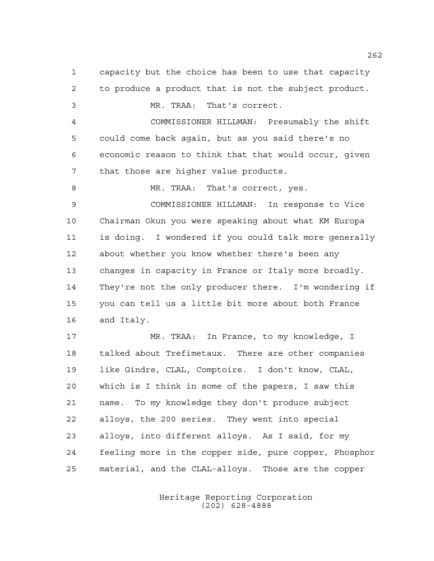capacity but the choice has been to use that capacity to produce a product that is not the subject product. MR. TRAA: That's correct. COMMISSIONER HILLMAN: Presumably the shift could come back again, but as you said there's no economic reason to think that that would occur, given that those are higher value products. 8 MR. TRAA: That's correct, yes. COMMISSIONER HILLMAN: In response to Vice Chairman Okun you were speaking about what KM Europa is doing. I wondered if you could talk more generally about whether you know whether there's been any changes in capacity in France or Italy more broadly. They're not the only producer there. I'm wondering if you can tell us a little bit more about both France and Italy. MR. TRAA: In France, to my knowledge, I talked about Trefimetaux. There are other companies like Gindre, CLAL, Comptoire. I don't know, CLAL, which is I think in some of the papers, I saw this name. To my knowledge they don't produce subject alloys, the 200 series. They went into special alloys, into different alloys. As I said, for my feeling more in the copper side, pure copper, Phosphor material, and the CLAL-alloys. Those are the copper

> Heritage Reporting Corporation (202) 628-4888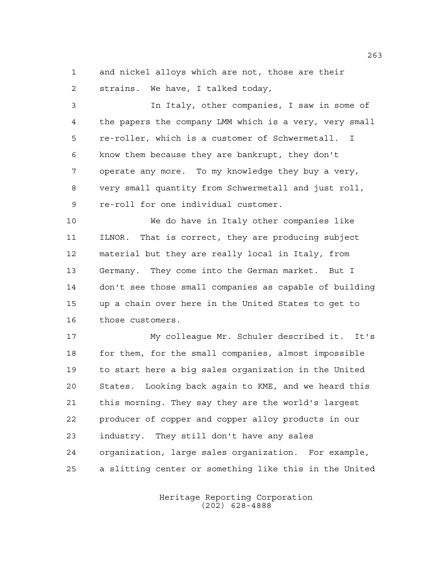and nickel alloys which are not, those are their strains. We have, I talked today,

 In Italy, other companies, I saw in some of the papers the company LMM which is a very, very small re-roller, which is a customer of Schwermetall. I know them because they are bankrupt, they don't operate any more. To my knowledge they buy a very, very small quantity from Schwermetall and just roll, re-roll for one individual customer.

 We do have in Italy other companies like ILNOR. That is correct, they are producing subject material but they are really local in Italy, from Germany. They come into the German market. But I don't see those small companies as capable of building up a chain over here in the United States to get to those customers.

 My colleague Mr. Schuler described it. It's for them, for the small companies, almost impossible to start here a big sales organization in the United States. Looking back again to KME, and we heard this this morning. They say they are the world's largest producer of copper and copper alloy products in our industry. They still don't have any sales organization, large sales organization. For example, a slitting center or something like this in the United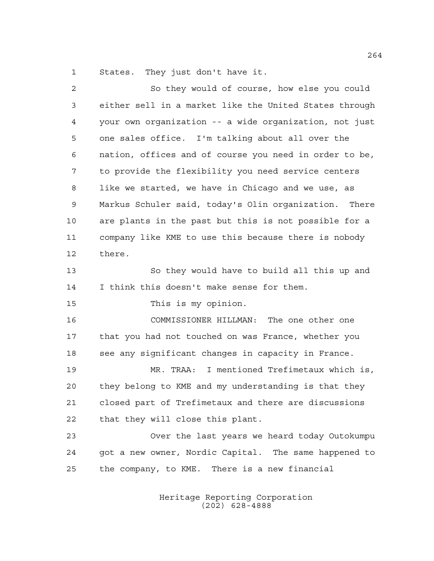States. They just don't have it.

| $\overline{2}$ | So they would of course, how else you could            |
|----------------|--------------------------------------------------------|
| 3              | either sell in a market like the United States through |
| 4              | your own organization -- a wide organization, not just |
| 5              | one sales office. I'm talking about all over the       |
| 6              | nation, offices and of course you need in order to be, |
| 7              | to provide the flexibility you need service centers    |
| 8              | like we started, we have in Chicago and we use, as     |
| 9              | Markus Schuler said, today's Olin organization. There  |
| 10             | are plants in the past but this is not possible for a  |
| 11             | company like KME to use this because there is nobody   |
| 12             | there.                                                 |
| 13             | So they would have to build all this up and            |
| 14             | I think this doesn't make sense for them.              |
| 15             | This is my opinion.                                    |
| 16             | COMMISSIONER HILLMAN: The one other one                |
| 17             | that you had not touched on was France, whether you    |
| 18             | see any significant changes in capacity in France.     |
| 19             | MR. TRAA: I mentioned Trefimetaux which is,            |
| 20             | they belong to KME and my understanding is that they   |
| 21             | closed part of Trefimetaux and there are discussions   |
| 22             | that they will close this plant.                       |
| 23             | Over the last years we heard today Outokumpu           |
| 24             | got a new owner, Nordic Capital. The same happened to  |
| 25             | the company, to KME. There is a new financial          |
|                |                                                        |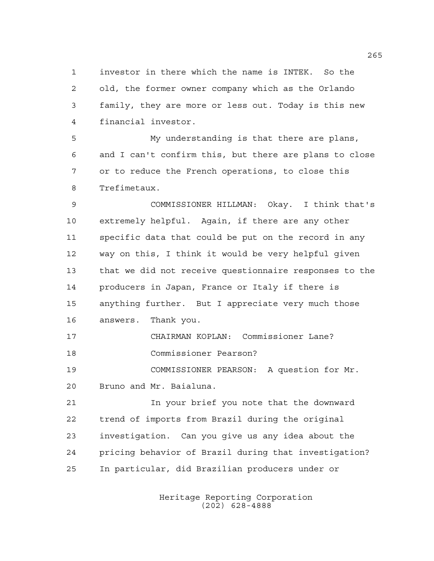investor in there which the name is INTEK. So the old, the former owner company which as the Orlando family, they are more or less out. Today is this new financial investor.

 My understanding is that there are plans, and I can't confirm this, but there are plans to close or to reduce the French operations, to close this Trefimetaux.

 COMMISSIONER HILLMAN: Okay. I think that's extremely helpful. Again, if there are any other specific data that could be put on the record in any way on this, I think it would be very helpful given that we did not receive questionnaire responses to the producers in Japan, France or Italy if there is anything further. But I appreciate very much those answers. Thank you.

 CHAIRMAN KOPLAN: Commissioner Lane? Commissioner Pearson?

 COMMISSIONER PEARSON: A question for Mr. Bruno and Mr. Baialuna.

 In your brief you note that the downward trend of imports from Brazil during the original investigation. Can you give us any idea about the pricing behavior of Brazil during that investigation? In particular, did Brazilian producers under or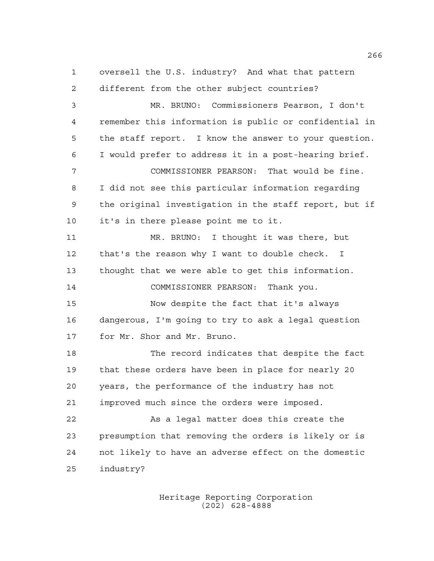oversell the U.S. industry? And what that pattern different from the other subject countries? MR. BRUNO: Commissioners Pearson, I don't remember this information is public or confidential in the staff report. I know the answer to your question. I would prefer to address it in a post-hearing brief. COMMISSIONER PEARSON: That would be fine. I did not see this particular information regarding the original investigation in the staff report, but if it's in there please point me to it. MR. BRUNO: I thought it was there, but that's the reason why I want to double check. I thought that we were able to get this information. COMMISSIONER PEARSON: Thank you. Now despite the fact that it's always dangerous, I'm going to try to ask a legal question for Mr. Shor and Mr. Bruno. The record indicates that despite the fact that these orders have been in place for nearly 20 years, the performance of the industry has not improved much since the orders were imposed. As a legal matter does this create the presumption that removing the orders is likely or is not likely to have an adverse effect on the domestic industry?

> Heritage Reporting Corporation (202) 628-4888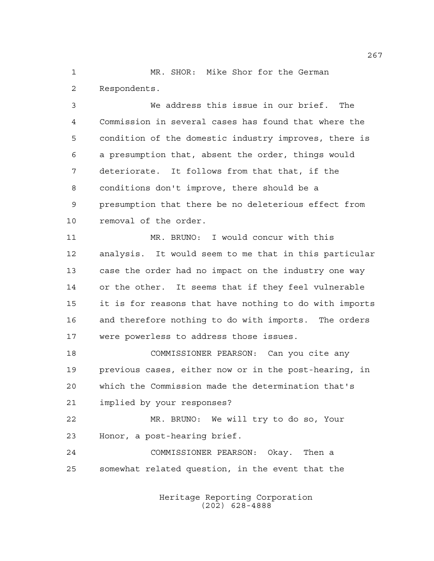MR. SHOR: Mike Shor for the German Respondents.

 We address this issue in our brief. The Commission in several cases has found that where the condition of the domestic industry improves, there is a presumption that, absent the order, things would deteriorate. It follows from that that, if the conditions don't improve, there should be a presumption that there be no deleterious effect from removal of the order.

 MR. BRUNO: I would concur with this analysis. It would seem to me that in this particular case the order had no impact on the industry one way or the other. It seems that if they feel vulnerable it is for reasons that have nothing to do with imports and therefore nothing to do with imports. The orders were powerless to address those issues.

 COMMISSIONER PEARSON: Can you cite any previous cases, either now or in the post-hearing, in which the Commission made the determination that's implied by your responses?

 MR. BRUNO: We will try to do so, Your Honor, a post-hearing brief.

 COMMISSIONER PEARSON: Okay. Then a somewhat related question, in the event that the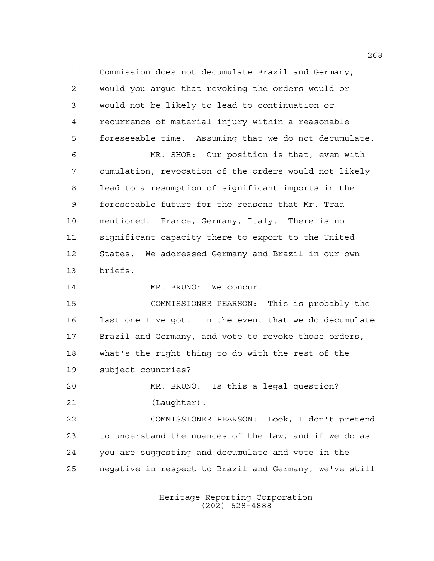Commission does not decumulate Brazil and Germany, would you argue that revoking the orders would or would not be likely to lead to continuation or recurrence of material injury within a reasonable foreseeable time. Assuming that we do not decumulate. MR. SHOR: Our position is that, even with cumulation, revocation of the orders would not likely lead to a resumption of significant imports in the foreseeable future for the reasons that Mr. Traa mentioned. France, Germany, Italy. There is no significant capacity there to export to the United States. We addressed Germany and Brazil in our own briefs. 14 MR. BRUNO: We concur. COMMISSIONER PEARSON: This is probably the last one I've got. In the event that we do decumulate Brazil and Germany, and vote to revoke those orders, what's the right thing to do with the rest of the subject countries? MR. BRUNO: Is this a legal question? (Laughter). COMMISSIONER PEARSON: Look, I don't pretend to understand the nuances of the law, and if we do as you are suggesting and decumulate and vote in the negative in respect to Brazil and Germany, we've still

> Heritage Reporting Corporation (202) 628-4888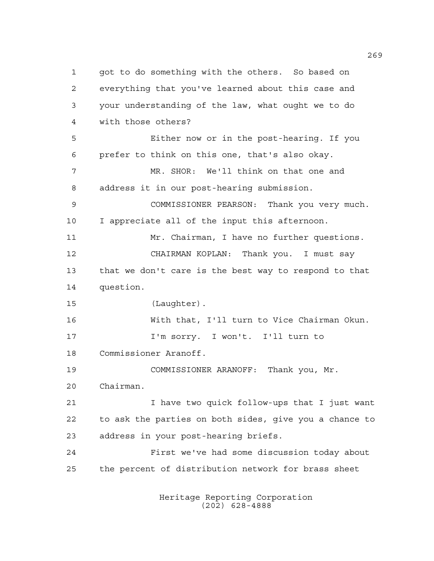got to do something with the others. So based on everything that you've learned about this case and your understanding of the law, what ought we to do with those others? Either now or in the post-hearing. If you prefer to think on this one, that's also okay. MR. SHOR: We'll think on that one and address it in our post-hearing submission. COMMISSIONER PEARSON: Thank you very much. I appreciate all of the input this afternoon. Mr. Chairman, I have no further questions. CHAIRMAN KOPLAN: Thank you. I must say that we don't care is the best way to respond to that question. (Laughter). With that, I'll turn to Vice Chairman Okun. I'm sorry. I won't. I'll turn to Commissioner Aranoff. COMMISSIONER ARANOFF: Thank you, Mr. Chairman. I have two quick follow-ups that I just want to ask the parties on both sides, give you a chance to address in your post-hearing briefs. First we've had some discussion today about the percent of distribution network for brass sheet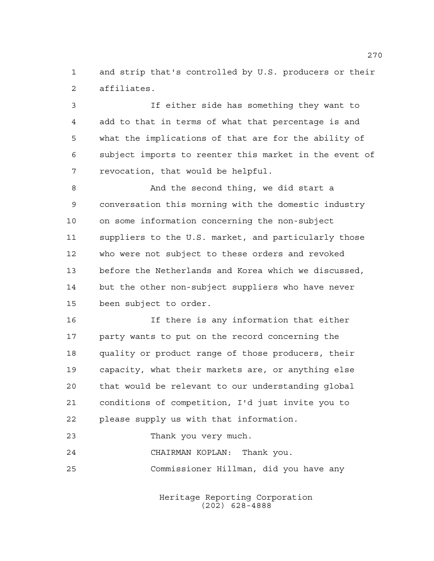and strip that's controlled by U.S. producers or their affiliates.

 If either side has something they want to add to that in terms of what that percentage is and what the implications of that are for the ability of subject imports to reenter this market in the event of revocation, that would be helpful.

8 And the second thing, we did start a conversation this morning with the domestic industry on some information concerning the non-subject suppliers to the U.S. market, and particularly those who were not subject to these orders and revoked before the Netherlands and Korea which we discussed, but the other non-subject suppliers who have never been subject to order.

 If there is any information that either party wants to put on the record concerning the quality or product range of those producers, their capacity, what their markets are, or anything else that would be relevant to our understanding global conditions of competition, I'd just invite you to please supply us with that information.

Thank you very much.

 CHAIRMAN KOPLAN: Thank you. Commissioner Hillman, did you have any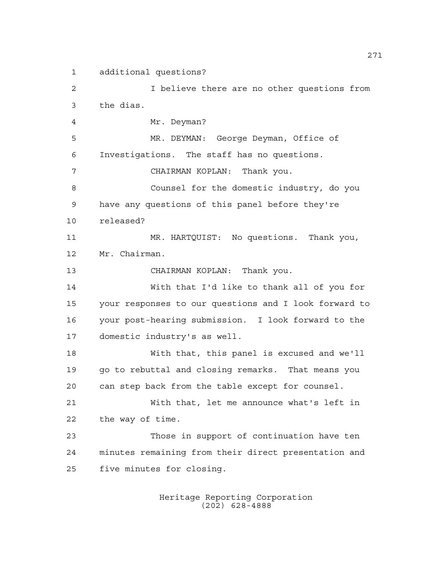additional questions?

 I believe there are no other questions from the dias. Mr. Deyman? MR. DEYMAN: George Deyman, Office of Investigations. The staff has no questions. CHAIRMAN KOPLAN: Thank you. Counsel for the domestic industry, do you have any questions of this panel before they're released? MR. HARTQUIST: No questions. Thank you, Mr. Chairman. CHAIRMAN KOPLAN: Thank you. With that I'd like to thank all of you for your responses to our questions and I look forward to your post-hearing submission. I look forward to the domestic industry's as well. With that, this panel is excused and we'll go to rebuttal and closing remarks. That means you can step back from the table except for counsel. With that, let me announce what's left in the way of time. Those in support of continuation have ten minutes remaining from their direct presentation and five minutes for closing.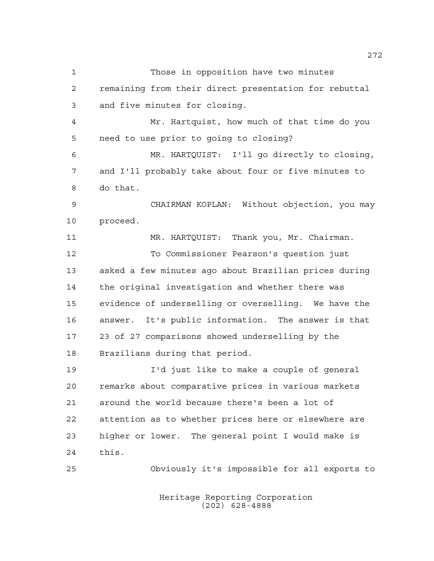Those in opposition have two minutes remaining from their direct presentation for rebuttal and five minutes for closing. Mr. Hartquist, how much of that time do you need to use prior to going to closing? MR. HARTQUIST: I'll go directly to closing, and I'll probably take about four or five minutes to do that. CHAIRMAN KOPLAN: Without objection, you may proceed. MR. HARTQUIST: Thank you, Mr. Chairman. To Commissioner Pearson's question just asked a few minutes ago about Brazilian prices during the original investigation and whether there was evidence of underselling or overselling. We have the answer. It's public information. The answer is that 23 of 27 comparisons showed underselling by the Brazilians during that period. I'd just like to make a couple of general remarks about comparative prices in various markets around the world because there's been a lot of attention as to whether prices here or elsewhere are higher or lower. The general point I would make is this. Obviously it's impossible for all exports to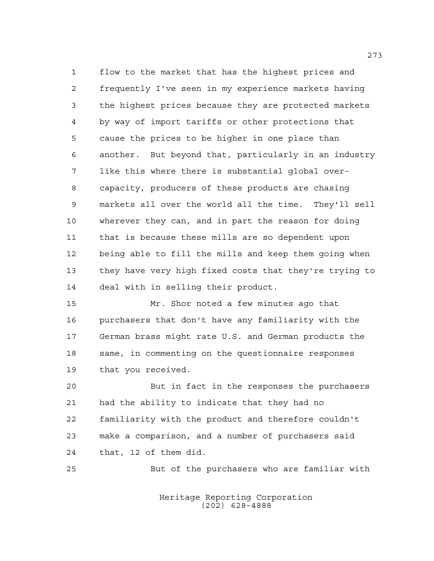flow to the market that has the highest prices and frequently I've seen in my experience markets having the highest prices because they are protected markets by way of import tariffs or other protections that cause the prices to be higher in one place than another. But beyond that, particularly in an industry like this where there is substantial global over- capacity, producers of these products are chasing markets all over the world all the time. They'll sell wherever they can, and in part the reason for doing that is because these mills are so dependent upon being able to fill the mills and keep them going when they have very high fixed costs that they're trying to deal with in selling their product.

 Mr. Shor noted a few minutes ago that purchasers that don't have any familiarity with the German brass might rate U.S. and German products the same, in commenting on the questionnaire responses that you received.

 But in fact in the responses the purchasers had the ability to indicate that they had no familiarity with the product and therefore couldn't make a comparison, and a number of purchasers said that, 12 of them did.

But of the purchasers who are familiar with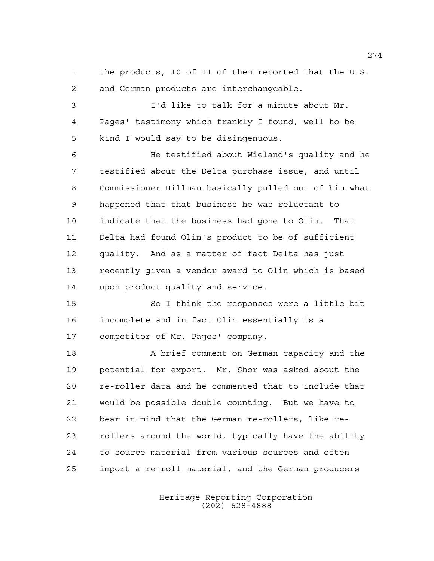the products, 10 of 11 of them reported that the U.S. and German products are interchangeable.

 I'd like to talk for a minute about Mr. Pages' testimony which frankly I found, well to be kind I would say to be disingenuous.

 He testified about Wieland's quality and he testified about the Delta purchase issue, and until Commissioner Hillman basically pulled out of him what happened that that business he was reluctant to indicate that the business had gone to Olin. That Delta had found Olin's product to be of sufficient quality. And as a matter of fact Delta has just recently given a vendor award to Olin which is based upon product quality and service.

 So I think the responses were a little bit incomplete and in fact Olin essentially is a competitor of Mr. Pages' company.

 A brief comment on German capacity and the potential for export. Mr. Shor was asked about the re-roller data and he commented that to include that would be possible double counting. But we have to bear in mind that the German re-rollers, like re- rollers around the world, typically have the ability to source material from various sources and often import a re-roll material, and the German producers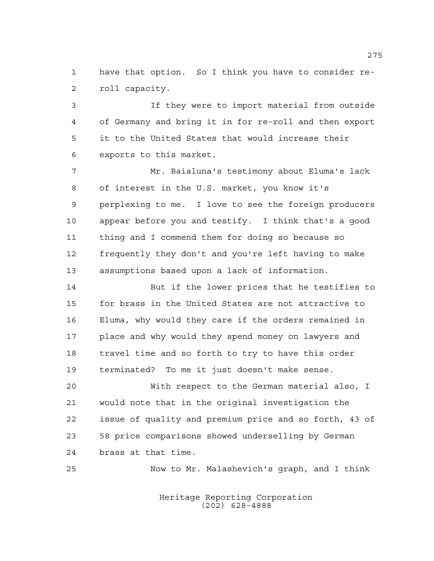have that option. So I think you have to consider re-roll capacity.

 If they were to import material from outside of Germany and bring it in for re-roll and then export it to the United States that would increase their exports to this market.

 Mr. Baialuna's testimony about Eluma's lack of interest in the U.S. market, you know it's perplexing to me. I love to see the foreign producers appear before you and testify. I think that's a good thing and I commend them for doing so because so frequently they don't and you're left having to make assumptions based upon a lack of information.

 But if the lower prices that he testifies to for brass in the United States are not attractive to Eluma, why would they care if the orders remained in place and why would they spend money on lawyers and travel time and so forth to try to have this order terminated? To me it just doesn't make sense.

 With respect to the German material also, I would note that in the original investigation the issue of quality and premium price and so forth, 43 of 58 price comparisons showed underselling by German brass at that time.

Now to Mr. Malashevich's graph, and I think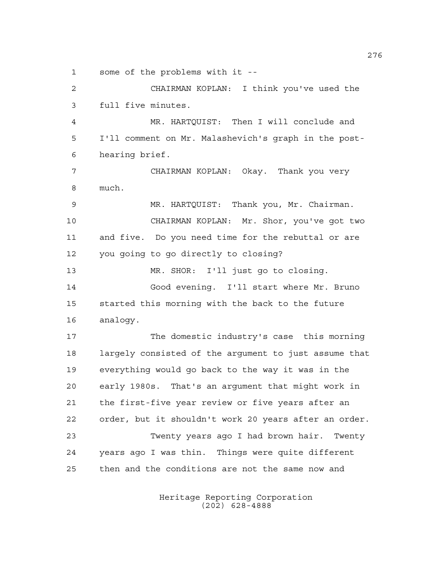some of the problems with it --

 CHAIRMAN KOPLAN: I think you've used the full five minutes. MR. HARTQUIST: Then I will conclude and I'll comment on Mr. Malashevich's graph in the post- hearing brief. CHAIRMAN KOPLAN: Okay. Thank you very much. MR. HARTQUIST: Thank you, Mr. Chairman. CHAIRMAN KOPLAN: Mr. Shor, you've got two and five. Do you need time for the rebuttal or are you going to go directly to closing? MR. SHOR: I'll just go to closing. Good evening. I'll start where Mr. Bruno started this morning with the back to the future analogy. The domestic industry's case this morning largely consisted of the argument to just assume that everything would go back to the way it was in the early 1980s. That's an argument that might work in the first-five year review or five years after an order, but it shouldn't work 20 years after an order. Twenty years ago I had brown hair. Twenty years ago I was thin. Things were quite different then and the conditions are not the same now and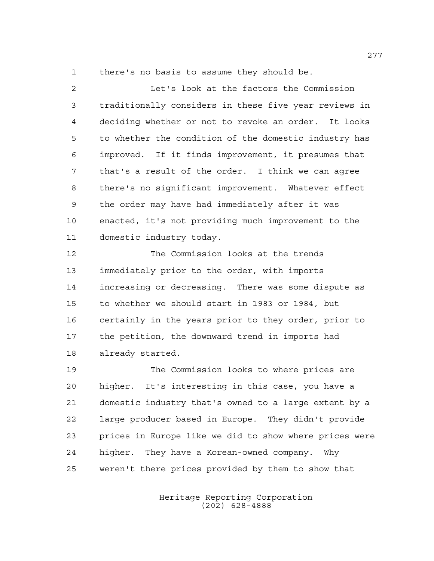there's no basis to assume they should be.

 Let's look at the factors the Commission traditionally considers in these five year reviews in deciding whether or not to revoke an order. It looks to whether the condition of the domestic industry has improved. If it finds improvement, it presumes that that's a result of the order. I think we can agree there's no significant improvement. Whatever effect the order may have had immediately after it was enacted, it's not providing much improvement to the domestic industry today.

 The Commission looks at the trends immediately prior to the order, with imports increasing or decreasing. There was some dispute as to whether we should start in 1983 or 1984, but certainly in the years prior to they order, prior to the petition, the downward trend in imports had already started.

 The Commission looks to where prices are higher. It's interesting in this case, you have a domestic industry that's owned to a large extent by a large producer based in Europe. They didn't provide prices in Europe like we did to show where prices were higher. They have a Korean-owned company. Why weren't there prices provided by them to show that

> Heritage Reporting Corporation (202) 628-4888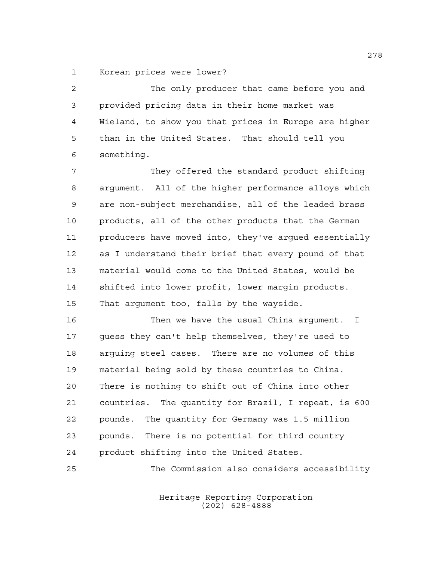Korean prices were lower?

 The only producer that came before you and provided pricing data in their home market was Wieland, to show you that prices in Europe are higher than in the United States. That should tell you something.

 They offered the standard product shifting argument. All of the higher performance alloys which are non-subject merchandise, all of the leaded brass products, all of the other products that the German producers have moved into, they've argued essentially as I understand their brief that every pound of that material would come to the United States, would be shifted into lower profit, lower margin products. That argument too, falls by the wayside.

 Then we have the usual China argument. I guess they can't help themselves, they're used to arguing steel cases. There are no volumes of this material being sold by these countries to China. There is nothing to shift out of China into other countries. The quantity for Brazil, I repeat, is 600 pounds. The quantity for Germany was 1.5 million pounds. There is no potential for third country product shifting into the United States.

The Commission also considers accessibility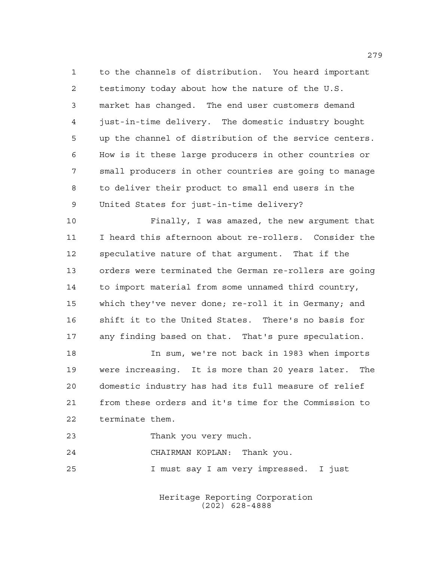to the channels of distribution. You heard important testimony today about how the nature of the U.S. market has changed. The end user customers demand just-in-time delivery. The domestic industry bought up the channel of distribution of the service centers. How is it these large producers in other countries or small producers in other countries are going to manage to deliver their product to small end users in the United States for just-in-time delivery?

 Finally, I was amazed, the new argument that I heard this afternoon about re-rollers. Consider the speculative nature of that argument. That if the orders were terminated the German re-rollers are going to import material from some unnamed third country, which they've never done; re-roll it in Germany; and shift it to the United States. There's no basis for any finding based on that. That's pure speculation.

 In sum, we're not back in 1983 when imports were increasing. It is more than 20 years later. The domestic industry has had its full measure of relief from these orders and it's time for the Commission to terminate them.

Thank you very much.

CHAIRMAN KOPLAN: Thank you.

I must say I am very impressed. I just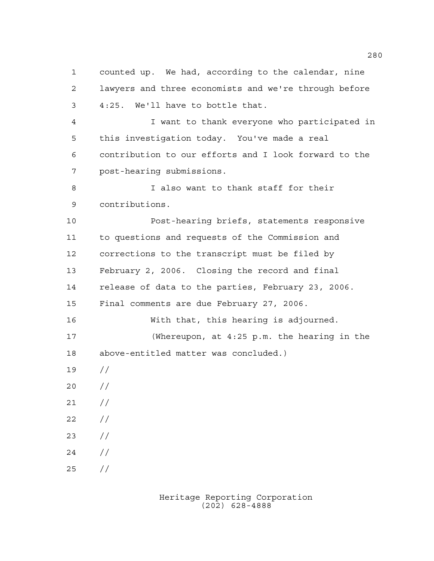lawyers and three economists and we're through before 4:25. We'll have to bottle that. I want to thank everyone who participated in this investigation today. You've made a real contribution to our efforts and I look forward to the post-hearing submissions. I also want to thank staff for their contributions. Post-hearing briefs, statements responsive to questions and requests of the Commission and corrections to the transcript must be filed by February 2, 2006. Closing the record and final release of data to the parties, February 23, 2006. Final comments are due February 27, 2006. With that, this hearing is adjourned. (Whereupon, at 4:25 p.m. the hearing in the above-entitled matter was concluded.) //  $20 /$  $21 /$  $22 / /$  // // //

counted up. We had, according to the calendar, nine